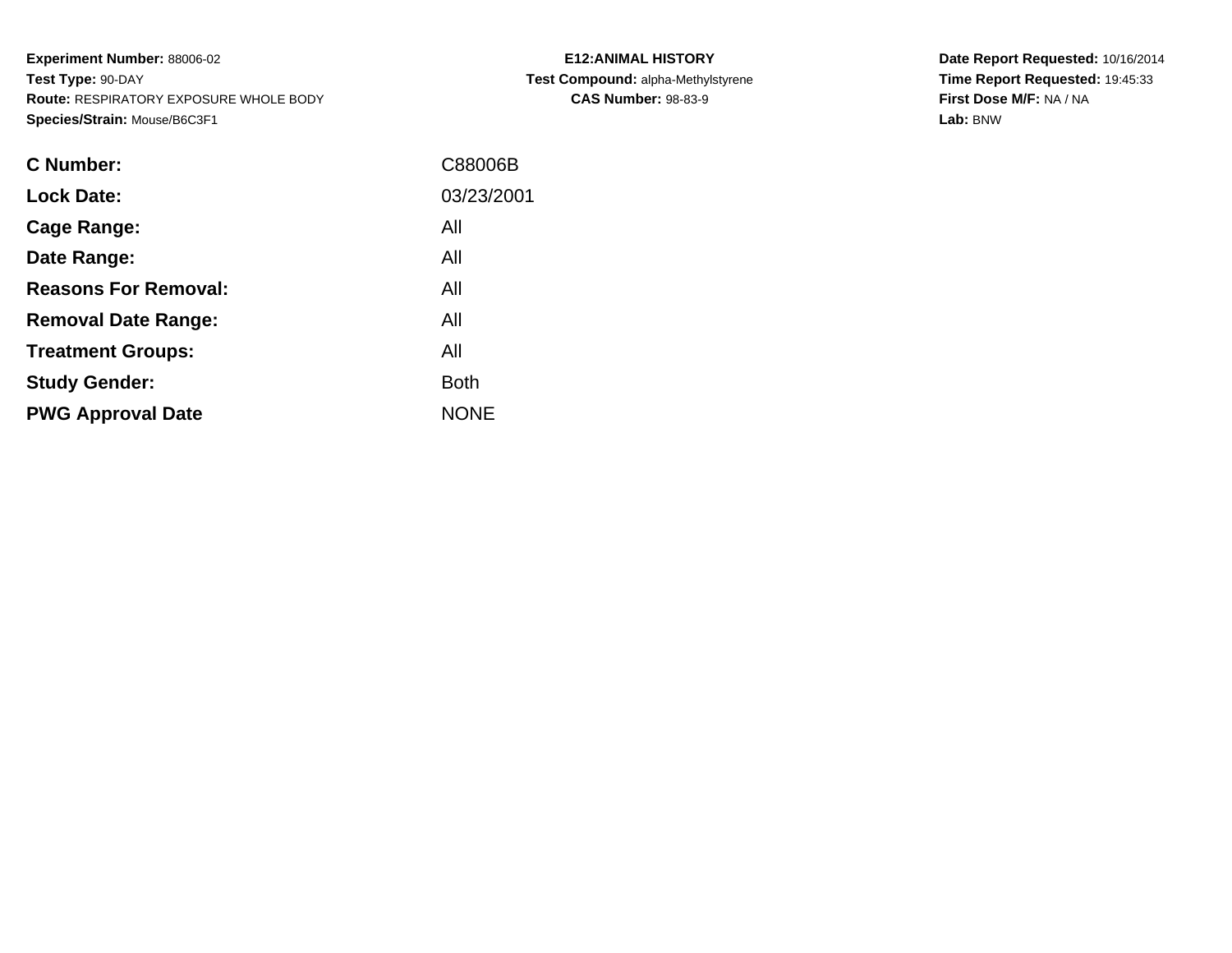**Experiment Number:** 88006-02**Test Type:** 90-DAY **Route:** RESPIRATORY EXPOSURE WHOLE BODY**Species/Strain:** Mouse/B6C3F1

| <b>E12: ANIMAL HISTORY</b>         |
|------------------------------------|
| Test Compound: alpha-Methylstyrene |
| <b>CAS Number: 98-83-9</b>         |

| <b>C</b> Number:            | C88006B     |
|-----------------------------|-------------|
| <b>Lock Date:</b>           | 03/23/2001  |
| Cage Range:                 | All         |
| Date Range:                 | All         |
| <b>Reasons For Removal:</b> | All         |
| <b>Removal Date Range:</b>  | All         |
| <b>Treatment Groups:</b>    | All         |
| <b>Study Gender:</b>        | <b>Both</b> |
| <b>PWG Approval Date</b>    | <b>NONE</b> |
|                             |             |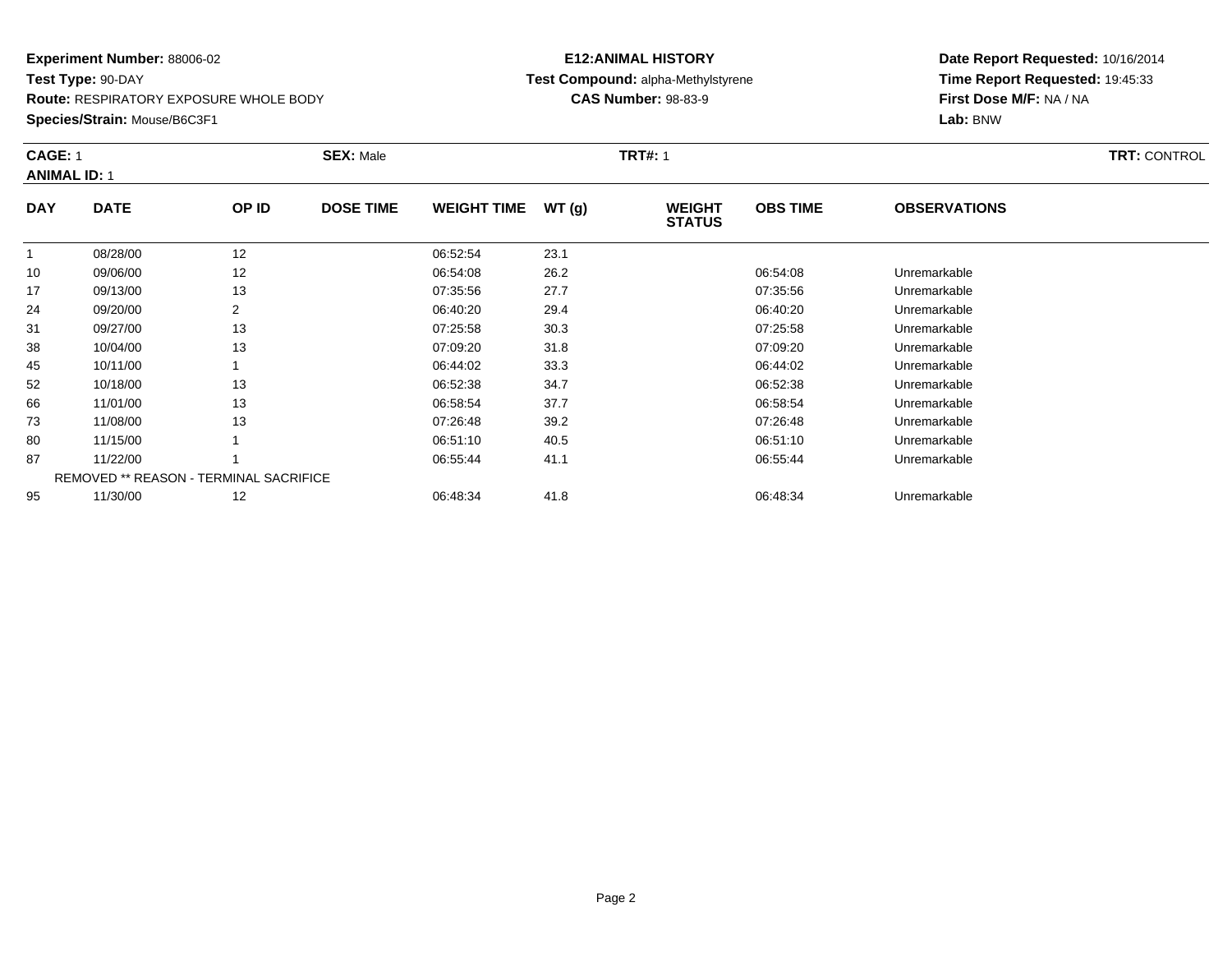**Route:** RESPIRATORY EXPOSURE WHOLE BODY

**Species/Strain:** Mouse/B6C3F1

### **E12:ANIMAL HISTORY Test Compound:** alpha-Methylstyrene**CAS Number:** 98-83-9

| <b>CAGE: 1</b><br><b>ANIMAL ID: 1</b> |                                               |       | <b>SEX: Male</b><br><b>TRT#: 1</b> |                    |       |                                |                 |                     |  |
|---------------------------------------|-----------------------------------------------|-------|------------------------------------|--------------------|-------|--------------------------------|-----------------|---------------------|--|
| <b>DAY</b>                            | <b>DATE</b>                                   | OP ID | <b>DOSE TIME</b>                   | <b>WEIGHT TIME</b> | WT(g) | <b>WEIGHT</b><br><b>STATUS</b> | <b>OBS TIME</b> | <b>OBSERVATIONS</b> |  |
| -1                                    | 08/28/00                                      | 12    |                                    | 06:52:54           | 23.1  |                                |                 |                     |  |
| 10                                    | 09/06/00                                      | 12    |                                    | 06:54:08           | 26.2  |                                | 06:54:08        | Unremarkable        |  |
| 17                                    | 09/13/00                                      | 13    |                                    | 07:35:56           | 27.7  |                                | 07:35:56        | Unremarkable        |  |
| 24                                    | 09/20/00                                      | 2     |                                    | 06:40:20           | 29.4  |                                | 06:40:20        | Unremarkable        |  |
| 31                                    | 09/27/00                                      | 13    |                                    | 07:25:58           | 30.3  |                                | 07:25:58        | Unremarkable        |  |
| 38                                    | 10/04/00                                      | 13    |                                    | 07:09:20           | 31.8  |                                | 07:09:20        | Unremarkable        |  |
| 45                                    | 10/11/00                                      |       |                                    | 06:44:02           | 33.3  |                                | 06:44:02        | Unremarkable        |  |
| 52                                    | 10/18/00                                      | 13    |                                    | 06:52:38           | 34.7  |                                | 06:52:38        | Unremarkable        |  |
| 66                                    | 11/01/00                                      | 13    |                                    | 06:58:54           | 37.7  |                                | 06:58:54        | Unremarkable        |  |
| 73                                    | 11/08/00                                      | 13    |                                    | 07:26:48           | 39.2  |                                | 07:26:48        | Unremarkable        |  |
| 80                                    | 11/15/00                                      |       |                                    | 06:51:10           | 40.5  |                                | 06:51:10        | Unremarkable        |  |
| 87                                    | 11/22/00                                      |       |                                    | 06:55:44           | 41.1  |                                | 06:55:44        | Unremarkable        |  |
|                                       | <b>REMOVED ** REASON - TERMINAL SACRIFICE</b> |       |                                    |                    |       |                                |                 |                     |  |
| 95                                    | 11/30/00                                      | 12    |                                    | 06:48:34           | 41.8  |                                | 06:48:34        | Unremarkable        |  |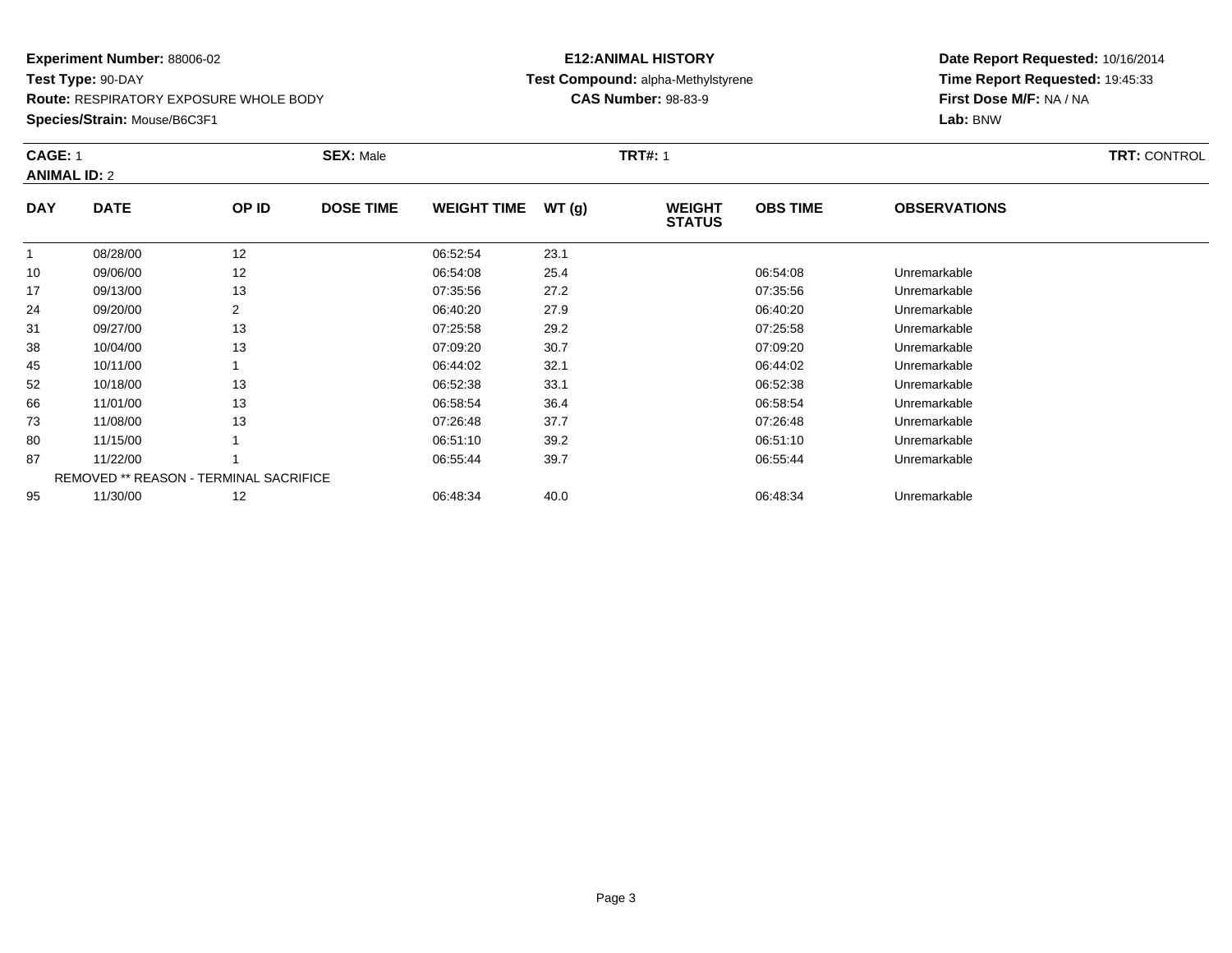**Route:** RESPIRATORY EXPOSURE WHOLE BODY

**Species/Strain:** Mouse/B6C3F1

### **E12:ANIMAL HISTORY Test Compound:** alpha-Methylstyrene**CAS Number:** 98-83-9

| <b>CAGE: 1</b><br><b>ANIMAL ID: 2</b> |                                               |       | <b>SEX: Male</b><br><b>TRT#: 1</b> |                    |       |                                |                 |                     | <b>TRT: CONTROL</b> |
|---------------------------------------|-----------------------------------------------|-------|------------------------------------|--------------------|-------|--------------------------------|-----------------|---------------------|---------------------|
| <b>DAY</b>                            | <b>DATE</b>                                   | OP ID | <b>DOSE TIME</b>                   | <b>WEIGHT TIME</b> | WT(g) | <b>WEIGHT</b><br><b>STATUS</b> | <b>OBS TIME</b> | <b>OBSERVATIONS</b> |                     |
|                                       | 08/28/00                                      | 12    |                                    | 06:52:54           | 23.1  |                                |                 |                     |                     |
| 10                                    | 09/06/00                                      | 12    |                                    | 06:54:08           | 25.4  |                                | 06:54:08        | Unremarkable        |                     |
| 17                                    | 09/13/00                                      | 13    |                                    | 07:35:56           | 27.2  |                                | 07:35:56        | Unremarkable        |                     |
| 24                                    | 09/20/00                                      | 2     |                                    | 06:40:20           | 27.9  |                                | 06:40:20        | Unremarkable        |                     |
| 31                                    | 09/27/00                                      | 13    |                                    | 07:25:58           | 29.2  |                                | 07:25:58        | Unremarkable        |                     |
| 38                                    | 10/04/00                                      | 13    |                                    | 07:09:20           | 30.7  |                                | 07:09:20        | Unremarkable        |                     |
| 45                                    | 10/11/00                                      |       |                                    | 06:44:02           | 32.1  |                                | 06:44:02        | Unremarkable        |                     |
| 52                                    | 10/18/00                                      | 13    |                                    | 06:52:38           | 33.1  |                                | 06:52:38        | Unremarkable        |                     |
| 66                                    | 11/01/00                                      | 13    |                                    | 06:58:54           | 36.4  |                                | 06:58:54        | Unremarkable        |                     |
| 73                                    | 11/08/00                                      | 13    |                                    | 07:26:48           | 37.7  |                                | 07:26:48        | Unremarkable        |                     |
| 80                                    | 11/15/00                                      |       |                                    | 06:51:10           | 39.2  |                                | 06:51:10        | Unremarkable        |                     |
| 87                                    | 11/22/00                                      |       |                                    | 06:55:44           | 39.7  |                                | 06:55:44        | Unremarkable        |                     |
|                                       | <b>REMOVED ** REASON - TERMINAL SACRIFICE</b> |       |                                    |                    |       |                                |                 |                     |                     |
| 95                                    | 11/30/00                                      | 12    |                                    | 06:48:34           | 40.0  |                                | 06:48:34        | Unremarkable        |                     |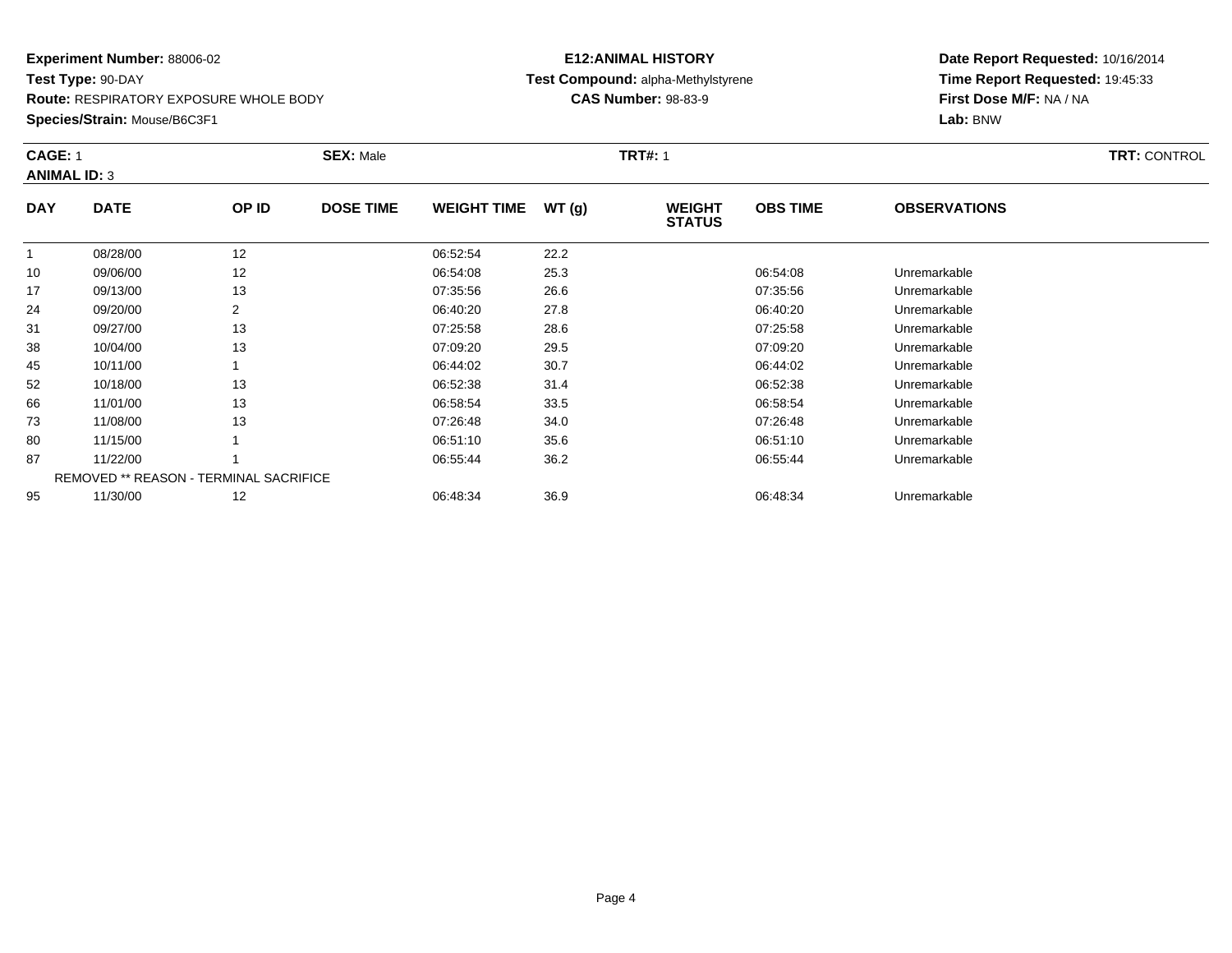**Route:** RESPIRATORY EXPOSURE WHOLE BODY

**Species/Strain:** Mouse/B6C3F1

### **E12:ANIMAL HISTORY Test Compound:** alpha-Methylstyrene**CAS Number:** 98-83-9

| CAGE: 1    | <b>ANIMAL ID: 3</b>                           |       | <b>SEX: Male</b> |                    |       | <b>TRT#: 1</b>                 |                 | <b>TRT: CONTROL</b> |  |
|------------|-----------------------------------------------|-------|------------------|--------------------|-------|--------------------------------|-----------------|---------------------|--|
| <b>DAY</b> | <b>DATE</b>                                   | OP ID | <b>DOSE TIME</b> | <b>WEIGHT TIME</b> | WT(g) | <b>WEIGHT</b><br><b>STATUS</b> | <b>OBS TIME</b> | <b>OBSERVATIONS</b> |  |
|            | 08/28/00                                      | 12    |                  | 06:52:54           | 22.2  |                                |                 |                     |  |
| 10         | 09/06/00                                      | 12    |                  | 06:54:08           | 25.3  |                                | 06:54:08        | Unremarkable        |  |
| 17         | 09/13/00                                      | 13    |                  | 07:35:56           | 26.6  |                                | 07:35:56        | Unremarkable        |  |
| 24         | 09/20/00                                      | 2     |                  | 06:40:20           | 27.8  |                                | 06:40:20        | Unremarkable        |  |
| 31         | 09/27/00                                      | 13    |                  | 07:25:58           | 28.6  |                                | 07:25:58        | Unremarkable        |  |
| 38         | 10/04/00                                      | 13    |                  | 07:09:20           | 29.5  |                                | 07:09:20        | Unremarkable        |  |
| 45         | 10/11/00                                      |       |                  | 06:44:02           | 30.7  |                                | 06:44:02        | Unremarkable        |  |
| 52         | 10/18/00                                      | 13    |                  | 06:52:38           | 31.4  |                                | 06:52:38        | Unremarkable        |  |
| 66         | 11/01/00                                      | 13    |                  | 06:58:54           | 33.5  |                                | 06:58:54        | Unremarkable        |  |
| 73         | 11/08/00                                      | 13    |                  | 07:26:48           | 34.0  |                                | 07:26:48        | Unremarkable        |  |
| 80         | 11/15/00                                      |       |                  | 06:51:10           | 35.6  |                                | 06:51:10        | Unremarkable        |  |
| 87         | 11/22/00                                      |       |                  | 06:55:44           | 36.2  |                                | 06:55:44        | Unremarkable        |  |
|            | <b>REMOVED ** REASON - TERMINAL SACRIFICE</b> |       |                  |                    |       |                                |                 |                     |  |
| 95         | 11/30/00                                      | 12    |                  | 06:48:34           | 36.9  |                                | 06:48:34        | Unremarkable        |  |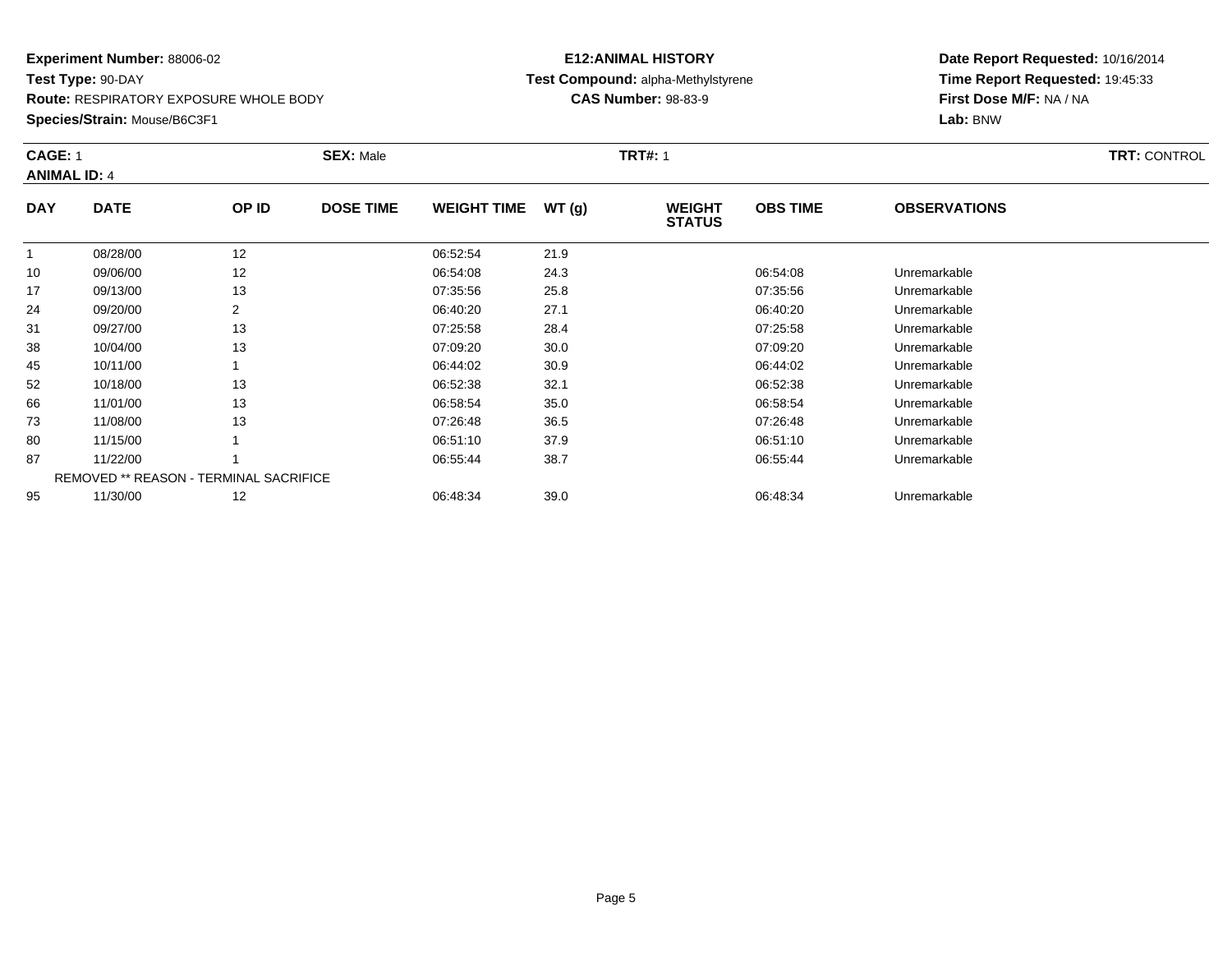**Route:** RESPIRATORY EXPOSURE WHOLE BODY

**Species/Strain:** Mouse/B6C3F1

### **E12:ANIMAL HISTORY Test Compound:** alpha-Methylstyrene**CAS Number:** 98-83-9

|             |                                       | <b>SEX: Male</b> |                                               |       |                                |                 |                     | <b>TRT: CONTROL</b> |
|-------------|---------------------------------------|------------------|-----------------------------------------------|-------|--------------------------------|-----------------|---------------------|---------------------|
|             |                                       |                  |                                               |       |                                |                 |                     |                     |
| <b>DATE</b> | OP ID                                 | <b>DOSE TIME</b> | <b>WEIGHT TIME</b>                            | WT(g) | <b>WEIGHT</b><br><b>STATUS</b> | <b>OBS TIME</b> | <b>OBSERVATIONS</b> |                     |
| 08/28/00    | 12                                    |                  | 06:52:54                                      | 21.9  |                                |                 |                     |                     |
| 09/06/00    | 12                                    |                  | 06:54:08                                      | 24.3  |                                | 06:54:08        | Unremarkable        |                     |
| 09/13/00    | 13                                    |                  | 07:35:56                                      | 25.8  |                                | 07:35:56        | Unremarkable        |                     |
| 09/20/00    | 2                                     |                  | 06:40:20                                      | 27.1  |                                | 06:40:20        | Unremarkable        |                     |
| 09/27/00    | 13                                    |                  | 07:25:58                                      | 28.4  |                                | 07:25:58        | Unremarkable        |                     |
| 10/04/00    | 13                                    |                  | 07:09:20                                      | 30.0  |                                | 07:09:20        | Unremarkable        |                     |
| 10/11/00    |                                       |                  | 06:44:02                                      | 30.9  |                                | 06:44:02        | Unremarkable        |                     |
| 10/18/00    | 13                                    |                  | 06:52:38                                      | 32.1  |                                | 06:52:38        | Unremarkable        |                     |
| 11/01/00    | 13                                    |                  | 06:58:54                                      | 35.0  |                                | 06:58:54        | Unremarkable        |                     |
| 11/08/00    | 13                                    |                  | 07:26:48                                      | 36.5  |                                | 07:26:48        | Unremarkable        |                     |
| 11/15/00    |                                       |                  | 06:51:10                                      | 37.9  |                                | 06:51:10        | Unremarkable        |                     |
| 11/22/00    |                                       |                  | 06:55:44                                      | 38.7  |                                | 06:55:44        | Unremarkable        |                     |
|             |                                       |                  |                                               |       |                                |                 |                     |                     |
| 11/30/00    | 12                                    |                  | 06:48:34                                      | 39.0  |                                | 06:48:34        | Unremarkable        |                     |
|             | <b>CAGE: 1</b><br><b>ANIMAL ID: 4</b> |                  | <b>REMOVED ** REASON - TERMINAL SACRIFICE</b> |       |                                | <b>TRT#: 1</b>  |                     |                     |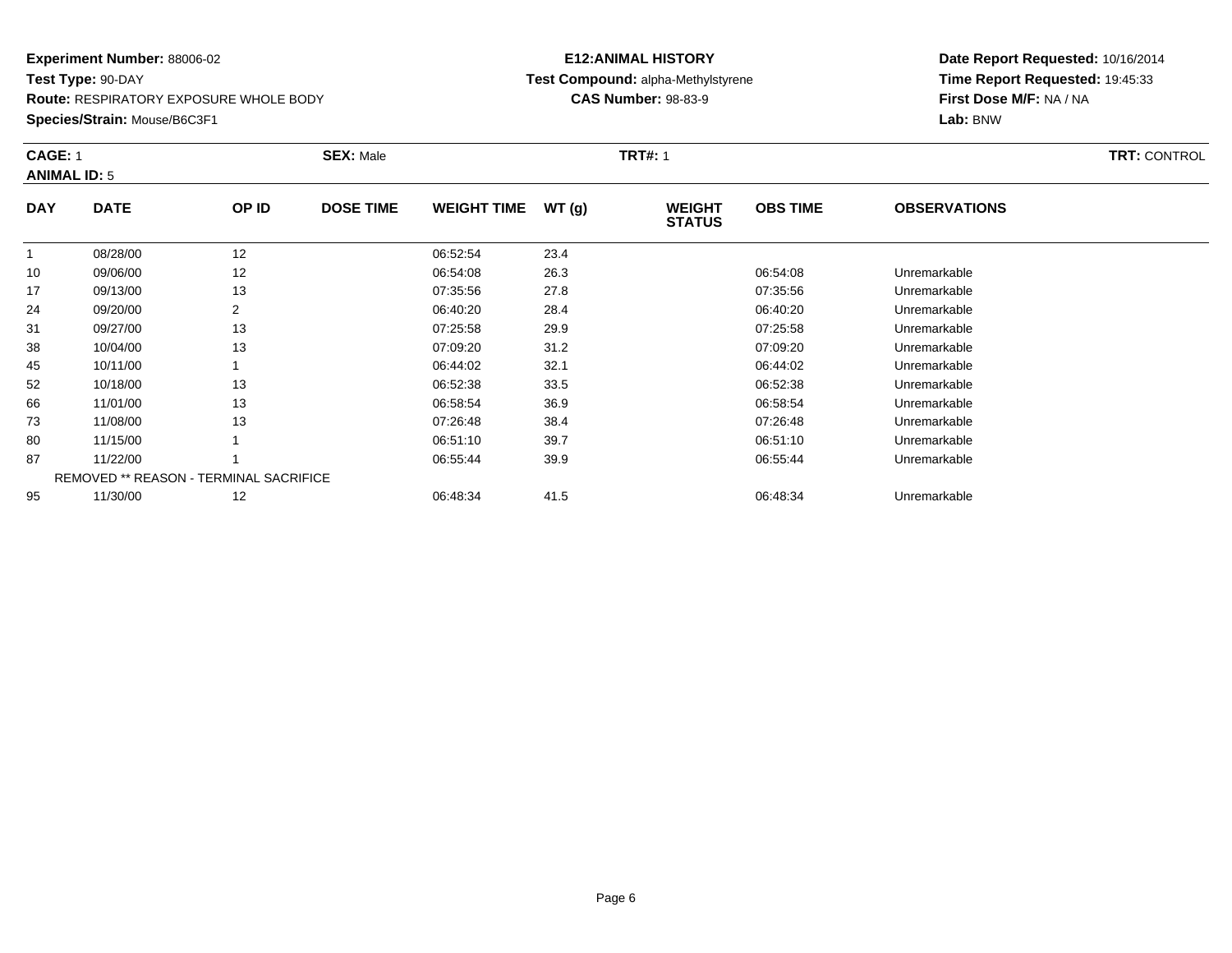**Route:** RESPIRATORY EXPOSURE WHOLE BODY

**Species/Strain:** Mouse/B6C3F1

### **E12:ANIMAL HISTORY Test Compound:** alpha-Methylstyrene**CAS Number:** 98-83-9

| <b>CAGE: 1</b><br><b>ANIMAL ID: 5</b> |                                               |       | <b>SEX: Male</b> |                    | <b>TRT#: 1</b> |                                |                 | <b>TRT: CONTROL</b> |  |
|---------------------------------------|-----------------------------------------------|-------|------------------|--------------------|----------------|--------------------------------|-----------------|---------------------|--|
| <b>DAY</b>                            | <b>DATE</b>                                   | OP ID | <b>DOSE TIME</b> | <b>WEIGHT TIME</b> | WT(g)          | <b>WEIGHT</b><br><b>STATUS</b> | <b>OBS TIME</b> | <b>OBSERVATIONS</b> |  |
|                                       | 08/28/00                                      | 12    |                  | 06:52:54           | 23.4           |                                |                 |                     |  |
| 10                                    | 09/06/00                                      | 12    |                  | 06:54:08           | 26.3           |                                | 06:54:08        | Unremarkable        |  |
| 17                                    | 09/13/00                                      | 13    |                  | 07:35:56           | 27.8           |                                | 07:35:56        | Unremarkable        |  |
| 24                                    | 09/20/00                                      | 2     |                  | 06:40:20           | 28.4           |                                | 06:40:20        | Unremarkable        |  |
| 31                                    | 09/27/00                                      | 13    |                  | 07:25:58           | 29.9           |                                | 07:25:58        | Unremarkable        |  |
| 38                                    | 10/04/00                                      | 13    |                  | 07:09:20           | 31.2           |                                | 07:09:20        | Unremarkable        |  |
| 45                                    | 10/11/00                                      |       |                  | 06:44:02           | 32.1           |                                | 06:44:02        | Unremarkable        |  |
| 52                                    | 10/18/00                                      | 13    |                  | 06:52:38           | 33.5           |                                | 06:52:38        | Unremarkable        |  |
| 66                                    | 11/01/00                                      | 13    |                  | 06:58:54           | 36.9           |                                | 06:58:54        | Unremarkable        |  |
| 73                                    | 11/08/00                                      | 13    |                  | 07:26:48           | 38.4           |                                | 07:26:48        | Unremarkable        |  |
| 80                                    | 11/15/00                                      |       |                  | 06:51:10           | 39.7           |                                | 06:51:10        | Unremarkable        |  |
| 87                                    | 11/22/00                                      |       |                  | 06:55:44           | 39.9           |                                | 06:55:44        | Unremarkable        |  |
|                                       | <b>REMOVED ** REASON - TERMINAL SACRIFICE</b> |       |                  |                    |                |                                |                 |                     |  |
| 95                                    | 11/30/00                                      | 12    |                  | 06:48:34           | 41.5           |                                | 06:48:34        | Unremarkable        |  |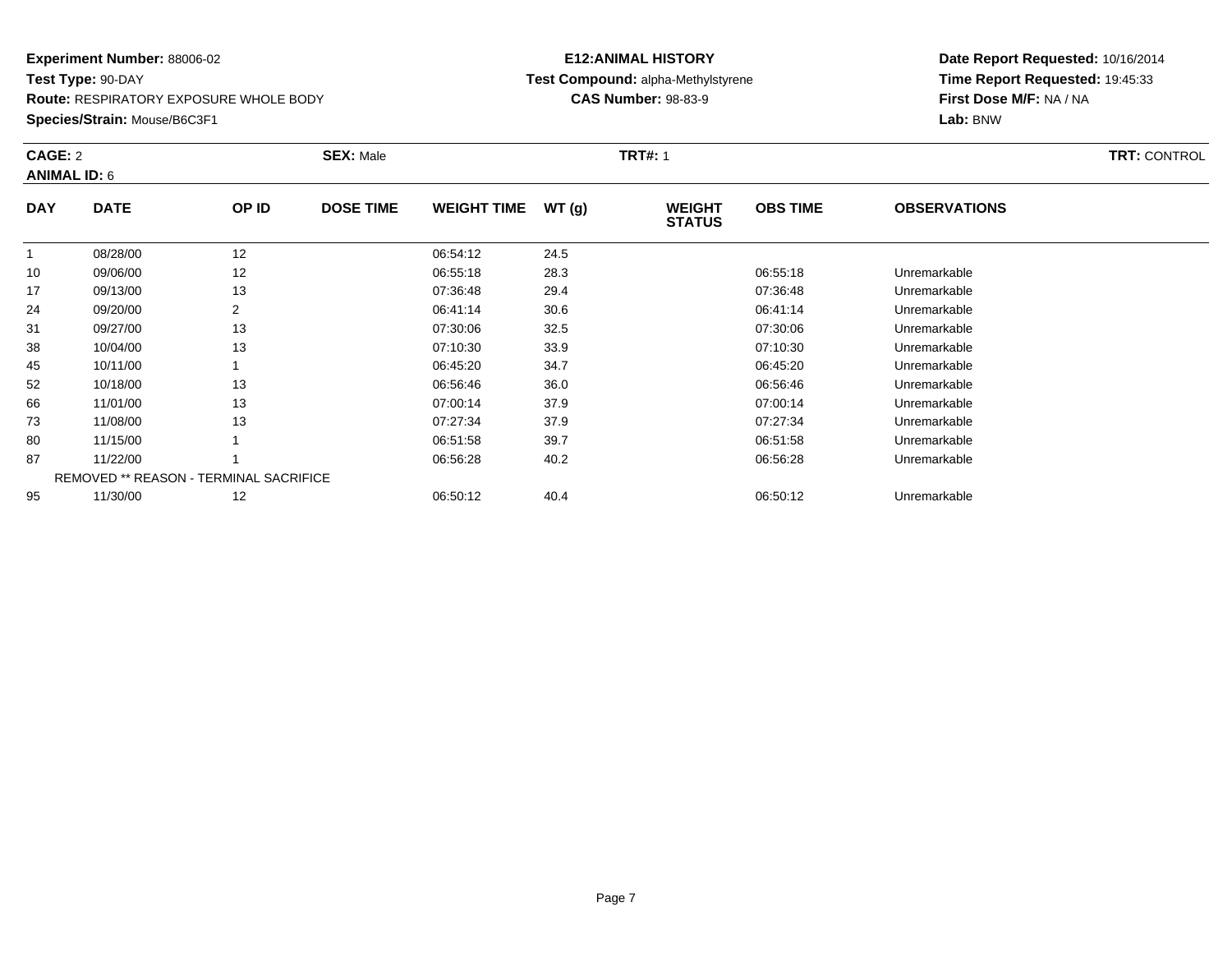**Route:** RESPIRATORY EXPOSURE WHOLE BODY

**Species/Strain:** Mouse/B6C3F1

### **E12:ANIMAL HISTORY Test Compound:** alpha-Methylstyrene**CAS Number:** 98-83-9

|            | CAGE: 2<br><b>ANIMAL ID: 6</b>         |       | <b>SEX: Male</b> |                    |       | <b>TRT#: 1</b>                 |                 | TRT: CONTROL        |  |
|------------|----------------------------------------|-------|------------------|--------------------|-------|--------------------------------|-----------------|---------------------|--|
| <b>DAY</b> | <b>DATE</b>                            | OP ID | <b>DOSE TIME</b> | <b>WEIGHT TIME</b> | WT(g) | <b>WEIGHT</b><br><b>STATUS</b> | <b>OBS TIME</b> | <b>OBSERVATIONS</b> |  |
|            | 08/28/00                               | 12    |                  | 06:54:12           | 24.5  |                                |                 |                     |  |
| 10         | 09/06/00                               | 12    |                  | 06:55:18           | 28.3  |                                | 06:55:18        | Unremarkable        |  |
| 17         | 09/13/00                               | 13    |                  | 07:36:48           | 29.4  |                                | 07:36:48        | Unremarkable        |  |
| 24         | 09/20/00                               | 2     |                  | 06:41:14           | 30.6  |                                | 06:41:14        | Unremarkable        |  |
| 31         | 09/27/00                               | 13    |                  | 07:30:06           | 32.5  |                                | 07:30:06        | Unremarkable        |  |
| 38         | 10/04/00                               | 13    |                  | 07:10:30           | 33.9  |                                | 07:10:30        | Unremarkable        |  |
| 45         | 10/11/00                               |       |                  | 06:45:20           | 34.7  |                                | 06:45:20        | Unremarkable        |  |
| 52         | 10/18/00                               | 13    |                  | 06:56:46           | 36.0  |                                | 06:56:46        | Unremarkable        |  |
| 66         | 11/01/00                               | 13    |                  | 07:00:14           | 37.9  |                                | 07:00:14        | Unremarkable        |  |
| 73         | 11/08/00                               | 13    |                  | 07:27:34           | 37.9  |                                | 07:27:34        | Unremarkable        |  |
| 80         | 11/15/00                               |       |                  | 06:51:58           | 39.7  |                                | 06:51:58        | Unremarkable        |  |
| 87         | 11/22/00                               |       |                  | 06:56:28           | 40.2  |                                | 06:56:28        | Unremarkable        |  |
|            | REMOVED ** REASON - TERMINAL SACRIFICE |       |                  |                    |       |                                |                 |                     |  |
| 95         | 11/30/00                               | 12    |                  | 06:50:12           | 40.4  |                                | 06:50:12        | Unremarkable        |  |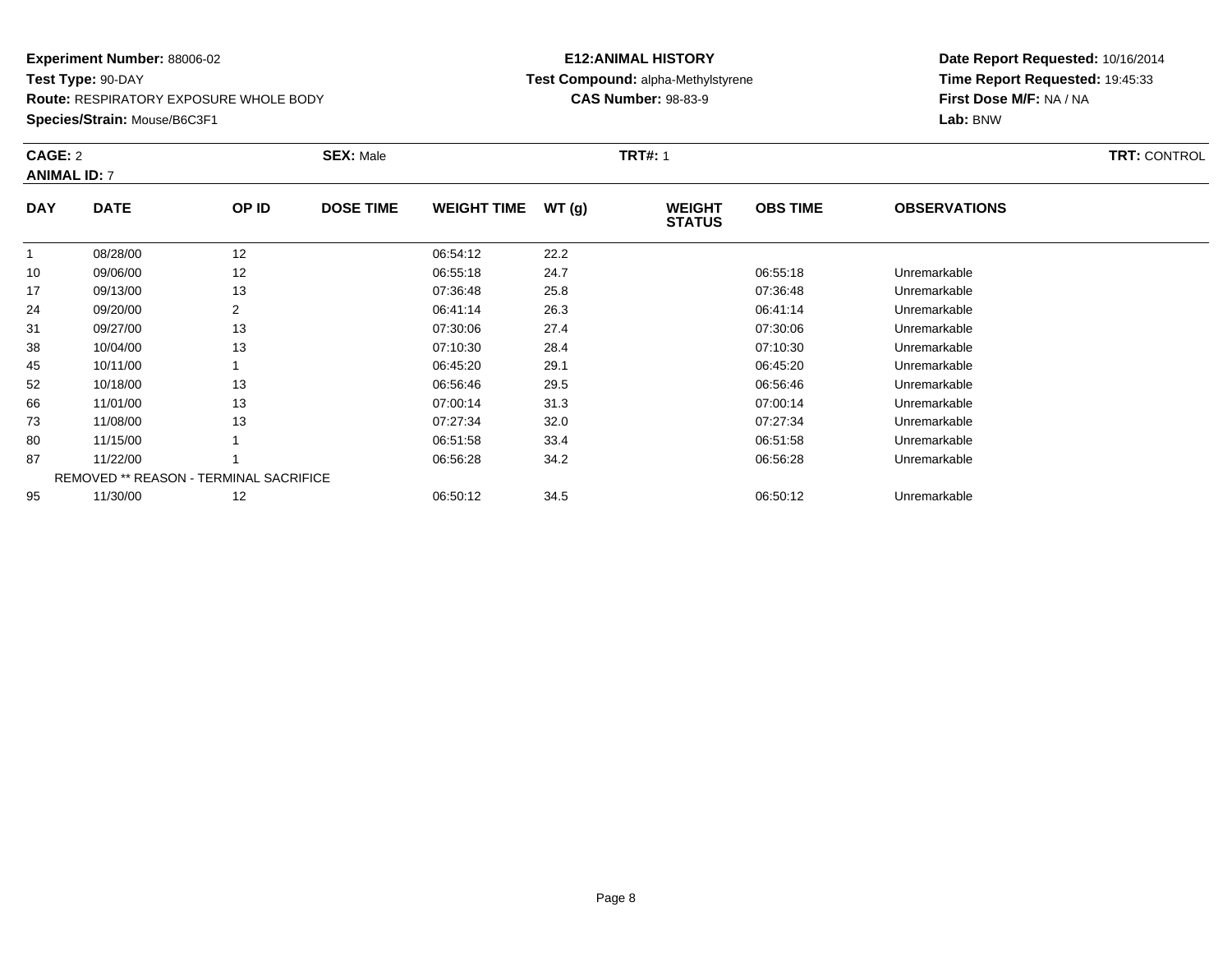**Route:** RESPIRATORY EXPOSURE WHOLE BODY

**Species/Strain:** Mouse/B6C3F1

### **E12:ANIMAL HISTORY Test Compound:** alpha-Methylstyrene**CAS Number:** 98-83-9

| CAGE: 2<br><b>ANIMAL ID: 7</b> |                                        |       | <b>SEX: Male</b> | <b>TRT: CONTROL</b> |       |                                |                 |                     |  |
|--------------------------------|----------------------------------------|-------|------------------|---------------------|-------|--------------------------------|-----------------|---------------------|--|
| <b>DAY</b>                     | <b>DATE</b>                            | OP ID | <b>DOSE TIME</b> | <b>WEIGHT TIME</b>  | WT(g) | <b>WEIGHT</b><br><b>STATUS</b> | <b>OBS TIME</b> | <b>OBSERVATIONS</b> |  |
| 1                              | 08/28/00                               | 12    |                  | 06:54:12            | 22.2  |                                |                 |                     |  |
| 10                             | 09/06/00                               | 12    |                  | 06:55:18            | 24.7  |                                | 06:55:18        | Unremarkable        |  |
| 17                             | 09/13/00                               | 13    |                  | 07:36:48            | 25.8  |                                | 07:36:48        | Unremarkable        |  |
| 24                             | 09/20/00                               | 2     |                  | 06:41:14            | 26.3  |                                | 06:41:14        | Unremarkable        |  |
| 31                             | 09/27/00                               | 13    |                  | 07:30:06            | 27.4  |                                | 07:30:06        | Unremarkable        |  |
| 38                             | 10/04/00                               | 13    |                  | 07:10:30            | 28.4  |                                | 07:10:30        | Unremarkable        |  |
| 45                             | 10/11/00                               |       |                  | 06:45:20            | 29.1  |                                | 06:45:20        | Unremarkable        |  |
| 52                             | 10/18/00                               | 13    |                  | 06:56:46            | 29.5  |                                | 06:56:46        | Unremarkable        |  |
| 66                             | 11/01/00                               | 13    |                  | 07:00:14            | 31.3  |                                | 07:00:14        | Unremarkable        |  |
| 73                             | 11/08/00                               | 13    |                  | 07:27:34            | 32.0  |                                | 07:27:34        | Unremarkable        |  |
| 80                             | 11/15/00                               |       |                  | 06:51:58            | 33.4  |                                | 06:51:58        | Unremarkable        |  |
| 87                             | 11/22/00                               |       |                  | 06:56:28            | 34.2  |                                | 06:56:28        | Unremarkable        |  |
|                                | REMOVED ** REASON - TERMINAL SACRIFICE |       |                  |                     |       |                                |                 |                     |  |
| 95                             | 11/30/00                               | 12    |                  | 06:50:12            | 34.5  |                                | 06:50:12        | Unremarkable        |  |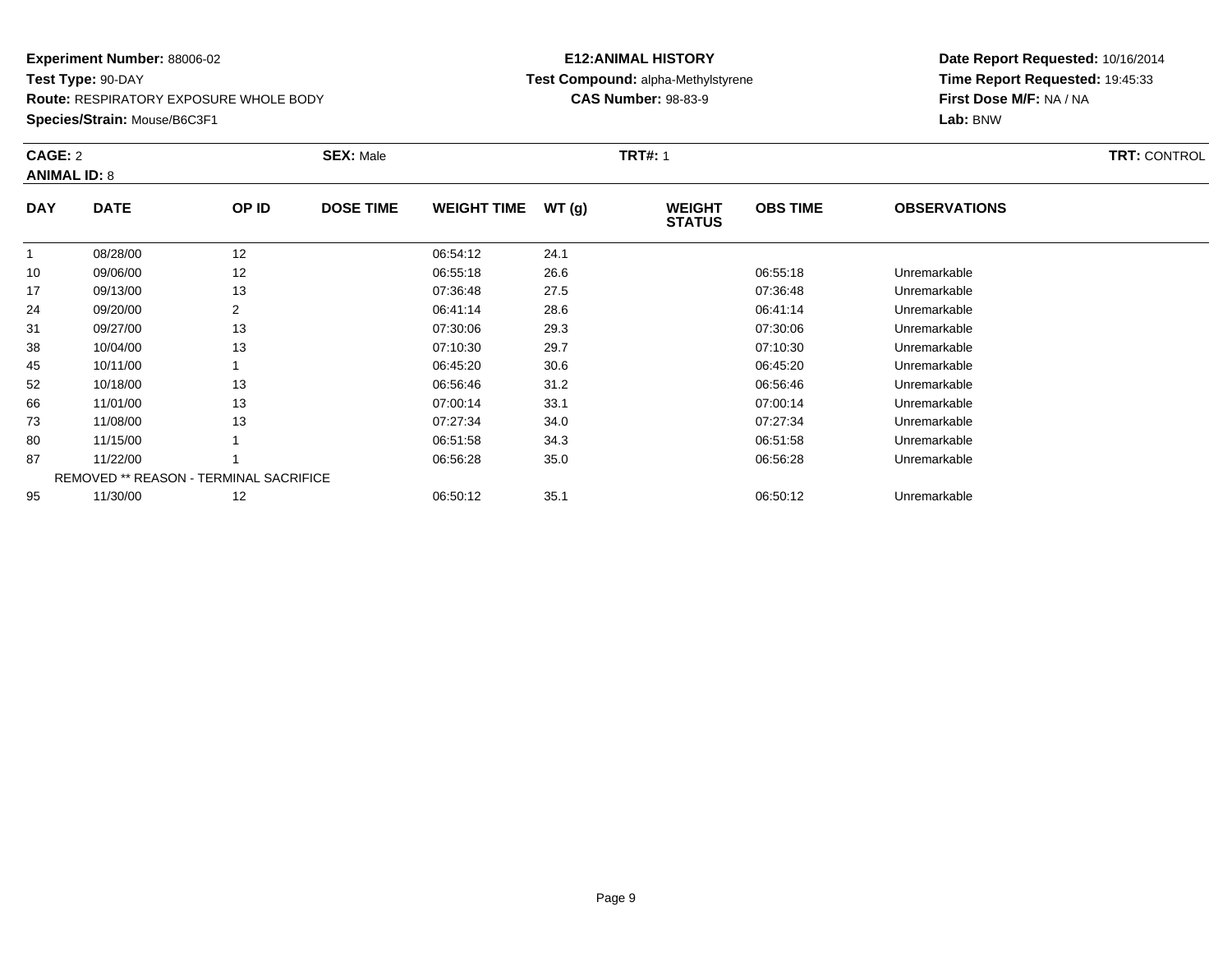**Route:** RESPIRATORY EXPOSURE WHOLE BODY

**Species/Strain:** Mouse/B6C3F1

### **E12:ANIMAL HISTORY Test Compound:** alpha-Methylstyrene**CAS Number:** 98-83-9

|            | CAGE: 2<br><b>ANIMAL ID: 8</b>                |       | <b>SEX: Male</b> |                    |       | <b>TRT#: 1</b>                 |                 | <b>TRT: CONTROL</b> |  |
|------------|-----------------------------------------------|-------|------------------|--------------------|-------|--------------------------------|-----------------|---------------------|--|
| <b>DAY</b> | <b>DATE</b>                                   | OP ID | <b>DOSE TIME</b> | <b>WEIGHT TIME</b> | WT(g) | <b>WEIGHT</b><br><b>STATUS</b> | <b>OBS TIME</b> | <b>OBSERVATIONS</b> |  |
|            | 08/28/00                                      | 12    |                  | 06:54:12           | 24.1  |                                |                 |                     |  |
| 10         | 09/06/00                                      | 12    |                  | 06:55:18           | 26.6  |                                | 06:55:18        | Unremarkable        |  |
| 17         | 09/13/00                                      | 13    |                  | 07:36:48           | 27.5  |                                | 07:36:48        | Unremarkable        |  |
| 24         | 09/20/00                                      | 2     |                  | 06:41:14           | 28.6  |                                | 06:41:14        | Unremarkable        |  |
| 31         | 09/27/00                                      | 13    |                  | 07:30:06           | 29.3  |                                | 07:30:06        | Unremarkable        |  |
| 38         | 10/04/00                                      | 13    |                  | 07:10:30           | 29.7  |                                | 07:10:30        | Unremarkable        |  |
| 45         | 10/11/00                                      |       |                  | 06:45:20           | 30.6  |                                | 06:45:20        | Unremarkable        |  |
| 52         | 10/18/00                                      | 13    |                  | 06:56:46           | 31.2  |                                | 06:56:46        | Unremarkable        |  |
| 66         | 11/01/00                                      | 13    |                  | 07:00:14           | 33.1  |                                | 07:00:14        | Unremarkable        |  |
| 73         | 11/08/00                                      | 13    |                  | 07:27:34           | 34.0  |                                | 07:27:34        | Unremarkable        |  |
| 80         | 11/15/00                                      |       |                  | 06:51:58           | 34.3  |                                | 06:51:58        | Unremarkable        |  |
| 87         | 11/22/00                                      |       |                  | 06:56:28           | 35.0  |                                | 06:56:28        | Unremarkable        |  |
|            | <b>REMOVED ** REASON - TERMINAL SACRIFICE</b> |       |                  |                    |       |                                |                 |                     |  |
| 95         | 11/30/00                                      | 12    |                  | 06:50:12           | 35.1  |                                | 06:50:12        | Unremarkable        |  |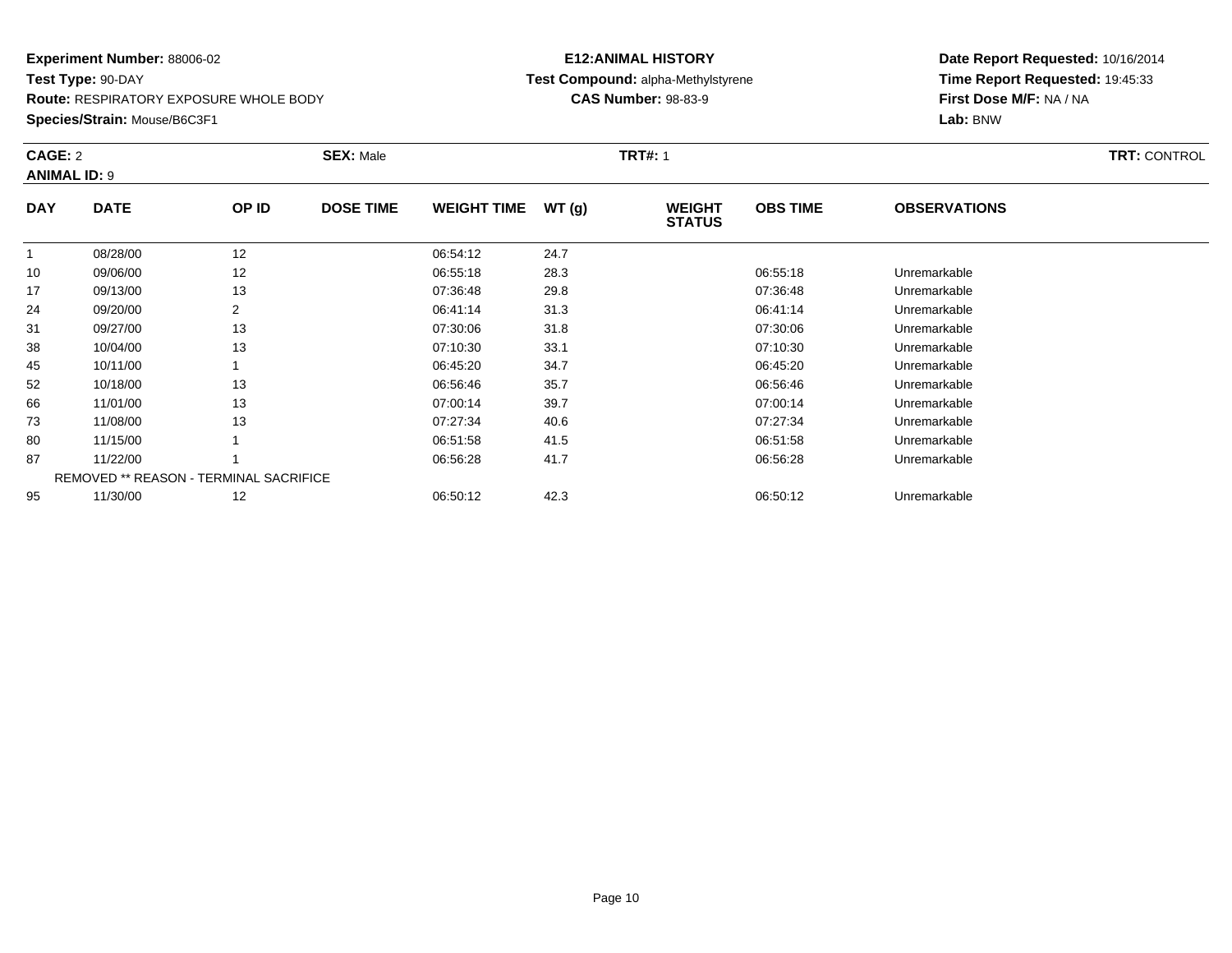**Route:** RESPIRATORY EXPOSURE WHOLE BODY

**Species/Strain:** Mouse/B6C3F1

### **E12:ANIMAL HISTORY Test Compound:** alpha-Methylstyrene**CAS Number:** 98-83-9

| CAGE: 2<br><b>ANIMAL ID: 9</b> |                                               |       | <b>SEX: Male</b> |                    |       | <b>TRT#: 1</b>                 |                 |                     | <b>TRT: CONTROL</b> |
|--------------------------------|-----------------------------------------------|-------|------------------|--------------------|-------|--------------------------------|-----------------|---------------------|---------------------|
| <b>DAY</b>                     | <b>DATE</b>                                   | OP ID | <b>DOSE TIME</b> | <b>WEIGHT TIME</b> | WT(g) | <b>WEIGHT</b><br><b>STATUS</b> | <b>OBS TIME</b> | <b>OBSERVATIONS</b> |                     |
|                                | 08/28/00                                      | 12    |                  | 06:54:12           | 24.7  |                                |                 |                     |                     |
| 10                             | 09/06/00                                      | 12    |                  | 06:55:18           | 28.3  |                                | 06:55:18        | Unremarkable        |                     |
| 17                             | 09/13/00                                      | 13    |                  | 07:36:48           | 29.8  |                                | 07:36:48        | Unremarkable        |                     |
| 24                             | 09/20/00                                      | 2     |                  | 06:41:14           | 31.3  |                                | 06:41:14        | Unremarkable        |                     |
| 31                             | 09/27/00                                      | 13    |                  | 07:30:06           | 31.8  |                                | 07:30:06        | Unremarkable        |                     |
| 38                             | 10/04/00                                      | 13    |                  | 07:10:30           | 33.1  |                                | 07:10:30        | Unremarkable        |                     |
| 45                             | 10/11/00                                      |       |                  | 06:45:20           | 34.7  |                                | 06:45:20        | Unremarkable        |                     |
| 52                             | 10/18/00                                      | 13    |                  | 06:56:46           | 35.7  |                                | 06:56:46        | Unremarkable        |                     |
| 66                             | 11/01/00                                      | 13    |                  | 07:00:14           | 39.7  |                                | 07:00:14        | Unremarkable        |                     |
| 73                             | 11/08/00                                      | 13    |                  | 07:27:34           | 40.6  |                                | 07:27:34        | Unremarkable        |                     |
| 80                             | 11/15/00                                      |       |                  | 06:51:58           | 41.5  |                                | 06:51:58        | Unremarkable        |                     |
| 87                             | 11/22/00                                      |       |                  | 06:56:28           | 41.7  |                                | 06:56:28        | Unremarkable        |                     |
|                                | <b>REMOVED ** REASON - TERMINAL SACRIFICE</b> |       |                  |                    |       |                                |                 |                     |                     |
| 95                             | 11/30/00                                      | 12    |                  | 06:50:12           | 42.3  |                                | 06:50:12        | Unremarkable        |                     |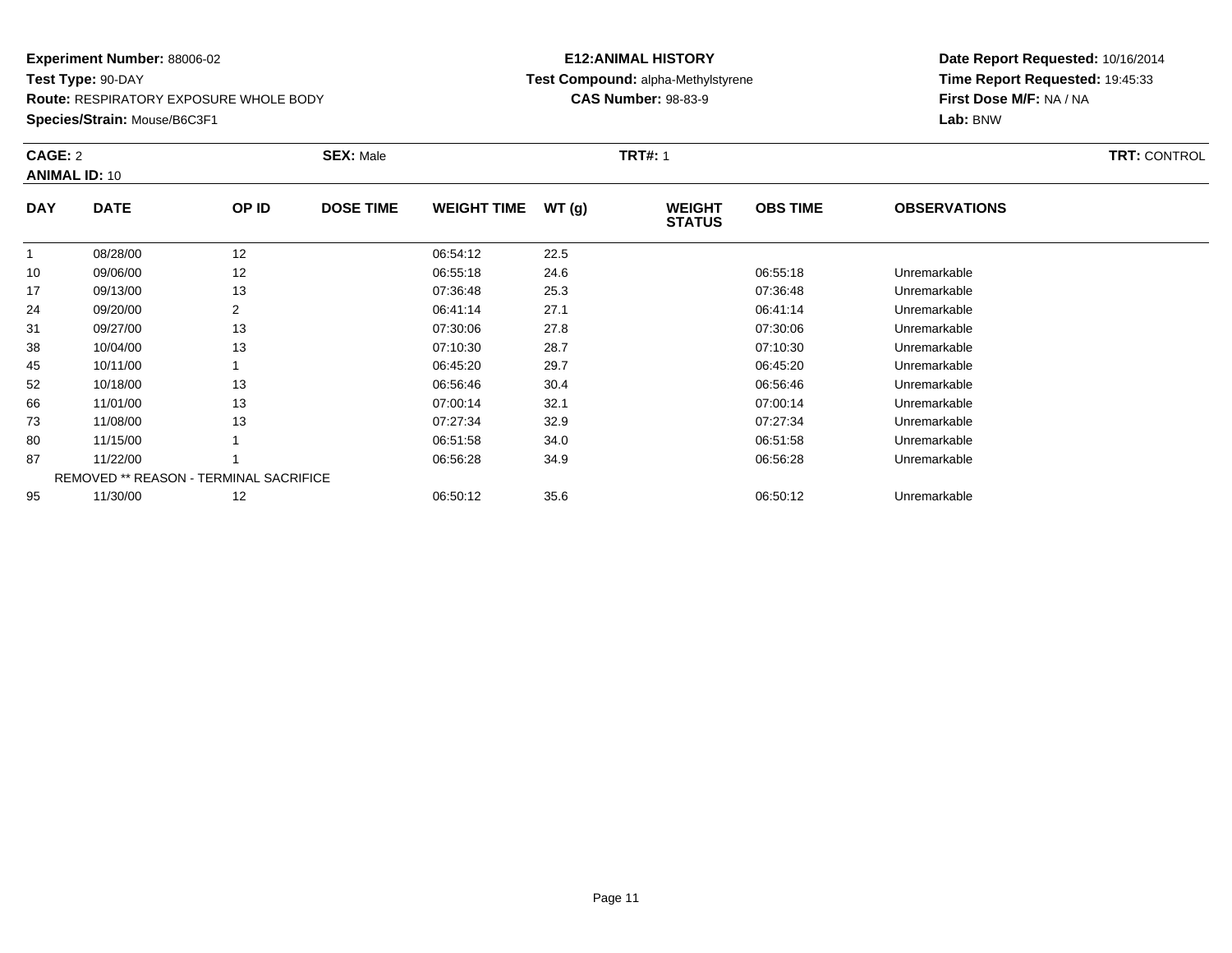**Route:** RESPIRATORY EXPOSURE WHOLE BODY

**Species/Strain:** Mouse/B6C3F1

### **E12:ANIMAL HISTORY Test Compound:** alpha-Methylstyrene**CAS Number:** 98-83-9

| CAGE: 2    | <b>ANIMAL ID: 10</b>                          |       | <b>SEX: Male</b> | <b>TRT: CONTROL</b> |       |                                |                 |                     |  |
|------------|-----------------------------------------------|-------|------------------|---------------------|-------|--------------------------------|-----------------|---------------------|--|
| <b>DAY</b> | <b>DATE</b>                                   | OP ID | <b>DOSE TIME</b> | <b>WEIGHT TIME</b>  | WT(g) | <b>WEIGHT</b><br><b>STATUS</b> | <b>OBS TIME</b> | <b>OBSERVATIONS</b> |  |
|            | 08/28/00                                      | 12    |                  | 06:54:12            | 22.5  |                                |                 |                     |  |
| 10         | 09/06/00                                      | 12    |                  | 06:55:18            | 24.6  |                                | 06:55:18        | Unremarkable        |  |
| 17         | 09/13/00                                      | 13    |                  | 07:36:48            | 25.3  |                                | 07:36:48        | Unremarkable        |  |
| 24         | 09/20/00                                      | 2     |                  | 06:41:14            | 27.1  |                                | 06:41:14        | Unremarkable        |  |
| 31         | 09/27/00                                      | 13    |                  | 07:30:06            | 27.8  |                                | 07:30:06        | Unremarkable        |  |
| 38         | 10/04/00                                      | 13    |                  | 07:10:30            | 28.7  |                                | 07:10:30        | Unremarkable        |  |
| 45         | 10/11/00                                      |       |                  | 06:45:20            | 29.7  |                                | 06:45:20        | Unremarkable        |  |
| 52         | 10/18/00                                      | 13    |                  | 06:56:46            | 30.4  |                                | 06:56:46        | Unremarkable        |  |
| 66         | 11/01/00                                      | 13    |                  | 07:00:14            | 32.1  |                                | 07:00:14        | Unremarkable        |  |
| 73         | 11/08/00                                      | 13    |                  | 07:27:34            | 32.9  |                                | 07:27:34        | Unremarkable        |  |
| 80         | 11/15/00                                      |       |                  | 06:51:58            | 34.0  |                                | 06:51:58        | Unremarkable        |  |
| 87         | 11/22/00                                      |       |                  | 06:56:28            | 34.9  |                                | 06:56:28        | Unremarkable        |  |
|            | <b>REMOVED ** REASON - TERMINAL SACRIFICE</b> |       |                  |                     |       |                                |                 |                     |  |
| 95         | 11/30/00                                      | 12    |                  | 06:50:12            | 35.6  |                                | 06:50:12        | Unremarkable        |  |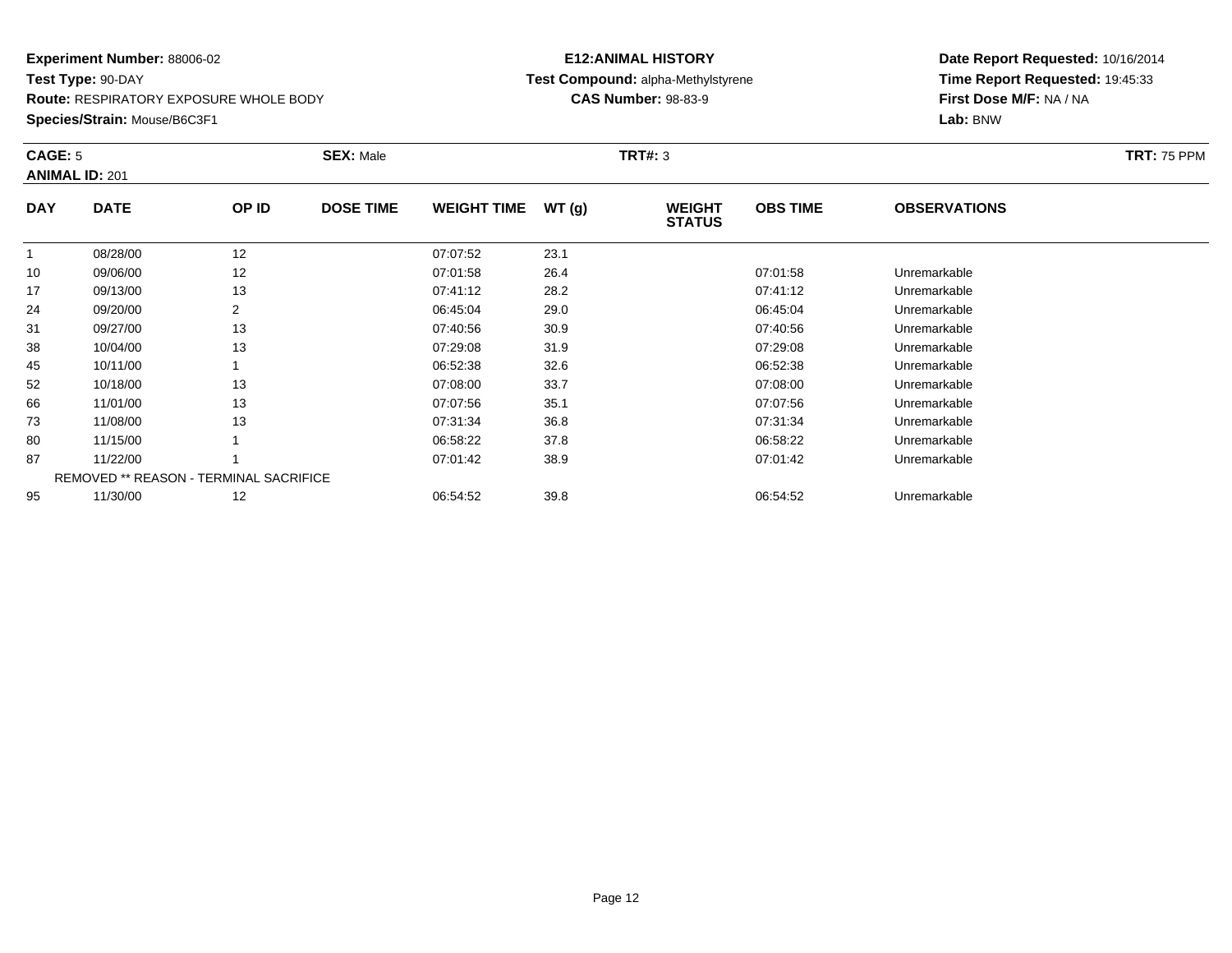**Route:** RESPIRATORY EXPOSURE WHOLE BODY

**Species/Strain:** Mouse/B6C3F1

# **E12:ANIMAL HISTORYTest Compound:** alpha-Methylstyrene

**CAS Number:** 98-83-9

| <b>CAGE: 5</b> | <b>ANIMAL ID: 201</b>                  |                | <b>SEX: Male</b> |                    |       | <b>TRT#:</b> 3                 |                 |                     | <b>TRT: 75 PPM</b> |
|----------------|----------------------------------------|----------------|------------------|--------------------|-------|--------------------------------|-----------------|---------------------|--------------------|
| <b>DAY</b>     | <b>DATE</b>                            | OP ID          | <b>DOSE TIME</b> | <b>WEIGHT TIME</b> | WT(g) | <b>WEIGHT</b><br><b>STATUS</b> | <b>OBS TIME</b> | <b>OBSERVATIONS</b> |                    |
|                | 08/28/00                               | 12             |                  | 07:07:52           | 23.1  |                                |                 |                     |                    |
| 10             | 09/06/00                               | 12             |                  | 07:01:58           | 26.4  |                                | 07:01:58        | Unremarkable        |                    |
| 17             | 09/13/00                               | 13             |                  | 07:41:12           | 28.2  |                                | 07:41:12        | Unremarkable        |                    |
| 24             | 09/20/00                               | $\overline{2}$ |                  | 06:45:04           | 29.0  |                                | 06:45:04        | Unremarkable        |                    |
| 31             | 09/27/00                               | 13             |                  | 07:40:56           | 30.9  |                                | 07:40:56        | Unremarkable        |                    |
| 38             | 10/04/00                               | 13             |                  | 07:29:08           | 31.9  |                                | 07:29:08        | Unremarkable        |                    |
| 45             | 10/11/00                               |                |                  | 06:52:38           | 32.6  |                                | 06:52:38        | Unremarkable        |                    |
| 52             | 10/18/00                               | 13             |                  | 07:08:00           | 33.7  |                                | 07:08:00        | Unremarkable        |                    |
| 66             | 11/01/00                               | 13             |                  | 07:07:56           | 35.1  |                                | 07:07:56        | Unremarkable        |                    |
| 73             | 11/08/00                               | 13             |                  | 07:31:34           | 36.8  |                                | 07:31:34        | Unremarkable        |                    |
| 80             | 11/15/00                               |                |                  | 06:58:22           | 37.8  |                                | 06:58:22        | Unremarkable        |                    |
| 87             | 11/22/00                               |                |                  | 07:01:42           | 38.9  |                                | 07:01:42        | Unremarkable        |                    |
|                | REMOVED ** REASON - TERMINAL SACRIFICE |                |                  |                    |       |                                |                 |                     |                    |
| 95             | 11/30/00                               | 12             |                  | 06:54:52           | 39.8  |                                | 06:54:52        | Unremarkable        |                    |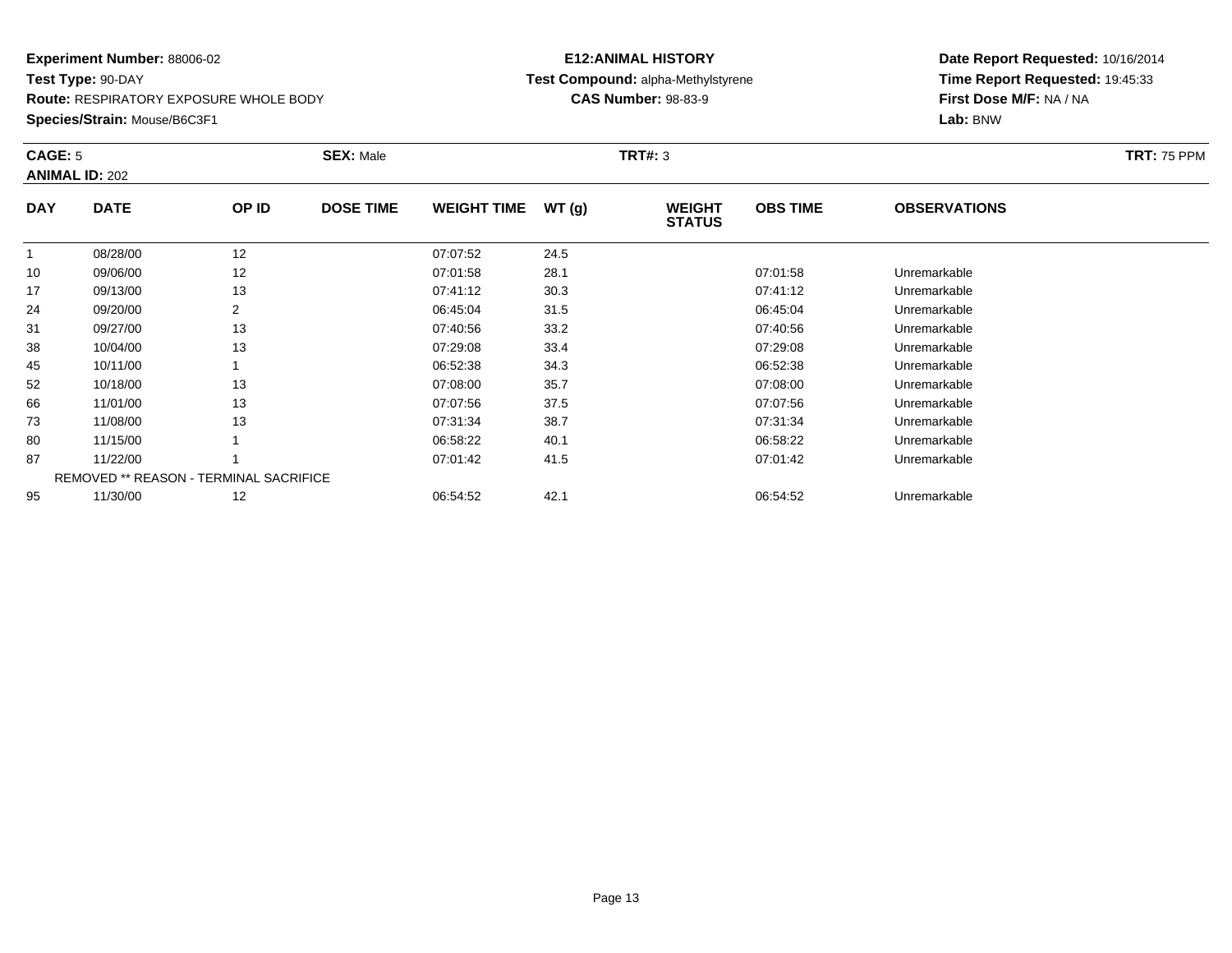**Route:** RESPIRATORY EXPOSURE WHOLE BODY

**Species/Strain:** Mouse/B6C3F1

### **E12:ANIMAL HISTORY Test Compound:** alpha-Methylstyrene**CAS Number:** 98-83-9

| CAGE: 5    | <b>ANIMAL ID: 202</b>                         |                | <b>SEX: Male</b> |                    |       | <b>TRT#: 3</b>                 |                 |                     | <b>TRT: 75 PPM</b> |
|------------|-----------------------------------------------|----------------|------------------|--------------------|-------|--------------------------------|-----------------|---------------------|--------------------|
| <b>DAY</b> | <b>DATE</b>                                   | OP ID          | <b>DOSE TIME</b> | <b>WEIGHT TIME</b> | WT(g) | <b>WEIGHT</b><br><b>STATUS</b> | <b>OBS TIME</b> | <b>OBSERVATIONS</b> |                    |
|            | 08/28/00                                      | 12             |                  | 07:07:52           | 24.5  |                                |                 |                     |                    |
| 10         | 09/06/00                                      | 12             |                  | 07:01:58           | 28.1  |                                | 07:01:58        | Unremarkable        |                    |
| 17         | 09/13/00                                      | 13             |                  | 07:41:12           | 30.3  |                                | 07:41:12        | Unremarkable        |                    |
| 24         | 09/20/00                                      | $\overline{2}$ |                  | 06:45:04           | 31.5  |                                | 06:45:04        | Unremarkable        |                    |
| 31         | 09/27/00                                      | 13             |                  | 07:40:56           | 33.2  |                                | 07:40:56        | Unremarkable        |                    |
| 38         | 10/04/00                                      | 13             |                  | 07:29:08           | 33.4  |                                | 07:29:08        | Unremarkable        |                    |
| 45         | 10/11/00                                      |                |                  | 06:52:38           | 34.3  |                                | 06:52:38        | Unremarkable        |                    |
| 52         | 10/18/00                                      | 13             |                  | 07:08:00           | 35.7  |                                | 07:08:00        | Unremarkable        |                    |
| 66         | 11/01/00                                      | 13             |                  | 07:07:56           | 37.5  |                                | 07:07:56        | Unremarkable        |                    |
| 73         | 11/08/00                                      | 13             |                  | 07:31:34           | 38.7  |                                | 07:31:34        | Unremarkable        |                    |
| 80         | 11/15/00                                      |                |                  | 06:58:22           | 40.1  |                                | 06:58:22        | Unremarkable        |                    |
| 87         | 11/22/00                                      |                |                  | 07:01:42           | 41.5  |                                | 07:01:42        | Unremarkable        |                    |
|            | <b>REMOVED ** REASON - TERMINAL SACRIFICE</b> |                |                  |                    |       |                                |                 |                     |                    |
| 95         | 11/30/00                                      | 12             |                  | 06:54:52           | 42.1  |                                | 06:54:52        | Unremarkable        |                    |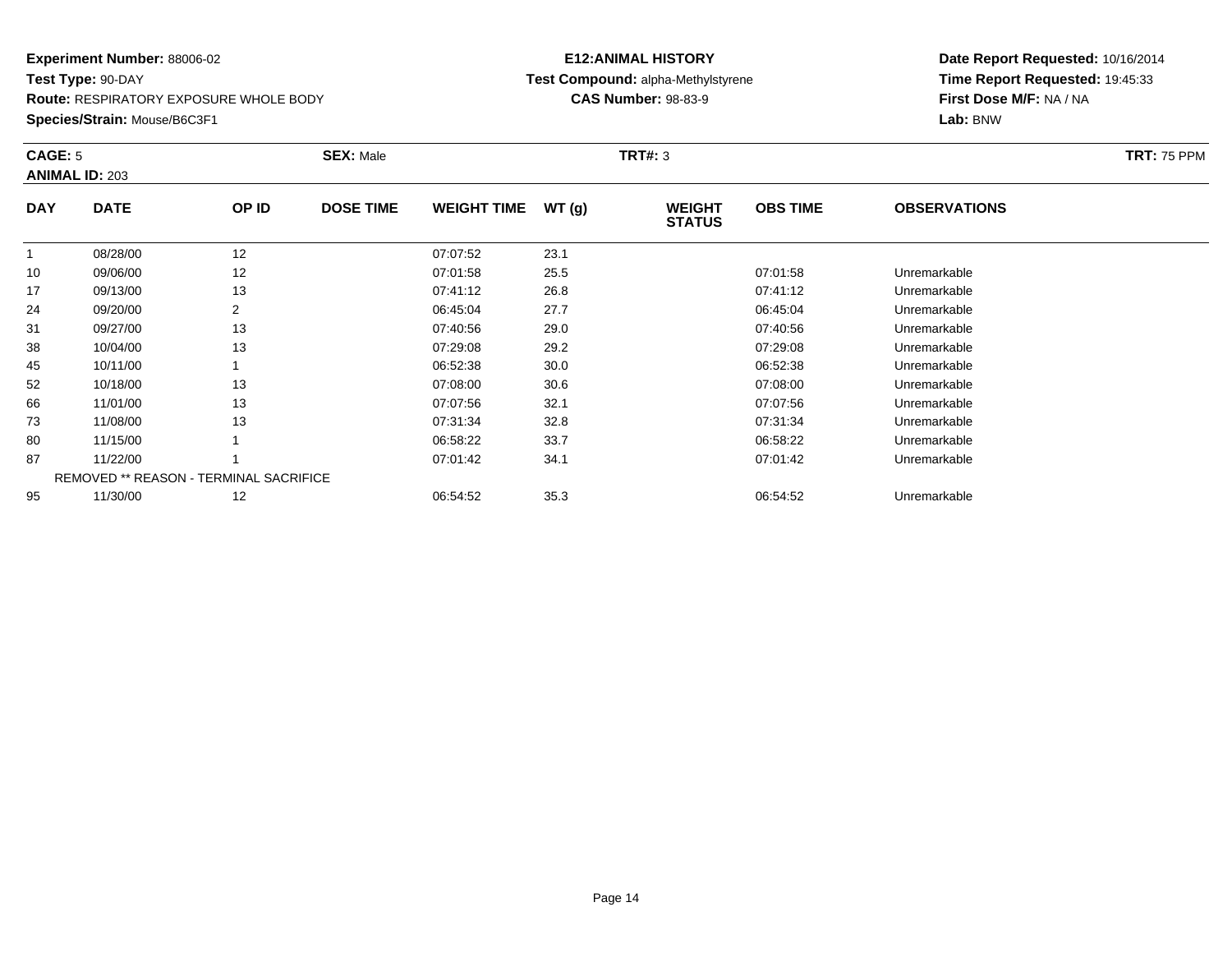**Route:** RESPIRATORY EXPOSURE WHOLE BODY

**Species/Strain:** Mouse/B6C3F1

### **E12:ANIMAL HISTORY Test Compound:** alpha-Methylstyrene**CAS Number:** 98-83-9

| <b>CAGE: 5</b> | <b>ANIMAL ID: 203</b>                         |       | <b>SEX: Male</b> |                    |       | <b>TRT#: 3</b>                 |                 |                     | <b>TRT: 75 PPM</b> |
|----------------|-----------------------------------------------|-------|------------------|--------------------|-------|--------------------------------|-----------------|---------------------|--------------------|
| <b>DAY</b>     | <b>DATE</b>                                   | OP ID | <b>DOSE TIME</b> | <b>WEIGHT TIME</b> | WT(g) | <b>WEIGHT</b><br><b>STATUS</b> | <b>OBS TIME</b> | <b>OBSERVATIONS</b> |                    |
| 1              | 08/28/00                                      | 12    |                  | 07:07:52           | 23.1  |                                |                 |                     |                    |
| 10             | 09/06/00                                      | 12    |                  | 07:01:58           | 25.5  |                                | 07:01:58        | Unremarkable        |                    |
| 17             | 09/13/00                                      | 13    |                  | 07:41:12           | 26.8  |                                | 07:41:12        | Unremarkable        |                    |
| 24             | 09/20/00                                      | 2     |                  | 06:45:04           | 27.7  |                                | 06:45:04        | Unremarkable        |                    |
| 31             | 09/27/00                                      | 13    |                  | 07:40:56           | 29.0  |                                | 07:40:56        | Unremarkable        |                    |
| 38             | 10/04/00                                      | 13    |                  | 07:29:08           | 29.2  |                                | 07:29:08        | Unremarkable        |                    |
| 45             | 10/11/00                                      |       |                  | 06:52:38           | 30.0  |                                | 06:52:38        | Unremarkable        |                    |
| 52             | 10/18/00                                      | 13    |                  | 07:08:00           | 30.6  |                                | 07:08:00        | Unremarkable        |                    |
| 66             | 11/01/00                                      | 13    |                  | 07:07:56           | 32.1  |                                | 07:07:56        | Unremarkable        |                    |
| 73             | 11/08/00                                      | 13    |                  | 07:31:34           | 32.8  |                                | 07:31:34        | Unremarkable        |                    |
| 80             | 11/15/00                                      |       |                  | 06:58:22           | 33.7  |                                | 06:58:22        | Unremarkable        |                    |
| 87             | 11/22/00                                      |       |                  | 07:01:42           | 34.1  |                                | 07:01:42        | Unremarkable        |                    |
|                | <b>REMOVED ** REASON - TERMINAL SACRIFICE</b> |       |                  |                    |       |                                |                 |                     |                    |
| 95             | 11/30/00                                      | 12    |                  | 06:54:52           | 35.3  |                                | 06:54:52        | Unremarkable        |                    |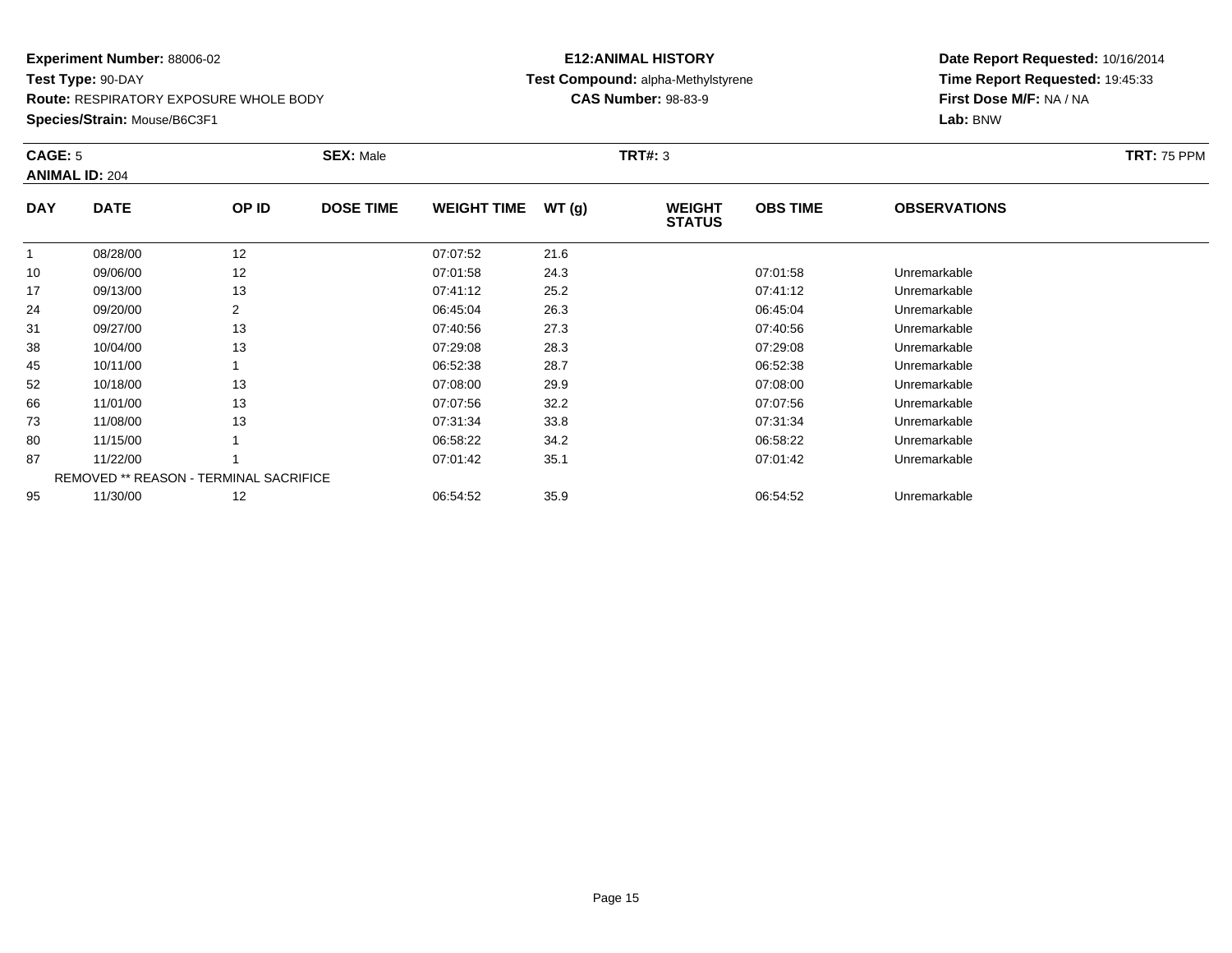**Route:** RESPIRATORY EXPOSURE WHOLE BODY

**Species/Strain:** Mouse/B6C3F1

### **E12:ANIMAL HISTORY Test Compound:** alpha-Methylstyrene**CAS Number:** 98-83-9

| CAGE: 5    | <b>ANIMAL ID: 204</b>                  |       | <b>SEX: Male</b> |                    |       | <b>TRT#: 3</b>                 |                 |                     | <b>TRT: 75 PPM</b> |
|------------|----------------------------------------|-------|------------------|--------------------|-------|--------------------------------|-----------------|---------------------|--------------------|
| <b>DAY</b> | <b>DATE</b>                            | OP ID | <b>DOSE TIME</b> | <b>WEIGHT TIME</b> | WT(g) | <b>WEIGHT</b><br><b>STATUS</b> | <b>OBS TIME</b> | <b>OBSERVATIONS</b> |                    |
|            | 08/28/00                               | 12    |                  | 07:07:52           | 21.6  |                                |                 |                     |                    |
| 10         | 09/06/00                               | 12    |                  | 07:01:58           | 24.3  |                                | 07:01:58        | Unremarkable        |                    |
| 17         | 09/13/00                               | 13    |                  | 07:41:12           | 25.2  |                                | 07:41:12        | Unremarkable        |                    |
| 24         | 09/20/00                               | 2     |                  | 06:45:04           | 26.3  |                                | 06:45:04        | Unremarkable        |                    |
| 31         | 09/27/00                               | 13    |                  | 07:40:56           | 27.3  |                                | 07:40:56        | Unremarkable        |                    |
| 38         | 10/04/00                               | 13    |                  | 07:29:08           | 28.3  |                                | 07:29:08        | Unremarkable        |                    |
| 45         | 10/11/00                               |       |                  | 06:52:38           | 28.7  |                                | 06:52:38        | Unremarkable        |                    |
| 52         | 10/18/00                               | 13    |                  | 07:08:00           | 29.9  |                                | 07:08:00        | Unremarkable        |                    |
| 66         | 11/01/00                               | 13    |                  | 07:07:56           | 32.2  |                                | 07:07:56        | Unremarkable        |                    |
| 73         | 11/08/00                               | 13    |                  | 07:31:34           | 33.8  |                                | 07:31:34        | Unremarkable        |                    |
| 80         | 11/15/00                               |       |                  | 06:58:22           | 34.2  |                                | 06:58:22        | Unremarkable        |                    |
| 87         | 11/22/00                               |       |                  | 07:01:42           | 35.1  |                                | 07:01:42        | Unremarkable        |                    |
|            | REMOVED ** REASON - TERMINAL SACRIFICE |       |                  |                    |       |                                |                 |                     |                    |
| 95         | 11/30/00                               | 12    |                  | 06:54:52           | 35.9  |                                | 06:54:52        | Unremarkable        |                    |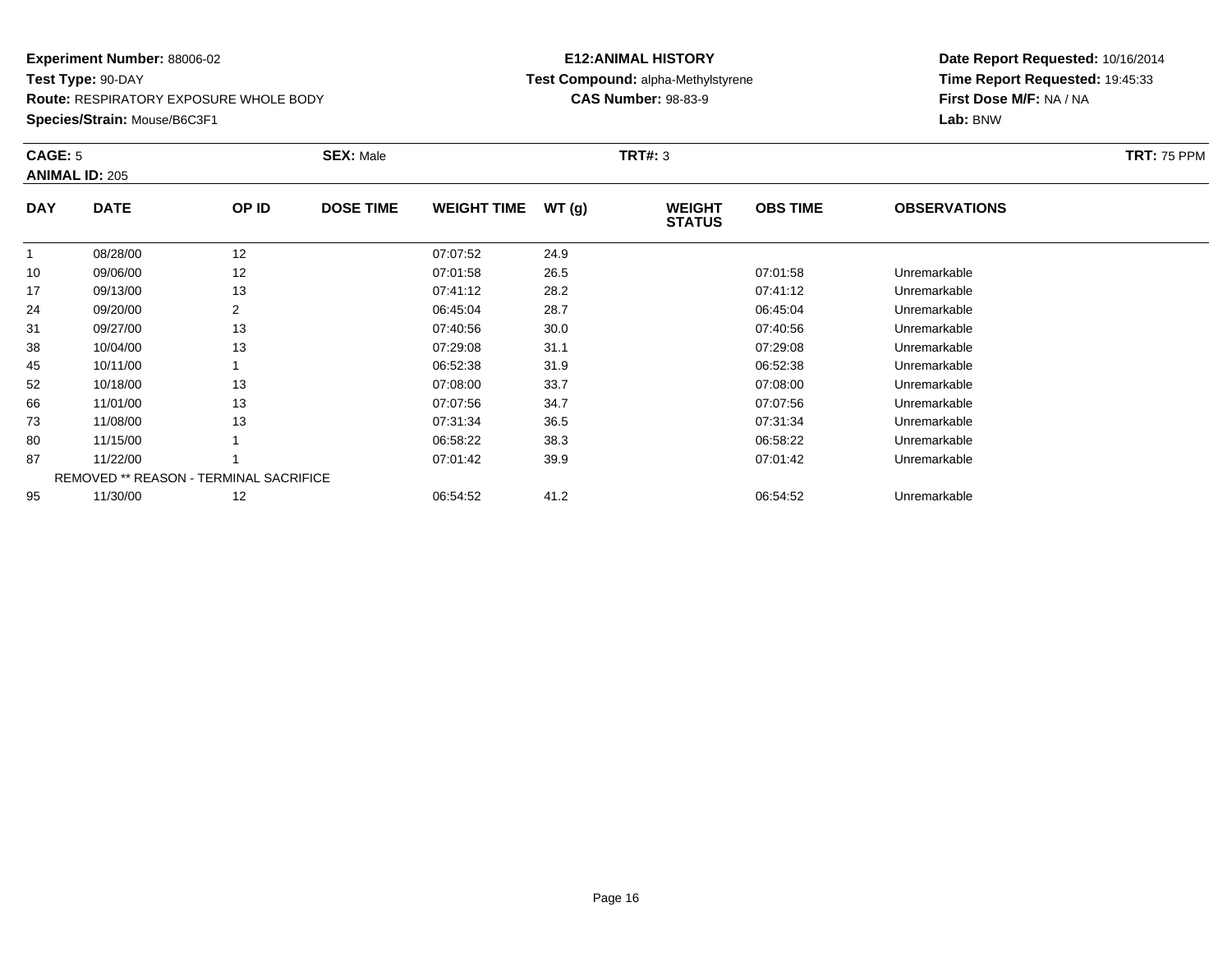**Route:** RESPIRATORY EXPOSURE WHOLE BODY

**Species/Strain:** Mouse/B6C3F1

### **E12:ANIMAL HISTORY Test Compound:** alpha-Methylstyrene**CAS Number:** 98-83-9

| CAGE: 5    | <b>ANIMAL ID: 205</b>                  |       | <b>SEX: Male</b> |                    |       | <b>TRT#: 3</b>                 |                 |                     | <b>TRT: 75 PPM</b> |
|------------|----------------------------------------|-------|------------------|--------------------|-------|--------------------------------|-----------------|---------------------|--------------------|
| <b>DAY</b> | <b>DATE</b>                            | OP ID | <b>DOSE TIME</b> | <b>WEIGHT TIME</b> | WT(g) | <b>WEIGHT</b><br><b>STATUS</b> | <b>OBS TIME</b> | <b>OBSERVATIONS</b> |                    |
|            | 08/28/00                               | 12    |                  | 07:07:52           | 24.9  |                                |                 |                     |                    |
| 10         | 09/06/00                               | 12    |                  | 07:01:58           | 26.5  |                                | 07:01:58        | Unremarkable        |                    |
| 17         | 09/13/00                               | 13    |                  | 07:41:12           | 28.2  |                                | 07:41:12        | Unremarkable        |                    |
| 24         | 09/20/00                               | 2     |                  | 06:45:04           | 28.7  |                                | 06:45:04        | Unremarkable        |                    |
| 31         | 09/27/00                               | 13    |                  | 07:40:56           | 30.0  |                                | 07:40:56        | Unremarkable        |                    |
| 38         | 10/04/00                               | 13    |                  | 07:29:08           | 31.1  |                                | 07:29:08        | Unremarkable        |                    |
| 45         | 10/11/00                               |       |                  | 06:52:38           | 31.9  |                                | 06:52:38        | Unremarkable        |                    |
| 52         | 10/18/00                               | 13    |                  | 07:08:00           | 33.7  |                                | 07:08:00        | Unremarkable        |                    |
| 66         | 11/01/00                               | 13    |                  | 07:07:56           | 34.7  |                                | 07:07:56        | Unremarkable        |                    |
| 73         | 11/08/00                               | 13    |                  | 07:31:34           | 36.5  |                                | 07:31:34        | Unremarkable        |                    |
| 80         | 11/15/00                               |       |                  | 06:58:22           | 38.3  |                                | 06:58:22        | Unremarkable        |                    |
| 87         | 11/22/00                               |       |                  | 07:01:42           | 39.9  |                                | 07:01:42        | Unremarkable        |                    |
|            | REMOVED ** REASON - TERMINAL SACRIFICE |       |                  |                    |       |                                |                 |                     |                    |
| 95         | 11/30/00                               | 12    |                  | 06:54:52           | 41.2  |                                | 06:54:52        | Unremarkable        |                    |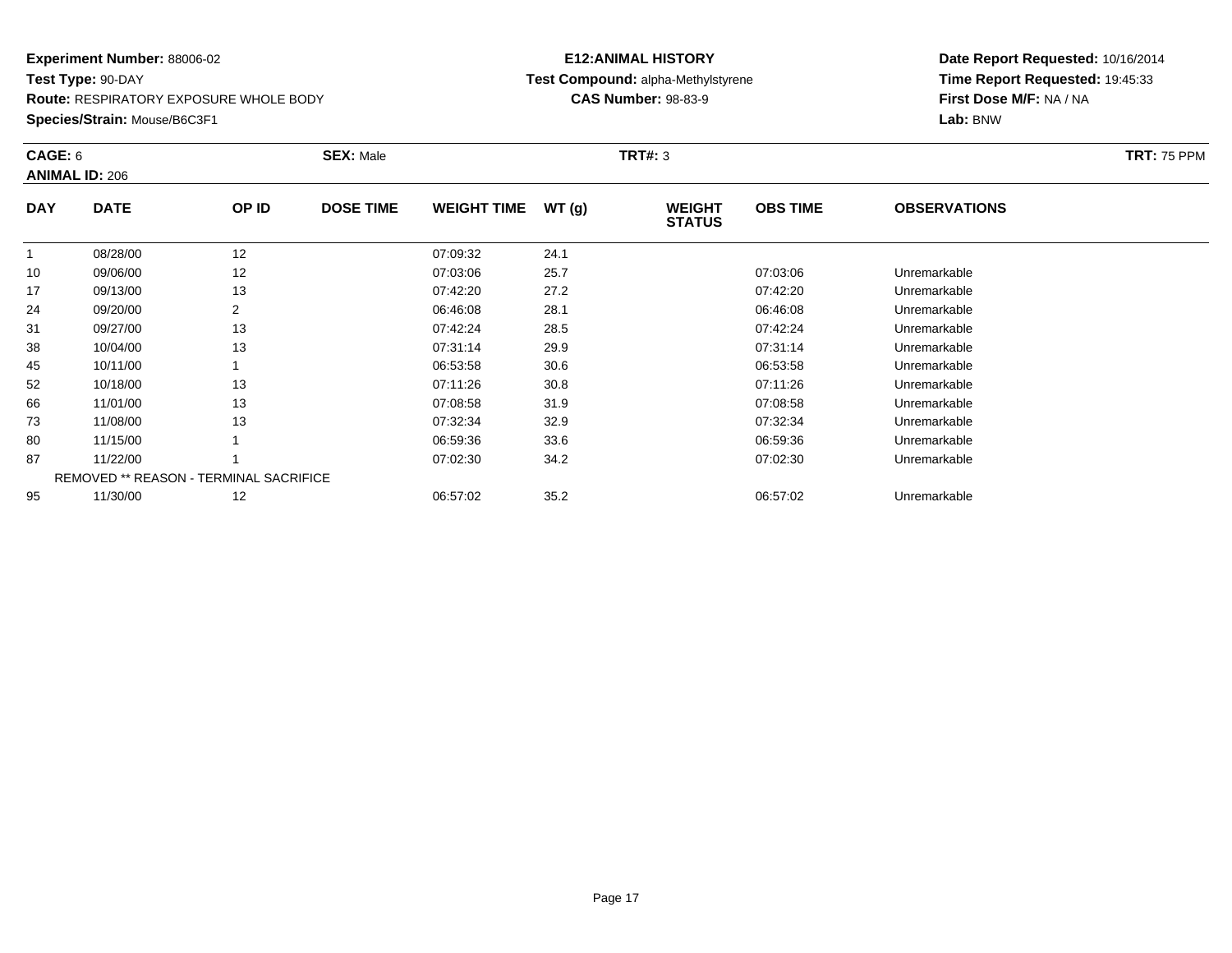**Route:** RESPIRATORY EXPOSURE WHOLE BODY

**Species/Strain:** Mouse/B6C3F1

### **E12:ANIMAL HISTORY Test Compound:** alpha-Methylstyrene**CAS Number:** 98-83-9

| CAGE: 6    | <b>ANIMAL ID: 206</b>                         |                | <b>SEX: Male</b> |                    |       | <b>TRT#: 3</b>                 |                 | <b>TRT: 75 PPM</b>  |  |
|------------|-----------------------------------------------|----------------|------------------|--------------------|-------|--------------------------------|-----------------|---------------------|--|
| <b>DAY</b> | <b>DATE</b>                                   | OP ID          | <b>DOSE TIME</b> | <b>WEIGHT TIME</b> | WT(g) | <b>WEIGHT</b><br><b>STATUS</b> | <b>OBS TIME</b> | <b>OBSERVATIONS</b> |  |
|            | 08/28/00                                      | 12             |                  | 07:09:32           | 24.1  |                                |                 |                     |  |
| 10         | 09/06/00                                      | 12             |                  | 07:03:06           | 25.7  |                                | 07:03:06        | Unremarkable        |  |
| 17         | 09/13/00                                      | 13             |                  | 07:42:20           | 27.2  |                                | 07:42:20        | Unremarkable        |  |
| 24         | 09/20/00                                      | $\overline{2}$ |                  | 06:46:08           | 28.1  |                                | 06:46:08        | Unremarkable        |  |
| 31         | 09/27/00                                      | 13             |                  | 07:42:24           | 28.5  |                                | 07:42:24        | Unremarkable        |  |
| 38         | 10/04/00                                      | 13             |                  | 07:31:14           | 29.9  |                                | 07:31:14        | Unremarkable        |  |
| 45         | 10/11/00                                      |                |                  | 06:53:58           | 30.6  |                                | 06:53:58        | Unremarkable        |  |
| 52         | 10/18/00                                      | 13             |                  | 07:11:26           | 30.8  |                                | 07:11:26        | Unremarkable        |  |
| 66         | 11/01/00                                      | 13             |                  | 07:08:58           | 31.9  |                                | 07:08:58        | Unremarkable        |  |
| 73         | 11/08/00                                      | 13             |                  | 07:32:34           | 32.9  |                                | 07:32:34        | Unremarkable        |  |
| 80         | 11/15/00                                      |                |                  | 06:59:36           | 33.6  |                                | 06:59:36        | Unremarkable        |  |
| 87         | 11/22/00                                      |                |                  | 07:02:30           | 34.2  |                                | 07:02:30        | Unremarkable        |  |
|            | <b>REMOVED ** REASON - TERMINAL SACRIFICE</b> |                |                  |                    |       |                                |                 |                     |  |
| 95         | 11/30/00                                      | 12             |                  | 06:57:02           | 35.2  |                                | 06:57:02        | Unremarkable        |  |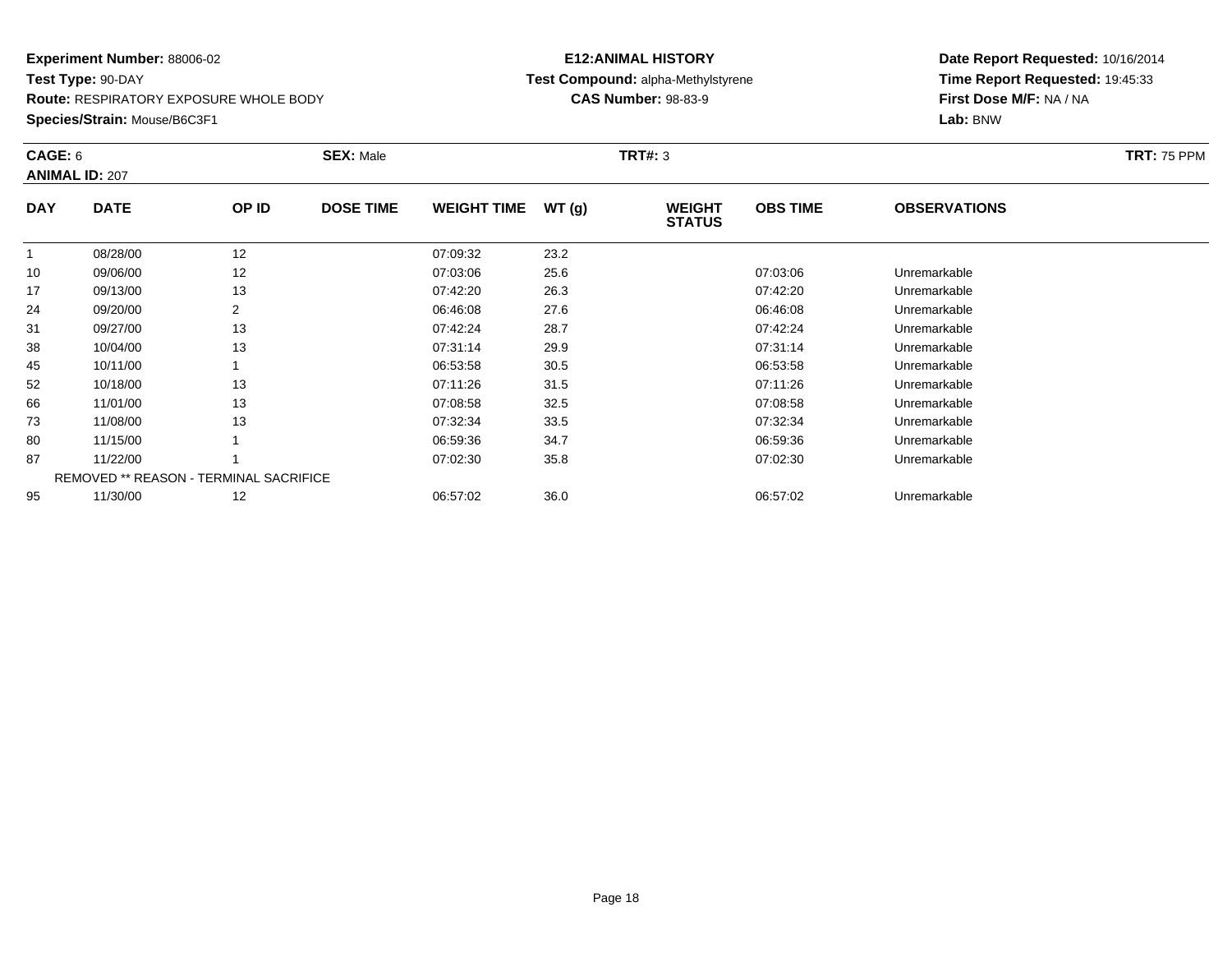**Route:** RESPIRATORY EXPOSURE WHOLE BODY

**Species/Strain:** Mouse/B6C3F1

### **E12:ANIMAL HISTORY Test Compound:** alpha-Methylstyrene**CAS Number:** 98-83-9

| CAGE: 6    | <b>ANIMAL ID: 207</b>                  |       | <b>SEX: Male</b> |                    |       | <b>TRT#: 3</b>                 |                 |                     | <b>TRT: 75 PPM</b> |
|------------|----------------------------------------|-------|------------------|--------------------|-------|--------------------------------|-----------------|---------------------|--------------------|
| <b>DAY</b> | <b>DATE</b>                            | OP ID | <b>DOSE TIME</b> | <b>WEIGHT TIME</b> | WT(g) | <b>WEIGHT</b><br><b>STATUS</b> | <b>OBS TIME</b> | <b>OBSERVATIONS</b> |                    |
|            | 08/28/00                               | 12    |                  | 07:09:32           | 23.2  |                                |                 |                     |                    |
| 10         | 09/06/00                               | 12    |                  | 07:03:06           | 25.6  |                                | 07:03:06        | Unremarkable        |                    |
| 17         | 09/13/00                               | 13    |                  | 07:42:20           | 26.3  |                                | 07:42:20        | Unremarkable        |                    |
| 24         | 09/20/00                               | 2     |                  | 06:46:08           | 27.6  |                                | 06:46:08        | Unremarkable        |                    |
| 31         | 09/27/00                               | 13    |                  | 07:42:24           | 28.7  |                                | 07:42:24        | Unremarkable        |                    |
| 38         | 10/04/00                               | 13    |                  | 07:31:14           | 29.9  |                                | 07:31:14        | Unremarkable        |                    |
| 45         | 10/11/00                               |       |                  | 06:53:58           | 30.5  |                                | 06:53:58        | Unremarkable        |                    |
| 52         | 10/18/00                               | 13    |                  | 07:11:26           | 31.5  |                                | 07:11:26        | Unremarkable        |                    |
| 66         | 11/01/00                               | 13    |                  | 07:08:58           | 32.5  |                                | 07:08:58        | Unremarkable        |                    |
| 73         | 11/08/00                               | 13    |                  | 07:32:34           | 33.5  |                                | 07:32:34        | Unremarkable        |                    |
| 80         | 11/15/00                               |       |                  | 06:59:36           | 34.7  |                                | 06:59:36        | Unremarkable        |                    |
| 87         | 11/22/00                               |       |                  | 07:02:30           | 35.8  |                                | 07:02:30        | Unremarkable        |                    |
|            | REMOVED ** REASON - TERMINAL SACRIFICE |       |                  |                    |       |                                |                 |                     |                    |
| 95         | 11/30/00                               | 12    |                  | 06:57:02           | 36.0  |                                | 06:57:02        | Unremarkable        |                    |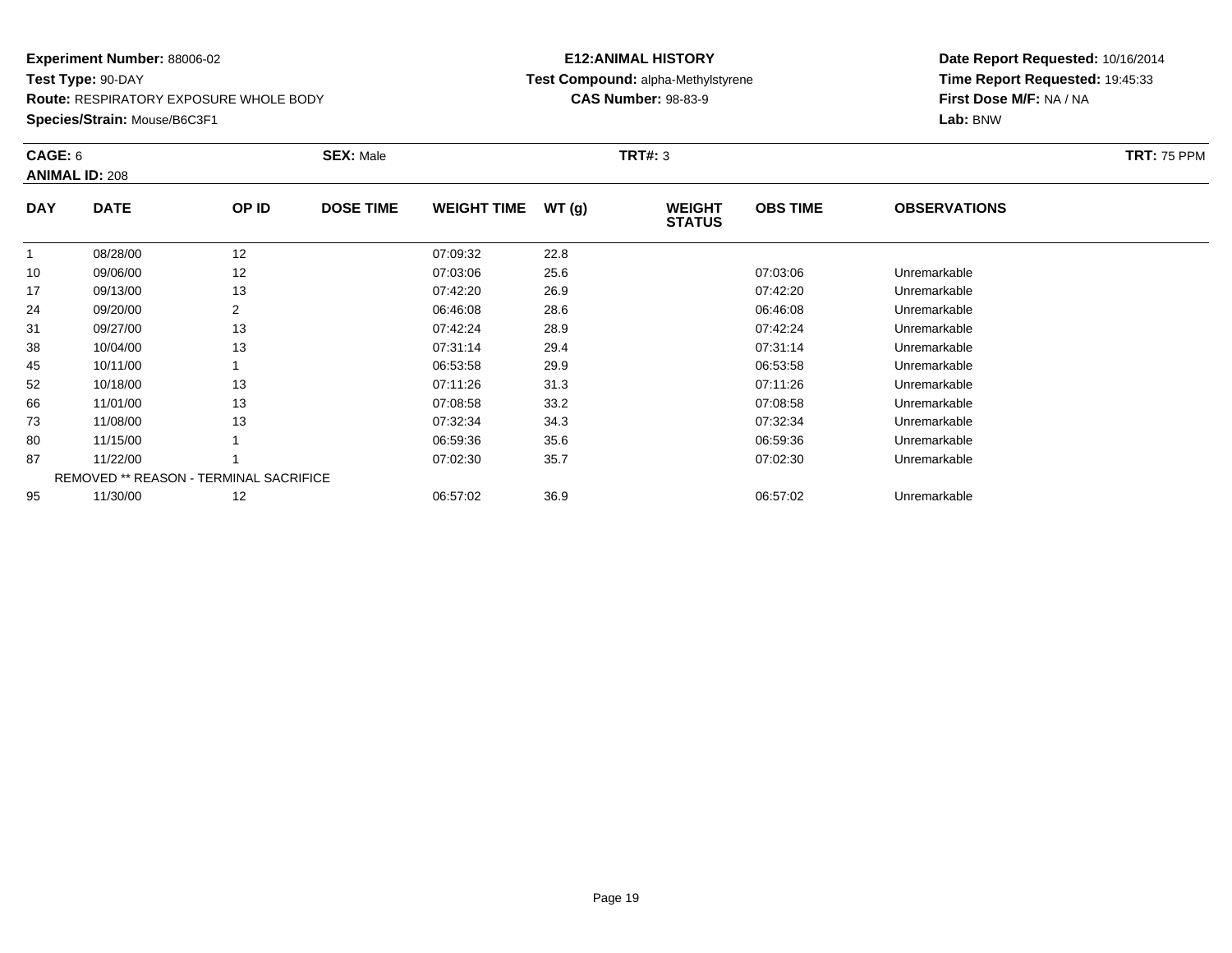**Route:** RESPIRATORY EXPOSURE WHOLE BODY

**Species/Strain:** Mouse/B6C3F1

### **E12:ANIMAL HISTORY Test Compound:** alpha-Methylstyrene**CAS Number:** 98-83-9

| CAGE: 6    | <b>ANIMAL ID: 208</b>                         |       | <b>SEX: Male</b> |                    |       | <b>TRT#: 3</b>                 |                 |                     | <b>TRT: 75 PPM</b> |
|------------|-----------------------------------------------|-------|------------------|--------------------|-------|--------------------------------|-----------------|---------------------|--------------------|
| <b>DAY</b> | <b>DATE</b>                                   | OP ID | <b>DOSE TIME</b> | <b>WEIGHT TIME</b> | WT(g) | <b>WEIGHT</b><br><b>STATUS</b> | <b>OBS TIME</b> | <b>OBSERVATIONS</b> |                    |
|            | 08/28/00                                      | 12    |                  | 07:09:32           | 22.8  |                                |                 |                     |                    |
| 10         | 09/06/00                                      | 12    |                  | 07:03:06           | 25.6  |                                | 07:03:06        | Unremarkable        |                    |
| 17         | 09/13/00                                      | 13    |                  | 07:42:20           | 26.9  |                                | 07:42:20        | Unremarkable        |                    |
| 24         | 09/20/00                                      | 2     |                  | 06:46:08           | 28.6  |                                | 06:46:08        | Unremarkable        |                    |
| 31         | 09/27/00                                      | 13    |                  | 07:42:24           | 28.9  |                                | 07:42:24        | Unremarkable        |                    |
| 38         | 10/04/00                                      | 13    |                  | 07:31:14           | 29.4  |                                | 07:31:14        | Unremarkable        |                    |
| 45         | 10/11/00                                      |       |                  | 06:53:58           | 29.9  |                                | 06:53:58        | Unremarkable        |                    |
| 52         | 10/18/00                                      | 13    |                  | 07:11:26           | 31.3  |                                | 07:11:26        | Unremarkable        |                    |
| 66         | 11/01/00                                      | 13    |                  | 07:08:58           | 33.2  |                                | 07:08:58        | Unremarkable        |                    |
| 73         | 11/08/00                                      | 13    |                  | 07:32:34           | 34.3  |                                | 07:32:34        | Unremarkable        |                    |
| 80         | 11/15/00                                      |       |                  | 06:59:36           | 35.6  |                                | 06:59:36        | Unremarkable        |                    |
| 87         | 11/22/00                                      |       |                  | 07:02:30           | 35.7  |                                | 07:02:30        | Unremarkable        |                    |
|            | <b>REMOVED ** REASON - TERMINAL SACRIFICE</b> |       |                  |                    |       |                                |                 |                     |                    |
| 95         | 11/30/00                                      | 12    |                  | 06:57:02           | 36.9  |                                | 06:57:02        | Unremarkable        |                    |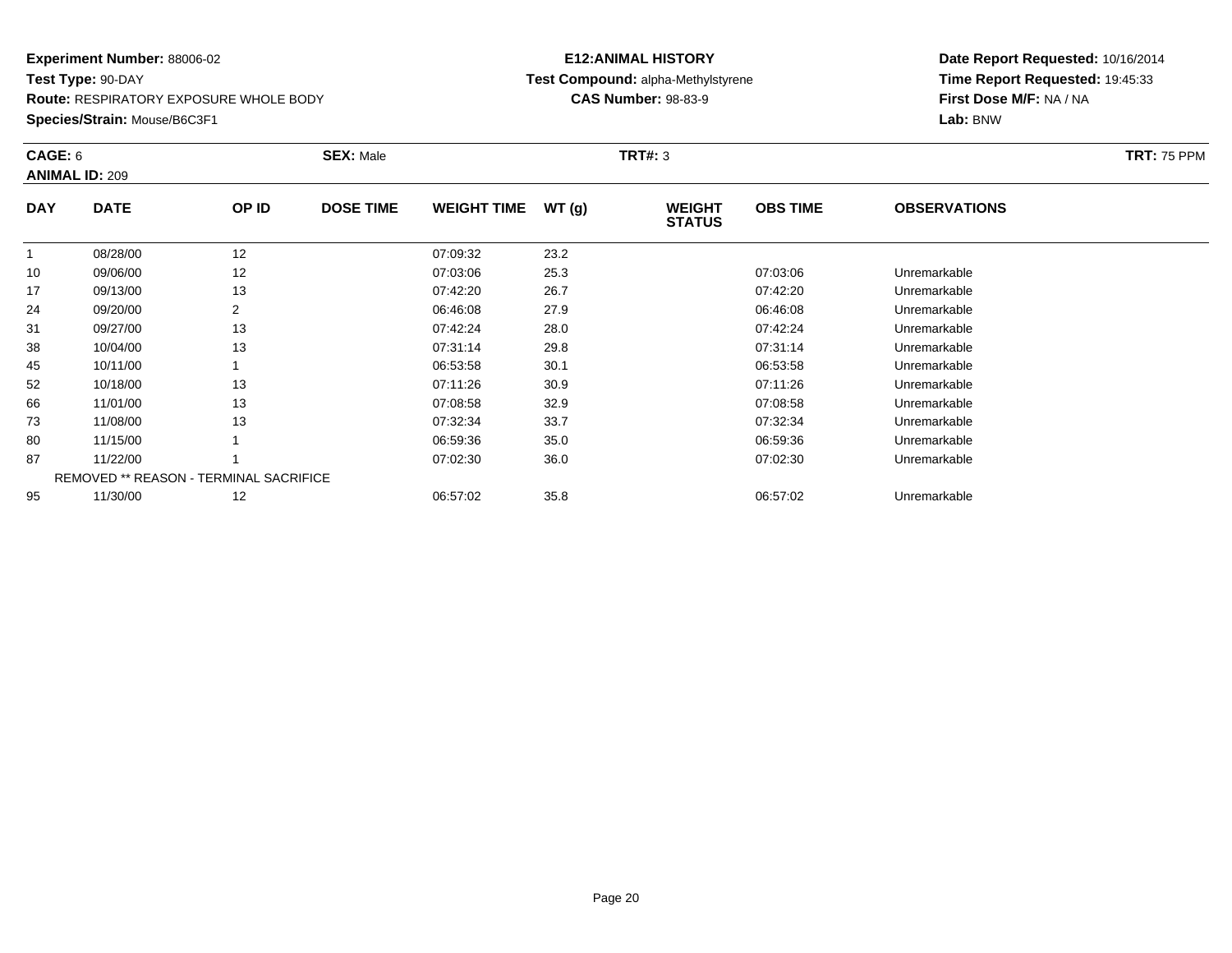**Route:** RESPIRATORY EXPOSURE WHOLE BODY

**Species/Strain:** Mouse/B6C3F1

### **E12:ANIMAL HISTORY Test Compound:** alpha-Methylstyrene**CAS Number:** 98-83-9

| CAGE: 6    | <b>ANIMAL ID: 209</b>                  |       | <b>SEX: Male</b> |                    |       | <b>TRT#: 3</b>                 |                 |                     | <b>TRT: 75 PPM</b> |
|------------|----------------------------------------|-------|------------------|--------------------|-------|--------------------------------|-----------------|---------------------|--------------------|
| <b>DAY</b> | <b>DATE</b>                            | OP ID | <b>DOSE TIME</b> | <b>WEIGHT TIME</b> | WT(g) | <b>WEIGHT</b><br><b>STATUS</b> | <b>OBS TIME</b> | <b>OBSERVATIONS</b> |                    |
|            | 08/28/00                               | 12    |                  | 07:09:32           | 23.2  |                                |                 |                     |                    |
| 10         | 09/06/00                               | 12    |                  | 07:03:06           | 25.3  |                                | 07:03:06        | Unremarkable        |                    |
| 17         | 09/13/00                               | 13    |                  | 07:42:20           | 26.7  |                                | 07:42:20        | Unremarkable        |                    |
| 24         | 09/20/00                               | 2     |                  | 06:46:08           | 27.9  |                                | 06:46:08        | Unremarkable        |                    |
| 31         | 09/27/00                               | 13    |                  | 07:42:24           | 28.0  |                                | 07:42:24        | Unremarkable        |                    |
| 38         | 10/04/00                               | 13    |                  | 07:31:14           | 29.8  |                                | 07:31:14        | Unremarkable        |                    |
| 45         | 10/11/00                               |       |                  | 06:53:58           | 30.1  |                                | 06:53:58        | Unremarkable        |                    |
| 52         | 10/18/00                               | 13    |                  | 07:11:26           | 30.9  |                                | 07:11:26        | Unremarkable        |                    |
| 66         | 11/01/00                               | 13    |                  | 07:08:58           | 32.9  |                                | 07:08:58        | Unremarkable        |                    |
| 73         | 11/08/00                               | 13    |                  | 07:32:34           | 33.7  |                                | 07:32:34        | Unremarkable        |                    |
| 80         | 11/15/00                               |       |                  | 06:59:36           | 35.0  |                                | 06:59:36        | Unremarkable        |                    |
| 87         | 11/22/00                               |       |                  | 07:02:30           | 36.0  |                                | 07:02:30        | Unremarkable        |                    |
|            | REMOVED ** REASON - TERMINAL SACRIFICE |       |                  |                    |       |                                |                 |                     |                    |
| 95         | 11/30/00                               | 12    |                  | 06:57:02           | 35.8  |                                | 06:57:02        | Unremarkable        |                    |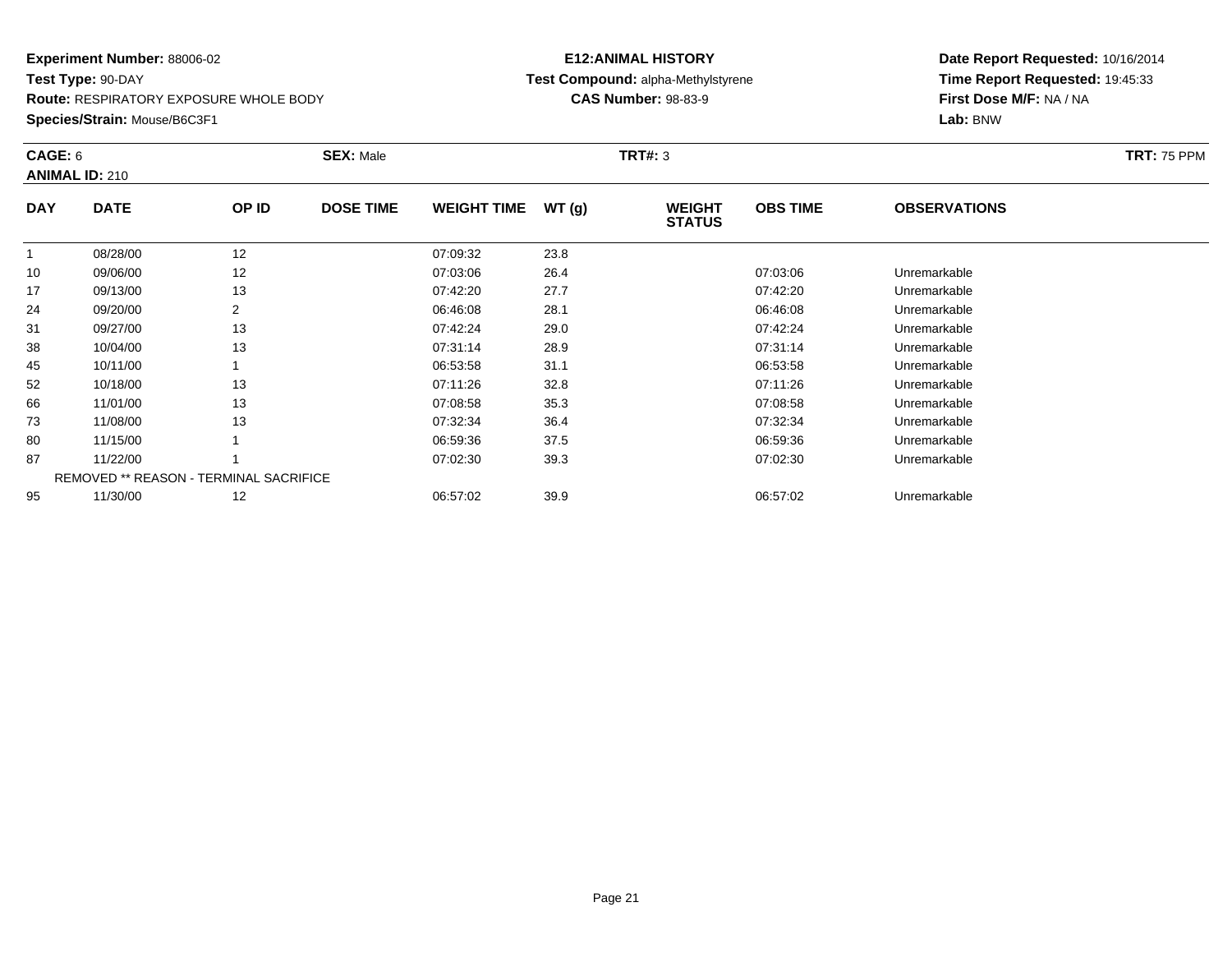**Route:** RESPIRATORY EXPOSURE WHOLE BODY

**Species/Strain:** Mouse/B6C3F1

### **E12:ANIMAL HISTORY Test Compound:** alpha-Methylstyrene**CAS Number:** 98-83-9

| CAGE: 6    | <b>ANIMAL ID: 210</b>                  |       | <b>SEX: Male</b> |                    |       | <b>TRT#: 3</b>                 |                 |                     | <b>TRT: 75 PPM</b> |
|------------|----------------------------------------|-------|------------------|--------------------|-------|--------------------------------|-----------------|---------------------|--------------------|
| <b>DAY</b> | <b>DATE</b>                            | OP ID | <b>DOSE TIME</b> | <b>WEIGHT TIME</b> | WT(g) | <b>WEIGHT</b><br><b>STATUS</b> | <b>OBS TIME</b> | <b>OBSERVATIONS</b> |                    |
|            | 08/28/00                               | 12    |                  | 07:09:32           | 23.8  |                                |                 |                     |                    |
| 10         | 09/06/00                               | 12    |                  | 07:03:06           | 26.4  |                                | 07:03:06        | Unremarkable        |                    |
| 17         | 09/13/00                               | 13    |                  | 07:42:20           | 27.7  |                                | 07:42:20        | Unremarkable        |                    |
| 24         | 09/20/00                               | 2     |                  | 06:46:08           | 28.1  |                                | 06:46:08        | Unremarkable        |                    |
| 31         | 09/27/00                               | 13    |                  | 07:42:24           | 29.0  |                                | 07:42:24        | Unremarkable        |                    |
| 38         | 10/04/00                               | 13    |                  | 07:31:14           | 28.9  |                                | 07:31:14        | Unremarkable        |                    |
| 45         | 10/11/00                               |       |                  | 06:53:58           | 31.1  |                                | 06:53:58        | Unremarkable        |                    |
| 52         | 10/18/00                               | 13    |                  | 07:11:26           | 32.8  |                                | 07:11:26        | Unremarkable        |                    |
| 66         | 11/01/00                               | 13    |                  | 07:08:58           | 35.3  |                                | 07:08:58        | Unremarkable        |                    |
| 73         | 11/08/00                               | 13    |                  | 07:32:34           | 36.4  |                                | 07:32:34        | Unremarkable        |                    |
| 80         | 11/15/00                               |       |                  | 06:59:36           | 37.5  |                                | 06:59:36        | Unremarkable        |                    |
| 87         | 11/22/00                               |       |                  | 07:02:30           | 39.3  |                                | 07:02:30        | Unremarkable        |                    |
|            | REMOVED ** REASON - TERMINAL SACRIFICE |       |                  |                    |       |                                |                 |                     |                    |
| 95         | 11/30/00                               | 12    |                  | 06:57:02           | 39.9  |                                | 06:57:02        | Unremarkable        |                    |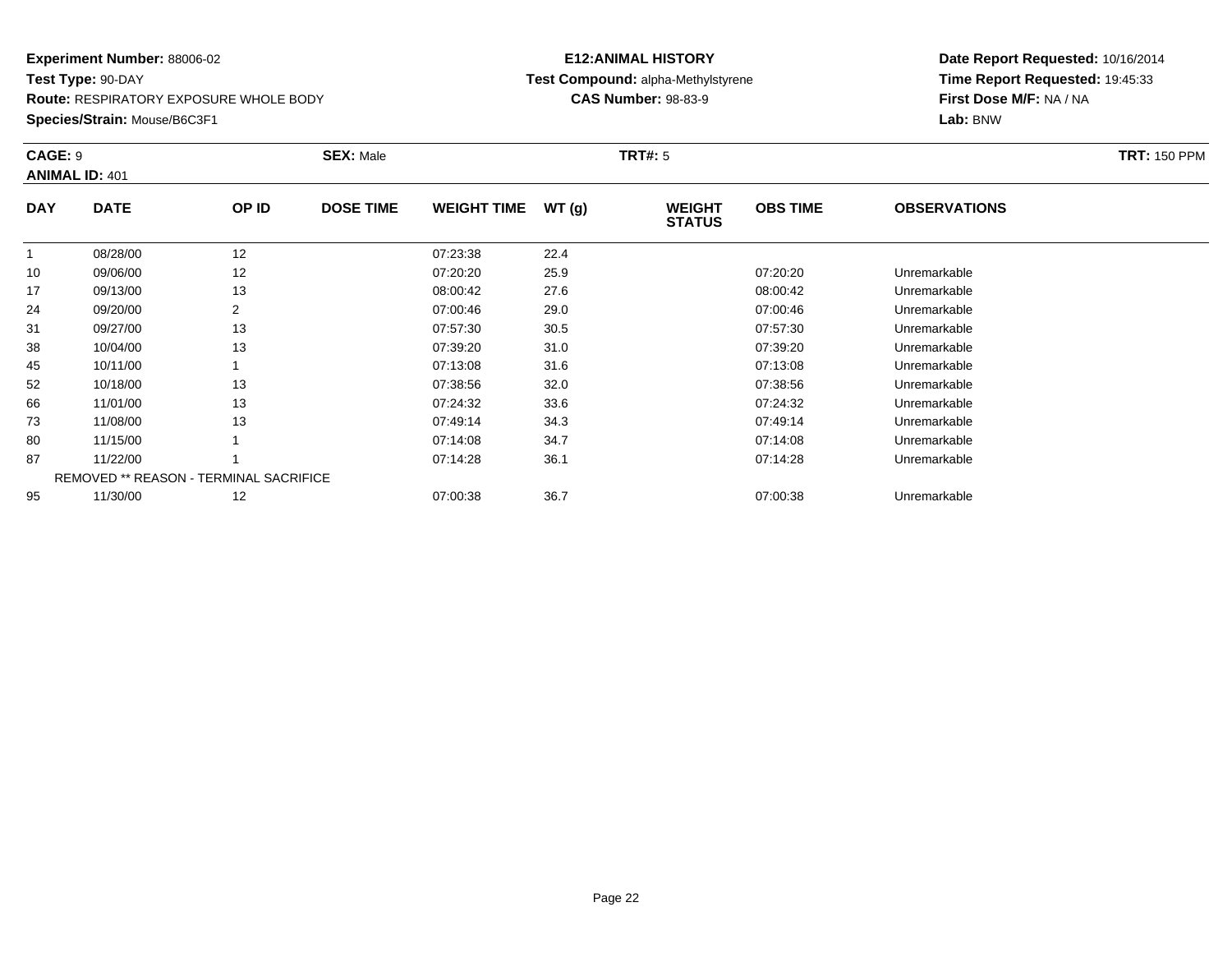**Route:** RESPIRATORY EXPOSURE WHOLE BODY

**Species/Strain:** Mouse/B6C3F1

### **E12:ANIMAL HISTORY Test Compound:** alpha-Methylstyrene**CAS Number:** 98-83-9

| CAGE: 9      | <b>ANIMAL ID: 401</b> |                                        | <b>SEX: Male</b> |                    |       | <b>TRT#: 5</b>                 |                 |                     | <b>TRT: 150 PPM</b> |
|--------------|-----------------------|----------------------------------------|------------------|--------------------|-------|--------------------------------|-----------------|---------------------|---------------------|
| <b>DAY</b>   | <b>DATE</b>           | OP ID                                  | <b>DOSE TIME</b> | <b>WEIGHT TIME</b> | WT(g) | <b>WEIGHT</b><br><b>STATUS</b> | <b>OBS TIME</b> | <b>OBSERVATIONS</b> |                     |
| $\mathbf{1}$ | 08/28/00              | 12                                     |                  | 07:23:38           | 22.4  |                                |                 |                     |                     |
| 10           | 09/06/00              | 12                                     |                  | 07:20:20           | 25.9  |                                | 07:20:20        | Unremarkable        |                     |
| 17           | 09/13/00              | 13                                     |                  | 08:00:42           | 27.6  |                                | 08:00:42        | Unremarkable        |                     |
| 24           | 09/20/00              | 2                                      |                  | 07:00:46           | 29.0  |                                | 07:00:46        | Unremarkable        |                     |
| 31           | 09/27/00              | 13                                     |                  | 07:57:30           | 30.5  |                                | 07:57:30        | Unremarkable        |                     |
| 38           | 10/04/00              | 13                                     |                  | 07:39:20           | 31.0  |                                | 07:39:20        | Unremarkable        |                     |
| 45           | 10/11/00              |                                        |                  | 07:13:08           | 31.6  |                                | 07:13:08        | Unremarkable        |                     |
| 52           | 10/18/00              | 13                                     |                  | 07:38:56           | 32.0  |                                | 07:38:56        | Unremarkable        |                     |
| 66           | 11/01/00              | 13                                     |                  | 07:24:32           | 33.6  |                                | 07:24:32        | Unremarkable        |                     |
| 73           | 11/08/00              | 13                                     |                  | 07:49:14           | 34.3  |                                | 07:49:14        | Unremarkable        |                     |
| 80           | 11/15/00              |                                        |                  | 07:14:08           | 34.7  |                                | 07:14:08        | Unremarkable        |                     |
| 87           | 11/22/00              |                                        |                  | 07:14:28           | 36.1  |                                | 07:14:28        | Unremarkable        |                     |
|              |                       | REMOVED ** REASON - TERMINAL SACRIFICE |                  |                    |       |                                |                 |                     |                     |
| 95           | 11/30/00              | 12                                     |                  | 07:00:38           | 36.7  |                                | 07:00:38        | Unremarkable        |                     |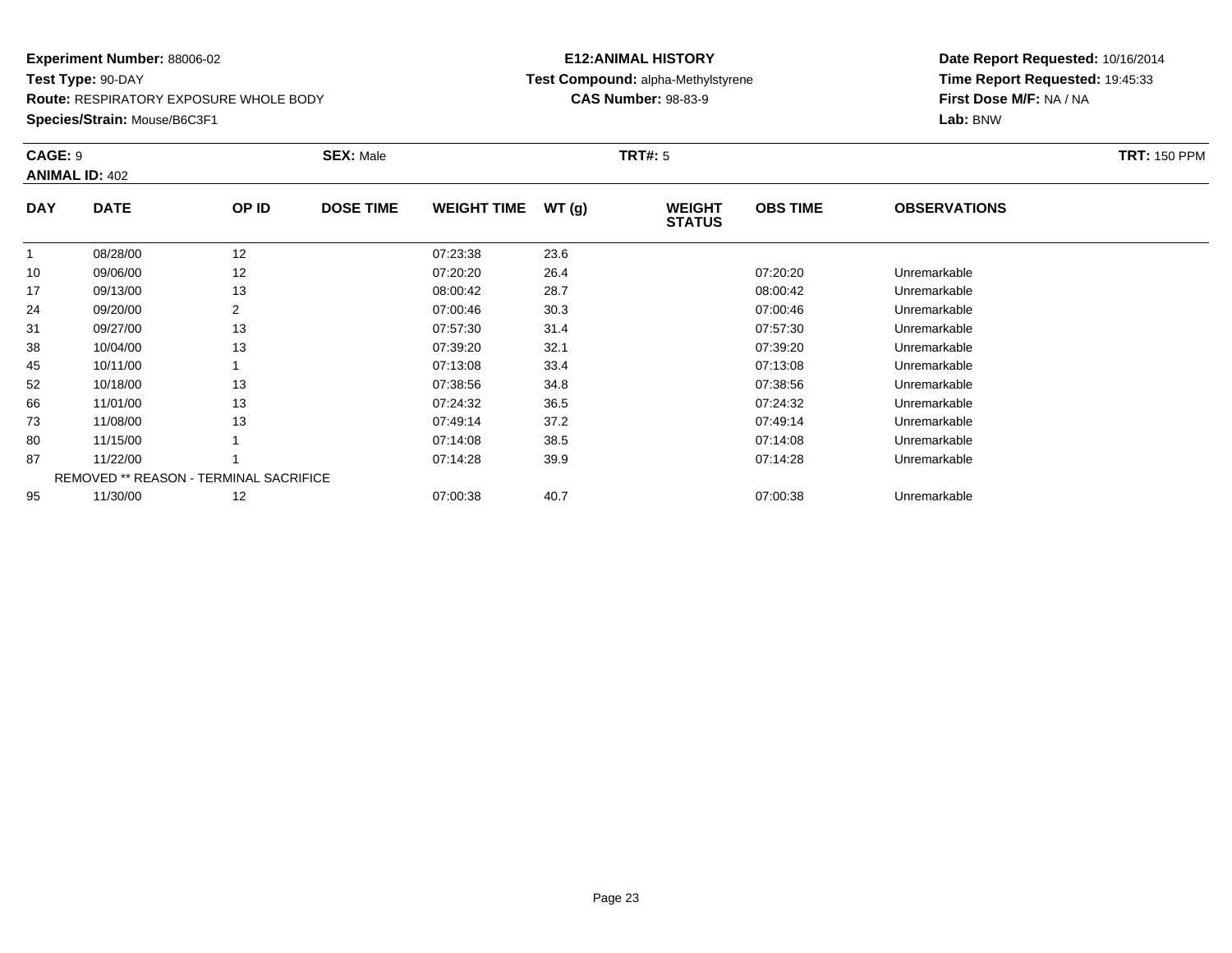**Route:** RESPIRATORY EXPOSURE WHOLE BODY

**Species/Strain:** Mouse/B6C3F1

### **E12:ANIMAL HISTORY Test Compound:** alpha-Methylstyrene**CAS Number:** 98-83-9

| CAGE: 9    | <b>ANIMAL ID: 402</b> |                                        | <b>SEX: Male</b> |                    |       | <b>TRT#: 5</b>                 |                 |                     | <b>TRT: 150 PPM</b> |
|------------|-----------------------|----------------------------------------|------------------|--------------------|-------|--------------------------------|-----------------|---------------------|---------------------|
| <b>DAY</b> | <b>DATE</b>           | OP ID                                  | <b>DOSE TIME</b> | <b>WEIGHT TIME</b> | WT(g) | <b>WEIGHT</b><br><b>STATUS</b> | <b>OBS TIME</b> | <b>OBSERVATIONS</b> |                     |
|            | 08/28/00              | 12                                     |                  | 07:23:38           | 23.6  |                                |                 |                     |                     |
| 10         | 09/06/00              | 12                                     |                  | 07:20:20           | 26.4  |                                | 07:20:20        | Unremarkable        |                     |
| 17         | 09/13/00              | 13                                     |                  | 08:00:42           | 28.7  |                                | 08:00:42        | Unremarkable        |                     |
| 24         | 09/20/00              | 2                                      |                  | 07:00:46           | 30.3  |                                | 07:00:46        | Unremarkable        |                     |
| 31         | 09/27/00              | 13                                     |                  | 07:57:30           | 31.4  |                                | 07:57:30        | Unremarkable        |                     |
| 38         | 10/04/00              | 13                                     |                  | 07:39:20           | 32.1  |                                | 07:39:20        | Unremarkable        |                     |
| 45         | 10/11/00              |                                        |                  | 07:13:08           | 33.4  |                                | 07:13:08        | Unremarkable        |                     |
| 52         | 10/18/00              | 13                                     |                  | 07:38:56           | 34.8  |                                | 07:38:56        | Unremarkable        |                     |
| 66         | 11/01/00              | 13                                     |                  | 07:24:32           | 36.5  |                                | 07:24:32        | Unremarkable        |                     |
| 73         | 11/08/00              | 13                                     |                  | 07:49:14           | 37.2  |                                | 07:49:14        | Unremarkable        |                     |
| 80         | 11/15/00              |                                        |                  | 07:14:08           | 38.5  |                                | 07:14:08        | Unremarkable        |                     |
| 87         | 11/22/00              |                                        |                  | 07:14:28           | 39.9  |                                | 07:14:28        | Unremarkable        |                     |
|            |                       | REMOVED ** REASON - TERMINAL SACRIFICE |                  |                    |       |                                |                 |                     |                     |
| 95         | 11/30/00              | 12                                     |                  | 07:00:38           | 40.7  |                                | 07:00:38        | Unremarkable        |                     |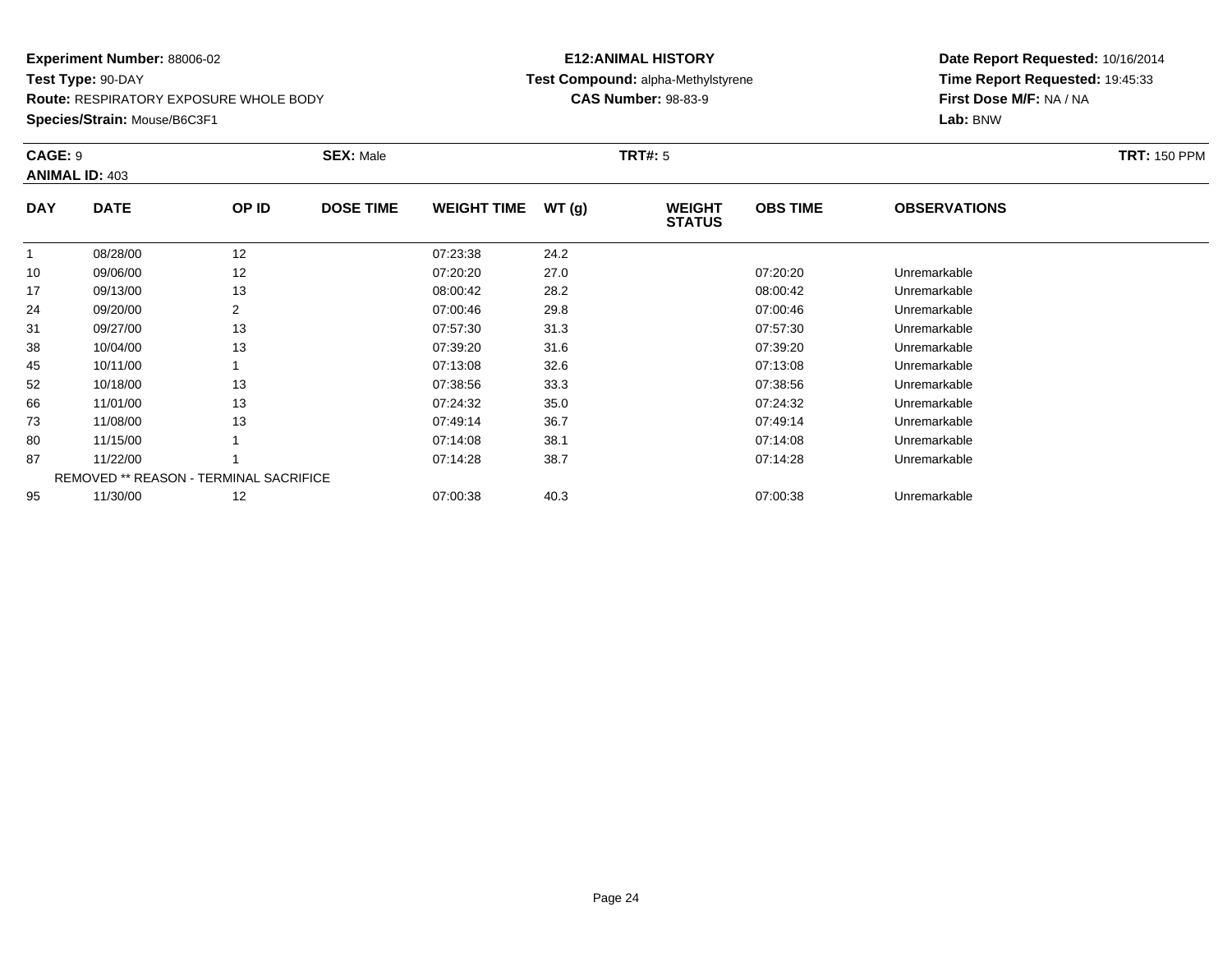**Route:** RESPIRATORY EXPOSURE WHOLE BODY

**Species/Strain:** Mouse/B6C3F1

### **E12:ANIMAL HISTORY Test Compound:** alpha-Methylstyrene**CAS Number:** 98-83-9

|            | CAGE: 9<br><b>ANIMAL ID: 403</b>       |       | <b>SEX: Male</b> |                    |       |                                | <b>TRT#: 5</b>  |                     |  |  |
|------------|----------------------------------------|-------|------------------|--------------------|-------|--------------------------------|-----------------|---------------------|--|--|
| <b>DAY</b> | <b>DATE</b>                            | OP ID | <b>DOSE TIME</b> | <b>WEIGHT TIME</b> | WT(g) | <b>WEIGHT</b><br><b>STATUS</b> | <b>OBS TIME</b> | <b>OBSERVATIONS</b> |  |  |
|            | 08/28/00                               | 12    |                  | 07:23:38           | 24.2  |                                |                 |                     |  |  |
| 10         | 09/06/00                               | 12    |                  | 07:20:20           | 27.0  |                                | 07:20:20        | Unremarkable        |  |  |
| 17         | 09/13/00                               | 13    |                  | 08:00:42           | 28.2  |                                | 08:00:42        | Unremarkable        |  |  |
| 24         | 09/20/00                               | 2     |                  | 07:00:46           | 29.8  |                                | 07:00:46        | Unremarkable        |  |  |
| 31         | 09/27/00                               | 13    |                  | 07:57:30           | 31.3  |                                | 07:57:30        | Unremarkable        |  |  |
| 38         | 10/04/00                               | 13    |                  | 07:39:20           | 31.6  |                                | 07:39:20        | Unremarkable        |  |  |
| 45         | 10/11/00                               |       |                  | 07:13:08           | 32.6  |                                | 07:13:08        | Unremarkable        |  |  |
| 52         | 10/18/00                               | 13    |                  | 07:38:56           | 33.3  |                                | 07:38:56        | Unremarkable        |  |  |
| 66         | 11/01/00                               | 13    |                  | 07:24:32           | 35.0  |                                | 07:24:32        | Unremarkable        |  |  |
| 73         | 11/08/00                               | 13    |                  | 07:49:14           | 36.7  |                                | 07:49:14        | Unremarkable        |  |  |
| 80         | 11/15/00                               |       |                  | 07:14:08           | 38.1  |                                | 07:14:08        | Unremarkable        |  |  |
| 87         | 11/22/00                               |       |                  | 07:14:28           | 38.7  |                                | 07:14:28        | Unremarkable        |  |  |
|            | REMOVED ** REASON - TERMINAL SACRIFICE |       |                  |                    |       |                                |                 |                     |  |  |
| 95         | 11/30/00                               | 12    |                  | 07:00:38           | 40.3  |                                | 07:00:38        | Unremarkable        |  |  |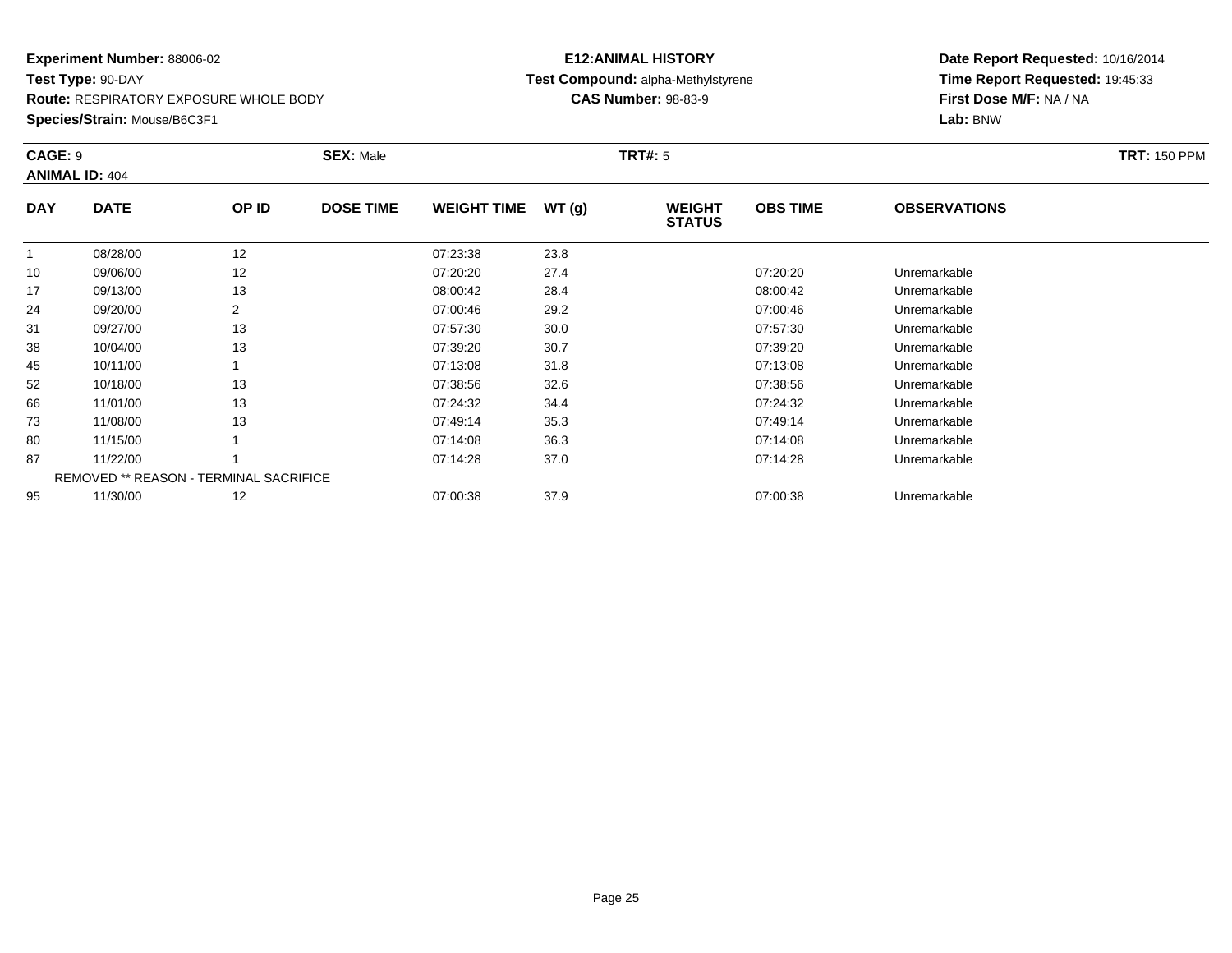**Route:** RESPIRATORY EXPOSURE WHOLE BODY

**Species/Strain:** Mouse/B6C3F1

### **E12:ANIMAL HISTORY Test Compound:** alpha-Methylstyrene**CAS Number:** 98-83-9

|            | CAGE: 9<br><b>ANIMAL ID: 404</b>              |                | <b>SEX: Male</b> |                    |       |                                | <b>TRT#: 5</b>  |                     |  |  |
|------------|-----------------------------------------------|----------------|------------------|--------------------|-------|--------------------------------|-----------------|---------------------|--|--|
| <b>DAY</b> | <b>DATE</b>                                   | OP ID          | <b>DOSE TIME</b> | <b>WEIGHT TIME</b> | WT(g) | <b>WEIGHT</b><br><b>STATUS</b> | <b>OBS TIME</b> | <b>OBSERVATIONS</b> |  |  |
|            | 08/28/00                                      | 12             |                  | 07:23:38           | 23.8  |                                |                 |                     |  |  |
| 10         | 09/06/00                                      | 12             |                  | 07:20:20           | 27.4  |                                | 07:20:20        | Unremarkable        |  |  |
| 17         | 09/13/00                                      | 13             |                  | 08:00:42           | 28.4  |                                | 08:00:42        | Unremarkable        |  |  |
| 24         | 09/20/00                                      | $\overline{2}$ |                  | 07:00:46           | 29.2  |                                | 07:00:46        | Unremarkable        |  |  |
| 31         | 09/27/00                                      | 13             |                  | 07:57:30           | 30.0  |                                | 07:57:30        | Unremarkable        |  |  |
| 38         | 10/04/00                                      | 13             |                  | 07:39:20           | 30.7  |                                | 07:39:20        | Unremarkable        |  |  |
| 45         | 10/11/00                                      |                |                  | 07:13:08           | 31.8  |                                | 07:13:08        | Unremarkable        |  |  |
| 52         | 10/18/00                                      | 13             |                  | 07:38:56           | 32.6  |                                | 07:38:56        | Unremarkable        |  |  |
| 66         | 11/01/00                                      | 13             |                  | 07:24:32           | 34.4  |                                | 07:24:32        | Unremarkable        |  |  |
| 73         | 11/08/00                                      | 13             |                  | 07:49:14           | 35.3  |                                | 07:49:14        | Unremarkable        |  |  |
| 80         | 11/15/00                                      |                |                  | 07:14:08           | 36.3  |                                | 07:14:08        | Unremarkable        |  |  |
| 87         | 11/22/00                                      |                |                  | 07:14:28           | 37.0  |                                | 07:14:28        | Unremarkable        |  |  |
|            | <b>REMOVED ** REASON - TERMINAL SACRIFICE</b> |                |                  |                    |       |                                |                 |                     |  |  |
| 95         | 11/30/00                                      | 12             |                  | 07:00:38           | 37.9  |                                | 07:00:38        | Unremarkable        |  |  |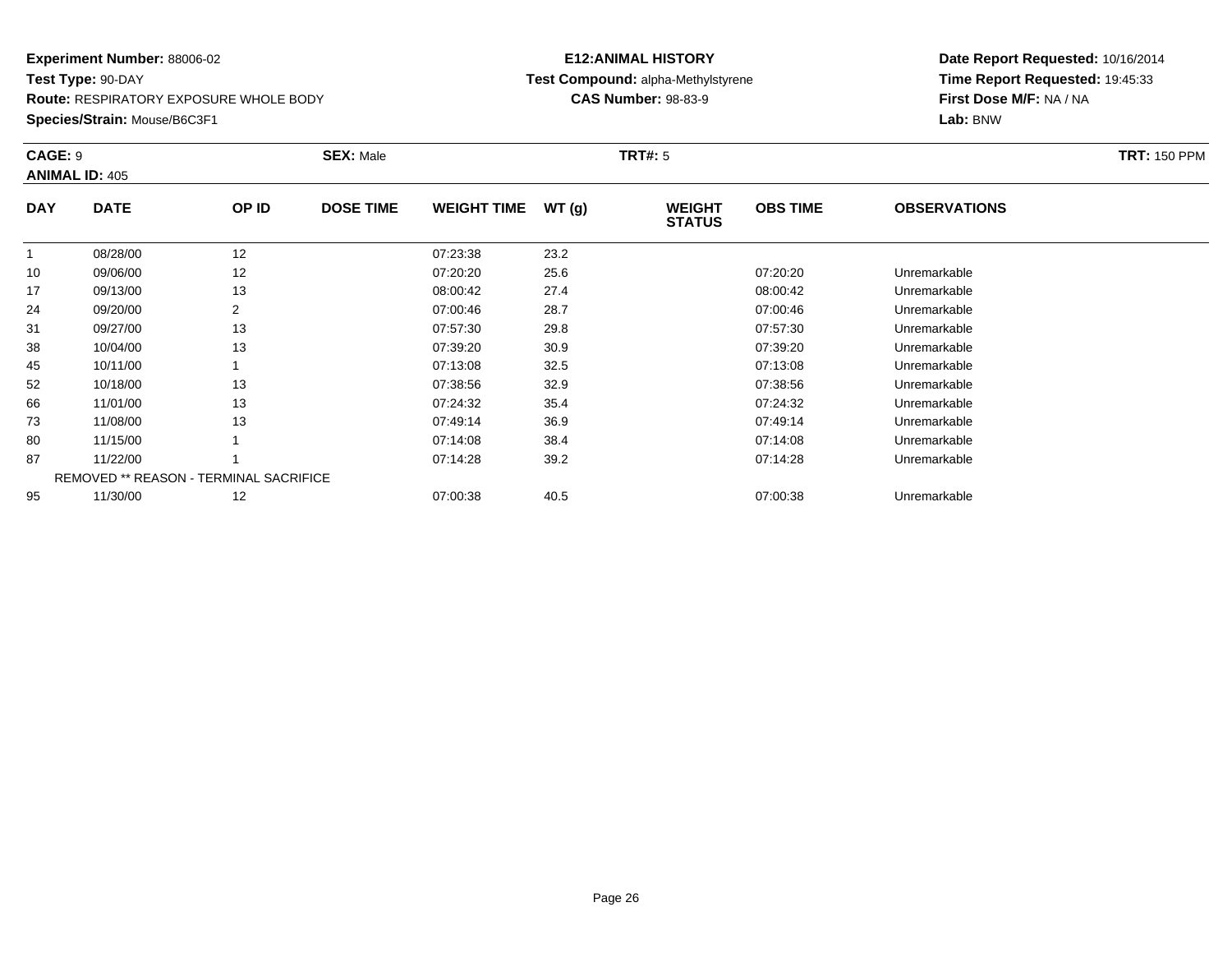**Route:** RESPIRATORY EXPOSURE WHOLE BODY

**Species/Strain:** Mouse/B6C3F1

### **E12:ANIMAL HISTORY Test Compound:** alpha-Methylstyrene**CAS Number:** 98-83-9

|            | CAGE: 9<br><b>ANIMAL ID: 405</b>              |       | <b>SEX: Male</b> |                    |       | <b>TRT#: 5</b>                 |                 | <b>TRT: 150 PPM</b> |  |
|------------|-----------------------------------------------|-------|------------------|--------------------|-------|--------------------------------|-----------------|---------------------|--|
| <b>DAY</b> | <b>DATE</b>                                   | OP ID | <b>DOSE TIME</b> | <b>WEIGHT TIME</b> | WT(g) | <b>WEIGHT</b><br><b>STATUS</b> | <b>OBS TIME</b> | <b>OBSERVATIONS</b> |  |
|            | 08/28/00                                      | 12    |                  | 07:23:38           | 23.2  |                                |                 |                     |  |
| 10         | 09/06/00                                      | 12    |                  | 07:20:20           | 25.6  |                                | 07:20:20        | Unremarkable        |  |
| 17         | 09/13/00                                      | 13    |                  | 08:00:42           | 27.4  |                                | 08:00:42        | Unremarkable        |  |
| 24         | 09/20/00                                      | 2     |                  | 07:00:46           | 28.7  |                                | 07:00:46        | Unremarkable        |  |
| 31         | 09/27/00                                      | 13    |                  | 07:57:30           | 29.8  |                                | 07:57:30        | Unremarkable        |  |
| 38         | 10/04/00                                      | 13    |                  | 07:39:20           | 30.9  |                                | 07:39:20        | Unremarkable        |  |
| 45         | 10/11/00                                      |       |                  | 07:13:08           | 32.5  |                                | 07:13:08        | Unremarkable        |  |
| 52         | 10/18/00                                      | 13    |                  | 07:38:56           | 32.9  |                                | 07:38:56        | Unremarkable        |  |
| 66         | 11/01/00                                      | 13    |                  | 07:24:32           | 35.4  |                                | 07:24:32        | Unremarkable        |  |
| 73         | 11/08/00                                      | 13    |                  | 07:49:14           | 36.9  |                                | 07:49:14        | Unremarkable        |  |
| 80         | 11/15/00                                      |       |                  | 07:14:08           | 38.4  |                                | 07:14:08        | Unremarkable        |  |
| 87         | 11/22/00                                      |       |                  | 07:14:28           | 39.2  |                                | 07:14:28        | Unremarkable        |  |
|            | <b>REMOVED ** REASON - TERMINAL SACRIFICE</b> |       |                  |                    |       |                                |                 |                     |  |
| 95         | 11/30/00                                      | 12    |                  | 07:00:38           | 40.5  |                                | 07:00:38        | Unremarkable        |  |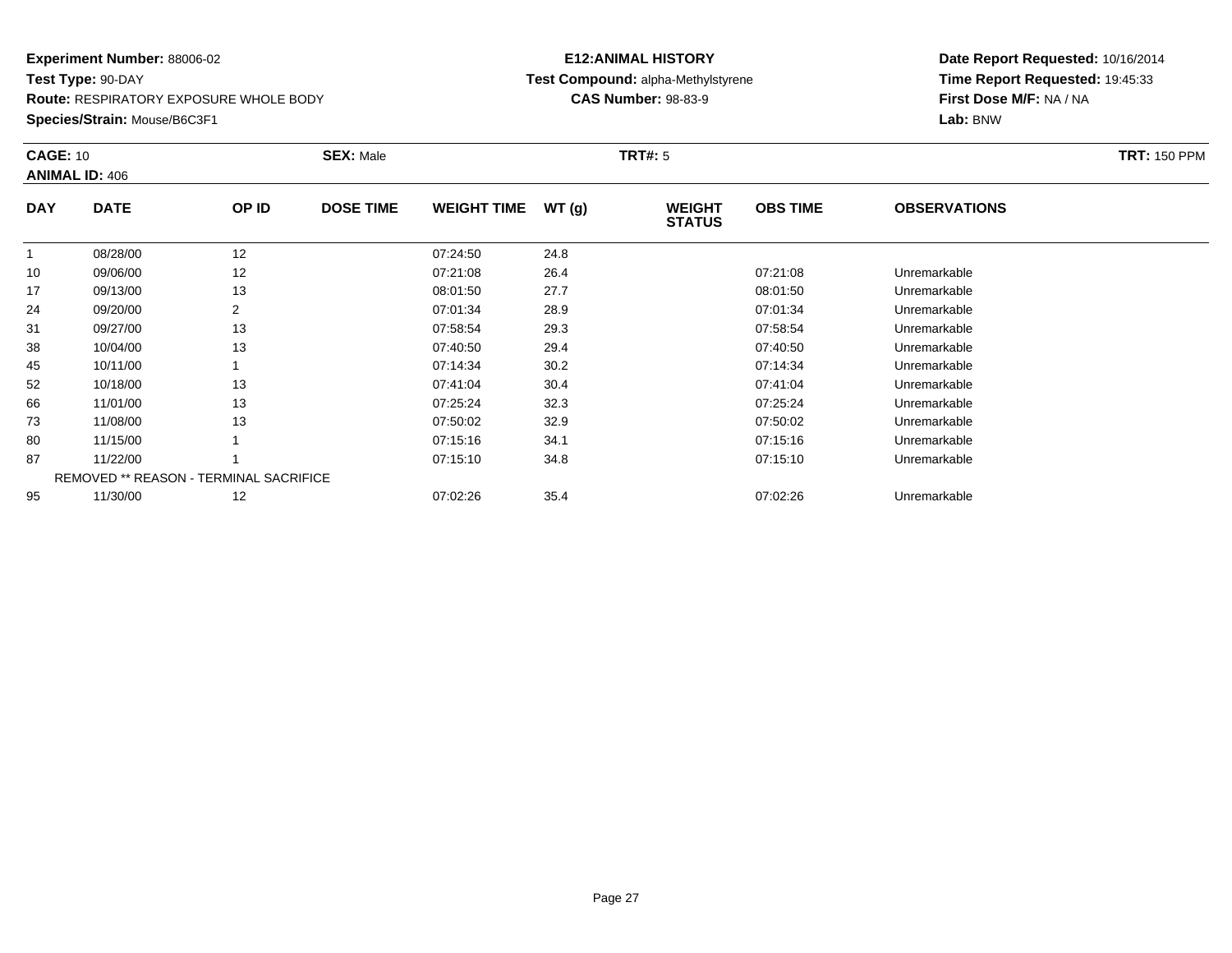**Route:** RESPIRATORY EXPOSURE WHOLE BODY

**Species/Strain:** Mouse/B6C3F1

### **E12:ANIMAL HISTORY Test Compound:** alpha-Methylstyrene**CAS Number:** 98-83-9

|              | <b>CAGE: 10</b><br><b>ANIMAL ID: 406</b>      |                | <b>SEX: Male</b> |                    |       | <b>TRT#: 5</b>                 | <b>TRT: 150 PPM</b> |                     |  |
|--------------|-----------------------------------------------|----------------|------------------|--------------------|-------|--------------------------------|---------------------|---------------------|--|
| <b>DAY</b>   | <b>DATE</b>                                   | OP ID          | <b>DOSE TIME</b> | <b>WEIGHT TIME</b> | WT(g) | <b>WEIGHT</b><br><b>STATUS</b> | <b>OBS TIME</b>     | <b>OBSERVATIONS</b> |  |
| $\mathbf{1}$ | 08/28/00                                      | 12             |                  | 07:24:50           | 24.8  |                                |                     |                     |  |
| 10           | 09/06/00                                      | 12             |                  | 07:21:08           | 26.4  |                                | 07:21:08            | Unremarkable        |  |
| 17           | 09/13/00                                      | 13             |                  | 08:01:50           | 27.7  |                                | 08:01:50            | Unremarkable        |  |
| 24           | 09/20/00                                      | $\overline{2}$ |                  | 07:01:34           | 28.9  |                                | 07:01:34            | Unremarkable        |  |
| 31           | 09/27/00                                      | 13             |                  | 07:58:54           | 29.3  |                                | 07:58:54            | Unremarkable        |  |
| 38           | 10/04/00                                      | 13             |                  | 07:40:50           | 29.4  |                                | 07:40:50            | Unremarkable        |  |
| 45           | 10/11/00                                      |                |                  | 07:14:34           | 30.2  |                                | 07:14:34            | Unremarkable        |  |
| 52           | 10/18/00                                      | 13             |                  | 07:41:04           | 30.4  |                                | 07:41:04            | Unremarkable        |  |
| 66           | 11/01/00                                      | 13             |                  | 07:25:24           | 32.3  |                                | 07:25:24            | Unremarkable        |  |
| 73           | 11/08/00                                      | 13             |                  | 07:50:02           | 32.9  |                                | 07:50:02            | Unremarkable        |  |
| 80           | 11/15/00                                      |                |                  | 07:15:16           | 34.1  |                                | 07:15:16            | Unremarkable        |  |
| 87           | 11/22/00                                      |                |                  | 07:15:10           | 34.8  |                                | 07:15:10            | Unremarkable        |  |
|              | <b>REMOVED ** REASON - TERMINAL SACRIFICE</b> |                |                  |                    |       |                                |                     |                     |  |
| 95           | 11/30/00                                      | 12             |                  | 07:02:26           | 35.4  |                                | 07:02:26            | Unremarkable        |  |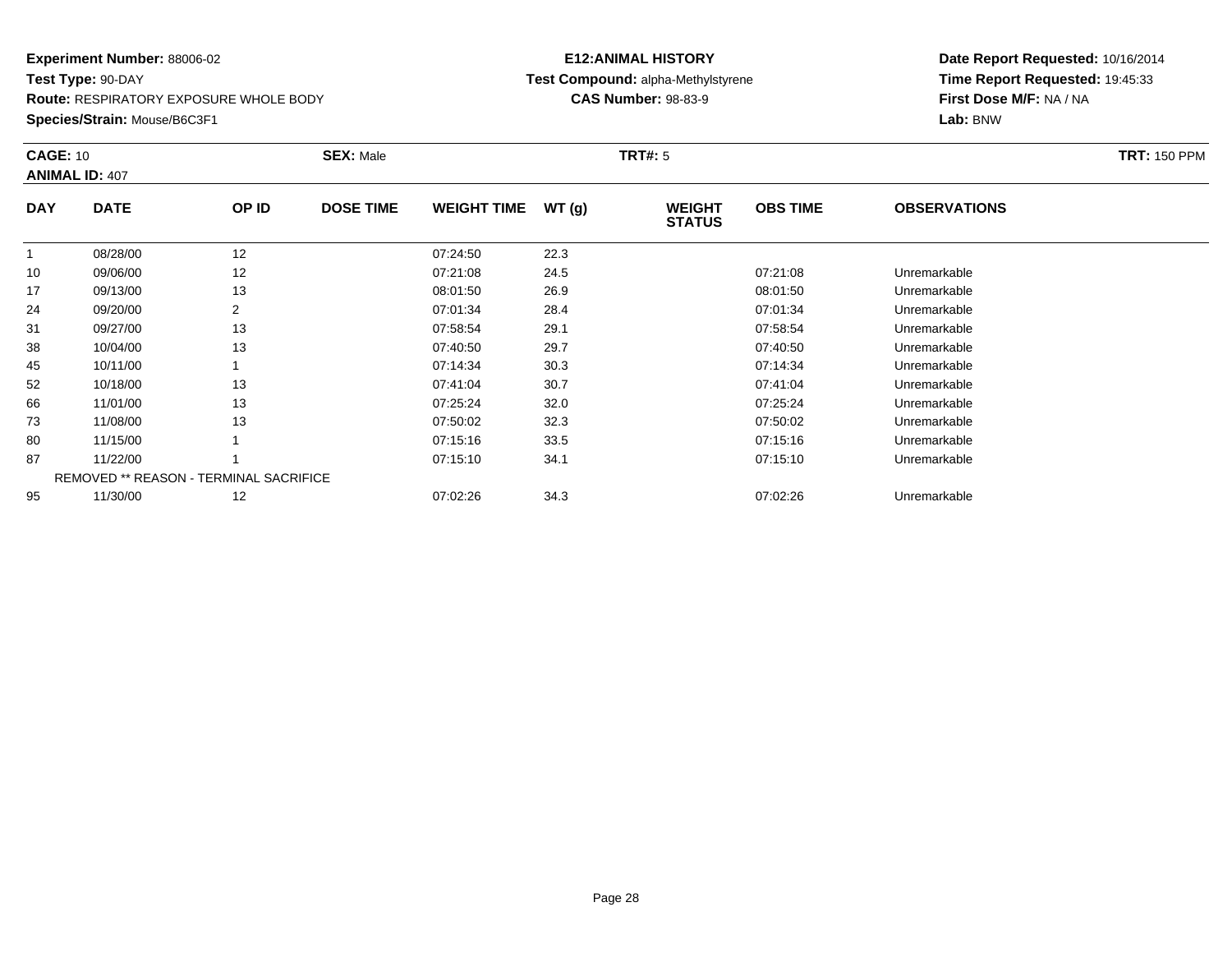**Route:** RESPIRATORY EXPOSURE WHOLE BODY

**Species/Strain:** Mouse/B6C3F1

### **E12:ANIMAL HISTORY Test Compound:** alpha-Methylstyrene**CAS Number:** 98-83-9

| <b>CAGE: 10</b> | <b>ANIMAL ID: 407</b>                         |                | <b>SEX: Male</b> |                    |       | <b>TRT#: 5</b>                 |                 |                     | <b>TRT: 150 PPM</b> |
|-----------------|-----------------------------------------------|----------------|------------------|--------------------|-------|--------------------------------|-----------------|---------------------|---------------------|
| <b>DAY</b>      | <b>DATE</b>                                   | OP ID          | <b>DOSE TIME</b> | <b>WEIGHT TIME</b> | WT(g) | <b>WEIGHT</b><br><b>STATUS</b> | <b>OBS TIME</b> | <b>OBSERVATIONS</b> |                     |
|                 | 08/28/00                                      | 12             |                  | 07:24:50           | 22.3  |                                |                 |                     |                     |
| 10              | 09/06/00                                      | 12             |                  | 07:21:08           | 24.5  |                                | 07:21:08        | Unremarkable        |                     |
| 17              | 09/13/00                                      | 13             |                  | 08:01:50           | 26.9  |                                | 08:01:50        | Unremarkable        |                     |
| 24              | 09/20/00                                      | $\overline{2}$ |                  | 07:01:34           | 28.4  |                                | 07:01:34        | Unremarkable        |                     |
| 31              | 09/27/00                                      | 13             |                  | 07:58:54           | 29.1  |                                | 07:58:54        | Unremarkable        |                     |
| 38              | 10/04/00                                      | 13             |                  | 07:40:50           | 29.7  |                                | 07:40:50        | Unremarkable        |                     |
| 45              | 10/11/00                                      |                |                  | 07:14:34           | 30.3  |                                | 07:14:34        | Unremarkable        |                     |
| 52              | 10/18/00                                      | 13             |                  | 07:41:04           | 30.7  |                                | 07:41:04        | Unremarkable        |                     |
| 66              | 11/01/00                                      | 13             |                  | 07:25:24           | 32.0  |                                | 07:25:24        | Unremarkable        |                     |
| 73              | 11/08/00                                      | 13             |                  | 07:50:02           | 32.3  |                                | 07:50:02        | Unremarkable        |                     |
| 80              | 11/15/00                                      |                |                  | 07:15:16           | 33.5  |                                | 07:15:16        | Unremarkable        |                     |
| 87              | 11/22/00                                      |                |                  | 07:15:10           | 34.1  |                                | 07:15:10        | Unremarkable        |                     |
|                 | <b>REMOVED ** REASON - TERMINAL SACRIFICE</b> |                |                  |                    |       |                                |                 |                     |                     |
| 95              | 11/30/00                                      | 12             |                  | 07:02:26           | 34.3  |                                | 07:02:26        | Unremarkable        |                     |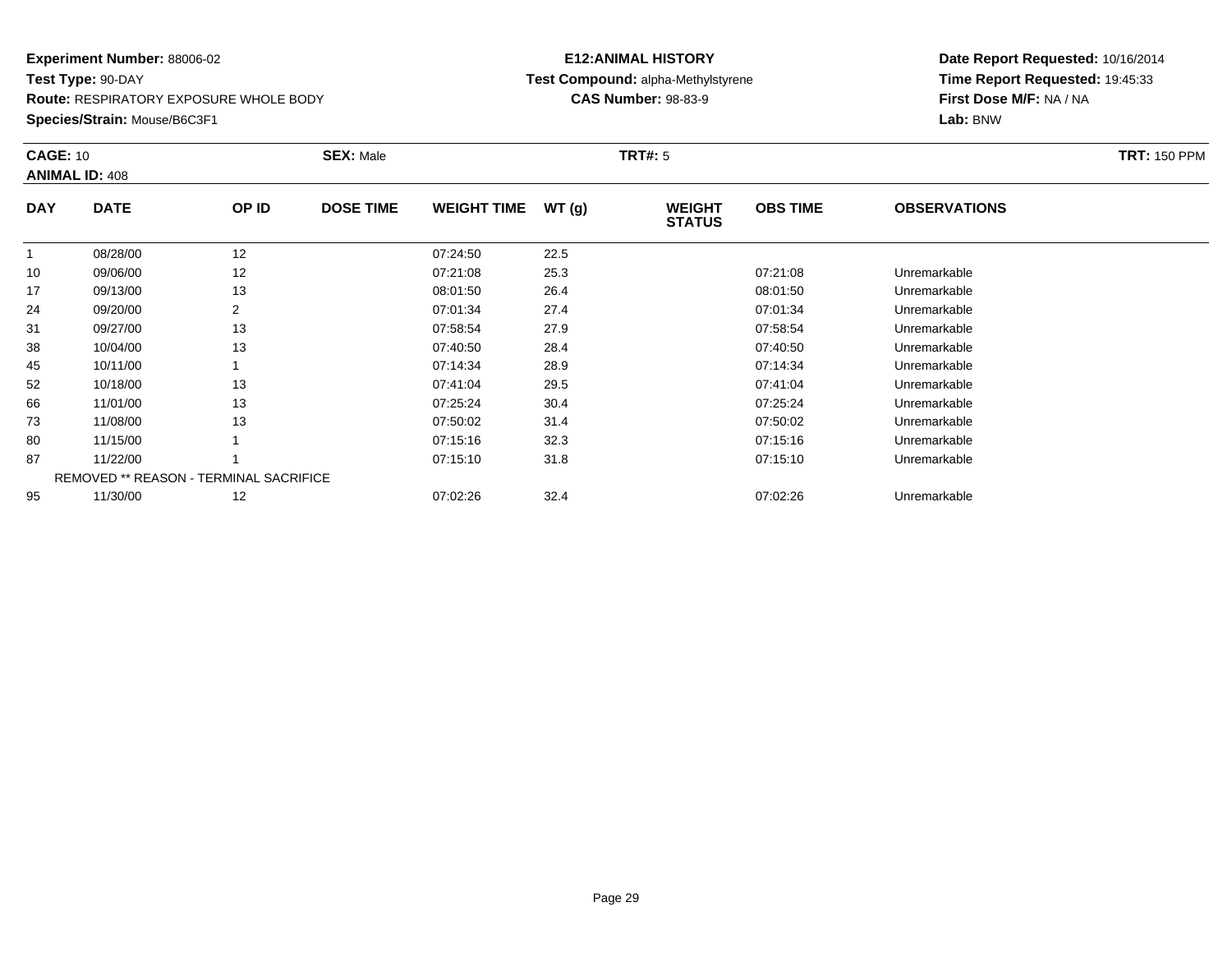**Route:** RESPIRATORY EXPOSURE WHOLE BODY

**Species/Strain:** Mouse/B6C3F1

### **E12:ANIMAL HISTORY Test Compound:** alpha-Methylstyrene**CAS Number:** 98-83-9

| <b>CAGE: 10</b> | <b>ANIMAL ID: 408</b>                         |                | <b>SEX: Male</b> |                    |       | <b>TRT#: 5</b>                 |                 |                     | <b>TRT: 150 PPM</b> |
|-----------------|-----------------------------------------------|----------------|------------------|--------------------|-------|--------------------------------|-----------------|---------------------|---------------------|
| <b>DAY</b>      | <b>DATE</b>                                   | OP ID          | <b>DOSE TIME</b> | <b>WEIGHT TIME</b> | WT(g) | <b>WEIGHT</b><br><b>STATUS</b> | <b>OBS TIME</b> | <b>OBSERVATIONS</b> |                     |
|                 | 08/28/00                                      | 12             |                  | 07:24:50           | 22.5  |                                |                 |                     |                     |
| 10              | 09/06/00                                      | 12             |                  | 07:21:08           | 25.3  |                                | 07:21:08        | Unremarkable        |                     |
| 17              | 09/13/00                                      | 13             |                  | 08:01:50           | 26.4  |                                | 08:01:50        | Unremarkable        |                     |
| 24              | 09/20/00                                      | $\overline{2}$ |                  | 07:01:34           | 27.4  |                                | 07:01:34        | Unremarkable        |                     |
| 31              | 09/27/00                                      | 13             |                  | 07:58:54           | 27.9  |                                | 07:58:54        | Unremarkable        |                     |
| 38              | 10/04/00                                      | 13             |                  | 07:40:50           | 28.4  |                                | 07:40:50        | Unremarkable        |                     |
| 45              | 10/11/00                                      |                |                  | 07:14:34           | 28.9  |                                | 07:14:34        | Unremarkable        |                     |
| 52              | 10/18/00                                      | 13             |                  | 07:41:04           | 29.5  |                                | 07:41:04        | Unremarkable        |                     |
| 66              | 11/01/00                                      | 13             |                  | 07:25:24           | 30.4  |                                | 07:25:24        | Unremarkable        |                     |
| 73              | 11/08/00                                      | 13             |                  | 07:50:02           | 31.4  |                                | 07:50:02        | Unremarkable        |                     |
| 80              | 11/15/00                                      |                |                  | 07:15:16           | 32.3  |                                | 07:15:16        | Unremarkable        |                     |
| 87              | 11/22/00                                      |                |                  | 07:15:10           | 31.8  |                                | 07:15:10        | Unremarkable        |                     |
|                 | <b>REMOVED ** REASON - TERMINAL SACRIFICE</b> |                |                  |                    |       |                                |                 |                     |                     |
| 95              | 11/30/00                                      | 12             |                  | 07:02:26           | 32.4  |                                | 07:02:26        | Unremarkable        |                     |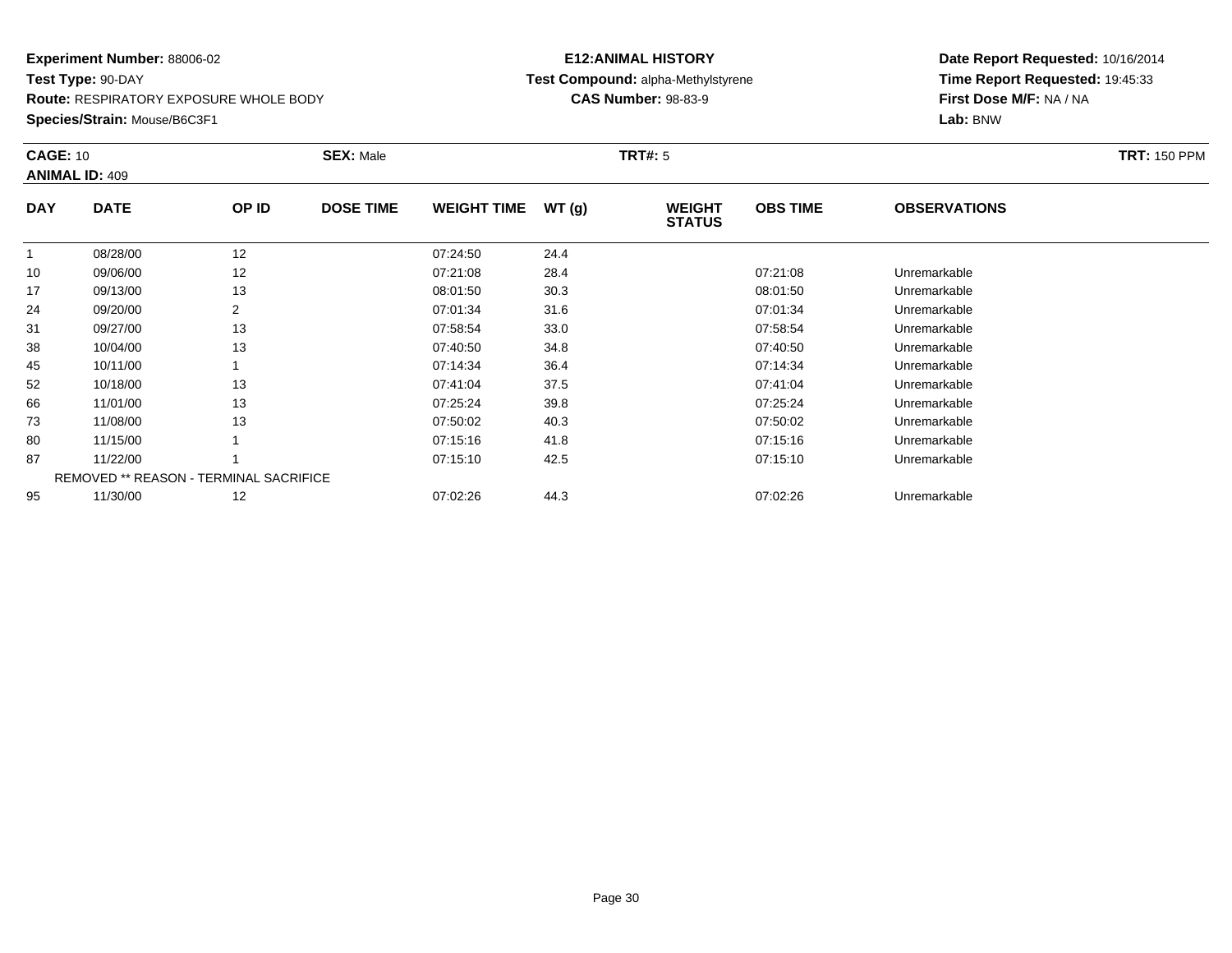**Route:** RESPIRATORY EXPOSURE WHOLE BODY

**Species/Strain:** Mouse/B6C3F1

### **E12:ANIMAL HISTORY Test Compound:** alpha-Methylstyrene**CAS Number:** 98-83-9

|            | <b>CAGE: 10</b><br><b>ANIMAL ID: 409</b>      |                | <b>SEX: Male</b> |                    |       | <b>TRT#: 5</b>                 | <b>TRT: 150 PPM</b> |                     |  |
|------------|-----------------------------------------------|----------------|------------------|--------------------|-------|--------------------------------|---------------------|---------------------|--|
| <b>DAY</b> | <b>DATE</b>                                   | OP ID          | <b>DOSE TIME</b> | <b>WEIGHT TIME</b> | WT(g) | <b>WEIGHT</b><br><b>STATUS</b> | <b>OBS TIME</b>     | <b>OBSERVATIONS</b> |  |
|            | 08/28/00                                      | 12             |                  | 07:24:50           | 24.4  |                                |                     |                     |  |
| 10         | 09/06/00                                      | 12             |                  | 07:21:08           | 28.4  |                                | 07:21:08            | Unremarkable        |  |
| 17         | 09/13/00                                      | 13             |                  | 08:01:50           | 30.3  |                                | 08:01:50            | Unremarkable        |  |
| 24         | 09/20/00                                      | $\overline{2}$ |                  | 07:01:34           | 31.6  |                                | 07:01:34            | Unremarkable        |  |
| 31         | 09/27/00                                      | 13             |                  | 07:58:54           | 33.0  |                                | 07:58:54            | Unremarkable        |  |
| 38         | 10/04/00                                      | 13             |                  | 07:40:50           | 34.8  |                                | 07:40:50            | Unremarkable        |  |
| 45         | 10/11/00                                      |                |                  | 07:14:34           | 36.4  |                                | 07:14:34            | Unremarkable        |  |
| 52         | 10/18/00                                      | 13             |                  | 07:41:04           | 37.5  |                                | 07:41:04            | Unremarkable        |  |
| 66         | 11/01/00                                      | 13             |                  | 07:25:24           | 39.8  |                                | 07:25:24            | Unremarkable        |  |
| 73         | 11/08/00                                      | 13             |                  | 07:50:02           | 40.3  |                                | 07:50:02            | Unremarkable        |  |
| 80         | 11/15/00                                      |                |                  | 07:15:16           | 41.8  |                                | 07:15:16            | Unremarkable        |  |
| 87         | 11/22/00                                      |                |                  | 07:15:10           | 42.5  |                                | 07:15:10            | Unremarkable        |  |
|            | <b>REMOVED ** REASON - TERMINAL SACRIFICE</b> |                |                  |                    |       |                                |                     |                     |  |
| 95         | 11/30/00                                      | 12             |                  | 07:02:26           | 44.3  |                                | 07:02:26            | Unremarkable        |  |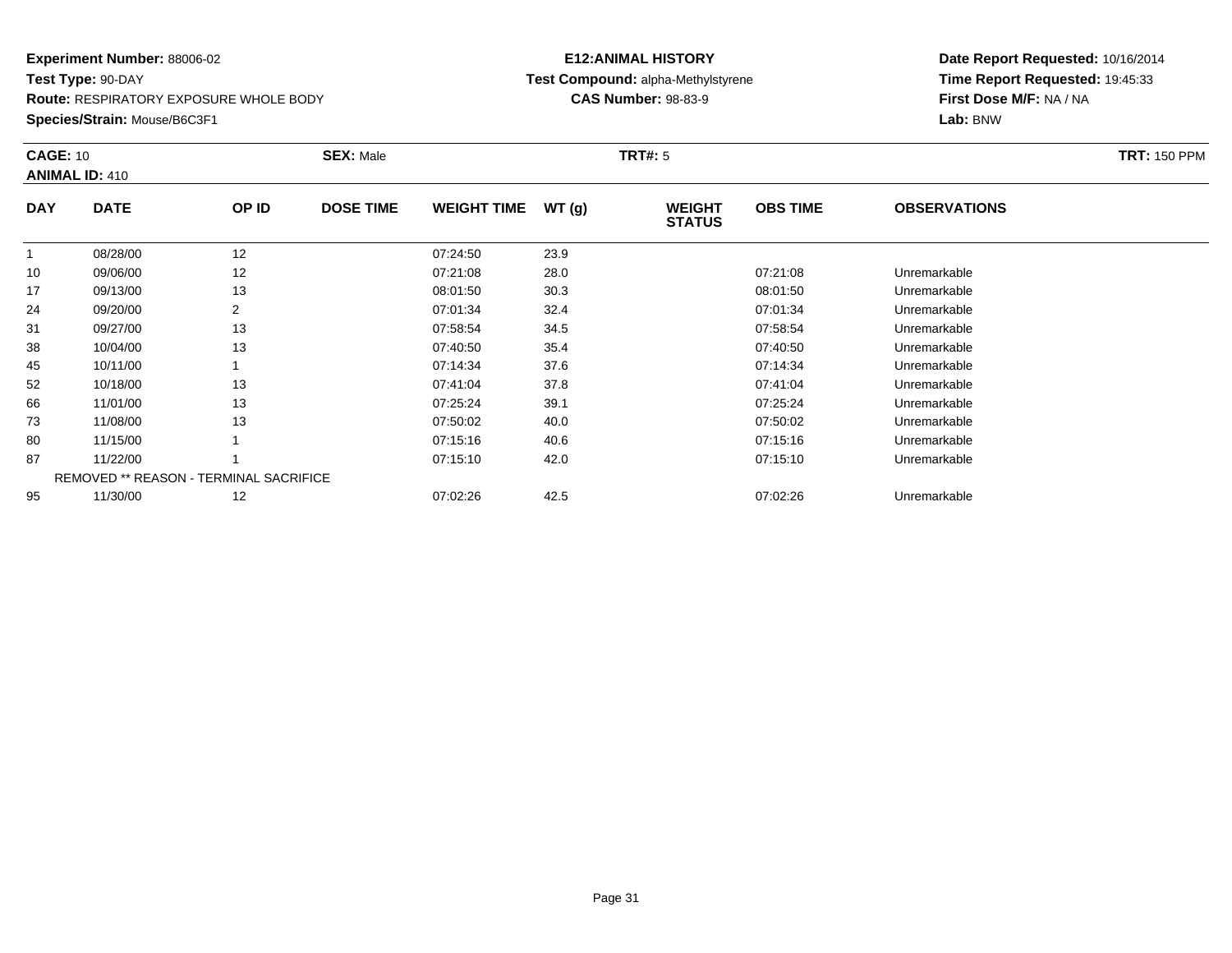**Route:** RESPIRATORY EXPOSURE WHOLE BODY

**Species/Strain:** Mouse/B6C3F1

### **E12:ANIMAL HISTORY Test Compound:** alpha-Methylstyrene**CAS Number:** 98-83-9

 **Time Report Requested:** 19:45:33**First Dose M/F:** NA / NA

#### **Lab:** BNW**CAGE:** 10 **SEX:** Male **TRT#:** <sup>5</sup> **TRT:** 150 PPM**ANIMAL ID:** 410**DAY DATE OP IDDOSE TIME WEIGHT TIME WT** (g) **STATUSOBS TIME OBSERVATIONS** 1 08/28/00 <sup>12</sup> 07:24:50 23.9 100 09/06/00 12 12 07:21:08 28.0 0 07:20 07:21:08 Dhremarkable

|    | 08/28/00 | $12 \overline{ }$                             | 07:24:50 | 23.9 |          |              |  |
|----|----------|-----------------------------------------------|----------|------|----------|--------------|--|
| 10 | 09/06/00 | 12                                            | 07:21:08 | 28.0 | 07:21:08 | Unremarkable |  |
| 17 | 09/13/00 | 13                                            | 08:01:50 | 30.3 | 08:01:50 | Unremarkable |  |
| 24 | 09/20/00 | 2                                             | 07:01:34 | 32.4 | 07:01:34 | Unremarkable |  |
| 31 | 09/27/00 | 13                                            | 07:58:54 | 34.5 | 07:58:54 | Unremarkable |  |
| 38 | 10/04/00 | 13                                            | 07:40:50 | 35.4 | 07:40:50 | Unremarkable |  |
| 45 | 10/11/00 |                                               | 07:14:34 | 37.6 | 07:14:34 | Unremarkable |  |
| 52 | 10/18/00 | 13                                            | 07:41:04 | 37.8 | 07:41:04 | Unremarkable |  |
| 66 | 11/01/00 | 13                                            | 07:25:24 | 39.1 | 07:25:24 | Unremarkable |  |
| 73 | 11/08/00 | 13                                            | 07:50:02 | 40.0 | 07:50:02 | Unremarkable |  |
| 80 | 11/15/00 |                                               | 07:15:16 | 40.6 | 07:15:16 | Unremarkable |  |
| 87 | 11/22/00 |                                               | 07:15:10 | 42.0 | 07:15:10 | Unremarkable |  |
|    |          | <b>REMOVED ** REASON - TERMINAL SACRIFICE</b> |          |      |          |              |  |
| 95 | 11/30/00 | $12 \overline{ }$                             | 07:02:26 | 42.5 | 07:02:26 | Unremarkable |  |
|    |          |                                               |          |      |          |              |  |

**Date Report Requested:** 10/16/2014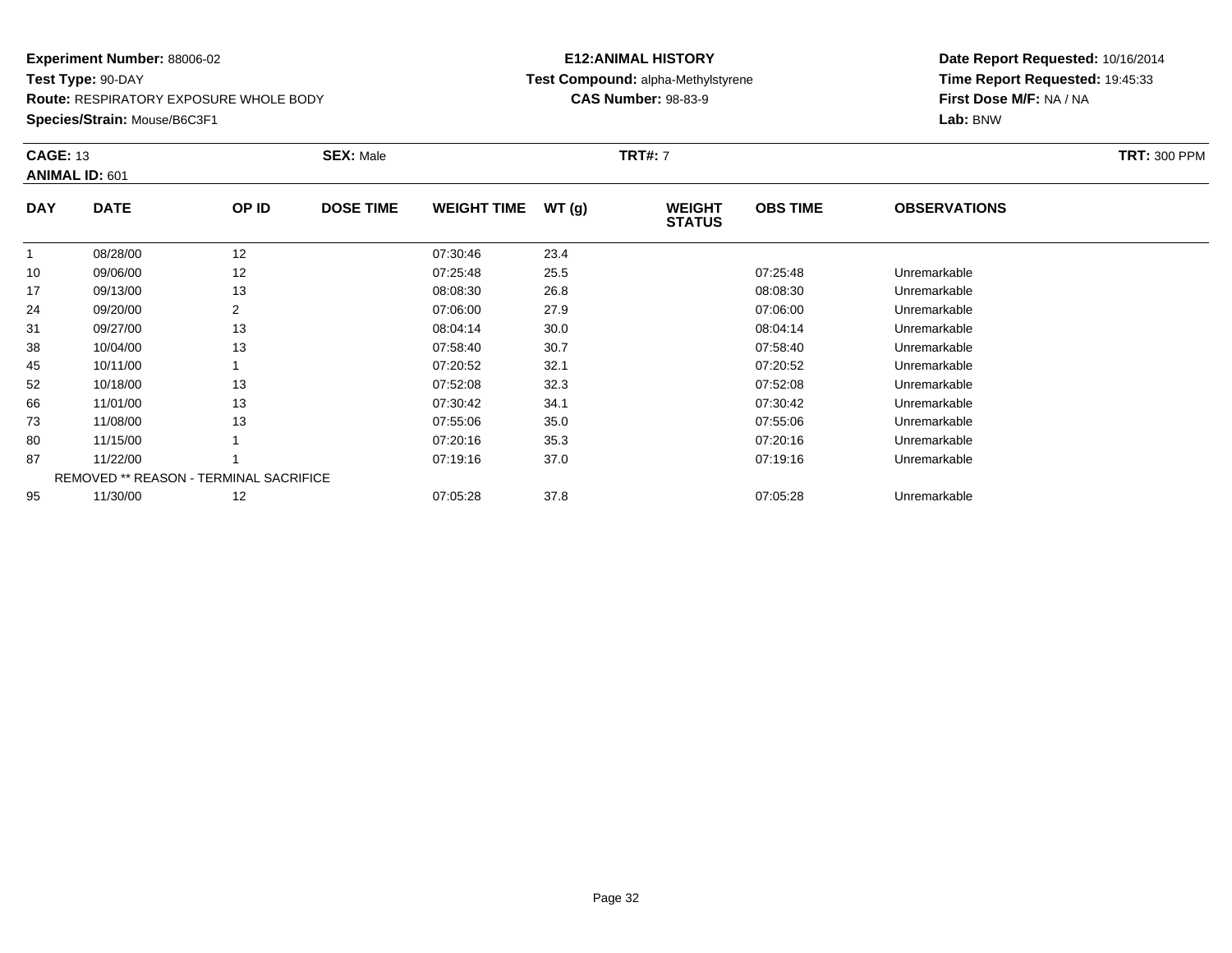**Route:** RESPIRATORY EXPOSURE WHOLE BODY

**Species/Strain:** Mouse/B6C3F1

### **E12:ANIMAL HISTORY Test Compound:** alpha-Methylstyrene**CAS Number:** 98-83-9

| <b>CAGE: 13</b> | <b>ANIMAL ID: 601</b>                  |       | <b>SEX: Male</b> |                    |       | <b>TRT#: 7</b>                 |                 |                     | <b>TRT: 300 PPM</b> |
|-----------------|----------------------------------------|-------|------------------|--------------------|-------|--------------------------------|-----------------|---------------------|---------------------|
| <b>DAY</b>      | <b>DATE</b>                            | OP ID | <b>DOSE TIME</b> | <b>WEIGHT TIME</b> | WT(g) | <b>WEIGHT</b><br><b>STATUS</b> | <b>OBS TIME</b> | <b>OBSERVATIONS</b> |                     |
| $\mathbf{1}$    | 08/28/00                               | 12    |                  | 07:30:46           | 23.4  |                                |                 |                     |                     |
| 10              | 09/06/00                               | 12    |                  | 07:25:48           | 25.5  |                                | 07:25:48        | Unremarkable        |                     |
| 17              | 09/13/00                               | 13    |                  | 08:08:30           | 26.8  |                                | 08:08:30        | Unremarkable        |                     |
| 24              | 09/20/00                               | 2     |                  | 07:06:00           | 27.9  |                                | 07:06:00        | Unremarkable        |                     |
| 31              | 09/27/00                               | 13    |                  | 08:04:14           | 30.0  |                                | 08:04:14        | Unremarkable        |                     |
| 38              | 10/04/00                               | 13    |                  | 07:58:40           | 30.7  |                                | 07:58:40        | Unremarkable        |                     |
| 45              | 10/11/00                               |       |                  | 07:20:52           | 32.1  |                                | 07:20:52        | Unremarkable        |                     |
| 52              | 10/18/00                               | 13    |                  | 07:52:08           | 32.3  |                                | 07:52:08        | Unremarkable        |                     |
| 66              | 11/01/00                               | 13    |                  | 07:30:42           | 34.1  |                                | 07:30:42        | Unremarkable        |                     |
| 73              | 11/08/00                               | 13    |                  | 07:55:06           | 35.0  |                                | 07:55:06        | Unremarkable        |                     |
| 80              | 11/15/00                               |       |                  | 07:20:16           | 35.3  |                                | 07:20:16        | Unremarkable        |                     |
| 87              | 11/22/00                               |       |                  | 07:19:16           | 37.0  |                                | 07:19:16        | Unremarkable        |                     |
|                 | REMOVED ** REASON - TERMINAL SACRIFICE |       |                  |                    |       |                                |                 |                     |                     |
| 95              | 11/30/00                               | 12    |                  | 07:05:28           | 37.8  |                                | 07:05:28        | Unremarkable        |                     |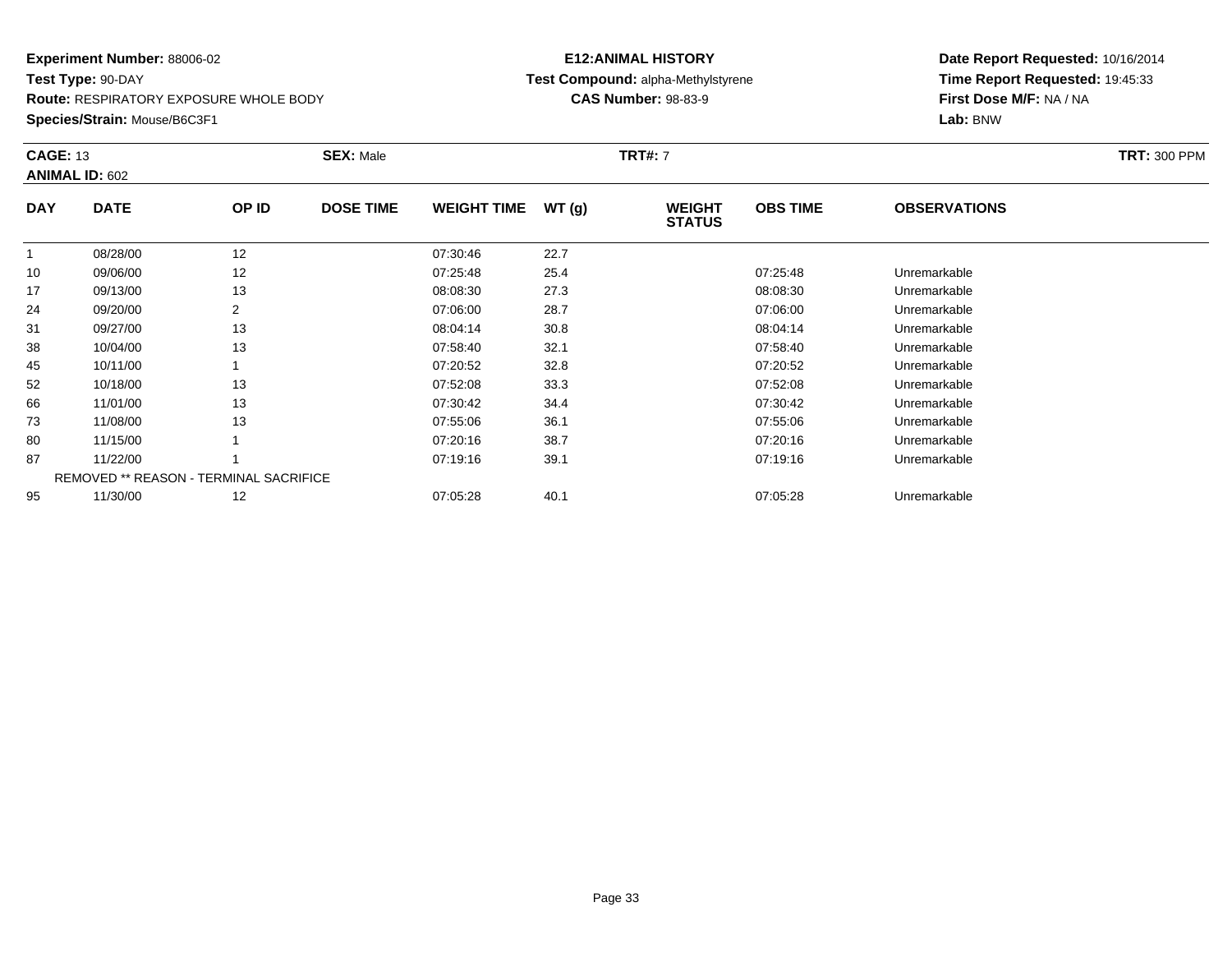**Route:** RESPIRATORY EXPOSURE WHOLE BODY

**Species/Strain:** Mouse/B6C3F1

### **E12:ANIMAL HISTORY Test Compound:** alpha-Methylstyrene**CAS Number:** 98-83-9

| <b>CAGE: 13</b> | <b>ANIMAL ID: 602</b>                         |       | <b>SEX: Male</b> |                    |       | <b>TRT#: 7</b>                 |                 |                     | <b>TRT: 300 PPM</b> |
|-----------------|-----------------------------------------------|-------|------------------|--------------------|-------|--------------------------------|-----------------|---------------------|---------------------|
| <b>DAY</b>      | <b>DATE</b>                                   | OP ID | <b>DOSE TIME</b> | <b>WEIGHT TIME</b> | WT(g) | <b>WEIGHT</b><br><b>STATUS</b> | <b>OBS TIME</b> | <b>OBSERVATIONS</b> |                     |
|                 | 08/28/00                                      | 12    |                  | 07:30:46           | 22.7  |                                |                 |                     |                     |
| 10              | 09/06/00                                      | 12    |                  | 07:25:48           | 25.4  |                                | 07:25:48        | Unremarkable        |                     |
| 17              | 09/13/00                                      | 13    |                  | 08:08:30           | 27.3  |                                | 08:08:30        | Unremarkable        |                     |
| 24              | 09/20/00                                      | 2     |                  | 07:06:00           | 28.7  |                                | 07:06:00        | Unremarkable        |                     |
| 31              | 09/27/00                                      | 13    |                  | 08:04:14           | 30.8  |                                | 08:04:14        | Unremarkable        |                     |
| 38              | 10/04/00                                      | 13    |                  | 07:58:40           | 32.1  |                                | 07:58:40        | Unremarkable        |                     |
| 45              | 10/11/00                                      |       |                  | 07:20:52           | 32.8  |                                | 07:20:52        | Unremarkable        |                     |
| 52              | 10/18/00                                      | 13    |                  | 07:52:08           | 33.3  |                                | 07:52:08        | Unremarkable        |                     |
| 66              | 11/01/00                                      | 13    |                  | 07:30:42           | 34.4  |                                | 07:30:42        | Unremarkable        |                     |
| 73              | 11/08/00                                      | 13    |                  | 07:55:06           | 36.1  |                                | 07:55:06        | Unremarkable        |                     |
| 80              | 11/15/00                                      |       |                  | 07:20:16           | 38.7  |                                | 07:20:16        | Unremarkable        |                     |
| 87              | 11/22/00                                      |       |                  | 07:19:16           | 39.1  |                                | 07:19:16        | Unremarkable        |                     |
|                 | <b>REMOVED ** REASON - TERMINAL SACRIFICE</b> |       |                  |                    |       |                                |                 |                     |                     |
| 95              | 11/30/00                                      | 12    |                  | 07:05:28           | 40.1  |                                | 07:05:28        | Unremarkable        |                     |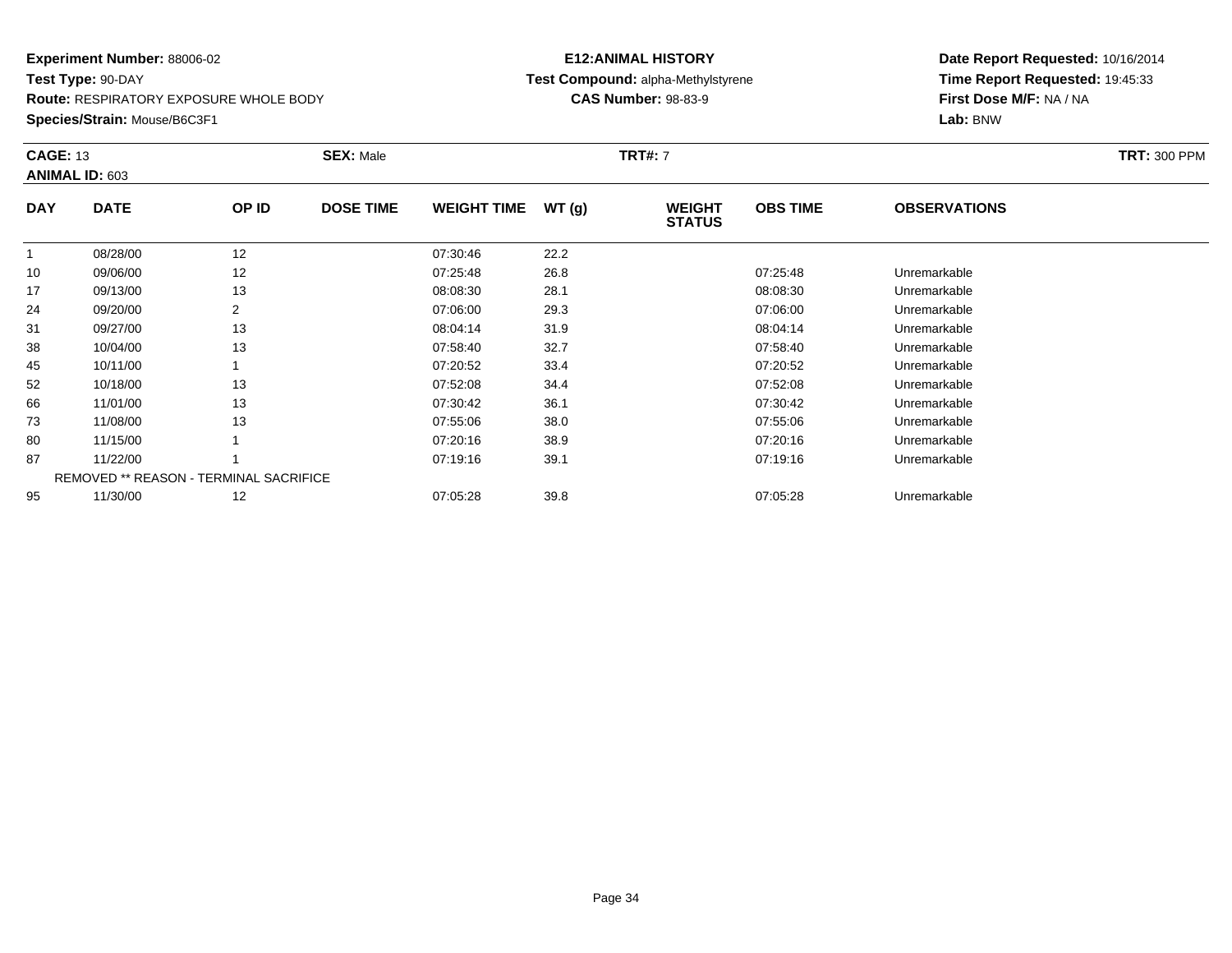**Route:** RESPIRATORY EXPOSURE WHOLE BODY

**Species/Strain:** Mouse/B6C3F1

### **E12:ANIMAL HISTORY Test Compound:** alpha-Methylstyrene**CAS Number:** 98-83-9

| <b>CAGE: 13</b> | ANIMAL ID: 603                         |       | <b>SEX: Male</b> |                    |       | <b>TRT#: 7</b>                 |                 |                     | <b>TRT: 300 PPM</b> |
|-----------------|----------------------------------------|-------|------------------|--------------------|-------|--------------------------------|-----------------|---------------------|---------------------|
| <b>DAY</b>      | <b>DATE</b>                            | OP ID | <b>DOSE TIME</b> | <b>WEIGHT TIME</b> | WT(g) | <b>WEIGHT</b><br><b>STATUS</b> | <b>OBS TIME</b> | <b>OBSERVATIONS</b> |                     |
| $\mathbf{1}$    | 08/28/00                               | 12    |                  | 07:30:46           | 22.2  |                                |                 |                     |                     |
| 10              | 09/06/00                               | 12    |                  | 07:25:48           | 26.8  |                                | 07:25:48        | Unremarkable        |                     |
| 17              | 09/13/00                               | 13    |                  | 08:08:30           | 28.1  |                                | 08:08:30        | Unremarkable        |                     |
| 24              | 09/20/00                               | 2     |                  | 07:06:00           | 29.3  |                                | 07:06:00        | Unremarkable        |                     |
| 31              | 09/27/00                               | 13    |                  | 08:04:14           | 31.9  |                                | 08:04:14        | Unremarkable        |                     |
| 38              | 10/04/00                               | 13    |                  | 07:58:40           | 32.7  |                                | 07:58:40        | Unremarkable        |                     |
| 45              | 10/11/00                               |       |                  | 07:20:52           | 33.4  |                                | 07:20:52        | Unremarkable        |                     |
| 52              | 10/18/00                               | 13    |                  | 07:52:08           | 34.4  |                                | 07:52:08        | Unremarkable        |                     |
| 66              | 11/01/00                               | 13    |                  | 07:30:42           | 36.1  |                                | 07:30:42        | Unremarkable        |                     |
| 73              | 11/08/00                               | 13    |                  | 07:55:06           | 38.0  |                                | 07:55:06        | Unremarkable        |                     |
| 80              | 11/15/00                               |       |                  | 07:20:16           | 38.9  |                                | 07:20:16        | Unremarkable        |                     |
| 87              | 11/22/00                               |       |                  | 07:19:16           | 39.1  |                                | 07:19:16        | Unremarkable        |                     |
|                 | REMOVED ** REASON - TERMINAL SACRIFICE |       |                  |                    |       |                                |                 |                     |                     |
| 95              | 11/30/00                               | 12    |                  | 07:05:28           | 39.8  |                                | 07:05:28        | Unremarkable        |                     |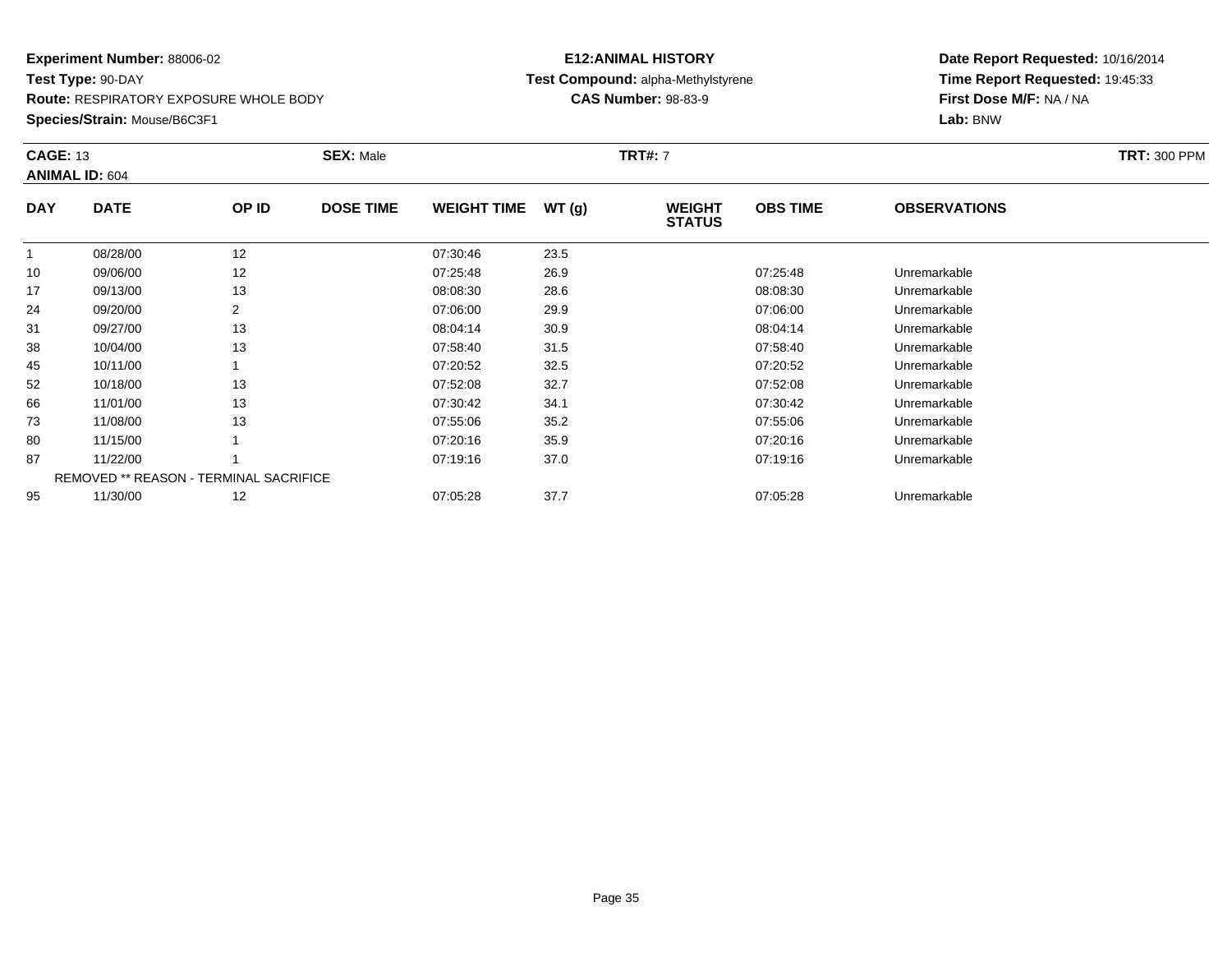**Route:** RESPIRATORY EXPOSURE WHOLE BODY

**Species/Strain:** Mouse/B6C3F1

### **E12:ANIMAL HISTORY Test Compound:** alpha-Methylstyrene**CAS Number:** 98-83-9

| <b>CAGE: 13</b> | <b>ANIMAL ID: 604</b> |                                               | <b>SEX: Male</b> |                    |       | <b>TRT#: 7</b>                 |                 |                     | <b>TRT: 300 PPM</b> |
|-----------------|-----------------------|-----------------------------------------------|------------------|--------------------|-------|--------------------------------|-----------------|---------------------|---------------------|
| <b>DAY</b>      | <b>DATE</b>           | OP ID                                         | <b>DOSE TIME</b> | <b>WEIGHT TIME</b> | WT(g) | <b>WEIGHT</b><br><b>STATUS</b> | <b>OBS TIME</b> | <b>OBSERVATIONS</b> |                     |
| $\mathbf{1}$    | 08/28/00              | 12                                            |                  | 07:30:46           | 23.5  |                                |                 |                     |                     |
| 10              | 09/06/00              | 12                                            |                  | 07:25:48           | 26.9  |                                | 07:25:48        | Unremarkable        |                     |
| 17              | 09/13/00              | 13                                            |                  | 08:08:30           | 28.6  |                                | 08:08:30        | Unremarkable        |                     |
| 24              | 09/20/00              | 2                                             |                  | 07:06:00           | 29.9  |                                | 07:06:00        | Unremarkable        |                     |
| 31              | 09/27/00              | 13                                            |                  | 08:04:14           | 30.9  |                                | 08:04:14        | Unremarkable        |                     |
| 38              | 10/04/00              | 13                                            |                  | 07:58:40           | 31.5  |                                | 07:58:40        | Unremarkable        |                     |
| 45              | 10/11/00              |                                               |                  | 07:20:52           | 32.5  |                                | 07:20:52        | Unremarkable        |                     |
| 52              | 10/18/00              | 13                                            |                  | 07:52:08           | 32.7  |                                | 07:52:08        | Unremarkable        |                     |
| 66              | 11/01/00              | 13                                            |                  | 07:30:42           | 34.1  |                                | 07:30:42        | Unremarkable        |                     |
| 73              | 11/08/00              | 13                                            |                  | 07:55:06           | 35.2  |                                | 07:55:06        | Unremarkable        |                     |
| 80              | 11/15/00              |                                               |                  | 07:20:16           | 35.9  |                                | 07:20:16        | Unremarkable        |                     |
| 87              | 11/22/00              |                                               |                  | 07:19:16           | 37.0  |                                | 07:19:16        | Unremarkable        |                     |
|                 |                       | <b>REMOVED ** REASON - TERMINAL SACRIFICE</b> |                  |                    |       |                                |                 |                     |                     |
| 95              | 11/30/00              | 12                                            |                  | 07:05:28           | 37.7  |                                | 07:05:28        | Unremarkable        |                     |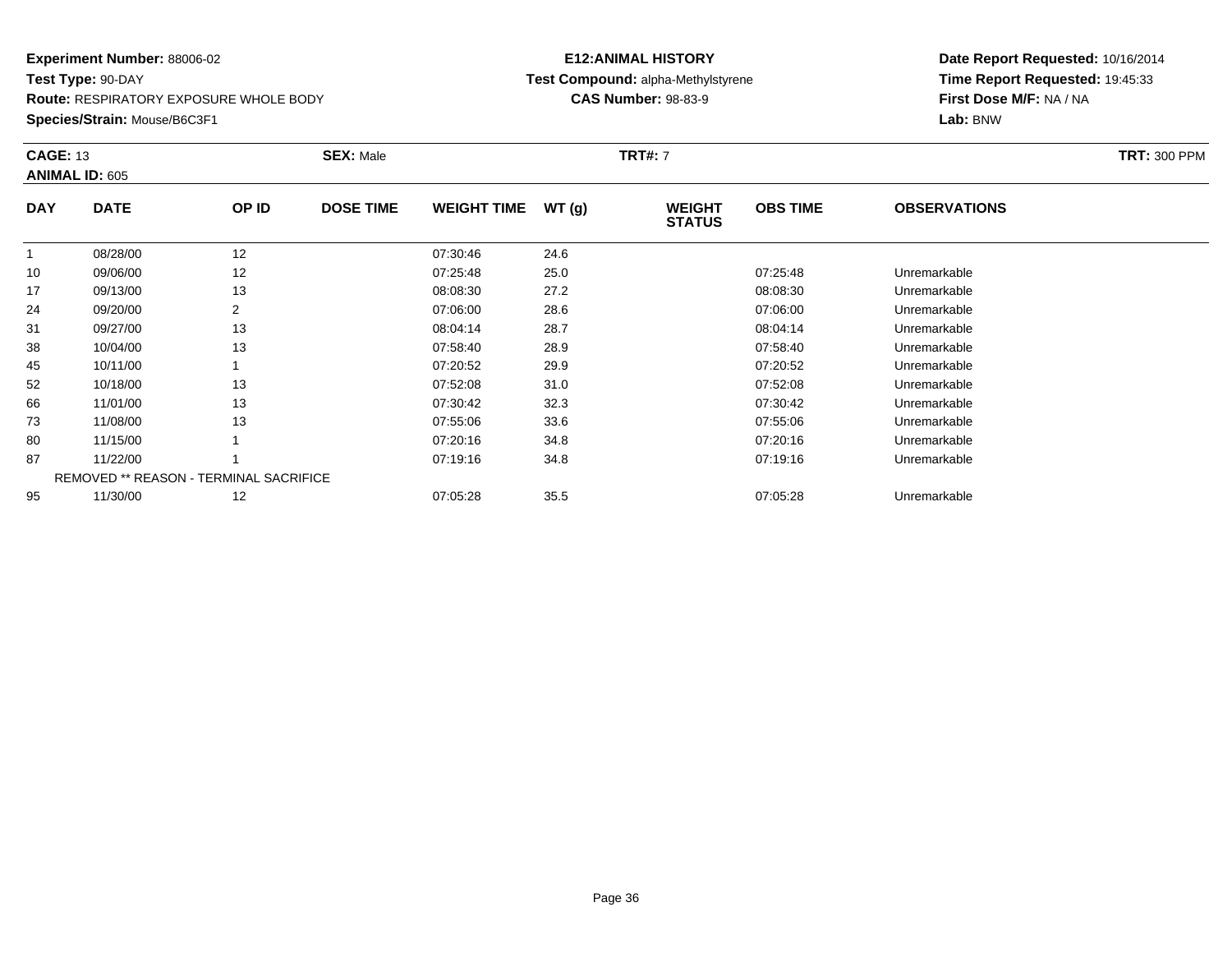**Route:** RESPIRATORY EXPOSURE WHOLE BODY

**Species/Strain:** Mouse/B6C3F1

### **E12:ANIMAL HISTORY Test Compound:** alpha-Methylstyrene**CAS Number:** 98-83-9

| <b>CAGE: 13</b><br><b>ANIMAL ID: 605</b> |                                        |       | <b>SEX: Male</b> |                    | <b>TRT#: 7</b> |                                |                 |                     | <b>TRT: 300 PPM</b> |
|------------------------------------------|----------------------------------------|-------|------------------|--------------------|----------------|--------------------------------|-----------------|---------------------|---------------------|
| <b>DAY</b>                               | <b>DATE</b>                            | OP ID | <b>DOSE TIME</b> | <b>WEIGHT TIME</b> | WT(g)          | <b>WEIGHT</b><br><b>STATUS</b> | <b>OBS TIME</b> | <b>OBSERVATIONS</b> |                     |
| $\mathbf{1}$                             | 08/28/00                               | 12    |                  | 07:30:46           | 24.6           |                                |                 |                     |                     |
| 10                                       | 09/06/00                               | 12    |                  | 07:25:48           | 25.0           |                                | 07:25:48        | Unremarkable        |                     |
| 17                                       | 09/13/00                               | 13    |                  | 08:08:30           | 27.2           |                                | 08:08:30        | Unremarkable        |                     |
| 24                                       | 09/20/00                               | 2     |                  | 07:06:00           | 28.6           |                                | 07:06:00        | Unremarkable        |                     |
| 31                                       | 09/27/00                               | 13    |                  | 08:04:14           | 28.7           |                                | 08:04:14        | Unremarkable        |                     |
| 38                                       | 10/04/00                               | 13    |                  | 07:58:40           | 28.9           |                                | 07:58:40        | Unremarkable        |                     |
| 45                                       | 10/11/00                               |       |                  | 07:20:52           | 29.9           |                                | 07:20:52        | Unremarkable        |                     |
| 52                                       | 10/18/00                               | 13    |                  | 07:52:08           | 31.0           |                                | 07:52:08        | Unremarkable        |                     |
| 66                                       | 11/01/00                               | 13    |                  | 07:30:42           | 32.3           |                                | 07:30:42        | Unremarkable        |                     |
| 73                                       | 11/08/00                               | 13    |                  | 07:55:06           | 33.6           |                                | 07:55:06        | Unremarkable        |                     |
| 80                                       | 11/15/00                               |       |                  | 07:20:16           | 34.8           |                                | 07:20:16        | Unremarkable        |                     |
| 87                                       | 11/22/00                               |       |                  | 07:19:16           | 34.8           |                                | 07:19:16        | Unremarkable        |                     |
|                                          | REMOVED ** REASON - TERMINAL SACRIFICE |       |                  |                    |                |                                |                 |                     |                     |
| 95                                       | 11/30/00                               | 12    |                  | 07:05:28           | 35.5           |                                | 07:05:28        | Unremarkable        |                     |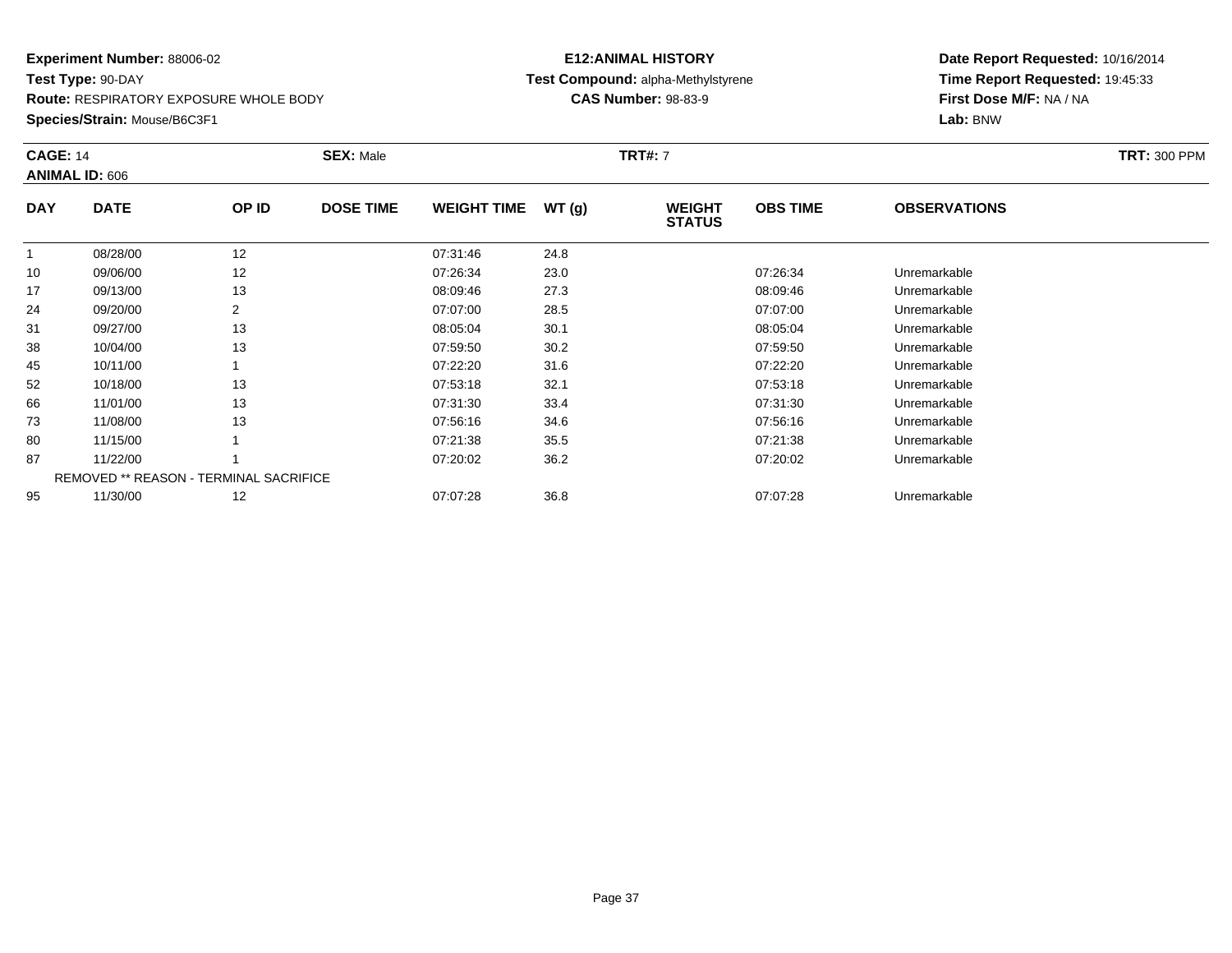**Route:** RESPIRATORY EXPOSURE WHOLE BODY

**Species/Strain:** Mouse/B6C3F1

# **E12:ANIMAL HISTORY Test Compound:** alpha-Methylstyrene**CAS Number:** 98-83-9

| <b>CAGE: 14</b> | <b>ANIMAL ID: 606</b> |                                        | <b>SEX: Male</b> |                    |       | <b>TRT#: 7</b>                 |                 |                     | <b>TRT: 300 PPM</b> |
|-----------------|-----------------------|----------------------------------------|------------------|--------------------|-------|--------------------------------|-----------------|---------------------|---------------------|
| <b>DAY</b>      | <b>DATE</b>           | OP ID                                  | <b>DOSE TIME</b> | <b>WEIGHT TIME</b> | WT(g) | <b>WEIGHT</b><br><b>STATUS</b> | <b>OBS TIME</b> | <b>OBSERVATIONS</b> |                     |
|                 | 08/28/00              | 12                                     |                  | 07:31:46           | 24.8  |                                |                 |                     |                     |
| 10              | 09/06/00              | 12                                     |                  | 07:26:34           | 23.0  |                                | 07:26:34        | Unremarkable        |                     |
| 17              | 09/13/00              | 13                                     |                  | 08:09:46           | 27.3  |                                | 08:09:46        | Unremarkable        |                     |
| 24              | 09/20/00              | $\overline{2}$                         |                  | 07:07:00           | 28.5  |                                | 07:07:00        | Unremarkable        |                     |
| 31              | 09/27/00              | 13                                     |                  | 08:05:04           | 30.1  |                                | 08:05:04        | Unremarkable        |                     |
| 38              | 10/04/00              | 13                                     |                  | 07:59:50           | 30.2  |                                | 07:59:50        | Unremarkable        |                     |
| 45              | 10/11/00              |                                        |                  | 07:22:20           | 31.6  |                                | 07:22:20        | Unremarkable        |                     |
| 52              | 10/18/00              | 13                                     |                  | 07:53:18           | 32.1  |                                | 07:53:18        | Unremarkable        |                     |
| 66              | 11/01/00              | 13                                     |                  | 07:31:30           | 33.4  |                                | 07:31:30        | Unremarkable        |                     |
| 73              | 11/08/00              | 13                                     |                  | 07:56:16           | 34.6  |                                | 07:56:16        | Unremarkable        |                     |
| 80              | 11/15/00              |                                        |                  | 07:21:38           | 35.5  |                                | 07:21:38        | Unremarkable        |                     |
| 87              | 11/22/00              |                                        |                  | 07:20:02           | 36.2  |                                | 07:20:02        | Unremarkable        |                     |
|                 |                       | REMOVED ** REASON - TERMINAL SACRIFICE |                  |                    |       |                                |                 |                     |                     |
| 95              | 11/30/00              | 12                                     |                  | 07:07:28           | 36.8  |                                | 07:07:28        | Unremarkable        |                     |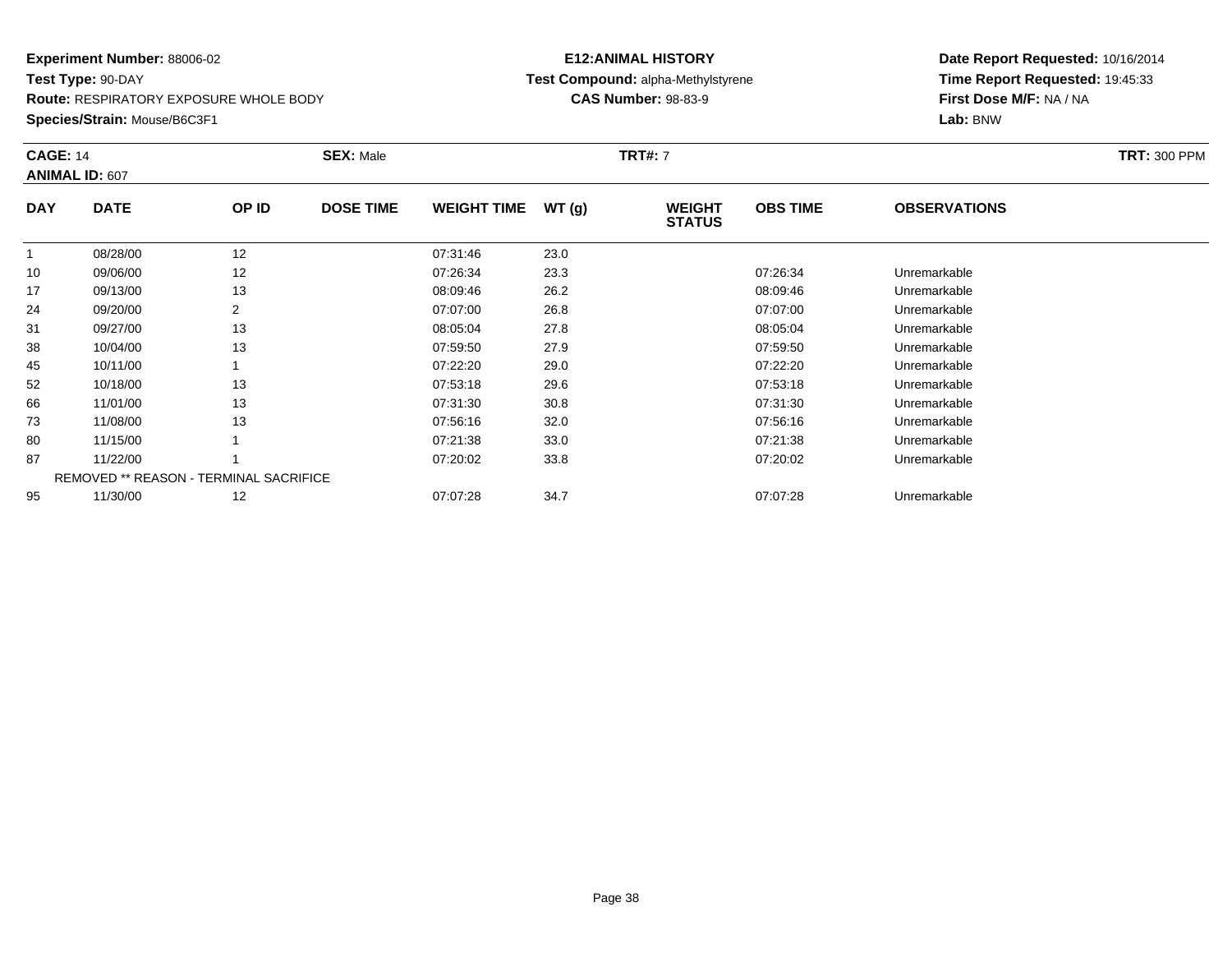**Route:** RESPIRATORY EXPOSURE WHOLE BODY

**Species/Strain:** Mouse/B6C3F1

# **E12:ANIMAL HISTORY Test Compound:** alpha-Methylstyrene**CAS Number:** 98-83-9

| <b>CAGE: 14</b> | <b>ANIMAL ID: 607</b>                  |       | <b>SEX: Male</b> |                    |       | <b>TRT#: 7</b>                 |                 |                     | <b>TRT: 300 PPM</b> |
|-----------------|----------------------------------------|-------|------------------|--------------------|-------|--------------------------------|-----------------|---------------------|---------------------|
| <b>DAY</b>      | <b>DATE</b>                            | OP ID | <b>DOSE TIME</b> | <b>WEIGHT TIME</b> | WT(g) | <b>WEIGHT</b><br><b>STATUS</b> | <b>OBS TIME</b> | <b>OBSERVATIONS</b> |                     |
|                 | 08/28/00                               | 12    |                  | 07:31:46           | 23.0  |                                |                 |                     |                     |
| 10              | 09/06/00                               | 12    |                  | 07:26:34           | 23.3  |                                | 07:26:34        | Unremarkable        |                     |
| 17              | 09/13/00                               | 13    |                  | 08:09:46           | 26.2  |                                | 08:09:46        | Unremarkable        |                     |
| 24              | 09/20/00                               | 2     |                  | 07:07:00           | 26.8  |                                | 07:07:00        | Unremarkable        |                     |
| 31              | 09/27/00                               | 13    |                  | 08:05:04           | 27.8  |                                | 08:05:04        | Unremarkable        |                     |
| 38              | 10/04/00                               | 13    |                  | 07:59:50           | 27.9  |                                | 07:59:50        | Unremarkable        |                     |
| 45              | 10/11/00                               |       |                  | 07:22:20           | 29.0  |                                | 07:22:20        | Unremarkable        |                     |
| 52              | 10/18/00                               | 13    |                  | 07:53:18           | 29.6  |                                | 07:53:18        | Unremarkable        |                     |
| 66              | 11/01/00                               | 13    |                  | 07:31:30           | 30.8  |                                | 07:31:30        | Unremarkable        |                     |
| 73              | 11/08/00                               | 13    |                  | 07:56:16           | 32.0  |                                | 07:56:16        | Unremarkable        |                     |
| 80              | 11/15/00                               |       |                  | 07:21:38           | 33.0  |                                | 07:21:38        | Unremarkable        |                     |
| 87              | 11/22/00                               |       |                  | 07:20:02           | 33.8  |                                | 07:20:02        | Unremarkable        |                     |
|                 | REMOVED ** REASON - TERMINAL SACRIFICE |       |                  |                    |       |                                |                 |                     |                     |
| 95              | 11/30/00                               | 12    |                  | 07:07:28           | 34.7  |                                | 07:07:28        | Unremarkable        |                     |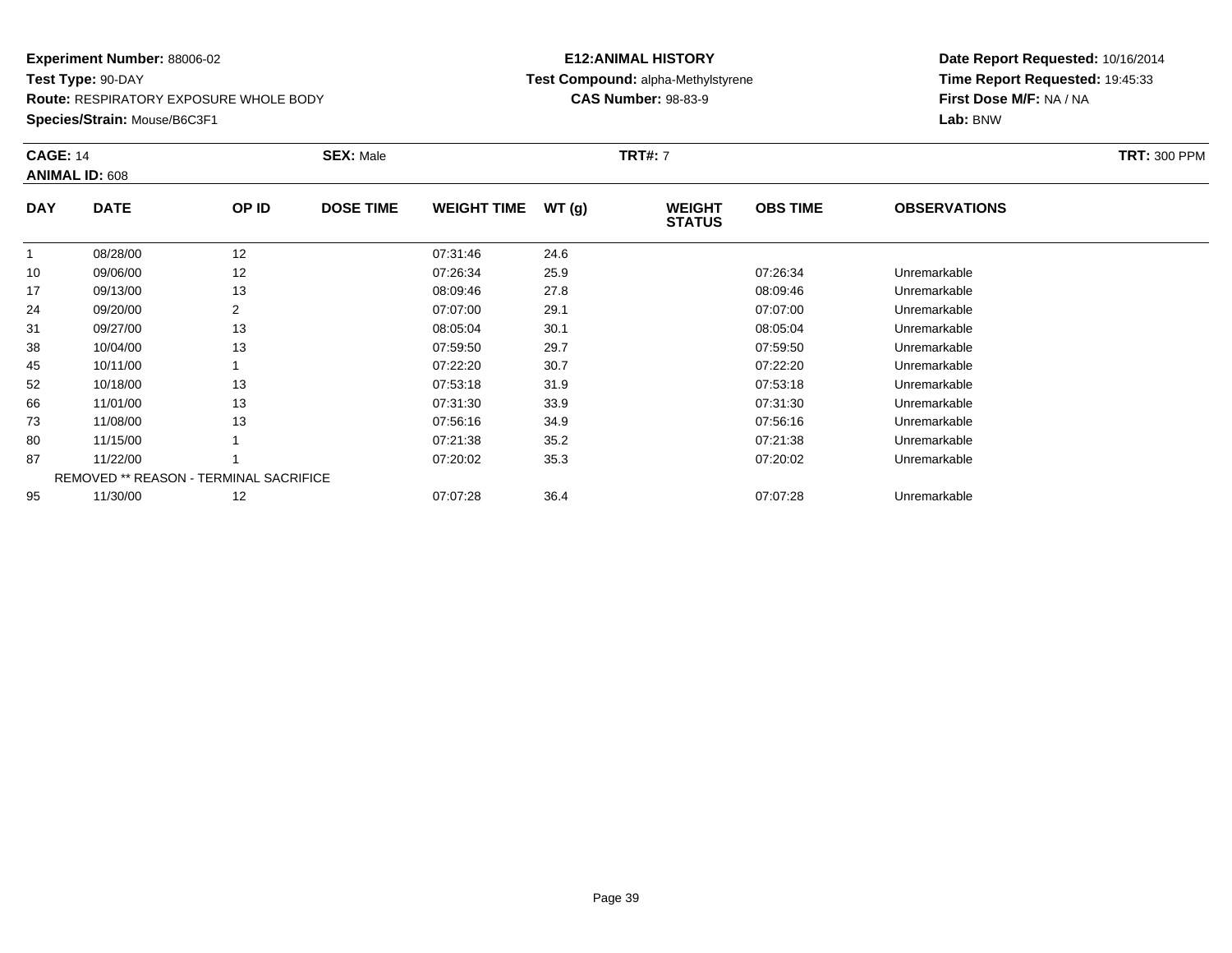**Route:** RESPIRATORY EXPOSURE WHOLE BODY

**Species/Strain:** Mouse/B6C3F1

# **E12:ANIMAL HISTORY Test Compound:** alpha-Methylstyrene**CAS Number:** 98-83-9

| <b>CAGE: 14</b> | <b>ANIMAL ID: 608</b>                         |                | <b>SEX: Male</b> |                    |       | <b>TRT#: 7</b>                 |                 |                     | <b>TRT: 300 PPM</b> |
|-----------------|-----------------------------------------------|----------------|------------------|--------------------|-------|--------------------------------|-----------------|---------------------|---------------------|
| <b>DAY</b>      | <b>DATE</b>                                   | OP ID          | <b>DOSE TIME</b> | <b>WEIGHT TIME</b> | WT(g) | <b>WEIGHT</b><br><b>STATUS</b> | <b>OBS TIME</b> | <b>OBSERVATIONS</b> |                     |
|                 | 08/28/00                                      | 12             |                  | 07:31:46           | 24.6  |                                |                 |                     |                     |
| 10              | 09/06/00                                      | 12             |                  | 07:26:34           | 25.9  |                                | 07:26:34        | Unremarkable        |                     |
| 17              | 09/13/00                                      | 13             |                  | 08:09:46           | 27.8  |                                | 08:09:46        | Unremarkable        |                     |
| 24              | 09/20/00                                      | $\overline{2}$ |                  | 07:07:00           | 29.1  |                                | 07:07:00        | Unremarkable        |                     |
| 31              | 09/27/00                                      | 13             |                  | 08:05:04           | 30.1  |                                | 08:05:04        | Unremarkable        |                     |
| 38              | 10/04/00                                      | 13             |                  | 07:59:50           | 29.7  |                                | 07:59:50        | Unremarkable        |                     |
| 45              | 10/11/00                                      |                |                  | 07:22:20           | 30.7  |                                | 07:22:20        | Unremarkable        |                     |
| 52              | 10/18/00                                      | 13             |                  | 07:53:18           | 31.9  |                                | 07:53:18        | Unremarkable        |                     |
| 66              | 11/01/00                                      | 13             |                  | 07:31:30           | 33.9  |                                | 07:31:30        | Unremarkable        |                     |
| 73              | 11/08/00                                      | 13             |                  | 07:56:16           | 34.9  |                                | 07:56:16        | Unremarkable        |                     |
| 80              | 11/15/00                                      |                |                  | 07:21:38           | 35.2  |                                | 07:21:38        | Unremarkable        |                     |
| 87              | 11/22/00                                      |                |                  | 07:20:02           | 35.3  |                                | 07:20:02        | Unremarkable        |                     |
|                 | <b>REMOVED ** REASON - TERMINAL SACRIFICE</b> |                |                  |                    |       |                                |                 |                     |                     |
| 95              | 11/30/00                                      | 12             |                  | 07:07:28           | 36.4  |                                | 07:07:28        | Unremarkable        |                     |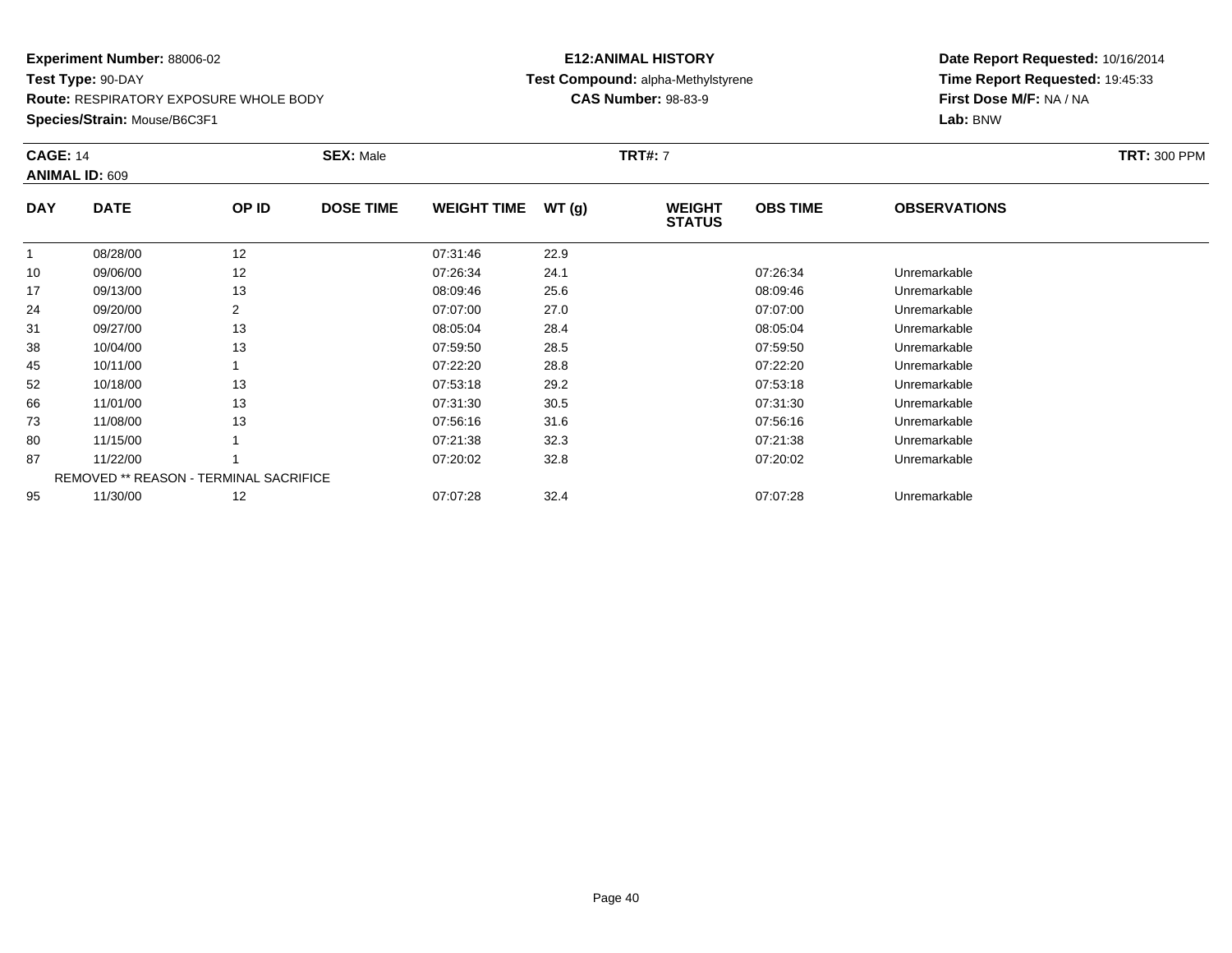**Route:** RESPIRATORY EXPOSURE WHOLE BODY

**Species/Strain:** Mouse/B6C3F1

# **E12:ANIMAL HISTORY Test Compound:** alpha-Methylstyrene**CAS Number:** 98-83-9

| <b>CAGE: 14</b> | <b>ANIMAL ID: 609</b>                         |                | <b>SEX: Male</b> |                    |       | <b>TRT#: 7</b>                 |                 |                     | <b>TRT: 300 PPM</b> |
|-----------------|-----------------------------------------------|----------------|------------------|--------------------|-------|--------------------------------|-----------------|---------------------|---------------------|
| <b>DAY</b>      | <b>DATE</b>                                   | OP ID          | <b>DOSE TIME</b> | <b>WEIGHT TIME</b> | WT(g) | <b>WEIGHT</b><br><b>STATUS</b> | <b>OBS TIME</b> | <b>OBSERVATIONS</b> |                     |
|                 | 08/28/00                                      | 12             |                  | 07:31:46           | 22.9  |                                |                 |                     |                     |
| 10              | 09/06/00                                      | 12             |                  | 07:26:34           | 24.1  |                                | 07:26:34        | Unremarkable        |                     |
| 17              | 09/13/00                                      | 13             |                  | 08:09:46           | 25.6  |                                | 08:09:46        | Unremarkable        |                     |
| 24              | 09/20/00                                      | $\overline{2}$ |                  | 07:07:00           | 27.0  |                                | 07:07:00        | Unremarkable        |                     |
| 31              | 09/27/00                                      | 13             |                  | 08:05:04           | 28.4  |                                | 08:05:04        | Unremarkable        |                     |
| 38              | 10/04/00                                      | 13             |                  | 07:59:50           | 28.5  |                                | 07:59:50        | Unremarkable        |                     |
| 45              | 10/11/00                                      |                |                  | 07:22:20           | 28.8  |                                | 07:22:20        | Unremarkable        |                     |
| 52              | 10/18/00                                      | 13             |                  | 07:53:18           | 29.2  |                                | 07:53:18        | Unremarkable        |                     |
| 66              | 11/01/00                                      | 13             |                  | 07:31:30           | 30.5  |                                | 07:31:30        | Unremarkable        |                     |
| 73              | 11/08/00                                      | 13             |                  | 07:56:16           | 31.6  |                                | 07:56:16        | Unremarkable        |                     |
| 80              | 11/15/00                                      |                |                  | 07:21:38           | 32.3  |                                | 07:21:38        | Unremarkable        |                     |
| 87              | 11/22/00                                      |                |                  | 07:20:02           | 32.8  |                                | 07:20:02        | Unremarkable        |                     |
|                 | <b>REMOVED ** REASON - TERMINAL SACRIFICE</b> |                |                  |                    |       |                                |                 |                     |                     |
| 95              | 11/30/00                                      | 12             |                  | 07:07:28           | 32.4  |                                | 07:07:28        | Unremarkable        |                     |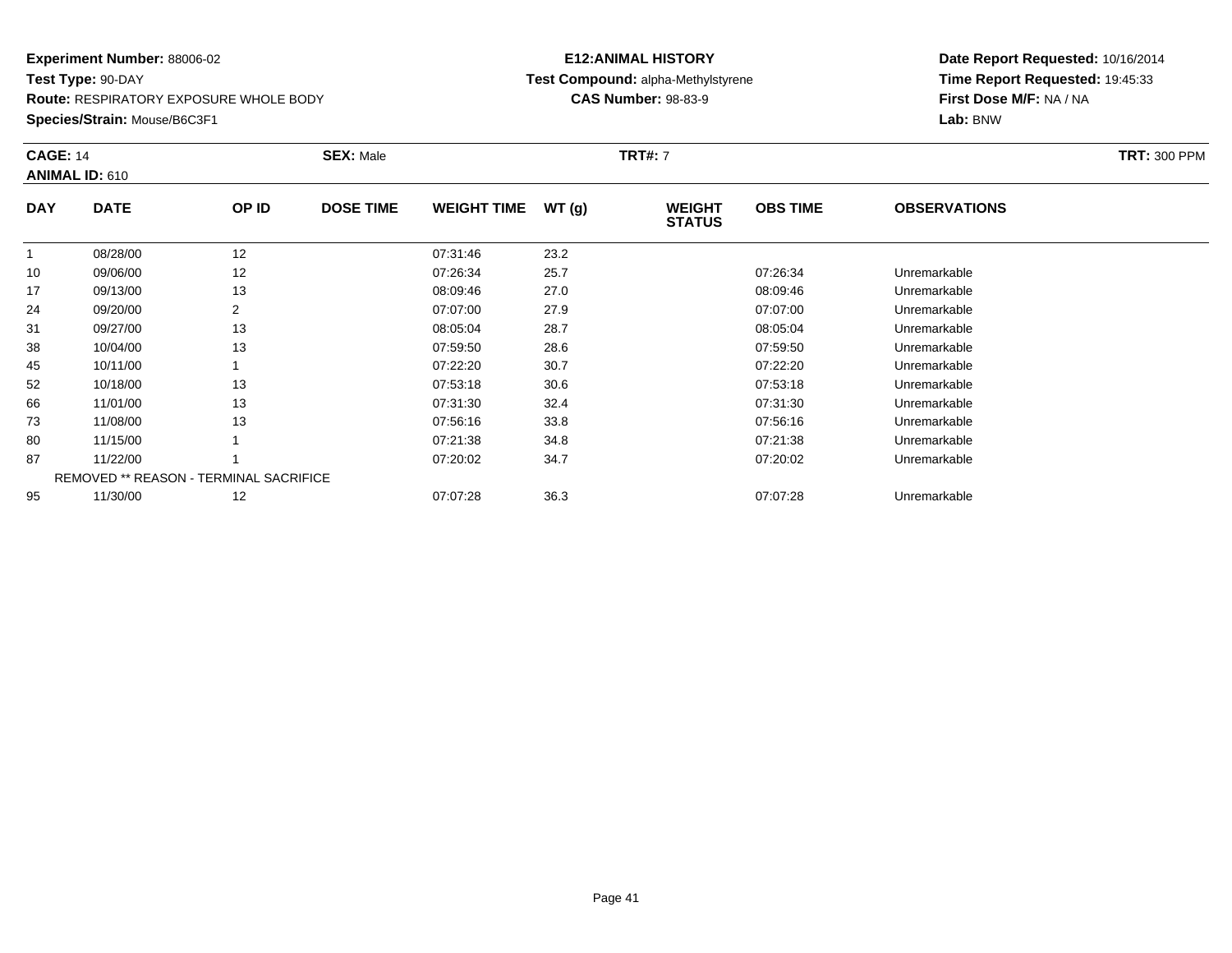**Route:** RESPIRATORY EXPOSURE WHOLE BODY

**Species/Strain:** Mouse/B6C3F1

# **E12:ANIMAL HISTORY Test Compound:** alpha-Methylstyrene**CAS Number:** 98-83-9

| <b>CAGE: 14</b> | <b>ANIMAL ID: 610</b> |                                               | <b>SEX: Male</b> |                    |       | <b>TRT#: 7</b>                 |                 |                     | <b>TRT: 300 PPM</b> |
|-----------------|-----------------------|-----------------------------------------------|------------------|--------------------|-------|--------------------------------|-----------------|---------------------|---------------------|
| <b>DAY</b>      | <b>DATE</b>           | OP ID                                         | <b>DOSE TIME</b> | <b>WEIGHT TIME</b> | WT(g) | <b>WEIGHT</b><br><b>STATUS</b> | <b>OBS TIME</b> | <b>OBSERVATIONS</b> |                     |
|                 | 08/28/00              | 12                                            |                  | 07:31:46           | 23.2  |                                |                 |                     |                     |
| 10              | 09/06/00              | 12                                            |                  | 07:26:34           | 25.7  |                                | 07:26:34        | Unremarkable        |                     |
| 17              | 09/13/00              | 13                                            |                  | 08:09:46           | 27.0  |                                | 08:09:46        | Unremarkable        |                     |
| 24              | 09/20/00              | $\overline{2}$                                |                  | 07:07:00           | 27.9  |                                | 07:07:00        | Unremarkable        |                     |
| 31              | 09/27/00              | 13                                            |                  | 08:05:04           | 28.7  |                                | 08:05:04        | Unremarkable        |                     |
| 38              | 10/04/00              | 13                                            |                  | 07:59:50           | 28.6  |                                | 07:59:50        | Unremarkable        |                     |
| 45              | 10/11/00              |                                               |                  | 07:22:20           | 30.7  |                                | 07:22:20        | Unremarkable        |                     |
| 52              | 10/18/00              | 13                                            |                  | 07:53:18           | 30.6  |                                | 07:53:18        | Unremarkable        |                     |
| 66              | 11/01/00              | 13                                            |                  | 07:31:30           | 32.4  |                                | 07:31:30        | Unremarkable        |                     |
| 73              | 11/08/00              | 13                                            |                  | 07:56:16           | 33.8  |                                | 07:56:16        | Unremarkable        |                     |
| 80              | 11/15/00              |                                               |                  | 07:21:38           | 34.8  |                                | 07:21:38        | Unremarkable        |                     |
| 87              | 11/22/00              |                                               |                  | 07:20:02           | 34.7  |                                | 07:20:02        | Unremarkable        |                     |
|                 |                       | <b>REMOVED ** REASON - TERMINAL SACRIFICE</b> |                  |                    |       |                                |                 |                     |                     |
| 95              | 11/30/00              | 12                                            |                  | 07:07:28           | 36.3  |                                | 07:07:28        | Unremarkable        |                     |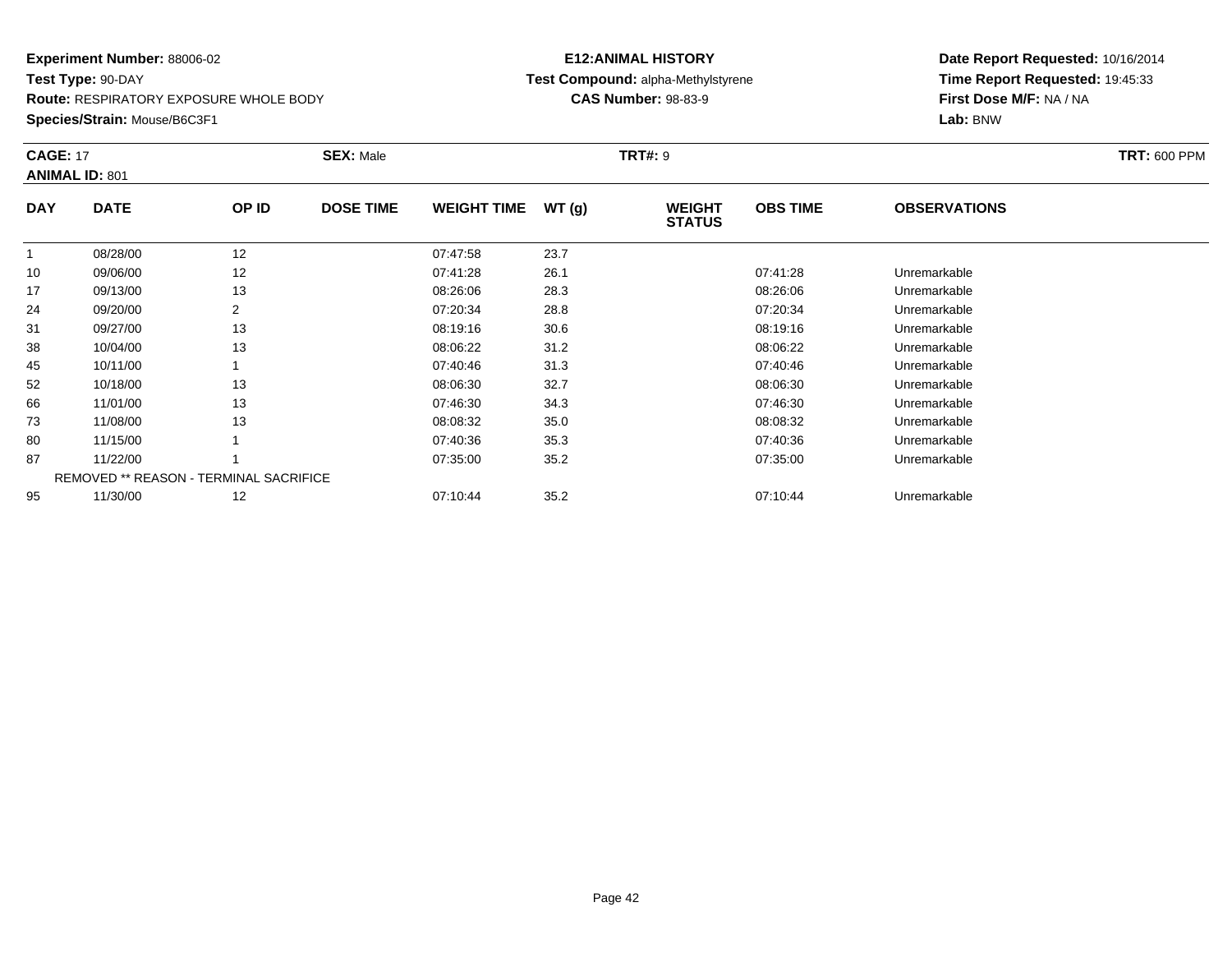**Route:** RESPIRATORY EXPOSURE WHOLE BODY

**Species/Strain:** Mouse/B6C3F1

# **E12:ANIMAL HISTORY Test Compound:** alpha-Methylstyrene**CAS Number:** 98-83-9

| <b>CAGE: 17</b> | <b>ANIMAL ID: 801</b>                         |                | <b>SEX: Male</b> |                    |       | <b>TRT#: 9</b>                 |                 |                     | <b>TRT: 600 PPM</b> |
|-----------------|-----------------------------------------------|----------------|------------------|--------------------|-------|--------------------------------|-----------------|---------------------|---------------------|
| <b>DAY</b>      | <b>DATE</b>                                   | OP ID          | <b>DOSE TIME</b> | <b>WEIGHT TIME</b> | WT(g) | <b>WEIGHT</b><br><b>STATUS</b> | <b>OBS TIME</b> | <b>OBSERVATIONS</b> |                     |
|                 | 08/28/00                                      | 12             |                  | 07:47:58           | 23.7  |                                |                 |                     |                     |
| 10              | 09/06/00                                      | 12             |                  | 07:41:28           | 26.1  |                                | 07:41:28        | Unremarkable        |                     |
| 17              | 09/13/00                                      | 13             |                  | 08:26:06           | 28.3  |                                | 08:26:06        | Unremarkable        |                     |
| 24              | 09/20/00                                      | $\overline{2}$ |                  | 07:20:34           | 28.8  |                                | 07:20:34        | Unremarkable        |                     |
| 31              | 09/27/00                                      | 13             |                  | 08:19:16           | 30.6  |                                | 08:19:16        | Unremarkable        |                     |
| 38              | 10/04/00                                      | 13             |                  | 08:06:22           | 31.2  |                                | 08:06:22        | Unremarkable        |                     |
| 45              | 10/11/00                                      |                |                  | 07:40:46           | 31.3  |                                | 07:40:46        | Unremarkable        |                     |
| 52              | 10/18/00                                      | 13             |                  | 08:06:30           | 32.7  |                                | 08:06:30        | Unremarkable        |                     |
| 66              | 11/01/00                                      | 13             |                  | 07:46:30           | 34.3  |                                | 07:46:30        | Unremarkable        |                     |
| 73              | 11/08/00                                      | 13             |                  | 08:08:32           | 35.0  |                                | 08:08:32        | Unremarkable        |                     |
| 80              | 11/15/00                                      |                |                  | 07:40:36           | 35.3  |                                | 07:40:36        | Unremarkable        |                     |
| 87              | 11/22/00                                      |                |                  | 07:35:00           | 35.2  |                                | 07:35:00        | Unremarkable        |                     |
|                 | <b>REMOVED ** REASON - TERMINAL SACRIFICE</b> |                |                  |                    |       |                                |                 |                     |                     |
| 95              | 11/30/00                                      | 12             |                  | 07:10:44           | 35.2  |                                | 07:10:44        | Unremarkable        |                     |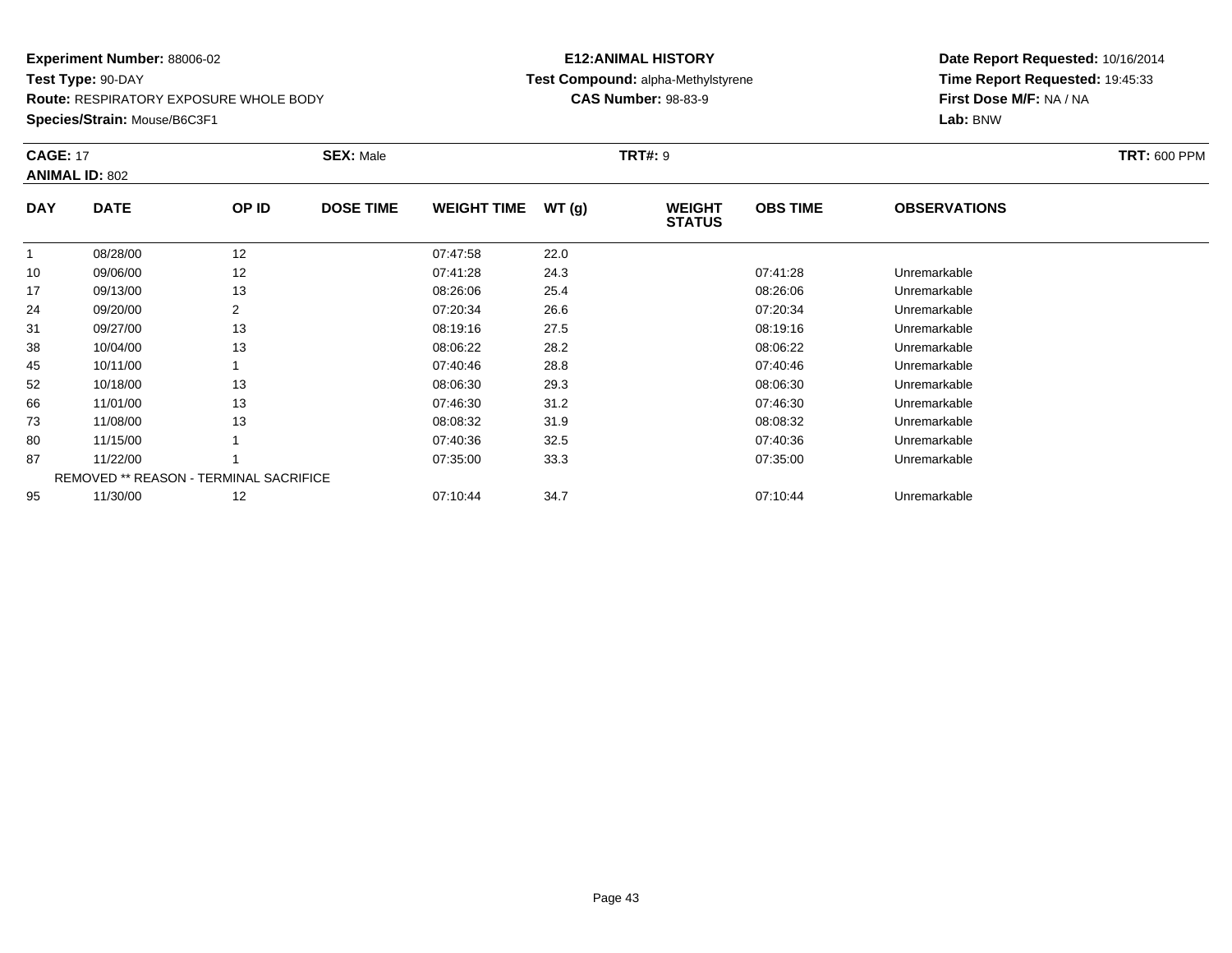**Route:** RESPIRATORY EXPOSURE WHOLE BODY

**Species/Strain:** Mouse/B6C3F1

# **E12:ANIMAL HISTORY Test Compound:** alpha-Methylstyrene**CAS Number:** 98-83-9

| <b>CAGE: 17</b> | <b>ANIMAL ID: 802</b>                  |                | <b>SEX: Male</b> |                    |       | <b>TRT#: 9</b>                 |                 |                     | <b>TRT: 600 PPM</b> |
|-----------------|----------------------------------------|----------------|------------------|--------------------|-------|--------------------------------|-----------------|---------------------|---------------------|
| <b>DAY</b>      | <b>DATE</b>                            | OP ID          | <b>DOSE TIME</b> | <b>WEIGHT TIME</b> | WT(g) | <b>WEIGHT</b><br><b>STATUS</b> | <b>OBS TIME</b> | <b>OBSERVATIONS</b> |                     |
| $\mathbf{1}$    | 08/28/00                               | 12             |                  | 07:47:58           | 22.0  |                                |                 |                     |                     |
| 10              | 09/06/00                               | 12             |                  | 07:41:28           | 24.3  |                                | 07:41:28        | Unremarkable        |                     |
| 17              | 09/13/00                               | 13             |                  | 08:26:06           | 25.4  |                                | 08:26:06        | Unremarkable        |                     |
| 24              | 09/20/00                               | $\overline{2}$ |                  | 07:20:34           | 26.6  |                                | 07:20:34        | Unremarkable        |                     |
| 31              | 09/27/00                               | 13             |                  | 08:19:16           | 27.5  |                                | 08:19:16        | Unremarkable        |                     |
| 38              | 10/04/00                               | 13             |                  | 08:06:22           | 28.2  |                                | 08:06:22        | Unremarkable        |                     |
| 45              | 10/11/00                               |                |                  | 07:40:46           | 28.8  |                                | 07:40:46        | Unremarkable        |                     |
| 52              | 10/18/00                               | 13             |                  | 08:06:30           | 29.3  |                                | 08:06:30        | Unremarkable        |                     |
| 66              | 11/01/00                               | 13             |                  | 07:46:30           | 31.2  |                                | 07:46:30        | Unremarkable        |                     |
| 73              | 11/08/00                               | 13             |                  | 08:08:32           | 31.9  |                                | 08:08:32        | Unremarkable        |                     |
| 80              | 11/15/00                               |                |                  | 07:40:36           | 32.5  |                                | 07:40:36        | Unremarkable        |                     |
| 87              | 11/22/00                               |                |                  | 07:35:00           | 33.3  |                                | 07:35:00        | Unremarkable        |                     |
|                 | REMOVED ** REASON - TERMINAL SACRIFICE |                |                  |                    |       |                                |                 |                     |                     |
| 95              | 11/30/00                               | 12             |                  | 07:10:44           | 34.7  |                                | 07:10:44        | Unremarkable        |                     |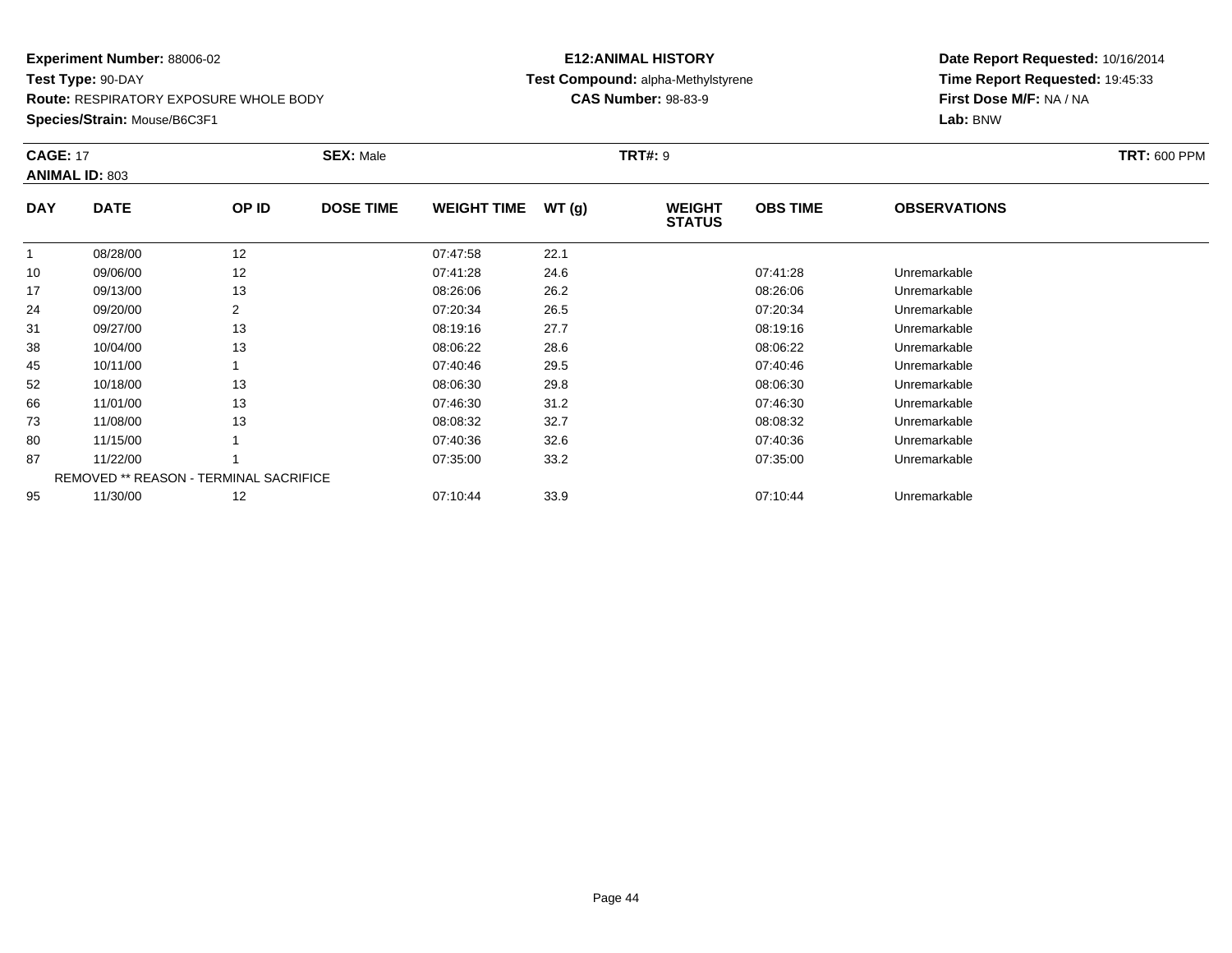**Route:** RESPIRATORY EXPOSURE WHOLE BODY

**Species/Strain:** Mouse/B6C3F1

# **E12:ANIMAL HISTORY Test Compound:** alpha-Methylstyrene**CAS Number:** 98-83-9

| <b>CAGE: 17</b> | <b>ANIMAL ID: 803</b>                         |                | <b>SEX: Male</b> |                    |       | <b>TRT#: 9</b>                 |                 |                     | <b>TRT: 600 PPM</b> |
|-----------------|-----------------------------------------------|----------------|------------------|--------------------|-------|--------------------------------|-----------------|---------------------|---------------------|
| <b>DAY</b>      | <b>DATE</b>                                   | OP ID          | <b>DOSE TIME</b> | <b>WEIGHT TIME</b> | WT(g) | <b>WEIGHT</b><br><b>STATUS</b> | <b>OBS TIME</b> | <b>OBSERVATIONS</b> |                     |
|                 | 08/28/00                                      | 12             |                  | 07:47:58           | 22.1  |                                |                 |                     |                     |
| 10              | 09/06/00                                      | 12             |                  | 07:41:28           | 24.6  |                                | 07:41:28        | Unremarkable        |                     |
| 17              | 09/13/00                                      | 13             |                  | 08:26:06           | 26.2  |                                | 08:26:06        | Unremarkable        |                     |
| 24              | 09/20/00                                      | $\overline{2}$ |                  | 07:20:34           | 26.5  |                                | 07:20:34        | Unremarkable        |                     |
| 31              | 09/27/00                                      | 13             |                  | 08:19:16           | 27.7  |                                | 08:19:16        | Unremarkable        |                     |
| 38              | 10/04/00                                      | 13             |                  | 08:06:22           | 28.6  |                                | 08:06:22        | Unremarkable        |                     |
| 45              | 10/11/00                                      |                |                  | 07:40:46           | 29.5  |                                | 07:40:46        | Unremarkable        |                     |
| 52              | 10/18/00                                      | 13             |                  | 08:06:30           | 29.8  |                                | 08:06:30        | Unremarkable        |                     |
| 66              | 11/01/00                                      | 13             |                  | 07:46:30           | 31.2  |                                | 07:46:30        | Unremarkable        |                     |
| 73              | 11/08/00                                      | 13             |                  | 08:08:32           | 32.7  |                                | 08:08:32        | Unremarkable        |                     |
| 80              | 11/15/00                                      |                |                  | 07:40:36           | 32.6  |                                | 07:40:36        | Unremarkable        |                     |
| 87              | 11/22/00                                      |                |                  | 07:35:00           | 33.2  |                                | 07:35:00        | Unremarkable        |                     |
|                 | <b>REMOVED ** REASON - TERMINAL SACRIFICE</b> |                |                  |                    |       |                                |                 |                     |                     |
| 95              | 11/30/00                                      | 12             |                  | 07:10:44           | 33.9  |                                | 07:10:44        | Unremarkable        |                     |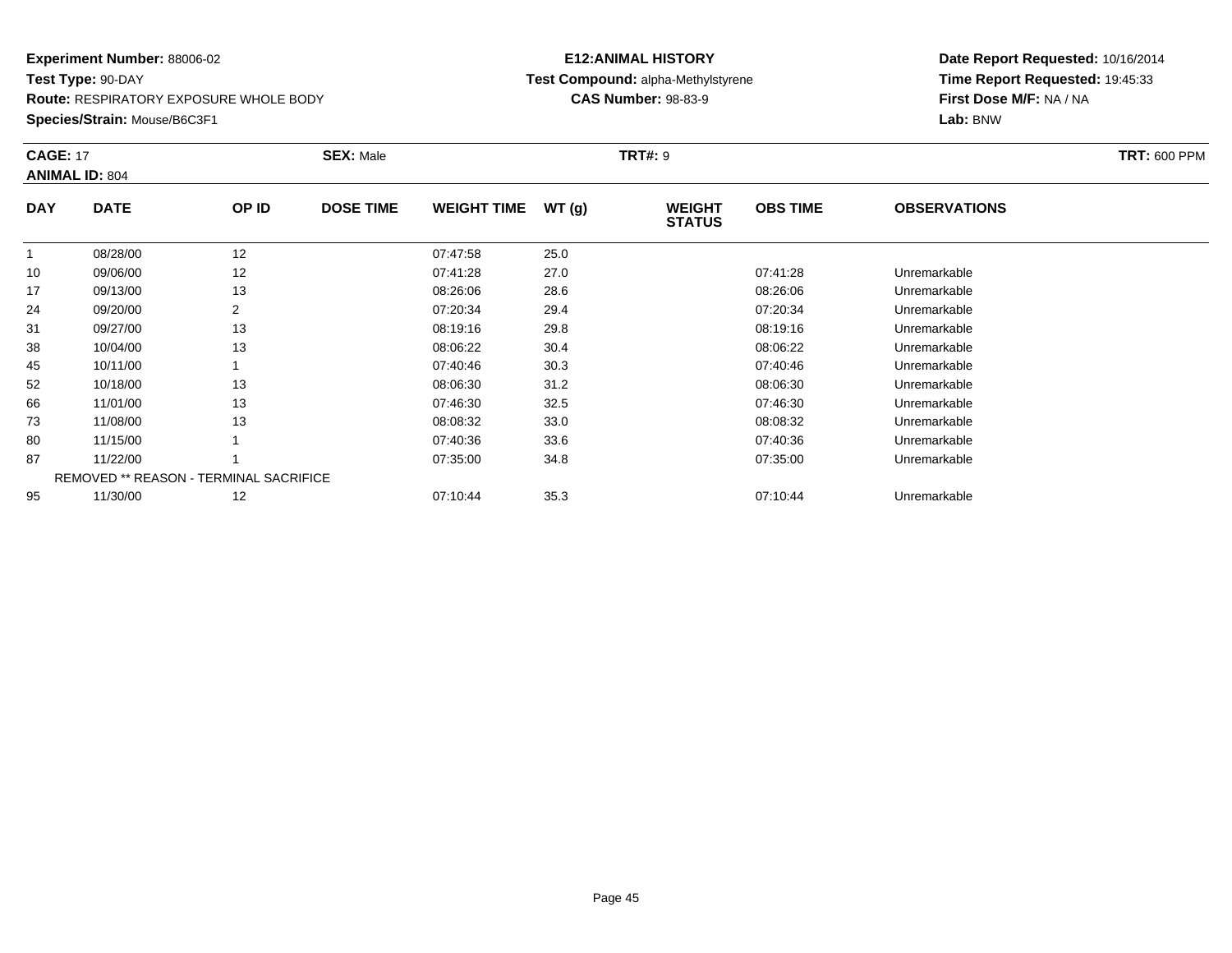**Route:** RESPIRATORY EXPOSURE WHOLE BODY

**Species/Strain:** Mouse/B6C3F1

# **E12:ANIMAL HISTORY Test Compound:** alpha-Methylstyrene**CAS Number:** 98-83-9

| <b>CAGE: 17</b> | <b>ANIMAL ID: 804</b> |                                               | <b>SEX: Male</b> |                    |       | <b>TRT#: 9</b>                 |                 |                     | <b>TRT: 600 PPM</b> |
|-----------------|-----------------------|-----------------------------------------------|------------------|--------------------|-------|--------------------------------|-----------------|---------------------|---------------------|
| <b>DAY</b>      | <b>DATE</b>           | OP ID                                         | <b>DOSE TIME</b> | <b>WEIGHT TIME</b> | WT(g) | <b>WEIGHT</b><br><b>STATUS</b> | <b>OBS TIME</b> | <b>OBSERVATIONS</b> |                     |
| $\mathbf{1}$    | 08/28/00              | 12                                            |                  | 07:47:58           | 25.0  |                                |                 |                     |                     |
| 10              | 09/06/00              | 12                                            |                  | 07:41:28           | 27.0  |                                | 07:41:28        | Unremarkable        |                     |
| 17              | 09/13/00              | 13                                            |                  | 08:26:06           | 28.6  |                                | 08:26:06        | Unremarkable        |                     |
| 24              | 09/20/00              | 2                                             |                  | 07:20:34           | 29.4  |                                | 07:20:34        | Unremarkable        |                     |
| 31              | 09/27/00              | 13                                            |                  | 08:19:16           | 29.8  |                                | 08:19:16        | Unremarkable        |                     |
| 38              | 10/04/00              | 13                                            |                  | 08:06:22           | 30.4  |                                | 08:06:22        | Unremarkable        |                     |
| 45              | 10/11/00              |                                               |                  | 07:40:46           | 30.3  |                                | 07:40:46        | Unremarkable        |                     |
| 52              | 10/18/00              | 13                                            |                  | 08:06:30           | 31.2  |                                | 08:06:30        | Unremarkable        |                     |
| 66              | 11/01/00              | 13                                            |                  | 07:46:30           | 32.5  |                                | 07:46:30        | Unremarkable        |                     |
| 73              | 11/08/00              | 13                                            |                  | 08:08:32           | 33.0  |                                | 08:08:32        | Unremarkable        |                     |
| 80              | 11/15/00              |                                               |                  | 07:40:36           | 33.6  |                                | 07:40:36        | Unremarkable        |                     |
| 87              | 11/22/00              |                                               |                  | 07:35:00           | 34.8  |                                | 07:35:00        | Unremarkable        |                     |
|                 |                       | <b>REMOVED ** REASON - TERMINAL SACRIFICE</b> |                  |                    |       |                                |                 |                     |                     |
| 95              | 11/30/00              | 12                                            |                  | 07:10:44           | 35.3  |                                | 07:10:44        | Unremarkable        |                     |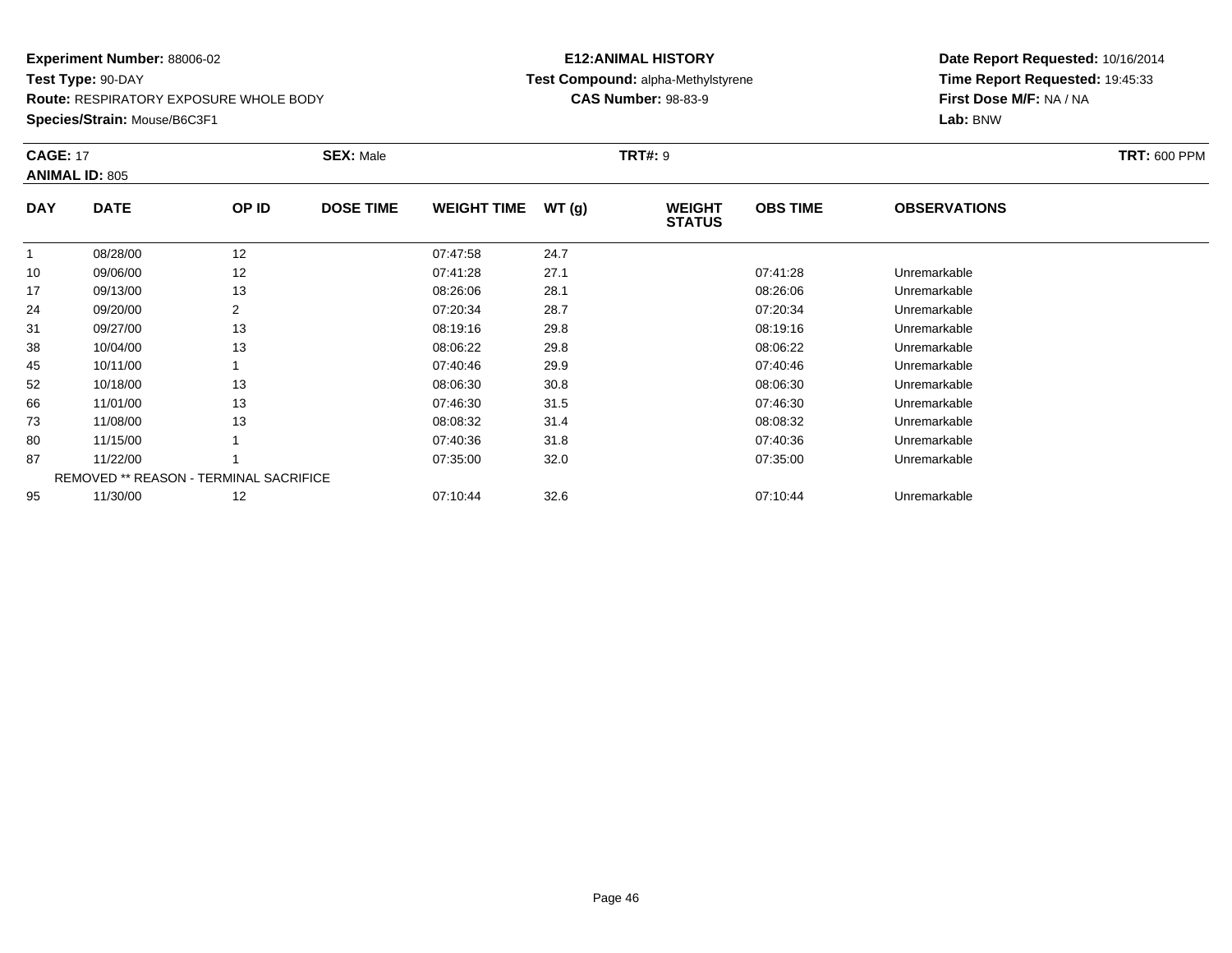**Route:** RESPIRATORY EXPOSURE WHOLE BODY

**Species/Strain:** Mouse/B6C3F1

# **E12:ANIMAL HISTORY Test Compound:** alpha-Methylstyrene**CAS Number:** 98-83-9

| <b>CAGE: 17</b> | <b>ANIMAL ID: 805</b>                         |       | <b>SEX: Male</b> |                    |       | <b>TRT#: 9</b>                 |                 |                     | <b>TRT: 600 PPM</b> |
|-----------------|-----------------------------------------------|-------|------------------|--------------------|-------|--------------------------------|-----------------|---------------------|---------------------|
| <b>DAY</b>      | <b>DATE</b>                                   | OP ID | <b>DOSE TIME</b> | <b>WEIGHT TIME</b> | WT(g) | <b>WEIGHT</b><br><b>STATUS</b> | <b>OBS TIME</b> | <b>OBSERVATIONS</b> |                     |
| $\mathbf{1}$    | 08/28/00                                      | 12    |                  | 07:47:58           | 24.7  |                                |                 |                     |                     |
| 10              | 09/06/00                                      | 12    |                  | 07:41:28           | 27.1  |                                | 07:41:28        | Unremarkable        |                     |
| 17              | 09/13/00                                      | 13    |                  | 08:26:06           | 28.1  |                                | 08:26:06        | Unremarkable        |                     |
| 24              | 09/20/00                                      | 2     |                  | 07:20:34           | 28.7  |                                | 07:20:34        | Unremarkable        |                     |
| 31              | 09/27/00                                      | 13    |                  | 08:19:16           | 29.8  |                                | 08:19:16        | Unremarkable        |                     |
| 38              | 10/04/00                                      | 13    |                  | 08:06:22           | 29.8  |                                | 08:06:22        | Unremarkable        |                     |
| 45              | 10/11/00                                      |       |                  | 07:40:46           | 29.9  |                                | 07:40:46        | Unremarkable        |                     |
| 52              | 10/18/00                                      | 13    |                  | 08:06:30           | 30.8  |                                | 08:06:30        | Unremarkable        |                     |
| 66              | 11/01/00                                      | 13    |                  | 07:46:30           | 31.5  |                                | 07:46:30        | Unremarkable        |                     |
| 73              | 11/08/00                                      | 13    |                  | 08:08:32           | 31.4  |                                | 08:08:32        | Unremarkable        |                     |
| 80              | 11/15/00                                      |       |                  | 07:40:36           | 31.8  |                                | 07:40:36        | Unremarkable        |                     |
| 87              | 11/22/00                                      |       |                  | 07:35:00           | 32.0  |                                | 07:35:00        | Unremarkable        |                     |
|                 | <b>REMOVED ** REASON - TERMINAL SACRIFICE</b> |       |                  |                    |       |                                |                 |                     |                     |
| 95              | 11/30/00                                      | 12    |                  | 07:10:44           | 32.6  |                                | 07:10:44        | Unremarkable        |                     |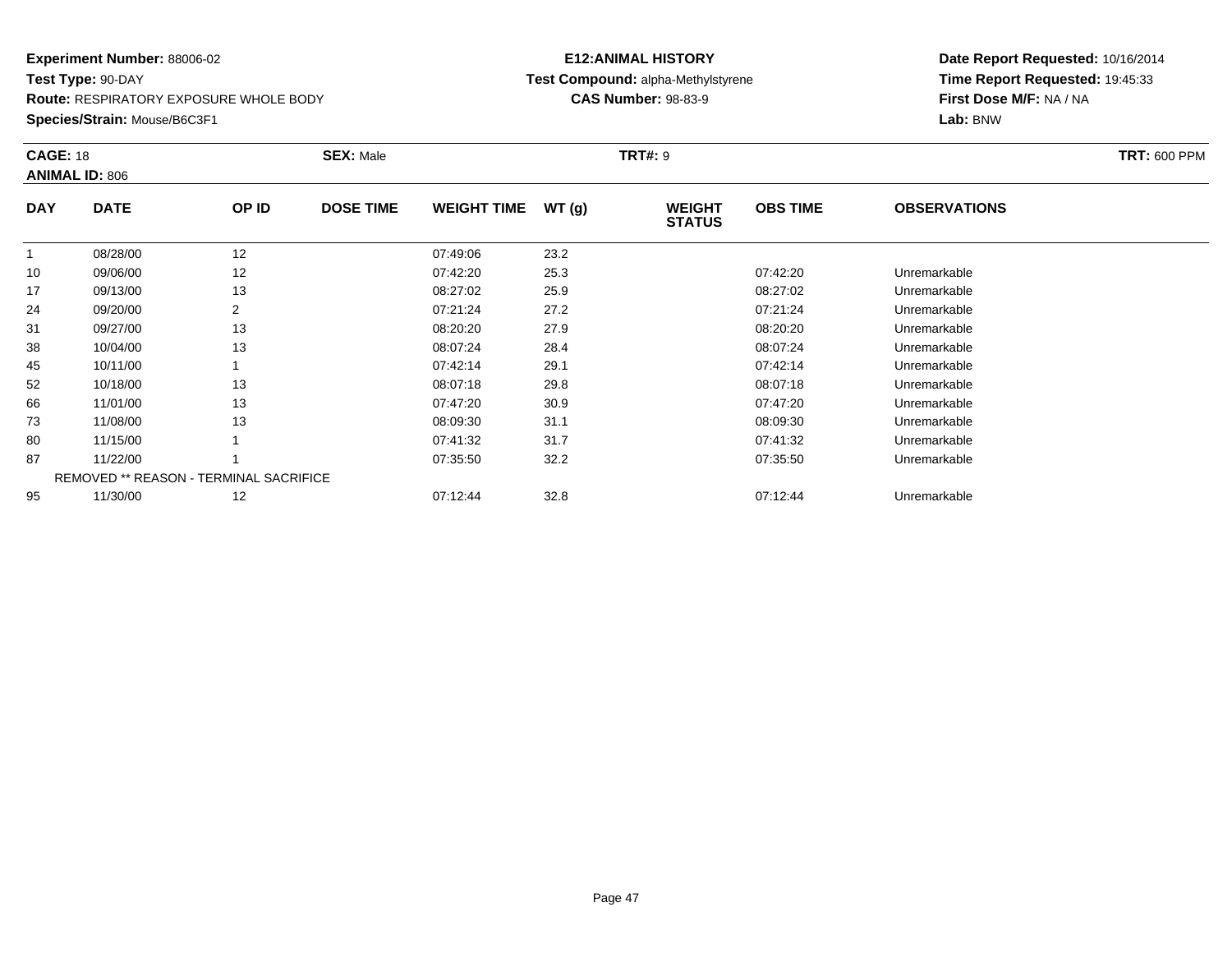**Route:** RESPIRATORY EXPOSURE WHOLE BODY

**Species/Strain:** Mouse/B6C3F1

# **E12:ANIMAL HISTORY Test Compound:** alpha-Methylstyrene**CAS Number:** 98-83-9

| <b>CAGE: 18</b> | <b>ANIMAL ID: 806</b>                         |       | <b>SEX: Male</b> |                    |       | <b>TRT#: 9</b>                 |                 |                     | <b>TRT: 600 PPM</b> |
|-----------------|-----------------------------------------------|-------|------------------|--------------------|-------|--------------------------------|-----------------|---------------------|---------------------|
| <b>DAY</b>      | <b>DATE</b>                                   | OP ID | <b>DOSE TIME</b> | <b>WEIGHT TIME</b> | WT(g) | <b>WEIGHT</b><br><b>STATUS</b> | <b>OBS TIME</b> | <b>OBSERVATIONS</b> |                     |
|                 | 08/28/00                                      | 12    |                  | 07:49:06           | 23.2  |                                |                 |                     |                     |
| 10              | 09/06/00                                      | 12    |                  | 07:42:20           | 25.3  |                                | 07:42:20        | Unremarkable        |                     |
| 17              | 09/13/00                                      | 13    |                  | 08:27:02           | 25.9  |                                | 08:27:02        | Unremarkable        |                     |
| 24              | 09/20/00                                      | 2     |                  | 07:21:24           | 27.2  |                                | 07:21:24        | Unremarkable        |                     |
| 31              | 09/27/00                                      | 13    |                  | 08:20:20           | 27.9  |                                | 08:20:20        | Unremarkable        |                     |
| 38              | 10/04/00                                      | 13    |                  | 08:07:24           | 28.4  |                                | 08:07:24        | Unremarkable        |                     |
| 45              | 10/11/00                                      |       |                  | 07:42:14           | 29.1  |                                | 07:42:14        | Unremarkable        |                     |
| 52              | 10/18/00                                      | 13    |                  | 08:07:18           | 29.8  |                                | 08:07:18        | Unremarkable        |                     |
| 66              | 11/01/00                                      | 13    |                  | 07:47:20           | 30.9  |                                | 07:47:20        | Unremarkable        |                     |
| 73              | 11/08/00                                      | 13    |                  | 08:09:30           | 31.1  |                                | 08:09:30        | Unremarkable        |                     |
| 80              | 11/15/00                                      |       |                  | 07:41:32           | 31.7  |                                | 07:41:32        | Unremarkable        |                     |
| 87              | 11/22/00                                      |       |                  | 07:35:50           | 32.2  |                                | 07:35:50        | Unremarkable        |                     |
|                 | <b>REMOVED ** REASON - TERMINAL SACRIFICE</b> |       |                  |                    |       |                                |                 |                     |                     |
| 95              | 11/30/00                                      | 12    |                  | 07:12:44           | 32.8  |                                | 07:12:44        | Unremarkable        |                     |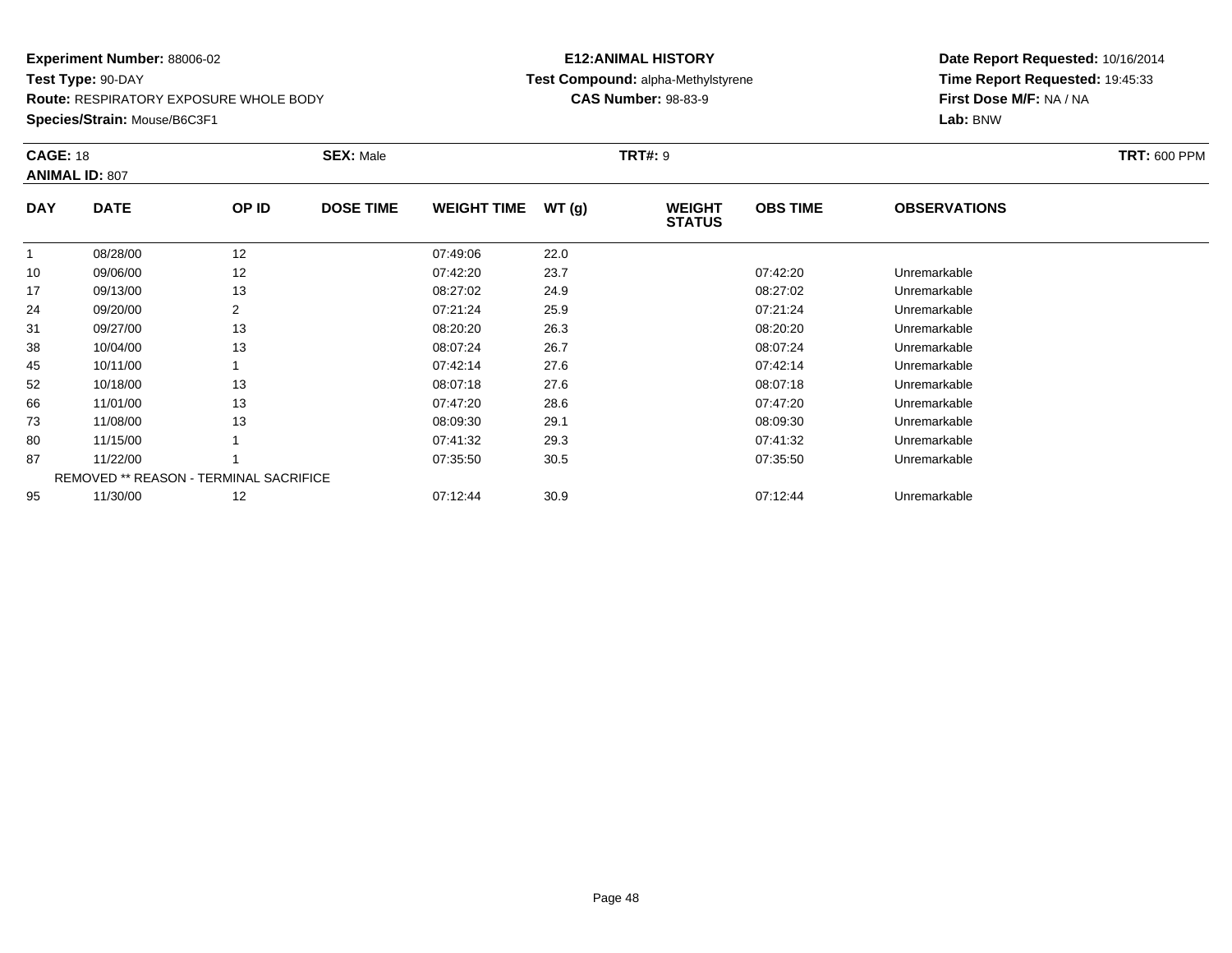**Route:** RESPIRATORY EXPOSURE WHOLE BODY

**Species/Strain:** Mouse/B6C3F1

# **E12:ANIMAL HISTORY Test Compound:** alpha-Methylstyrene**CAS Number:** 98-83-9

| <b>CAGE: 18</b> | <b>ANIMAL ID: 807</b>                  |                | <b>SEX: Male</b> |                    |       | <b>TRT#: 9</b>                 |                 |                     | <b>TRT: 600 PPM</b> |
|-----------------|----------------------------------------|----------------|------------------|--------------------|-------|--------------------------------|-----------------|---------------------|---------------------|
| <b>DAY</b>      | <b>DATE</b>                            | OP ID          | <b>DOSE TIME</b> | <b>WEIGHT TIME</b> | WT(g) | <b>WEIGHT</b><br><b>STATUS</b> | <b>OBS TIME</b> | <b>OBSERVATIONS</b> |                     |
| -1              | 08/28/00                               | 12             |                  | 07:49:06           | 22.0  |                                |                 |                     |                     |
| 10              | 09/06/00                               | 12             |                  | 07:42:20           | 23.7  |                                | 07:42:20        | Unremarkable        |                     |
| 17              | 09/13/00                               | 13             |                  | 08:27:02           | 24.9  |                                | 08:27:02        | Unremarkable        |                     |
| 24              | 09/20/00                               | $\overline{2}$ |                  | 07:21:24           | 25.9  |                                | 07:21:24        | Unremarkable        |                     |
| 31              | 09/27/00                               | 13             |                  | 08:20:20           | 26.3  |                                | 08:20:20        | Unremarkable        |                     |
| 38              | 10/04/00                               | 13             |                  | 08:07:24           | 26.7  |                                | 08:07:24        | Unremarkable        |                     |
| 45              | 10/11/00                               |                |                  | 07:42:14           | 27.6  |                                | 07:42:14        | Unremarkable        |                     |
| 52              | 10/18/00                               | 13             |                  | 08:07:18           | 27.6  |                                | 08:07:18        | Unremarkable        |                     |
| 66              | 11/01/00                               | 13             |                  | 07:47:20           | 28.6  |                                | 07:47:20        | Unremarkable        |                     |
| 73              | 11/08/00                               | 13             |                  | 08:09:30           | 29.1  |                                | 08:09:30        | Unremarkable        |                     |
| 80              | 11/15/00                               |                |                  | 07:41:32           | 29.3  |                                | 07:41:32        | Unremarkable        |                     |
| 87              | 11/22/00                               |                |                  | 07:35:50           | 30.5  |                                | 07:35:50        | Unremarkable        |                     |
|                 | REMOVED ** REASON - TERMINAL SACRIFICE |                |                  |                    |       |                                |                 |                     |                     |
| 95              | 11/30/00                               | 12             |                  | 07:12:44           | 30.9  |                                | 07:12:44        | Unremarkable        |                     |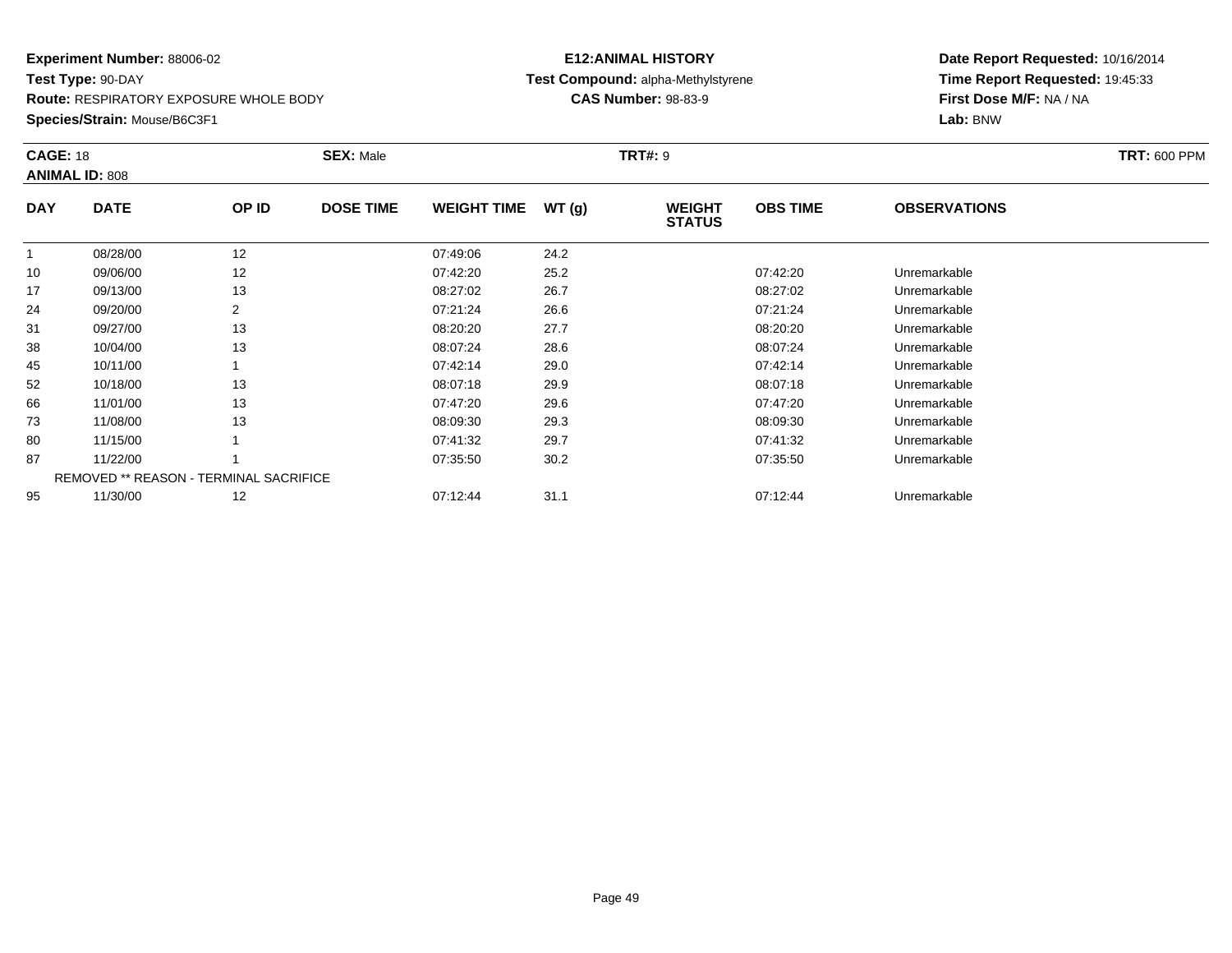**Route:** RESPIRATORY EXPOSURE WHOLE BODY

**Species/Strain:** Mouse/B6C3F1

# **E12:ANIMAL HISTORY Test Compound:** alpha-Methylstyrene**CAS Number:** 98-83-9

| <b>CAGE: 18</b> | <b>ANIMAL ID: 808</b>                  |       | <b>SEX: Male</b> |                    |       | <b>TRT#: 9</b>                 |                 |                     | <b>TRT: 600 PPM</b> |
|-----------------|----------------------------------------|-------|------------------|--------------------|-------|--------------------------------|-----------------|---------------------|---------------------|
| <b>DAY</b>      | <b>DATE</b>                            | OP ID | <b>DOSE TIME</b> | <b>WEIGHT TIME</b> | WT(g) | <b>WEIGHT</b><br><b>STATUS</b> | <b>OBS TIME</b> | <b>OBSERVATIONS</b> |                     |
|                 | 08/28/00                               | 12    |                  | 07:49:06           | 24.2  |                                |                 |                     |                     |
| 10              | 09/06/00                               | 12    |                  | 07:42:20           | 25.2  |                                | 07:42:20        | Unremarkable        |                     |
| 17              | 09/13/00                               | 13    |                  | 08:27:02           | 26.7  |                                | 08:27:02        | Unremarkable        |                     |
| 24              | 09/20/00                               | 2     |                  | 07:21:24           | 26.6  |                                | 07:21:24        | Unremarkable        |                     |
| 31              | 09/27/00                               | 13    |                  | 08:20:20           | 27.7  |                                | 08:20:20        | Unremarkable        |                     |
| 38              | 10/04/00                               | 13    |                  | 08:07:24           | 28.6  |                                | 08:07:24        | Unremarkable        |                     |
| 45              | 10/11/00                               |       |                  | 07:42:14           | 29.0  |                                | 07:42:14        | Unremarkable        |                     |
| 52              | 10/18/00                               | 13    |                  | 08:07:18           | 29.9  |                                | 08:07:18        | Unremarkable        |                     |
| 66              | 11/01/00                               | 13    |                  | 07:47:20           | 29.6  |                                | 07:47:20        | Unremarkable        |                     |
| 73              | 11/08/00                               | 13    |                  | 08:09:30           | 29.3  |                                | 08:09:30        | Unremarkable        |                     |
| 80              | 11/15/00                               |       |                  | 07:41:32           | 29.7  |                                | 07:41:32        | Unremarkable        |                     |
| 87              | 11/22/00                               |       |                  | 07:35:50           | 30.2  |                                | 07:35:50        | Unremarkable        |                     |
|                 | REMOVED ** REASON - TERMINAL SACRIFICE |       |                  |                    |       |                                |                 |                     |                     |
| 95              | 11/30/00                               | 12    |                  | 07:12:44           | 31.1  |                                | 07:12:44        | Unremarkable        |                     |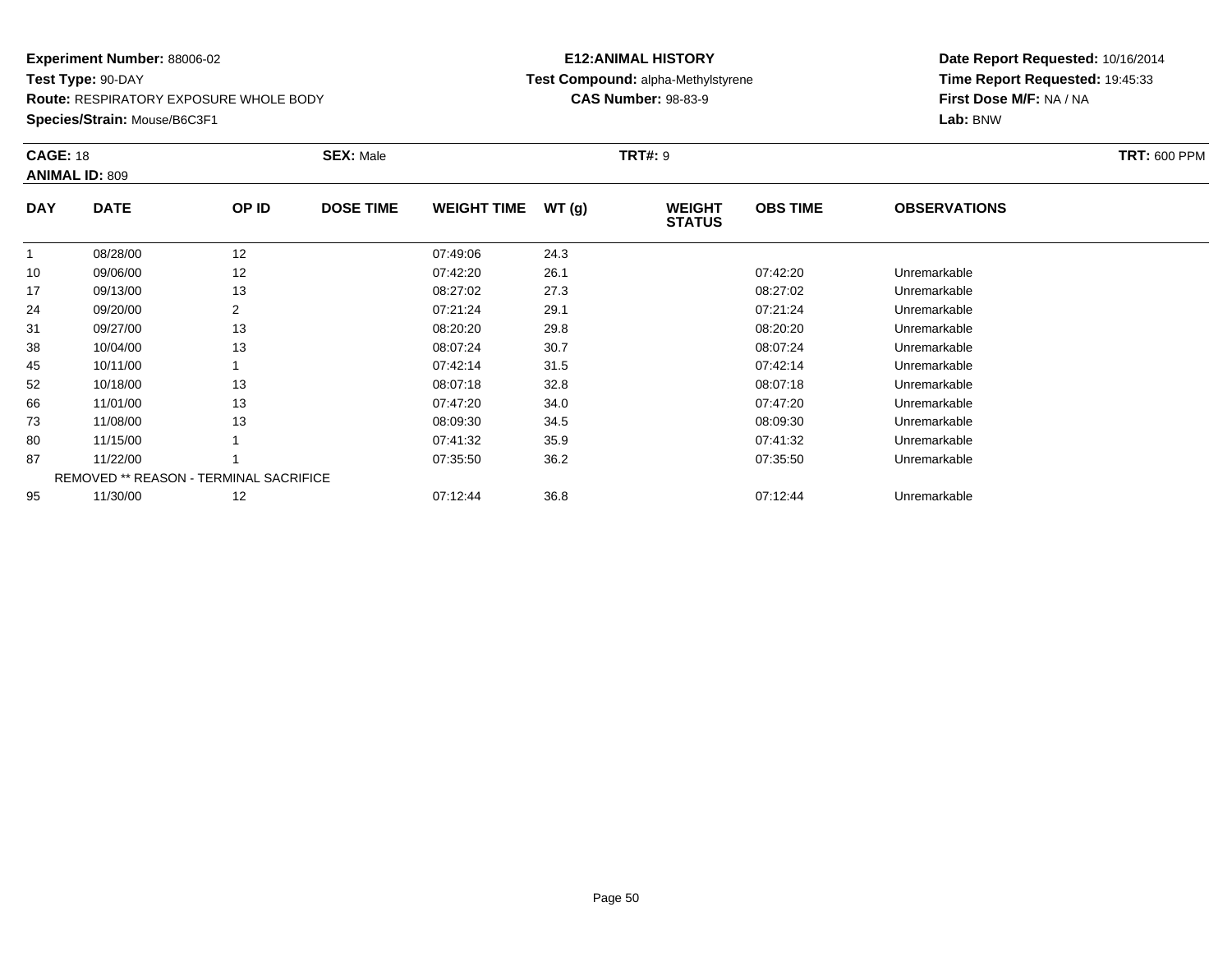**Route:** RESPIRATORY EXPOSURE WHOLE BODY

**Species/Strain:** Mouse/B6C3F1

# **E12:ANIMAL HISTORY Test Compound:** alpha-Methylstyrene**CAS Number:** 98-83-9

| <b>CAGE: 18</b> | <b>ANIMAL ID: 809</b> |                                               | <b>SEX: Male</b> |                    |       | <b>TRT#: 9</b>                 |                 |                     | <b>TRT: 600 PPM</b> |
|-----------------|-----------------------|-----------------------------------------------|------------------|--------------------|-------|--------------------------------|-----------------|---------------------|---------------------|
| <b>DAY</b>      | <b>DATE</b>           | OP ID                                         | <b>DOSE TIME</b> | <b>WEIGHT TIME</b> | WT(g) | <b>WEIGHT</b><br><b>STATUS</b> | <b>OBS TIME</b> | <b>OBSERVATIONS</b> |                     |
|                 | 08/28/00              | 12                                            |                  | 07:49:06           | 24.3  |                                |                 |                     |                     |
| 10              | 09/06/00              | 12                                            |                  | 07:42:20           | 26.1  |                                | 07:42:20        | Unremarkable        |                     |
| 17              | 09/13/00              | 13                                            |                  | 08:27:02           | 27.3  |                                | 08:27:02        | Unremarkable        |                     |
| 24              | 09/20/00              | $\overline{2}$                                |                  | 07:21:24           | 29.1  |                                | 07:21:24        | Unremarkable        |                     |
| 31              | 09/27/00              | 13                                            |                  | 08:20:20           | 29.8  |                                | 08:20:20        | Unremarkable        |                     |
| 38              | 10/04/00              | 13                                            |                  | 08:07:24           | 30.7  |                                | 08:07:24        | Unremarkable        |                     |
| 45              | 10/11/00              |                                               |                  | 07:42:14           | 31.5  |                                | 07:42:14        | Unremarkable        |                     |
| 52              | 10/18/00              | 13                                            |                  | 08:07:18           | 32.8  |                                | 08:07:18        | Unremarkable        |                     |
| 66              | 11/01/00              | 13                                            |                  | 07:47:20           | 34.0  |                                | 07:47:20        | Unremarkable        |                     |
| 73              | 11/08/00              | 13                                            |                  | 08:09:30           | 34.5  |                                | 08:09:30        | Unremarkable        |                     |
| 80              | 11/15/00              |                                               |                  | 07:41:32           | 35.9  |                                | 07:41:32        | Unremarkable        |                     |
| 87              | 11/22/00              |                                               |                  | 07:35:50           | 36.2  |                                | 07:35:50        | Unremarkable        |                     |
|                 |                       | <b>REMOVED ** REASON - TERMINAL SACRIFICE</b> |                  |                    |       |                                |                 |                     |                     |
| 95              | 11/30/00              | 12                                            |                  | 07:12:44           | 36.8  |                                | 07:12:44        | Unremarkable        |                     |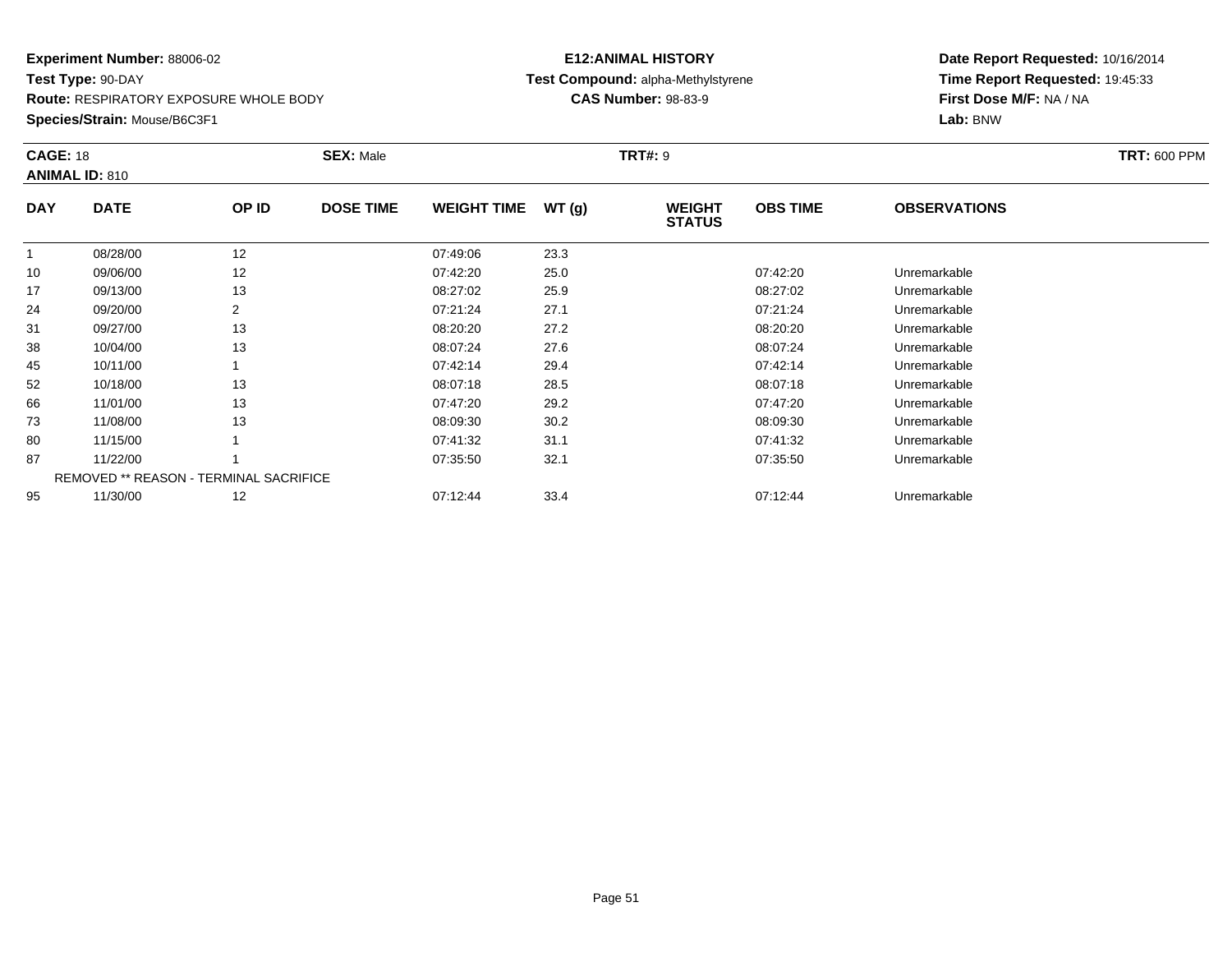**Route:** RESPIRATORY EXPOSURE WHOLE BODY

**Species/Strain:** Mouse/B6C3F1

# **E12:ANIMAL HISTORY Test Compound:** alpha-Methylstyrene**CAS Number:** 98-83-9

| <b>CAGE: 18</b> | <b>ANIMAL ID: 810</b>                         |                | <b>SEX: Male</b> |                    |       | <b>TRT#: 9</b>                 |                 |                     | <b>TRT: 600 PPM</b> |
|-----------------|-----------------------------------------------|----------------|------------------|--------------------|-------|--------------------------------|-----------------|---------------------|---------------------|
| <b>DAY</b>      | <b>DATE</b>                                   | OP ID          | <b>DOSE TIME</b> | <b>WEIGHT TIME</b> | WT(g) | <b>WEIGHT</b><br><b>STATUS</b> | <b>OBS TIME</b> | <b>OBSERVATIONS</b> |                     |
|                 | 08/28/00                                      | 12             |                  | 07:49:06           | 23.3  |                                |                 |                     |                     |
| 10              | 09/06/00                                      | 12             |                  | 07:42:20           | 25.0  |                                | 07:42:20        | Unremarkable        |                     |
| 17              | 09/13/00                                      | 13             |                  | 08:27:02           | 25.9  |                                | 08:27:02        | Unremarkable        |                     |
| 24              | 09/20/00                                      | $\overline{2}$ |                  | 07:21:24           | 27.1  |                                | 07:21:24        | Unremarkable        |                     |
| 31              | 09/27/00                                      | 13             |                  | 08:20:20           | 27.2  |                                | 08:20:20        | Unremarkable        |                     |
| 38              | 10/04/00                                      | 13             |                  | 08:07:24           | 27.6  |                                | 08:07:24        | Unremarkable        |                     |
| 45              | 10/11/00                                      |                |                  | 07:42:14           | 29.4  |                                | 07:42:14        | Unremarkable        |                     |
| 52              | 10/18/00                                      | 13             |                  | 08:07:18           | 28.5  |                                | 08:07:18        | Unremarkable        |                     |
| 66              | 11/01/00                                      | 13             |                  | 07:47:20           | 29.2  |                                | 07:47:20        | Unremarkable        |                     |
| 73              | 11/08/00                                      | 13             |                  | 08:09:30           | 30.2  |                                | 08:09:30        | Unremarkable        |                     |
| 80              | 11/15/00                                      |                |                  | 07:41:32           | 31.1  |                                | 07:41:32        | Unremarkable        |                     |
| 87              | 11/22/00                                      |                |                  | 07:35:50           | 32.1  |                                | 07:35:50        | Unremarkable        |                     |
|                 | <b>REMOVED ** REASON - TERMINAL SACRIFICE</b> |                |                  |                    |       |                                |                 |                     |                     |
| 95              | 11/30/00                                      | 12             |                  | 07:12:44           | 33.4  |                                | 07:12:44        | Unremarkable        |                     |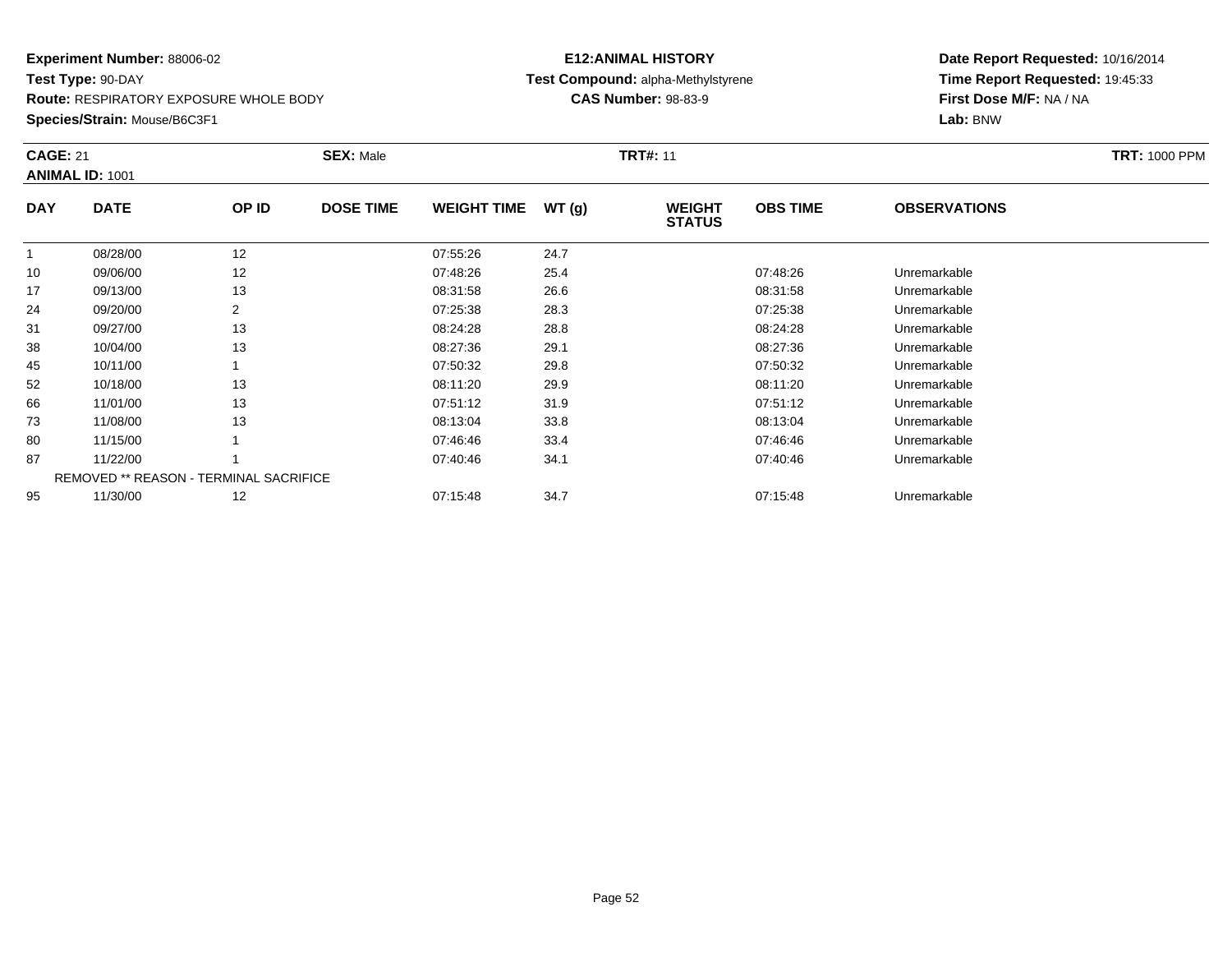**Route:** RESPIRATORY EXPOSURE WHOLE BODY

**Species/Strain:** Mouse/B6C3F1

# **E12:ANIMAL HISTORY Test Compound:** alpha-Methylstyrene**CAS Number:** 98-83-9

| <b>CAGE: 21</b> | <b>ANIMAL ID: 1001</b>                        |       | <b>SEX: Male</b> |                    |       | <b>TRT#: 11</b>                |                 |                     | <b>TRT: 1000 PPM</b> |
|-----------------|-----------------------------------------------|-------|------------------|--------------------|-------|--------------------------------|-----------------|---------------------|----------------------|
| <b>DAY</b>      | <b>DATE</b>                                   | OP ID | <b>DOSE TIME</b> | <b>WEIGHT TIME</b> | WT(g) | <b>WEIGHT</b><br><b>STATUS</b> | <b>OBS TIME</b> | <b>OBSERVATIONS</b> |                      |
| $\mathbf{1}$    | 08/28/00                                      | 12    |                  | 07:55:26           | 24.7  |                                |                 |                     |                      |
| 10              | 09/06/00                                      | 12    |                  | 07:48:26           | 25.4  |                                | 07:48:26        | Unremarkable        |                      |
| 17              | 09/13/00                                      | 13    |                  | 08:31:58           | 26.6  |                                | 08:31:58        | Unremarkable        |                      |
| 24              | 09/20/00                                      | 2     |                  | 07:25:38           | 28.3  |                                | 07:25:38        | Unremarkable        |                      |
| 31              | 09/27/00                                      | 13    |                  | 08:24:28           | 28.8  |                                | 08:24:28        | Unremarkable        |                      |
| 38              | 10/04/00                                      | 13    |                  | 08:27:36           | 29.1  |                                | 08:27:36        | Unremarkable        |                      |
| 45              | 10/11/00                                      |       |                  | 07:50:32           | 29.8  |                                | 07:50:32        | Unremarkable        |                      |
| 52              | 10/18/00                                      | 13    |                  | 08:11:20           | 29.9  |                                | 08:11:20        | Unremarkable        |                      |
| 66              | 11/01/00                                      | 13    |                  | 07:51:12           | 31.9  |                                | 07:51:12        | Unremarkable        |                      |
| 73              | 11/08/00                                      | 13    |                  | 08:13:04           | 33.8  |                                | 08:13:04        | Unremarkable        |                      |
| 80              | 11/15/00                                      |       |                  | 07:46:46           | 33.4  |                                | 07:46:46        | Unremarkable        |                      |
| 87              | 11/22/00                                      |       |                  | 07:40:46           | 34.1  |                                | 07:40:46        | Unremarkable        |                      |
|                 | <b>REMOVED ** REASON - TERMINAL SACRIFICE</b> |       |                  |                    |       |                                |                 |                     |                      |
| 95              | 11/30/00                                      | 12    |                  | 07:15:48           | 34.7  |                                | 07:15:48        | Unremarkable        |                      |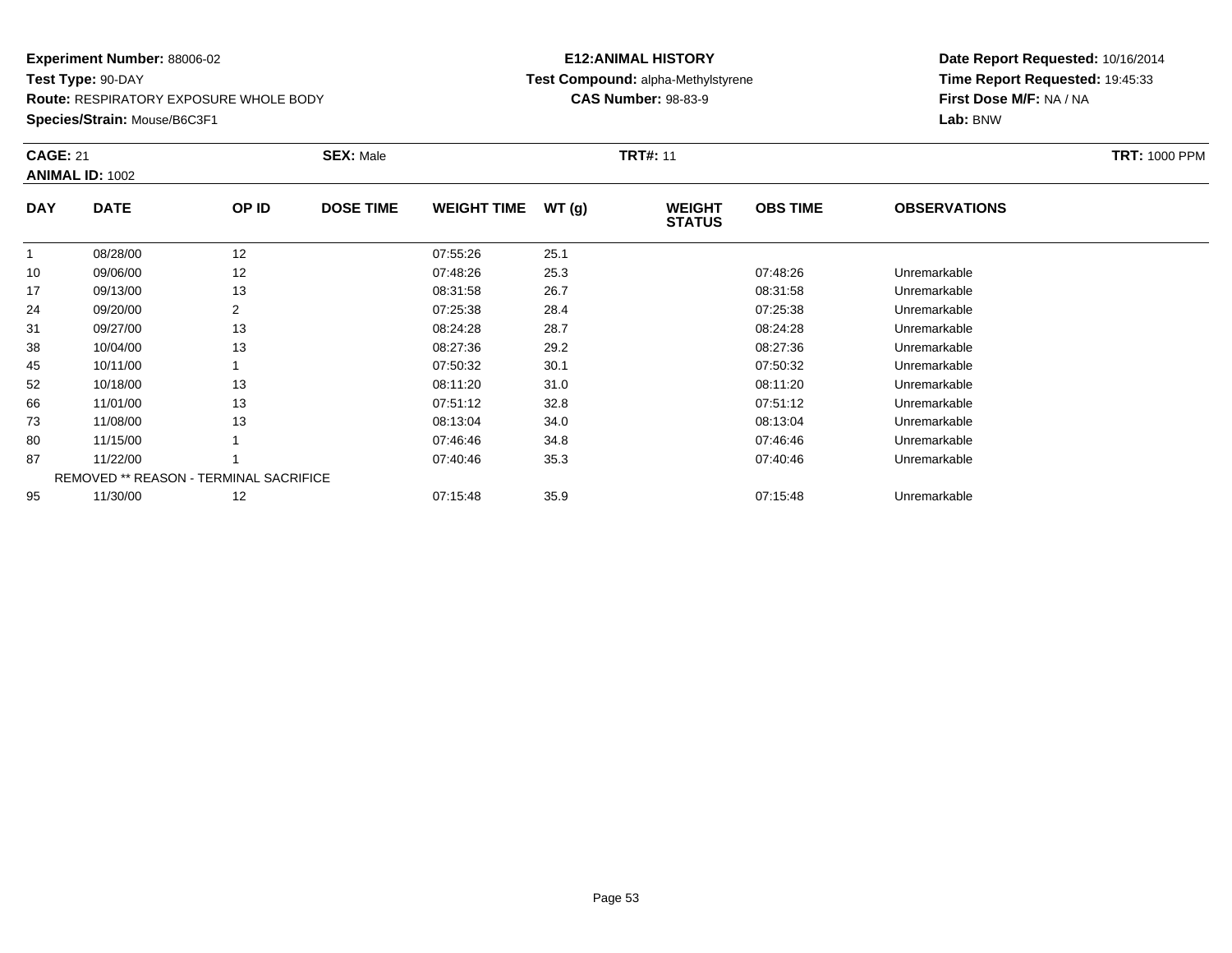**Route:** RESPIRATORY EXPOSURE WHOLE BODY

**Species/Strain:** Mouse/B6C3F1

# **E12:ANIMAL HISTORY Test Compound:** alpha-Methylstyrene**CAS Number:** 98-83-9

| <b>CAGE: 21</b> | <b>ANIMAL ID: 1002</b>                        |       | <b>SEX: Male</b> |                    |       | <b>TRT#: 11</b>                |                 |                     | <b>TRT: 1000 PPM</b> |
|-----------------|-----------------------------------------------|-------|------------------|--------------------|-------|--------------------------------|-----------------|---------------------|----------------------|
| <b>DAY</b>      | <b>DATE</b>                                   | OP ID | <b>DOSE TIME</b> | <b>WEIGHT TIME</b> | WT(g) | <b>WEIGHT</b><br><b>STATUS</b> | <b>OBS TIME</b> | <b>OBSERVATIONS</b> |                      |
| $\mathbf{1}$    | 08/28/00                                      | 12    |                  | 07:55:26           | 25.1  |                                |                 |                     |                      |
| 10              | 09/06/00                                      | 12    |                  | 07:48:26           | 25.3  |                                | 07:48:26        | Unremarkable        |                      |
| 17              | 09/13/00                                      | 13    |                  | 08:31:58           | 26.7  |                                | 08:31:58        | Unremarkable        |                      |
| 24              | 09/20/00                                      | 2     |                  | 07:25:38           | 28.4  |                                | 07:25:38        | Unremarkable        |                      |
| 31              | 09/27/00                                      | 13    |                  | 08:24:28           | 28.7  |                                | 08:24:28        | Unremarkable        |                      |
| 38              | 10/04/00                                      | 13    |                  | 08:27:36           | 29.2  |                                | 08:27:36        | Unremarkable        |                      |
| 45              | 10/11/00                                      |       |                  | 07:50:32           | 30.1  |                                | 07:50:32        | Unremarkable        |                      |
| 52              | 10/18/00                                      | 13    |                  | 08:11:20           | 31.0  |                                | 08:11:20        | Unremarkable        |                      |
| 66              | 11/01/00                                      | 13    |                  | 07:51:12           | 32.8  |                                | 07:51:12        | Unremarkable        |                      |
| 73              | 11/08/00                                      | 13    |                  | 08:13:04           | 34.0  |                                | 08:13:04        | Unremarkable        |                      |
| 80              | 11/15/00                                      |       |                  | 07:46:46           | 34.8  |                                | 07:46:46        | Unremarkable        |                      |
| 87              | 11/22/00                                      |       |                  | 07:40:46           | 35.3  |                                | 07:40:46        | Unremarkable        |                      |
|                 | <b>REMOVED ** REASON - TERMINAL SACRIFICE</b> |       |                  |                    |       |                                |                 |                     |                      |
| 95              | 11/30/00                                      | 12    |                  | 07:15:48           | 35.9  |                                | 07:15:48        | Unremarkable        |                      |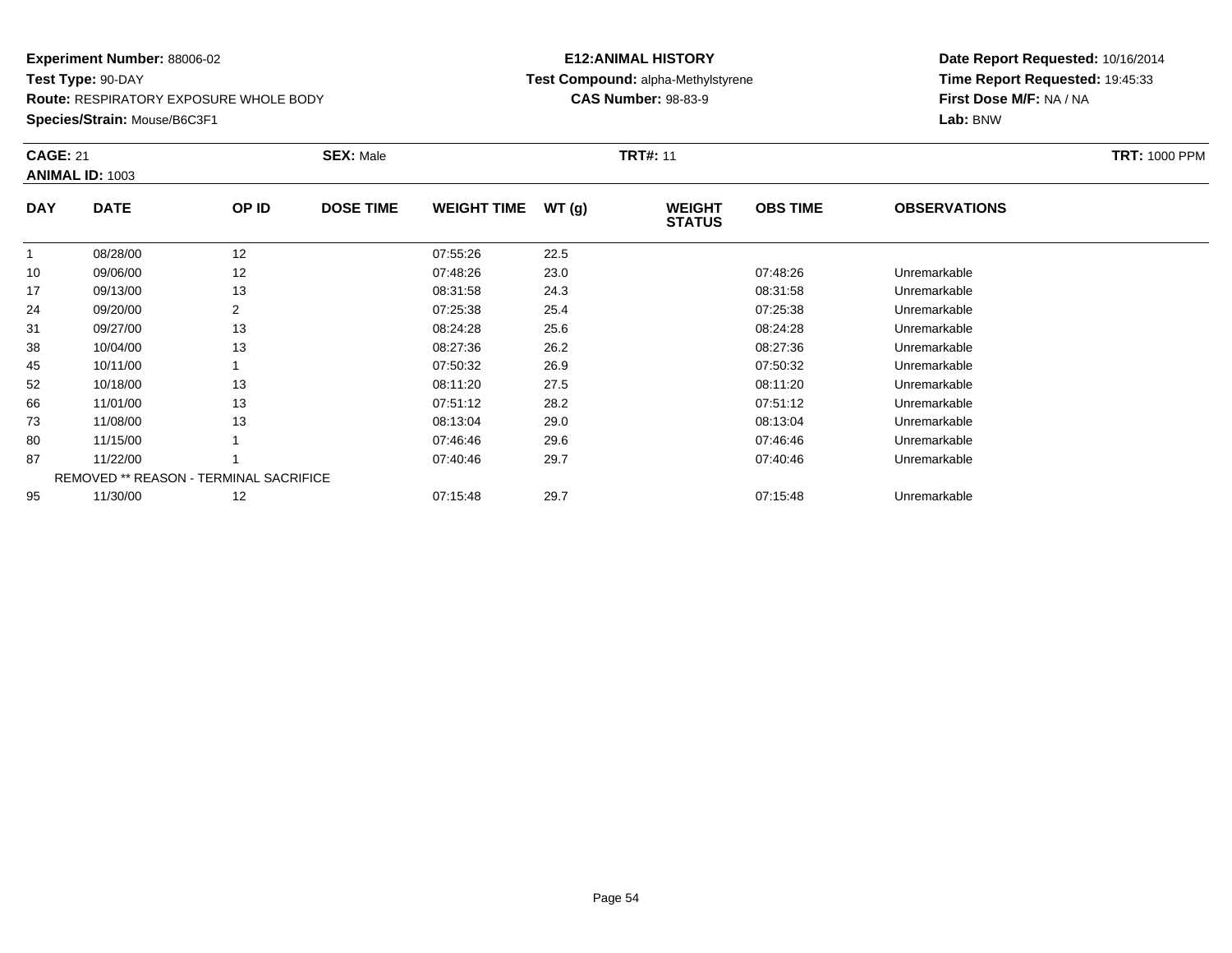**Route:** RESPIRATORY EXPOSURE WHOLE BODY

**Species/Strain:** Mouse/B6C3F1

# **E12:ANIMAL HISTORY Test Compound:** alpha-Methylstyrene**CAS Number:** 98-83-9

| <b>CAGE: 21</b> | <b>ANIMAL ID: 1003</b>                        |       | <b>SEX: Male</b> |                    |       | <b>TRT#: 11</b>                |                 |                     | <b>TRT: 1000 PPM</b> |
|-----------------|-----------------------------------------------|-------|------------------|--------------------|-------|--------------------------------|-----------------|---------------------|----------------------|
| <b>DAY</b>      | <b>DATE</b>                                   | OP ID | <b>DOSE TIME</b> | <b>WEIGHT TIME</b> | WT(g) | <b>WEIGHT</b><br><b>STATUS</b> | <b>OBS TIME</b> | <b>OBSERVATIONS</b> |                      |
|                 | 08/28/00                                      | 12    |                  | 07:55:26           | 22.5  |                                |                 |                     |                      |
| 10              | 09/06/00                                      | 12    |                  | 07:48:26           | 23.0  |                                | 07:48:26        | Unremarkable        |                      |
| 17              | 09/13/00                                      | 13    |                  | 08:31:58           | 24.3  |                                | 08:31:58        | Unremarkable        |                      |
| 24              | 09/20/00                                      | 2     |                  | 07:25:38           | 25.4  |                                | 07:25:38        | Unremarkable        |                      |
| 31              | 09/27/00                                      | 13    |                  | 08:24:28           | 25.6  |                                | 08:24:28        | Unremarkable        |                      |
| 38              | 10/04/00                                      | 13    |                  | 08:27:36           | 26.2  |                                | 08:27:36        | Unremarkable        |                      |
| 45              | 10/11/00                                      |       |                  | 07:50:32           | 26.9  |                                | 07:50:32        | Unremarkable        |                      |
| 52              | 10/18/00                                      | 13    |                  | 08:11:20           | 27.5  |                                | 08:11:20        | Unremarkable        |                      |
| 66              | 11/01/00                                      | 13    |                  | 07:51:12           | 28.2  |                                | 07:51:12        | Unremarkable        |                      |
| 73              | 11/08/00                                      | 13    |                  | 08:13:04           | 29.0  |                                | 08:13:04        | Unremarkable        |                      |
| 80              | 11/15/00                                      |       |                  | 07:46:46           | 29.6  |                                | 07:46:46        | Unremarkable        |                      |
| 87              | 11/22/00                                      |       |                  | 07:40:46           | 29.7  |                                | 07:40:46        | Unremarkable        |                      |
|                 | <b>REMOVED ** REASON - TERMINAL SACRIFICE</b> |       |                  |                    |       |                                |                 |                     |                      |
| 95              | 11/30/00                                      | 12    |                  | 07:15:48           | 29.7  |                                | 07:15:48        | Unremarkable        |                      |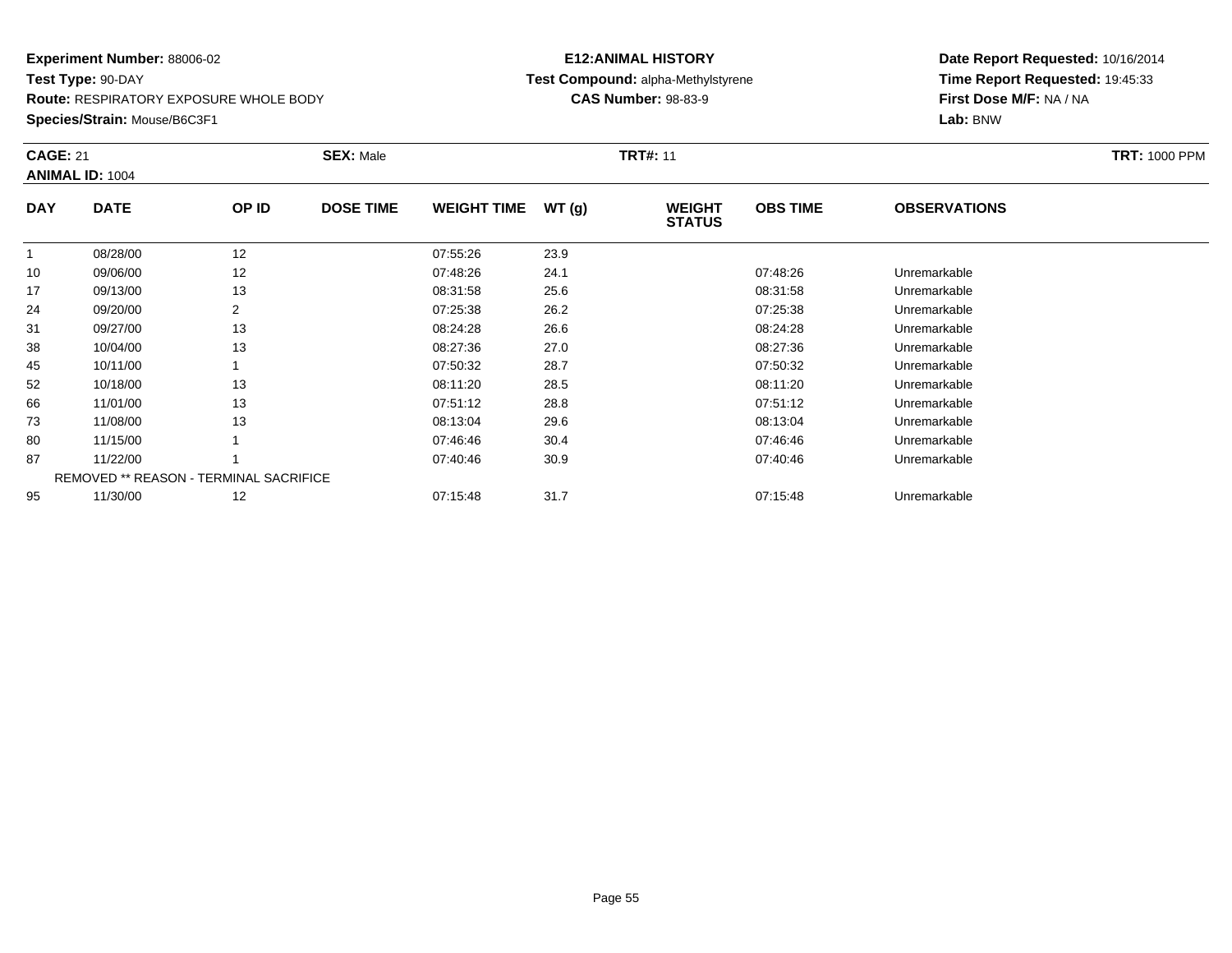**Route:** RESPIRATORY EXPOSURE WHOLE BODY

**Species/Strain:** Mouse/B6C3F1

# **E12:ANIMAL HISTORY Test Compound:** alpha-Methylstyrene**CAS Number:** 98-83-9

| <b>CAGE: 21</b> | <b>ANIMAL ID: 1004</b>                        |       | <b>SEX: Male</b> |                    |       | <b>TRT#: 11</b>                |                 |                     | <b>TRT: 1000 PPM</b> |
|-----------------|-----------------------------------------------|-------|------------------|--------------------|-------|--------------------------------|-----------------|---------------------|----------------------|
| <b>DAY</b>      | <b>DATE</b>                                   | OP ID | <b>DOSE TIME</b> | <b>WEIGHT TIME</b> | WT(g) | <b>WEIGHT</b><br><b>STATUS</b> | <b>OBS TIME</b> | <b>OBSERVATIONS</b> |                      |
|                 | 08/28/00                                      | 12    |                  | 07:55:26           | 23.9  |                                |                 |                     |                      |
| 10              | 09/06/00                                      | 12    |                  | 07:48:26           | 24.1  |                                | 07:48:26        | Unremarkable        |                      |
| 17              | 09/13/00                                      | 13    |                  | 08:31:58           | 25.6  |                                | 08:31:58        | Unremarkable        |                      |
| 24              | 09/20/00                                      | 2     |                  | 07:25:38           | 26.2  |                                | 07:25:38        | Unremarkable        |                      |
| 31              | 09/27/00                                      | 13    |                  | 08:24:28           | 26.6  |                                | 08:24:28        | Unremarkable        |                      |
| 38              | 10/04/00                                      | 13    |                  | 08:27:36           | 27.0  |                                | 08:27:36        | Unremarkable        |                      |
| 45              | 10/11/00                                      |       |                  | 07:50:32           | 28.7  |                                | 07:50:32        | Unremarkable        |                      |
| 52              | 10/18/00                                      | 13    |                  | 08:11:20           | 28.5  |                                | 08:11:20        | Unremarkable        |                      |
| 66              | 11/01/00                                      | 13    |                  | 07:51:12           | 28.8  |                                | 07:51:12        | Unremarkable        |                      |
| 73              | 11/08/00                                      | 13    |                  | 08:13:04           | 29.6  |                                | 08:13:04        | Unremarkable        |                      |
| 80              | 11/15/00                                      |       |                  | 07:46:46           | 30.4  |                                | 07:46:46        | Unremarkable        |                      |
| 87              | 11/22/00                                      |       |                  | 07:40:46           | 30.9  |                                | 07:40:46        | Unremarkable        |                      |
|                 | <b>REMOVED ** REASON - TERMINAL SACRIFICE</b> |       |                  |                    |       |                                |                 |                     |                      |
| 95              | 11/30/00                                      | 12    |                  | 07:15:48           | 31.7  |                                | 07:15:48        | Unremarkable        |                      |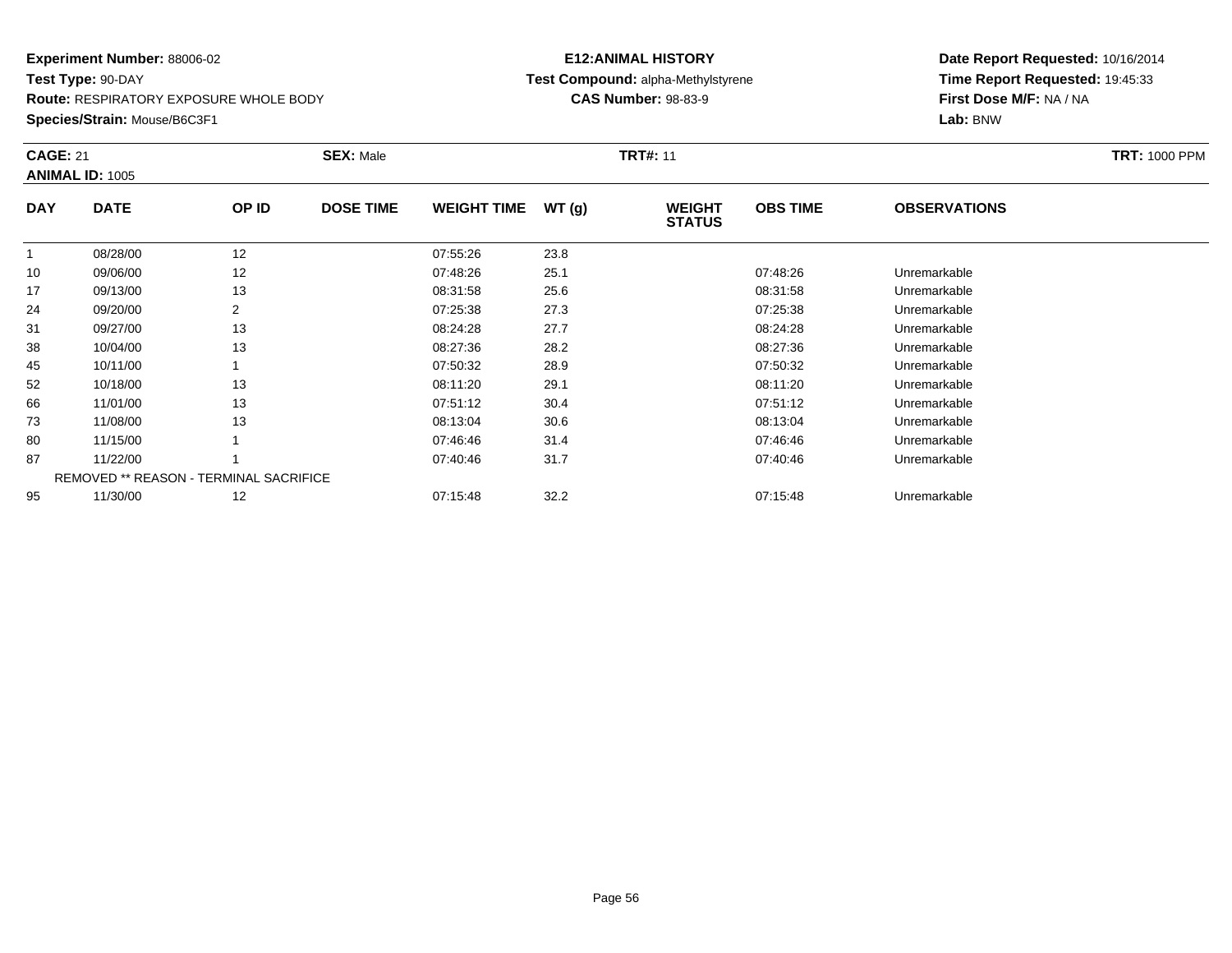**Route:** RESPIRATORY EXPOSURE WHOLE BODY

**Species/Strain:** Mouse/B6C3F1

# **E12:ANIMAL HISTORY Test Compound:** alpha-Methylstyrene**CAS Number:** 98-83-9

| <b>CAGE: 21</b> | <b>ANIMAL ID: 1005</b>                        |                | <b>SEX: Male</b> |                    |       | <b>TRT#: 11</b>                |                 |                     | <b>TRT: 1000 PPM</b> |
|-----------------|-----------------------------------------------|----------------|------------------|--------------------|-------|--------------------------------|-----------------|---------------------|----------------------|
| <b>DAY</b>      | <b>DATE</b>                                   | OP ID          | <b>DOSE TIME</b> | <b>WEIGHT TIME</b> | WT(g) | <b>WEIGHT</b><br><b>STATUS</b> | <b>OBS TIME</b> | <b>OBSERVATIONS</b> |                      |
|                 | 08/28/00                                      | 12             |                  | 07:55:26           | 23.8  |                                |                 |                     |                      |
| 10              | 09/06/00                                      | 12             |                  | 07:48:26           | 25.1  |                                | 07:48:26        | Unremarkable        |                      |
| 17              | 09/13/00                                      | 13             |                  | 08:31:58           | 25.6  |                                | 08:31:58        | Unremarkable        |                      |
| 24              | 09/20/00                                      | $\overline{2}$ |                  | 07:25:38           | 27.3  |                                | 07:25:38        | Unremarkable        |                      |
| 31              | 09/27/00                                      | 13             |                  | 08:24:28           | 27.7  |                                | 08:24:28        | Unremarkable        |                      |
| 38              | 10/04/00                                      | 13             |                  | 08:27:36           | 28.2  |                                | 08:27:36        | Unremarkable        |                      |
| 45              | 10/11/00                                      |                |                  | 07:50:32           | 28.9  |                                | 07:50:32        | Unremarkable        |                      |
| 52              | 10/18/00                                      | 13             |                  | 08:11:20           | 29.1  |                                | 08:11:20        | Unremarkable        |                      |
| 66              | 11/01/00                                      | 13             |                  | 07:51:12           | 30.4  |                                | 07:51:12        | Unremarkable        |                      |
| 73              | 11/08/00                                      | 13             |                  | 08:13:04           | 30.6  |                                | 08:13:04        | Unremarkable        |                      |
| 80              | 11/15/00                                      |                |                  | 07:46:46           | 31.4  |                                | 07:46:46        | Unremarkable        |                      |
| 87              | 11/22/00                                      |                |                  | 07:40:46           | 31.7  |                                | 07:40:46        | Unremarkable        |                      |
|                 | <b>REMOVED ** REASON - TERMINAL SACRIFICE</b> |                |                  |                    |       |                                |                 |                     |                      |
| 95              | 11/30/00                                      | 12             |                  | 07:15:48           | 32.2  |                                | 07:15:48        | Unremarkable        |                      |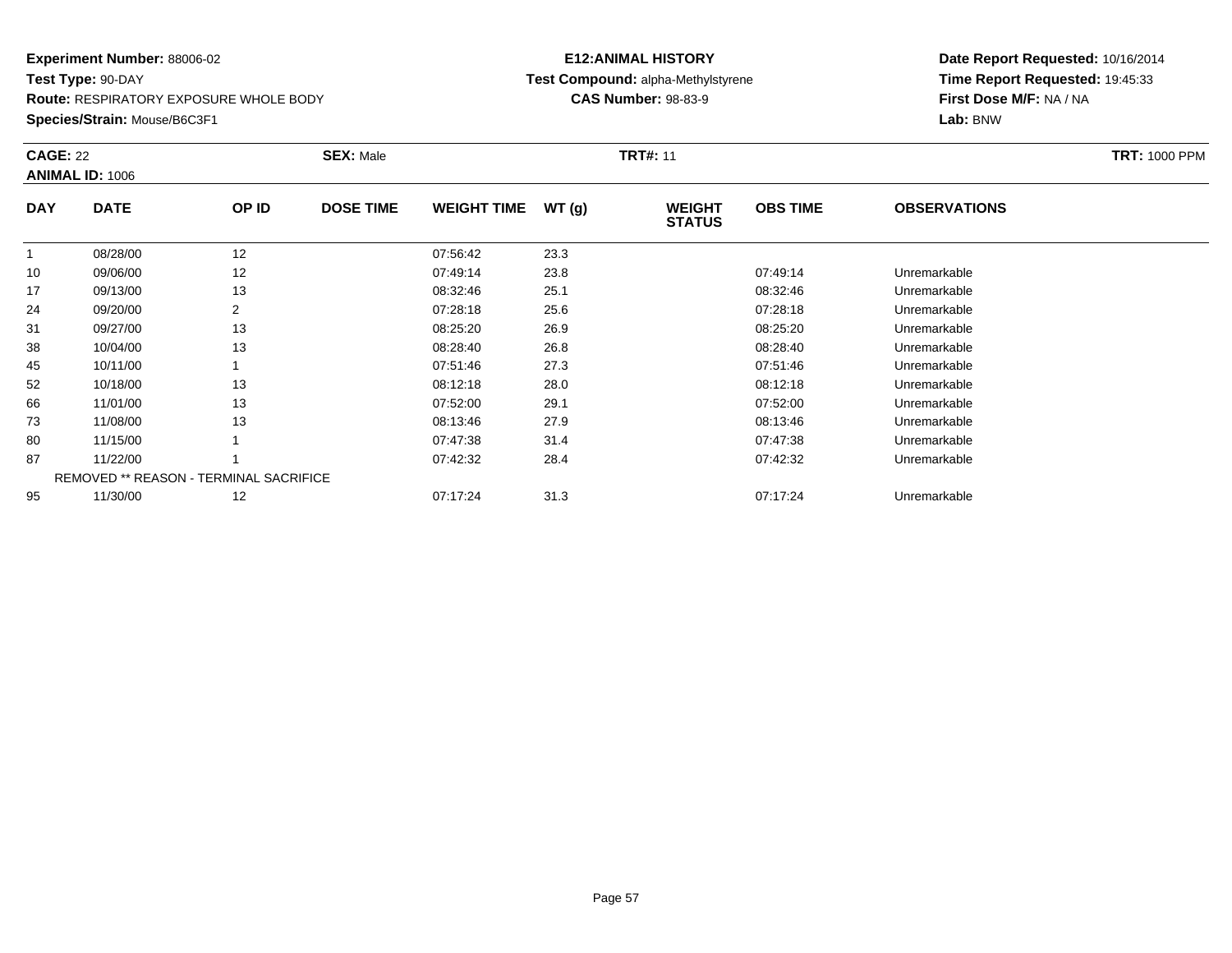**Route:** RESPIRATORY EXPOSURE WHOLE BODY

**Species/Strain:** Mouse/B6C3F1

# **E12:ANIMAL HISTORY Test Compound:** alpha-Methylstyrene**CAS Number:** 98-83-9

| <b>CAGE: 22</b> | <b>ANIMAL ID: 1006</b>                 |       | <b>SEX: Male</b> |                    |       | <b>TRT#: 11</b>                |                 |                     | <b>TRT: 1000 PPM</b> |
|-----------------|----------------------------------------|-------|------------------|--------------------|-------|--------------------------------|-----------------|---------------------|----------------------|
| <b>DAY</b>      | <b>DATE</b>                            | OP ID | <b>DOSE TIME</b> | <b>WEIGHT TIME</b> | WT(g) | <b>WEIGHT</b><br><b>STATUS</b> | <b>OBS TIME</b> | <b>OBSERVATIONS</b> |                      |
|                 | 08/28/00                               | 12    |                  | 07:56:42           | 23.3  |                                |                 |                     |                      |
| 10              | 09/06/00                               | 12    |                  | 07:49:14           | 23.8  |                                | 07:49:14        | Unremarkable        |                      |
| 17              | 09/13/00                               | 13    |                  | 08:32:46           | 25.1  |                                | 08:32:46        | Unremarkable        |                      |
| 24              | 09/20/00                               | 2     |                  | 07:28:18           | 25.6  |                                | 07:28:18        | Unremarkable        |                      |
| 31              | 09/27/00                               | 13    |                  | 08:25:20           | 26.9  |                                | 08:25:20        | Unremarkable        |                      |
| 38              | 10/04/00                               | 13    |                  | 08:28:40           | 26.8  |                                | 08:28:40        | Unremarkable        |                      |
| 45              | 10/11/00                               |       |                  | 07:51:46           | 27.3  |                                | 07:51:46        | Unremarkable        |                      |
| 52              | 10/18/00                               | 13    |                  | 08:12:18           | 28.0  |                                | 08:12:18        | Unremarkable        |                      |
| 66              | 11/01/00                               | 13    |                  | 07:52:00           | 29.1  |                                | 07:52:00        | Unremarkable        |                      |
| 73              | 11/08/00                               | 13    |                  | 08:13:46           | 27.9  |                                | 08:13:46        | Unremarkable        |                      |
| 80              | 11/15/00                               |       |                  | 07:47:38           | 31.4  |                                | 07:47:38        | Unremarkable        |                      |
| 87              | 11/22/00                               |       |                  | 07:42:32           | 28.4  |                                | 07:42:32        | Unremarkable        |                      |
|                 | REMOVED ** REASON - TERMINAL SACRIFICE |       |                  |                    |       |                                |                 |                     |                      |
| 95              | 11/30/00                               | 12    |                  | 07:17:24           | 31.3  |                                | 07:17:24        | Unremarkable        |                      |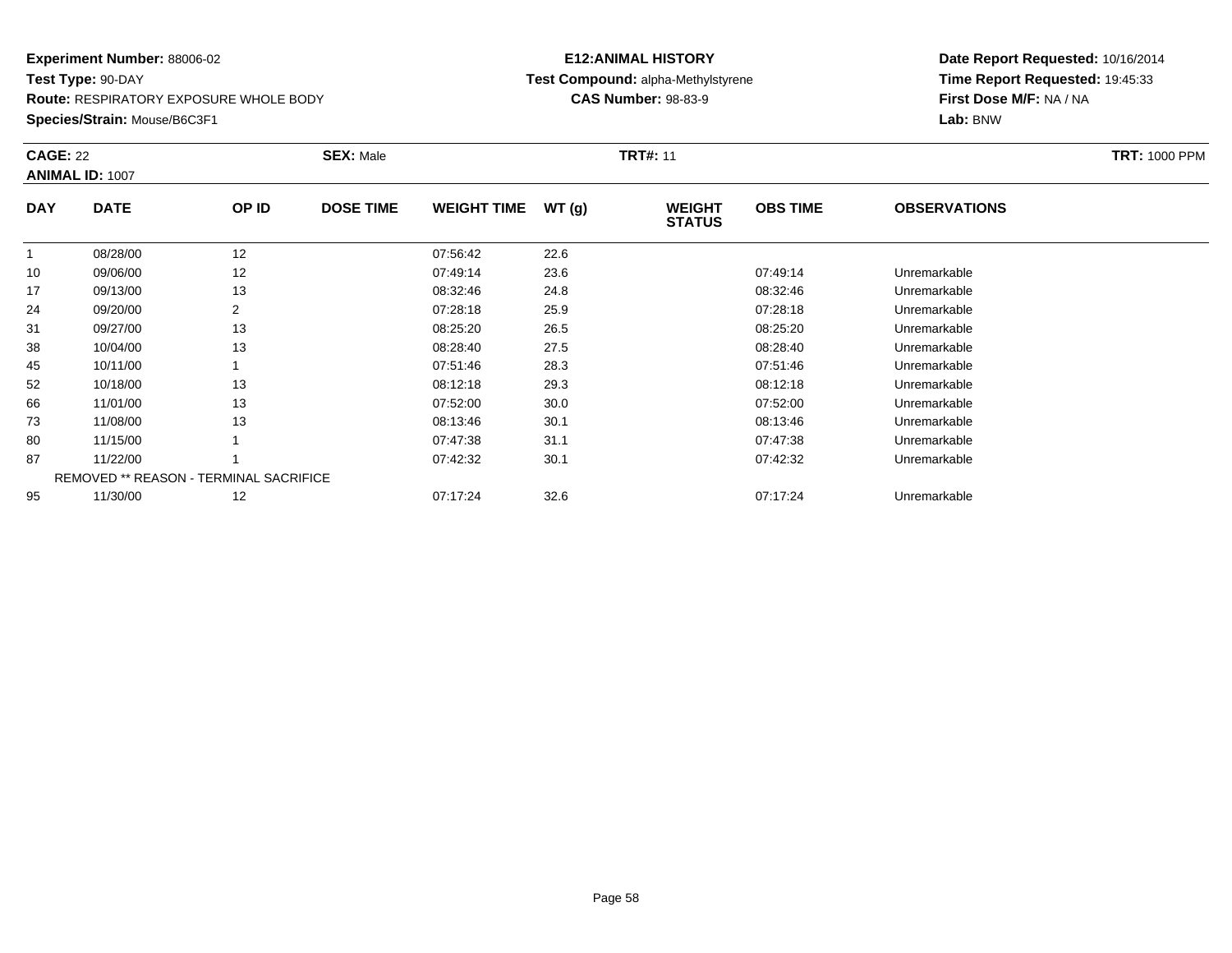**Route:** RESPIRATORY EXPOSURE WHOLE BODY

**Species/Strain:** Mouse/B6C3F1

# **E12:ANIMAL HISTORY Test Compound:** alpha-Methylstyrene**CAS Number:** 98-83-9

| <b>CAGE: 22</b> | <b>ANIMAL ID: 1007</b>                        |       | <b>SEX: Male</b> |                    |       | <b>TRT#: 11</b>                |                 |                     | <b>TRT: 1000 PPM</b> |
|-----------------|-----------------------------------------------|-------|------------------|--------------------|-------|--------------------------------|-----------------|---------------------|----------------------|
| <b>DAY</b>      | <b>DATE</b>                                   | OP ID | <b>DOSE TIME</b> | <b>WEIGHT TIME</b> | WT(g) | <b>WEIGHT</b><br><b>STATUS</b> | <b>OBS TIME</b> | <b>OBSERVATIONS</b> |                      |
|                 | 08/28/00                                      | 12    |                  | 07:56:42           | 22.6  |                                |                 |                     |                      |
| 10              | 09/06/00                                      | 12    |                  | 07:49:14           | 23.6  |                                | 07:49:14        | Unremarkable        |                      |
| 17              | 09/13/00                                      | 13    |                  | 08:32:46           | 24.8  |                                | 08:32:46        | Unremarkable        |                      |
| 24              | 09/20/00                                      | 2     |                  | 07:28:18           | 25.9  |                                | 07:28:18        | Unremarkable        |                      |
| 31              | 09/27/00                                      | 13    |                  | 08:25:20           | 26.5  |                                | 08:25:20        | Unremarkable        |                      |
| 38              | 10/04/00                                      | 13    |                  | 08:28:40           | 27.5  |                                | 08:28:40        | Unremarkable        |                      |
| 45              | 10/11/00                                      |       |                  | 07:51:46           | 28.3  |                                | 07:51:46        | Unremarkable        |                      |
| 52              | 10/18/00                                      | 13    |                  | 08:12:18           | 29.3  |                                | 08:12:18        | Unremarkable        |                      |
| 66              | 11/01/00                                      | 13    |                  | 07:52:00           | 30.0  |                                | 07:52:00        | Unremarkable        |                      |
| 73              | 11/08/00                                      | 13    |                  | 08:13:46           | 30.1  |                                | 08:13:46        | Unremarkable        |                      |
| 80              | 11/15/00                                      |       |                  | 07:47:38           | 31.1  |                                | 07:47:38        | Unremarkable        |                      |
| 87              | 11/22/00                                      |       |                  | 07:42:32           | 30.1  |                                | 07:42:32        | Unremarkable        |                      |
|                 | <b>REMOVED ** REASON - TERMINAL SACRIFICE</b> |       |                  |                    |       |                                |                 |                     |                      |
| 95              | 11/30/00                                      | 12    |                  | 07:17:24           | 32.6  |                                | 07:17:24        | Unremarkable        |                      |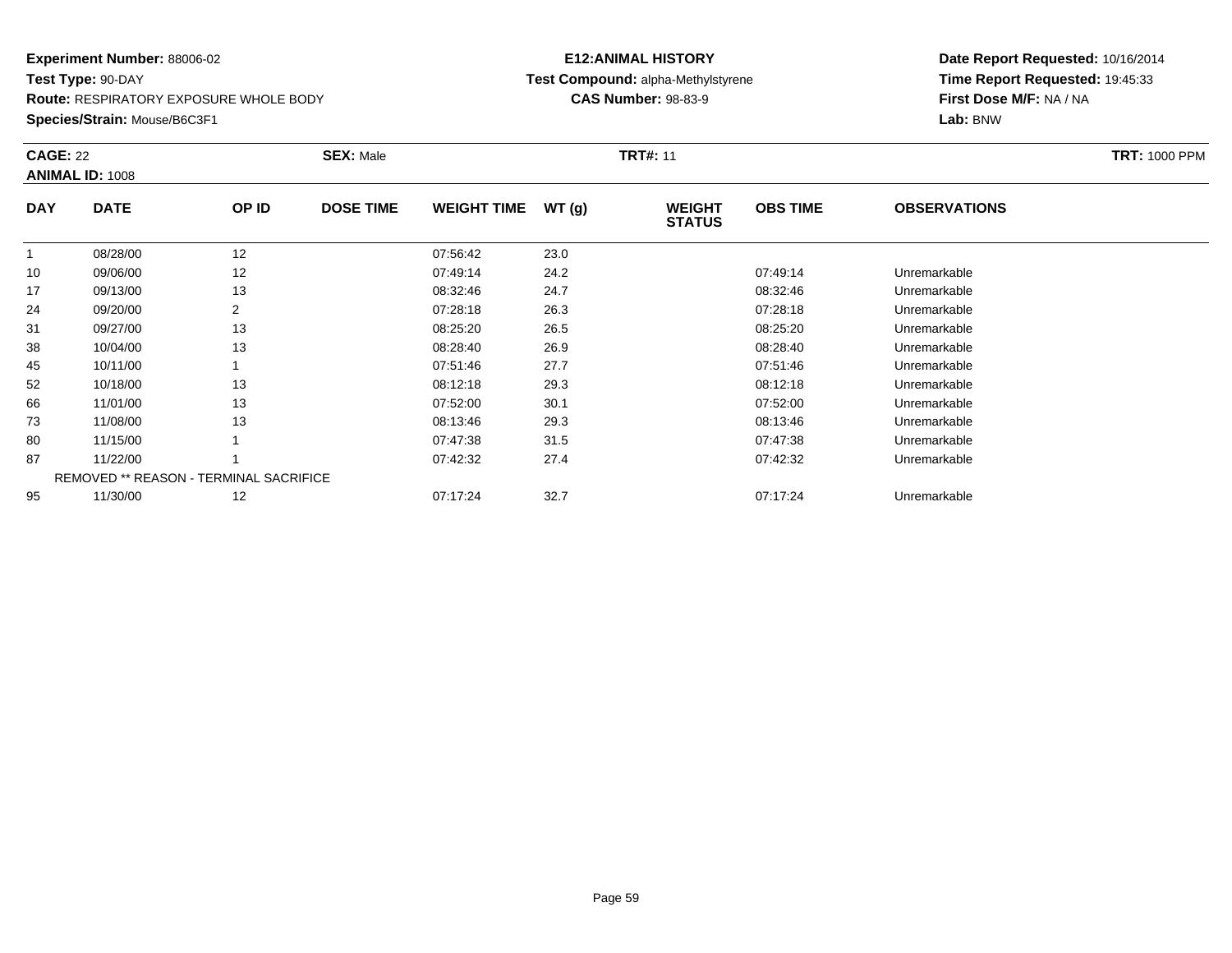**Route:** RESPIRATORY EXPOSURE WHOLE BODY

**Species/Strain:** Mouse/B6C3F1

# **E12:ANIMAL HISTORY Test Compound:** alpha-Methylstyrene**CAS Number:** 98-83-9

| <b>CAGE: 22</b> | <b>ANIMAL ID: 1008</b>                        |                | <b>SEX: Male</b> |                    |       | <b>TRT#: 11</b>                |                 |                     | <b>TRT: 1000 PPM</b> |
|-----------------|-----------------------------------------------|----------------|------------------|--------------------|-------|--------------------------------|-----------------|---------------------|----------------------|
| <b>DAY</b>      | <b>DATE</b>                                   | OP ID          | <b>DOSE TIME</b> | <b>WEIGHT TIME</b> | WT(g) | <b>WEIGHT</b><br><b>STATUS</b> | <b>OBS TIME</b> | <b>OBSERVATIONS</b> |                      |
|                 | 08/28/00                                      | 12             |                  | 07:56:42           | 23.0  |                                |                 |                     |                      |
| 10              | 09/06/00                                      | 12             |                  | 07:49:14           | 24.2  |                                | 07:49:14        | Unremarkable        |                      |
| 17              | 09/13/00                                      | 13             |                  | 08:32:46           | 24.7  |                                | 08:32:46        | Unremarkable        |                      |
| 24              | 09/20/00                                      | $\overline{2}$ |                  | 07:28:18           | 26.3  |                                | 07:28:18        | Unremarkable        |                      |
| 31              | 09/27/00                                      | 13             |                  | 08:25:20           | 26.5  |                                | 08:25:20        | Unremarkable        |                      |
| 38              | 10/04/00                                      | 13             |                  | 08:28:40           | 26.9  |                                | 08:28:40        | Unremarkable        |                      |
| 45              | 10/11/00                                      |                |                  | 07:51:46           | 27.7  |                                | 07:51:46        | Unremarkable        |                      |
| 52              | 10/18/00                                      | 13             |                  | 08:12:18           | 29.3  |                                | 08:12:18        | Unremarkable        |                      |
| 66              | 11/01/00                                      | 13             |                  | 07:52:00           | 30.1  |                                | 07:52:00        | Unremarkable        |                      |
| 73              | 11/08/00                                      | 13             |                  | 08:13:46           | 29.3  |                                | 08:13:46        | Unremarkable        |                      |
| 80              | 11/15/00                                      |                |                  | 07:47:38           | 31.5  |                                | 07:47:38        | Unremarkable        |                      |
| 87              | 11/22/00                                      |                |                  | 07:42:32           | 27.4  |                                | 07:42:32        | Unremarkable        |                      |
|                 | <b>REMOVED ** REASON - TERMINAL SACRIFICE</b> |                |                  |                    |       |                                |                 |                     |                      |
| 95              | 11/30/00                                      | 12             |                  | 07:17:24           | 32.7  |                                | 07:17:24        | Unremarkable        |                      |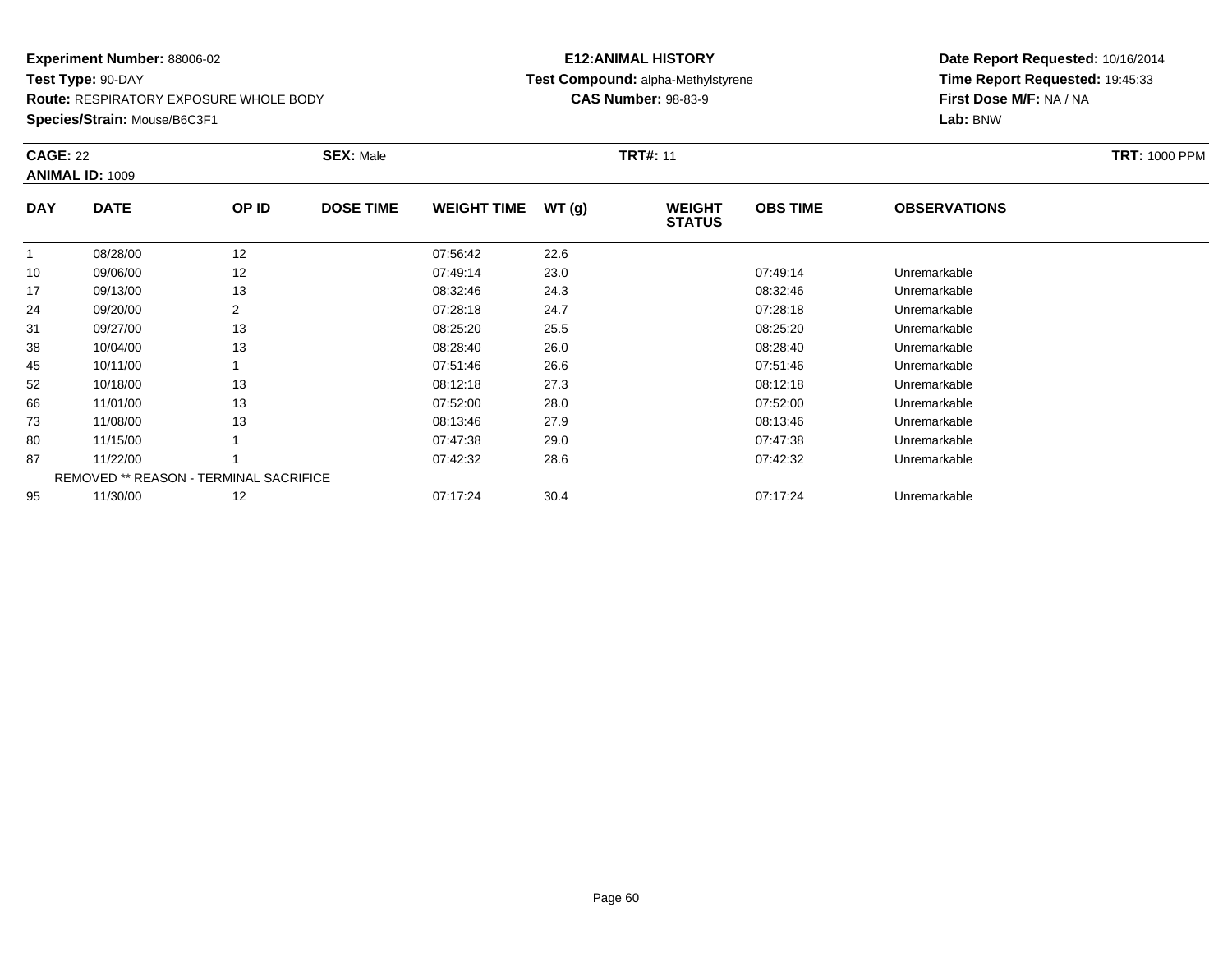**Route:** RESPIRATORY EXPOSURE WHOLE BODY

**Species/Strain:** Mouse/B6C3F1

# **E12:ANIMAL HISTORY Test Compound:** alpha-Methylstyrene**CAS Number:** 98-83-9

| <b>CAGE: 22</b> | <b>ANIMAL ID: 1009</b>                        |                | <b>SEX: Male</b> |                    |       | <b>TRT#: 11</b>                |                 |                     | <b>TRT: 1000 PPM</b> |
|-----------------|-----------------------------------------------|----------------|------------------|--------------------|-------|--------------------------------|-----------------|---------------------|----------------------|
| <b>DAY</b>      | <b>DATE</b>                                   | OP ID          | <b>DOSE TIME</b> | <b>WEIGHT TIME</b> | WT(g) | <b>WEIGHT</b><br><b>STATUS</b> | <b>OBS TIME</b> | <b>OBSERVATIONS</b> |                      |
|                 | 08/28/00                                      | 12             |                  | 07:56:42           | 22.6  |                                |                 |                     |                      |
| 10              | 09/06/00                                      | 12             |                  | 07:49:14           | 23.0  |                                | 07:49:14        | Unremarkable        |                      |
| 17              | 09/13/00                                      | 13             |                  | 08:32:46           | 24.3  |                                | 08:32:46        | Unremarkable        |                      |
| 24              | 09/20/00                                      | $\overline{2}$ |                  | 07:28:18           | 24.7  |                                | 07:28:18        | Unremarkable        |                      |
| 31              | 09/27/00                                      | 13             |                  | 08:25:20           | 25.5  |                                | 08:25:20        | Unremarkable        |                      |
| 38              | 10/04/00                                      | 13             |                  | 08:28:40           | 26.0  |                                | 08:28:40        | Unremarkable        |                      |
| 45              | 10/11/00                                      |                |                  | 07:51:46           | 26.6  |                                | 07:51:46        | Unremarkable        |                      |
| 52              | 10/18/00                                      | 13             |                  | 08:12:18           | 27.3  |                                | 08:12:18        | Unremarkable        |                      |
| 66              | 11/01/00                                      | 13             |                  | 07:52:00           | 28.0  |                                | 07:52:00        | Unremarkable        |                      |
| 73              | 11/08/00                                      | 13             |                  | 08:13:46           | 27.9  |                                | 08:13:46        | Unremarkable        |                      |
| 80              | 11/15/00                                      |                |                  | 07:47:38           | 29.0  |                                | 07:47:38        | Unremarkable        |                      |
| 87              | 11/22/00                                      |                |                  | 07:42:32           | 28.6  |                                | 07:42:32        | Unremarkable        |                      |
|                 | <b>REMOVED ** REASON - TERMINAL SACRIFICE</b> |                |                  |                    |       |                                |                 |                     |                      |
| 95              | 11/30/00                                      | 12             |                  | 07:17:24           | 30.4  |                                | 07:17:24        | Unremarkable        |                      |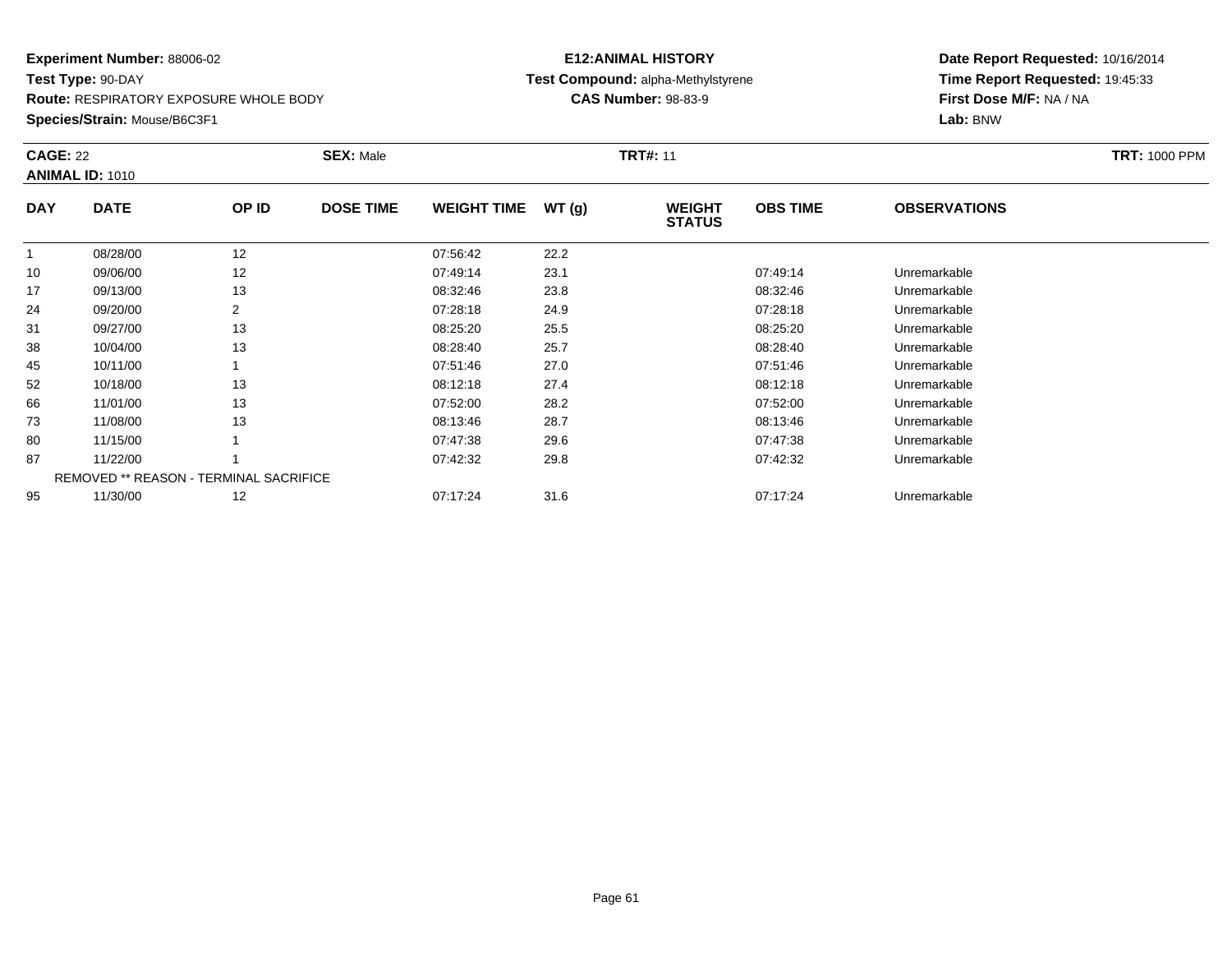**Route:** RESPIRATORY EXPOSURE WHOLE BODY

**Species/Strain:** Mouse/B6C3F1

# **E12:ANIMAL HISTORY Test Compound:** alpha-Methylstyrene**CAS Number:** 98-83-9

| <b>CAGE: 22</b> | <b>ANIMAL ID: 1010</b> |                                        | <b>SEX: Male</b> |                    |       | <b>TRT#: 11</b>                |                 |                     | <b>TRT: 1000 PPM</b> |
|-----------------|------------------------|----------------------------------------|------------------|--------------------|-------|--------------------------------|-----------------|---------------------|----------------------|
| <b>DAY</b>      | <b>DATE</b>            | OP ID                                  | <b>DOSE TIME</b> | <b>WEIGHT TIME</b> | WT(g) | <b>WEIGHT</b><br><b>STATUS</b> | <b>OBS TIME</b> | <b>OBSERVATIONS</b> |                      |
|                 | 08/28/00               | 12                                     |                  | 07:56:42           | 22.2  |                                |                 |                     |                      |
| 10              | 09/06/00               | 12                                     |                  | 07:49:14           | 23.1  |                                | 07:49:14        | Unremarkable        |                      |
| 17              | 09/13/00               | 13                                     |                  | 08:32:46           | 23.8  |                                | 08:32:46        | Unremarkable        |                      |
| 24              | 09/20/00               | 2                                      |                  | 07:28:18           | 24.9  |                                | 07:28:18        | Unremarkable        |                      |
| 31              | 09/27/00               | 13                                     |                  | 08:25:20           | 25.5  |                                | 08:25:20        | Unremarkable        |                      |
| 38              | 10/04/00               | 13                                     |                  | 08:28:40           | 25.7  |                                | 08:28:40        | Unremarkable        |                      |
| 45              | 10/11/00               |                                        |                  | 07:51:46           | 27.0  |                                | 07:51:46        | Unremarkable        |                      |
| 52              | 10/18/00               | 13                                     |                  | 08:12:18           | 27.4  |                                | 08:12:18        | Unremarkable        |                      |
| 66              | 11/01/00               | 13                                     |                  | 07:52:00           | 28.2  |                                | 07:52:00        | Unremarkable        |                      |
| 73              | 11/08/00               | 13                                     |                  | 08:13:46           | 28.7  |                                | 08:13:46        | Unremarkable        |                      |
| 80              | 11/15/00               |                                        |                  | 07:47:38           | 29.6  |                                | 07:47:38        | Unremarkable        |                      |
| 87              | 11/22/00               |                                        |                  | 07:42:32           | 29.8  |                                | 07:42:32        | Unremarkable        |                      |
|                 |                        | REMOVED ** REASON - TERMINAL SACRIFICE |                  |                    |       |                                |                 |                     |                      |
| 95              | 11/30/00               | 12                                     |                  | 07:17:24           | 31.6  |                                | 07:17:24        | Unremarkable        |                      |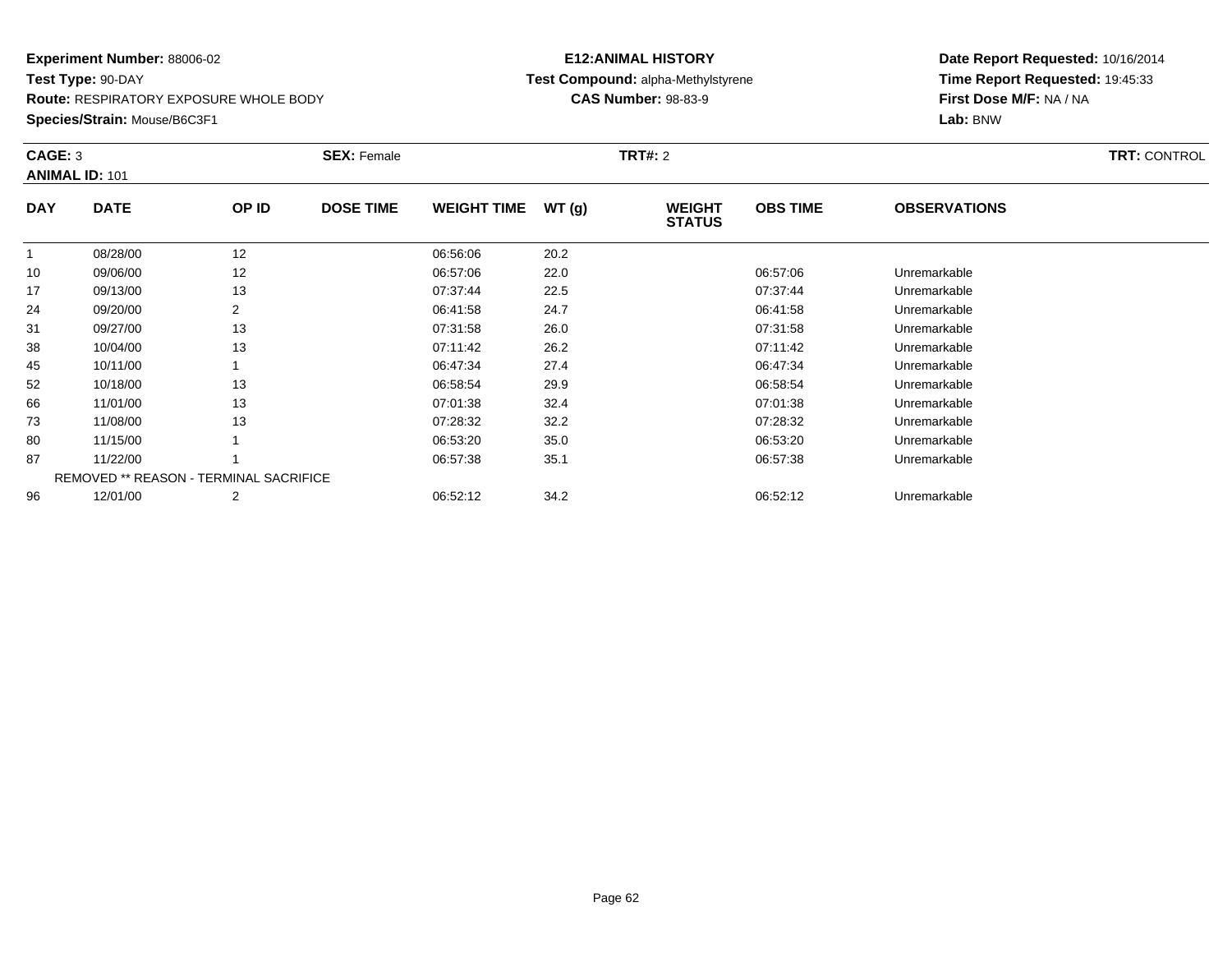**Route:** RESPIRATORY EXPOSURE WHOLE BODY

**Species/Strain:** Mouse/B6C3F1

# **E12:ANIMAL HISTORY Test Compound:** alpha-Methylstyrene**CAS Number:** 98-83-9

| CAGE: 3    | <b>ANIMAL ID: 101</b>                  |       | <b>SEX: Female</b> |                    |       | <b>TRT#: 2</b>                 |                 |                     | <b>TRT: CONTROL</b> |
|------------|----------------------------------------|-------|--------------------|--------------------|-------|--------------------------------|-----------------|---------------------|---------------------|
| <b>DAY</b> | <b>DATE</b>                            | OP ID | <b>DOSE TIME</b>   | <b>WEIGHT TIME</b> | WT(g) | <b>WEIGHT</b><br><b>STATUS</b> | <b>OBS TIME</b> | <b>OBSERVATIONS</b> |                     |
|            | 08/28/00                               | 12    |                    | 06:56:06           | 20.2  |                                |                 |                     |                     |
| 10         | 09/06/00                               | 12    |                    | 06:57:06           | 22.0  |                                | 06:57:06        | Unremarkable        |                     |
| 17         | 09/13/00                               | 13    |                    | 07:37:44           | 22.5  |                                | 07:37:44        | Unremarkable        |                     |
| 24         | 09/20/00                               | 2     |                    | 06:41:58           | 24.7  |                                | 06:41:58        | Unremarkable        |                     |
| 31         | 09/27/00                               | 13    |                    | 07:31:58           | 26.0  |                                | 07:31:58        | Unremarkable        |                     |
| 38         | 10/04/00                               | 13    |                    | 07:11:42           | 26.2  |                                | 07:11:42        | Unremarkable        |                     |
| 45         | 10/11/00                               |       |                    | 06:47:34           | 27.4  |                                | 06:47:34        | Unremarkable        |                     |
| 52         | 10/18/00                               | 13    |                    | 06:58:54           | 29.9  |                                | 06:58:54        | Unremarkable        |                     |
| 66         | 11/01/00                               | 13    |                    | 07:01:38           | 32.4  |                                | 07:01:38        | Unremarkable        |                     |
| 73         | 11/08/00                               | 13    |                    | 07:28:32           | 32.2  |                                | 07:28:32        | Unremarkable        |                     |
| 80         | 11/15/00                               |       |                    | 06:53:20           | 35.0  |                                | 06:53:20        | Unremarkable        |                     |
| 87         | 11/22/00                               |       |                    | 06:57:38           | 35.1  |                                | 06:57:38        | Unremarkable        |                     |
|            | REMOVED ** REASON - TERMINAL SACRIFICE |       |                    |                    |       |                                |                 |                     |                     |
| 96         | 12/01/00                               | 2     |                    | 06:52:12           | 34.2  |                                | 06:52:12        | Unremarkable        |                     |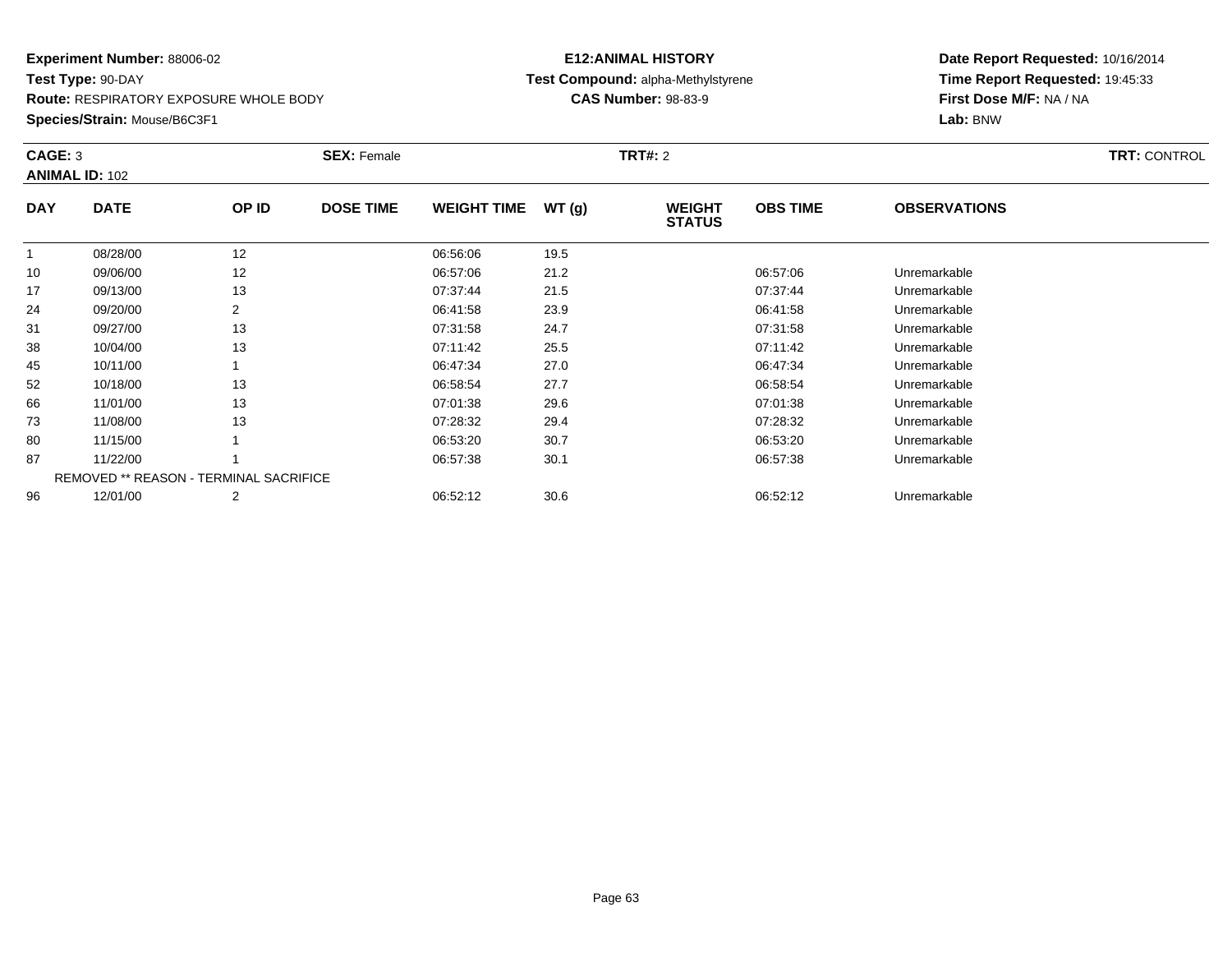**Route:** RESPIRATORY EXPOSURE WHOLE BODY

**Species/Strain:** Mouse/B6C3F1

# **E12:ANIMAL HISTORY Test Compound:** alpha-Methylstyrene**CAS Number:** 98-83-9

| CAGE: 3      | <b>ANIMAL ID: 102</b>                         |       | <b>SEX: Female</b> |                    |       | <b>TRT#:</b> 2                 |                 |                     | <b>TRT: CONTROL</b> |
|--------------|-----------------------------------------------|-------|--------------------|--------------------|-------|--------------------------------|-----------------|---------------------|---------------------|
| <b>DAY</b>   | <b>DATE</b>                                   | OP ID | <b>DOSE TIME</b>   | <b>WEIGHT TIME</b> | WT(g) | <b>WEIGHT</b><br><b>STATUS</b> | <b>OBS TIME</b> | <b>OBSERVATIONS</b> |                     |
| $\mathbf{1}$ | 08/28/00                                      | 12    |                    | 06:56:06           | 19.5  |                                |                 |                     |                     |
| 10           | 09/06/00                                      | 12    |                    | 06:57:06           | 21.2  |                                | 06:57:06        | Unremarkable        |                     |
| 17           | 09/13/00                                      | 13    |                    | 07:37:44           | 21.5  |                                | 07:37:44        | Unremarkable        |                     |
| 24           | 09/20/00                                      | 2     |                    | 06:41:58           | 23.9  |                                | 06:41:58        | Unremarkable        |                     |
| 31           | 09/27/00                                      | 13    |                    | 07:31:58           | 24.7  |                                | 07:31:58        | Unremarkable        |                     |
| 38           | 10/04/00                                      | 13    |                    | 07:11:42           | 25.5  |                                | 07:11:42        | Unremarkable        |                     |
| 45           | 10/11/00                                      |       |                    | 06:47:34           | 27.0  |                                | 06:47:34        | Unremarkable        |                     |
| 52           | 10/18/00                                      | 13    |                    | 06:58:54           | 27.7  |                                | 06:58:54        | Unremarkable        |                     |
| 66           | 11/01/00                                      | 13    |                    | 07:01:38           | 29.6  |                                | 07:01:38        | Unremarkable        |                     |
| 73           | 11/08/00                                      | 13    |                    | 07:28:32           | 29.4  |                                | 07:28:32        | Unremarkable        |                     |
| 80           | 11/15/00                                      |       |                    | 06:53:20           | 30.7  |                                | 06:53:20        | Unremarkable        |                     |
| 87           | 11/22/00                                      |       |                    | 06:57:38           | 30.1  |                                | 06:57:38        | Unremarkable        |                     |
|              | <b>REMOVED ** REASON - TERMINAL SACRIFICE</b> |       |                    |                    |       |                                |                 |                     |                     |
| 96           | 12/01/00                                      | 2     |                    | 06:52:12           | 30.6  |                                | 06:52:12        | Unremarkable        |                     |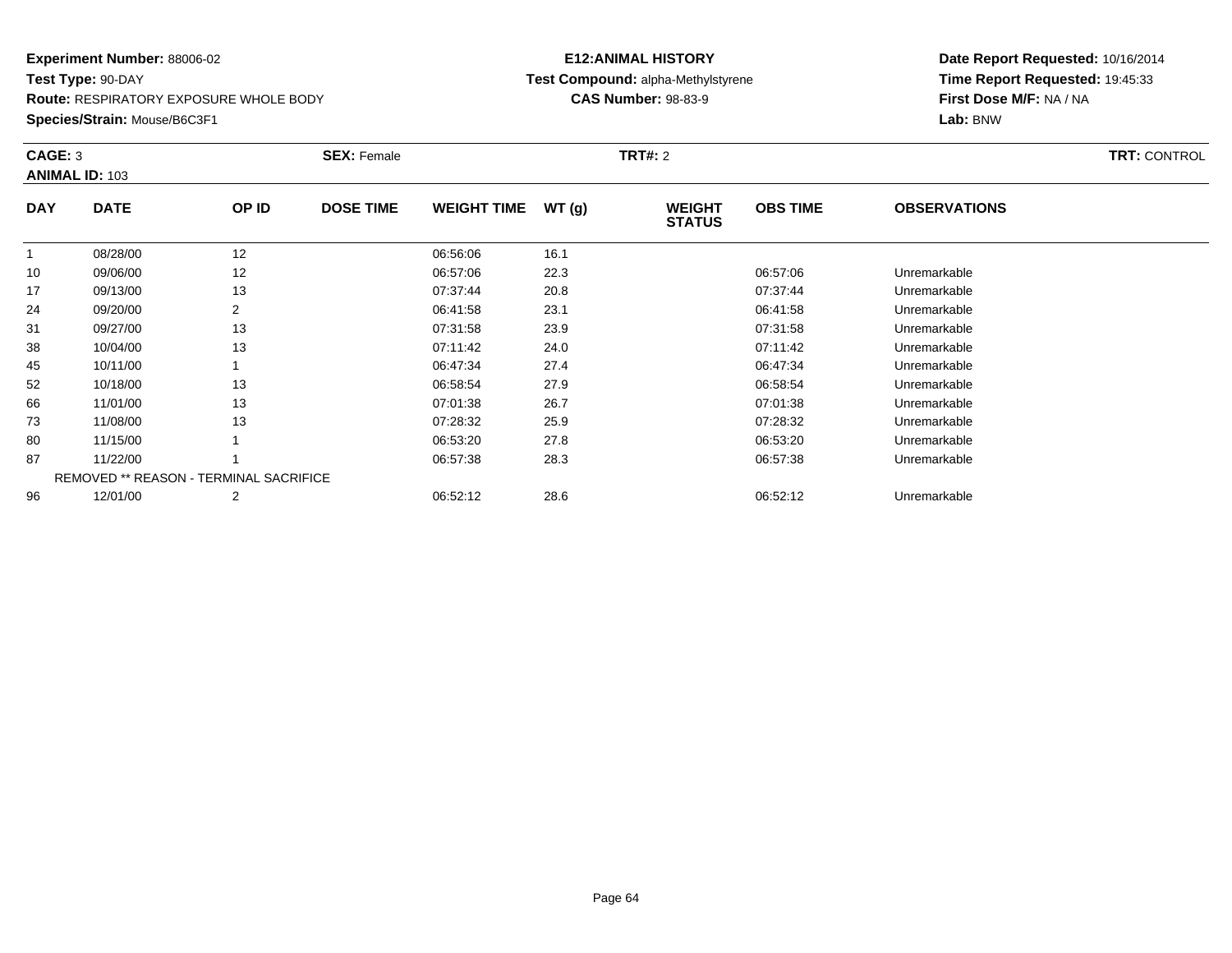**Route:** RESPIRATORY EXPOSURE WHOLE BODY

**Species/Strain:** Mouse/B6C3F1

# **E12:ANIMAL HISTORY Test Compound:** alpha-Methylstyrene**CAS Number:** 98-83-9

|            | CAGE: 3<br><b>ANIMAL ID: 103</b>       |       | <b>SEX: Female</b> |                    |       | <b>TRT#: 2</b>                 | <b>TRT: CONTROL</b> |                     |  |
|------------|----------------------------------------|-------|--------------------|--------------------|-------|--------------------------------|---------------------|---------------------|--|
| <b>DAY</b> | <b>DATE</b>                            | OP ID | <b>DOSE TIME</b>   | <b>WEIGHT TIME</b> | WT(g) | <b>WEIGHT</b><br><b>STATUS</b> | <b>OBS TIME</b>     | <b>OBSERVATIONS</b> |  |
| 1          | 08/28/00                               | 12    |                    | 06:56:06           | 16.1  |                                |                     |                     |  |
| 10         | 09/06/00                               | 12    |                    | 06:57:06           | 22.3  |                                | 06:57:06            | Unremarkable        |  |
| 17         | 09/13/00                               | 13    |                    | 07:37:44           | 20.8  |                                | 07:37:44            | Unremarkable        |  |
| 24         | 09/20/00                               | 2     |                    | 06:41:58           | 23.1  |                                | 06:41:58            | Unremarkable        |  |
| 31         | 09/27/00                               | 13    |                    | 07:31:58           | 23.9  |                                | 07:31:58            | Unremarkable        |  |
| 38         | 10/04/00                               | 13    |                    | 07:11:42           | 24.0  |                                | 07:11:42            | Unremarkable        |  |
| 45         | 10/11/00                               |       |                    | 06:47:34           | 27.4  |                                | 06:47:34            | Unremarkable        |  |
| 52         | 10/18/00                               | 13    |                    | 06:58:54           | 27.9  |                                | 06:58:54            | Unremarkable        |  |
| 66         | 11/01/00                               | 13    |                    | 07:01:38           | 26.7  |                                | 07:01:38            | Unremarkable        |  |
| 73         | 11/08/00                               | 13    |                    | 07:28:32           | 25.9  |                                | 07:28:32            | Unremarkable        |  |
| 80         | 11/15/00                               |       |                    | 06:53:20           | 27.8  |                                | 06:53:20            | Unremarkable        |  |
| 87         | 11/22/00                               |       |                    | 06:57:38           | 28.3  |                                | 06:57:38            | Unremarkable        |  |
|            | REMOVED ** REASON - TERMINAL SACRIFICE |       |                    |                    |       |                                |                     |                     |  |
| 96         | 12/01/00                               | 2     |                    | 06:52:12           | 28.6  |                                | 06:52:12            | Unremarkable        |  |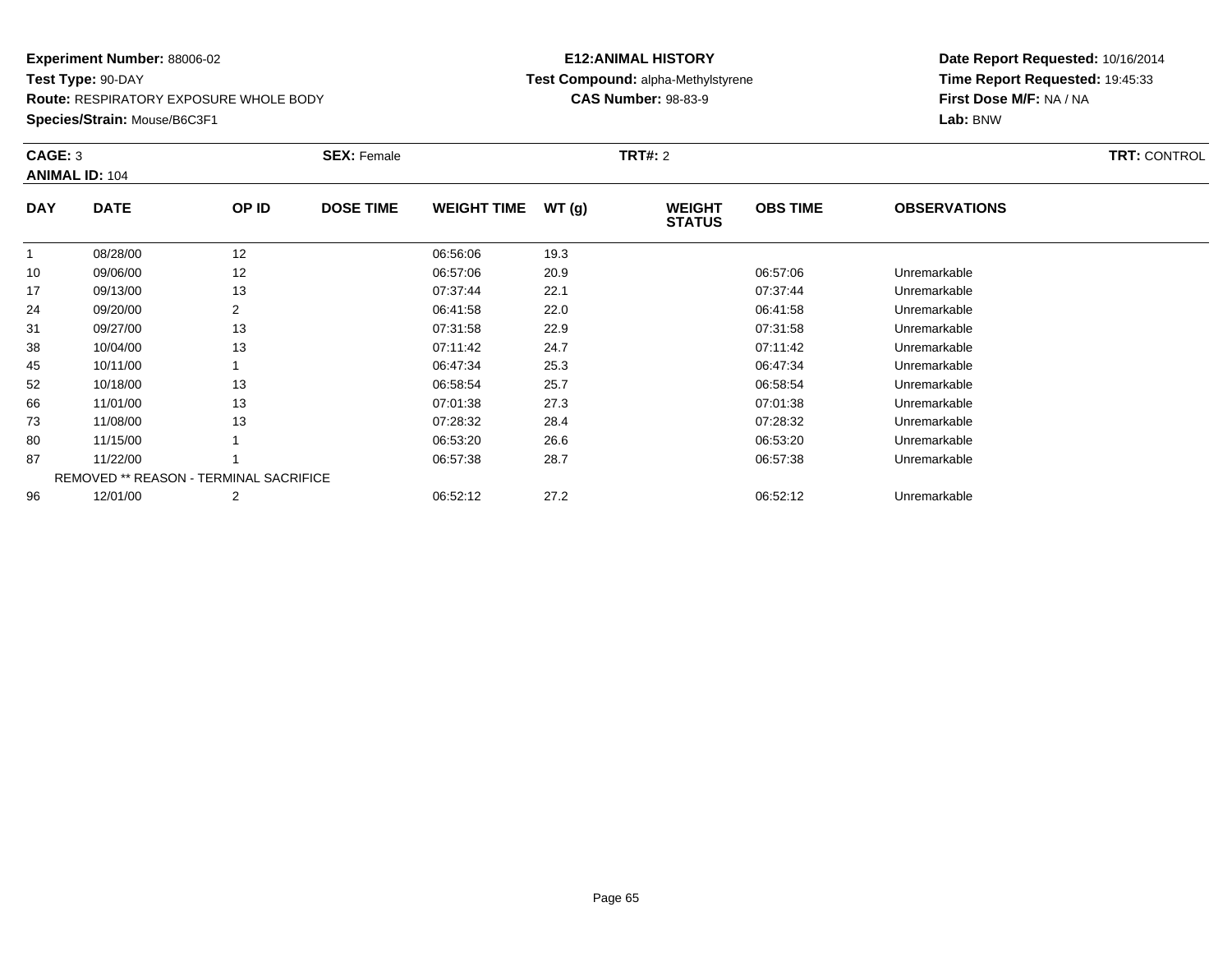**Route:** RESPIRATORY EXPOSURE WHOLE BODY

**Species/Strain:** Mouse/B6C3F1

# **E12:ANIMAL HISTORY Test Compound:** alpha-Methylstyrene**CAS Number:** 98-83-9

| CAGE: 3    | <b>ANIMAL ID: 104</b>                  |                | <b>SEX: Female</b> |                    |       | <b>TRT#: 2</b>                 |                 |                     | <b>TRT: CONTROL</b> |
|------------|----------------------------------------|----------------|--------------------|--------------------|-------|--------------------------------|-----------------|---------------------|---------------------|
| <b>DAY</b> | <b>DATE</b>                            | OP ID          | <b>DOSE TIME</b>   | <b>WEIGHT TIME</b> | WT(g) | <b>WEIGHT</b><br><b>STATUS</b> | <b>OBS TIME</b> | <b>OBSERVATIONS</b> |                     |
|            | 08/28/00                               | 12             |                    | 06:56:06           | 19.3  |                                |                 |                     |                     |
| 10         | 09/06/00                               | 12             |                    | 06:57:06           | 20.9  |                                | 06:57:06        | Unremarkable        |                     |
| 17         | 09/13/00                               | 13             |                    | 07:37:44           | 22.1  |                                | 07:37:44        | Unremarkable        |                     |
| 24         | 09/20/00                               | $\overline{2}$ |                    | 06:41:58           | 22.0  |                                | 06:41:58        | Unremarkable        |                     |
| 31         | 09/27/00                               | 13             |                    | 07:31:58           | 22.9  |                                | 07:31:58        | Unremarkable        |                     |
| 38         | 10/04/00                               | 13             |                    | 07:11:42           | 24.7  |                                | 07:11:42        | Unremarkable        |                     |
| 45         | 10/11/00                               |                |                    | 06:47:34           | 25.3  |                                | 06:47:34        | Unremarkable        |                     |
| 52         | 10/18/00                               | 13             |                    | 06:58:54           | 25.7  |                                | 06:58:54        | Unremarkable        |                     |
| 66         | 11/01/00                               | 13             |                    | 07:01:38           | 27.3  |                                | 07:01:38        | Unremarkable        |                     |
| 73         | 11/08/00                               | 13             |                    | 07:28:32           | 28.4  |                                | 07:28:32        | Unremarkable        |                     |
| 80         | 11/15/00                               |                |                    | 06:53:20           | 26.6  |                                | 06:53:20        | Unremarkable        |                     |
| 87         | 11/22/00                               |                |                    | 06:57:38           | 28.7  |                                | 06:57:38        | Unremarkable        |                     |
|            | REMOVED ** REASON - TERMINAL SACRIFICE |                |                    |                    |       |                                |                 |                     |                     |
| 96         | 12/01/00                               | $\overline{2}$ |                    | 06:52:12           | 27.2  |                                | 06:52:12        | Unremarkable        |                     |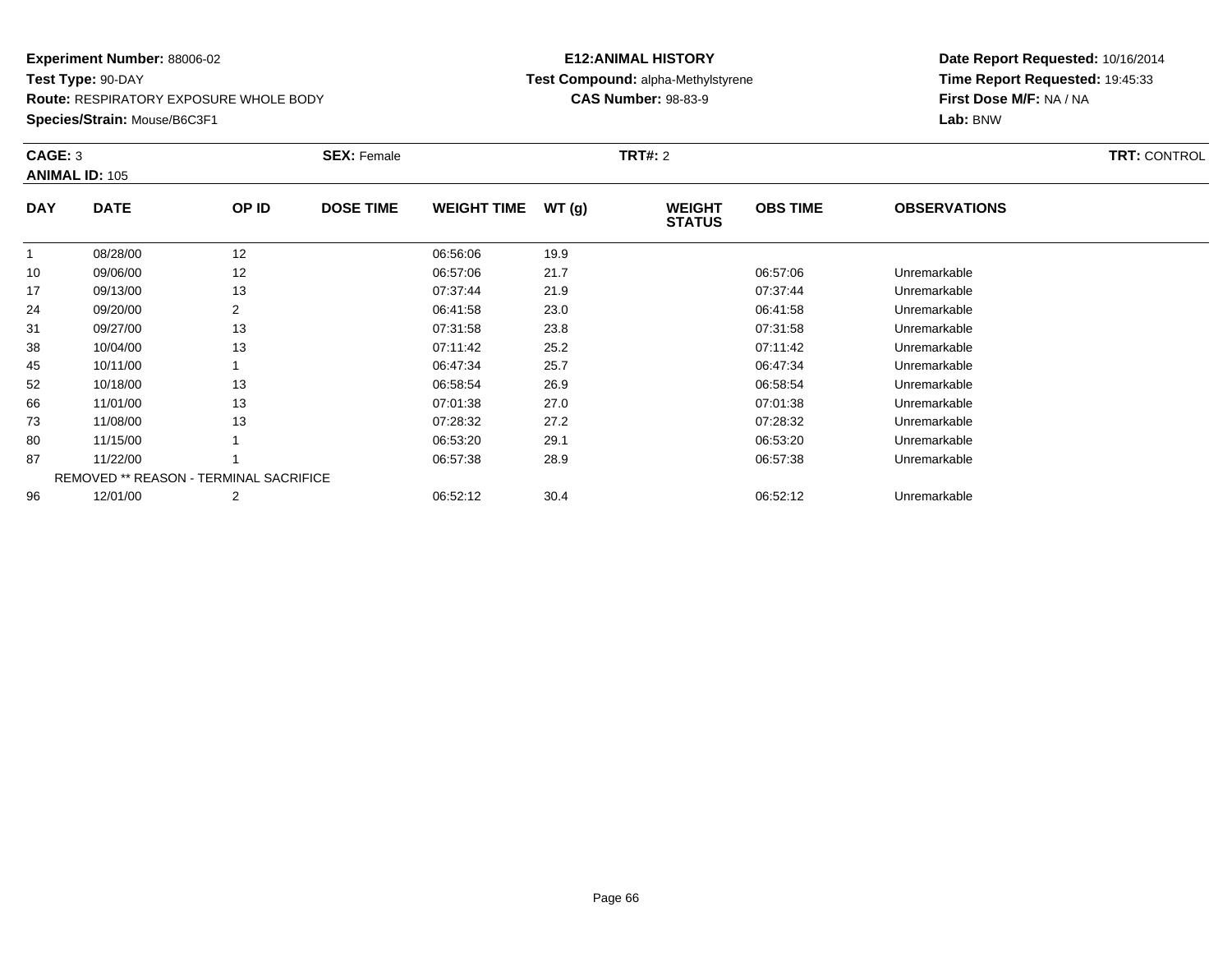**Route:** RESPIRATORY EXPOSURE WHOLE BODY

**Species/Strain:** Mouse/B6C3F1

# **E12:ANIMAL HISTORY Test Compound:** alpha-Methylstyrene**CAS Number:** 98-83-9

| CAGE: 3    | <b>ANIMAL ID: 105</b>                         |       | <b>SEX: Female</b> |                    |       | <b>TRT#: 2</b>                 |                 |                     | <b>TRT: CONTROL</b> |
|------------|-----------------------------------------------|-------|--------------------|--------------------|-------|--------------------------------|-----------------|---------------------|---------------------|
| <b>DAY</b> | <b>DATE</b>                                   | OP ID | <b>DOSE TIME</b>   | <b>WEIGHT TIME</b> | WT(g) | <b>WEIGHT</b><br><b>STATUS</b> | <b>OBS TIME</b> | <b>OBSERVATIONS</b> |                     |
|            | 08/28/00                                      | 12    |                    | 06:56:06           | 19.9  |                                |                 |                     |                     |
| 10         | 09/06/00                                      | 12    |                    | 06:57:06           | 21.7  |                                | 06:57:06        | Unremarkable        |                     |
| 17         | 09/13/00                                      | 13    |                    | 07:37:44           | 21.9  |                                | 07:37:44        | Unremarkable        |                     |
| 24         | 09/20/00                                      | 2     |                    | 06:41:58           | 23.0  |                                | 06:41:58        | Unremarkable        |                     |
| 31         | 09/27/00                                      | 13    |                    | 07:31:58           | 23.8  |                                | 07:31:58        | Unremarkable        |                     |
| 38         | 10/04/00                                      | 13    |                    | 07:11:42           | 25.2  |                                | 07:11:42        | Unremarkable        |                     |
| 45         | 10/11/00                                      |       |                    | 06:47:34           | 25.7  |                                | 06:47:34        | Unremarkable        |                     |
| 52         | 10/18/00                                      | 13    |                    | 06:58:54           | 26.9  |                                | 06:58:54        | Unremarkable        |                     |
| 66         | 11/01/00                                      | 13    |                    | 07:01:38           | 27.0  |                                | 07:01:38        | Unremarkable        |                     |
| 73         | 11/08/00                                      | 13    |                    | 07:28:32           | 27.2  |                                | 07:28:32        | Unremarkable        |                     |
| 80         | 11/15/00                                      |       |                    | 06:53:20           | 29.1  |                                | 06:53:20        | Unremarkable        |                     |
| 87         | 11/22/00                                      |       |                    | 06:57:38           | 28.9  |                                | 06:57:38        | Unremarkable        |                     |
|            | <b>REMOVED ** REASON - TERMINAL SACRIFICE</b> |       |                    |                    |       |                                |                 |                     |                     |
| 96         | 12/01/00                                      | 2     |                    | 06:52:12           | 30.4  |                                | 06:52:12        | Unremarkable        |                     |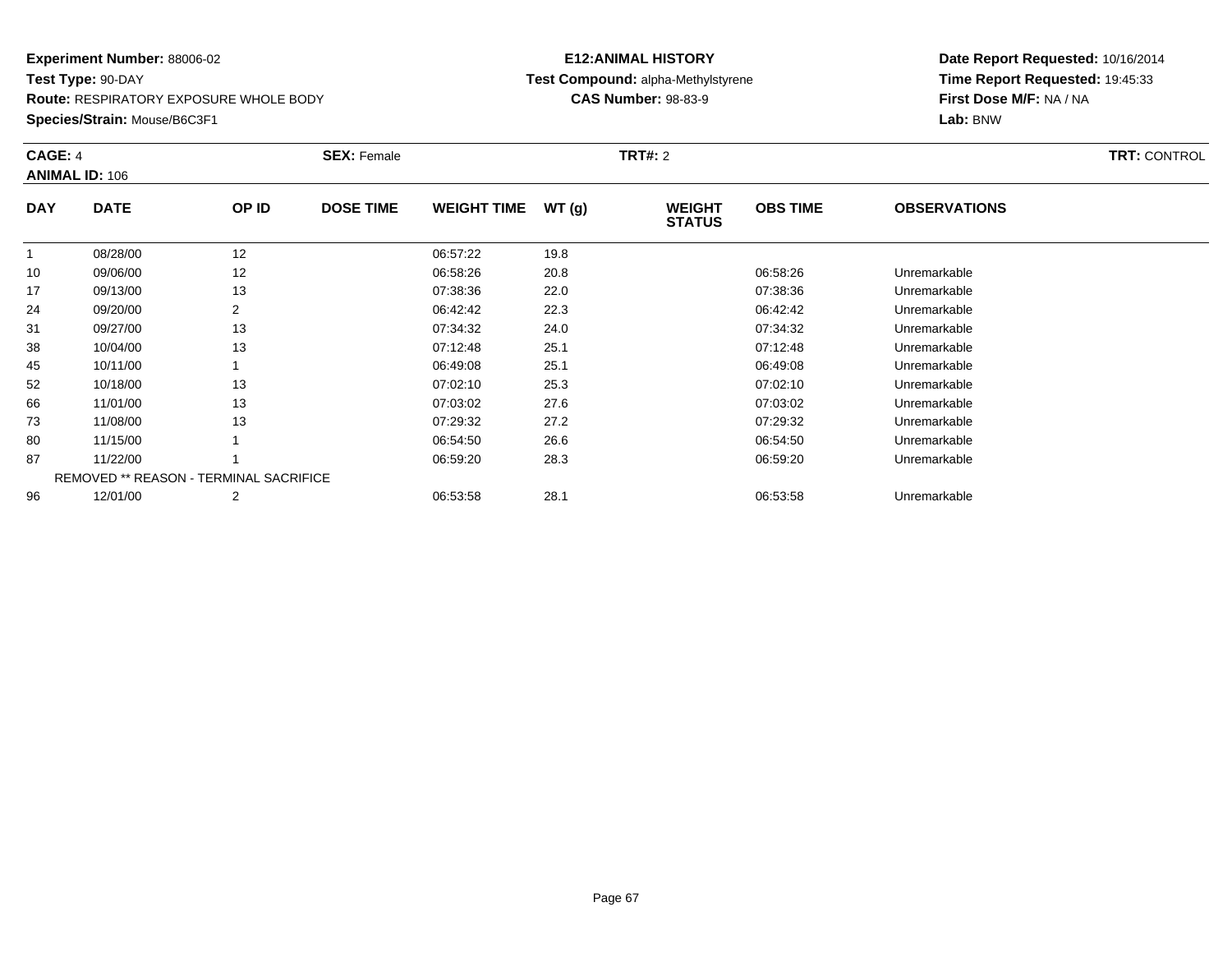#### **Experiment Number:** 88006-02**Test Type:** 90-DAY**Route:** RESPIRATORY EXPOSURE WHOLE BODY

**Species/Strain:** Mouse/B6C3F1

# **E12:ANIMAL HISTORYTest Compound:** alpha-Methylstyrene

**CAS Number:** 98-83-9

| CAGE: 4    |                                               |       | <b>SEX: Female</b> |                    |       | <b>TRT#: 2</b>                 |                 |                     | <b>TRT: CONTROL</b> |
|------------|-----------------------------------------------|-------|--------------------|--------------------|-------|--------------------------------|-----------------|---------------------|---------------------|
|            | <b>ANIMAL ID: 106</b>                         |       |                    |                    |       |                                |                 |                     |                     |
| <b>DAY</b> | <b>DATE</b>                                   | OP ID | <b>DOSE TIME</b>   | <b>WEIGHT TIME</b> | WT(g) | <b>WEIGHT</b><br><b>STATUS</b> | <b>OBS TIME</b> | <b>OBSERVATIONS</b> |                     |
|            | 08/28/00                                      | 12    |                    | 06:57:22           | 19.8  |                                |                 |                     |                     |
| 10         | 09/06/00                                      | 12    |                    | 06:58:26           | 20.8  |                                | 06:58:26        | Unremarkable        |                     |
| 17         | 09/13/00                                      | 13    |                    | 07:38:36           | 22.0  |                                | 07:38:36        | Unremarkable        |                     |
| 24         | 09/20/00                                      | 2     |                    | 06:42:42           | 22.3  |                                | 06:42:42        | Unremarkable        |                     |
| 31         | 09/27/00                                      | 13    |                    | 07:34:32           | 24.0  |                                | 07:34:32        | Unremarkable        |                     |
| 38         | 10/04/00                                      | 13    |                    | 07:12:48           | 25.1  |                                | 07:12:48        | Unremarkable        |                     |
| 45         | 10/11/00                                      |       |                    | 06:49:08           | 25.1  |                                | 06:49:08        | Unremarkable        |                     |
| 52         | 10/18/00                                      | 13    |                    | 07:02:10           | 25.3  |                                | 07:02:10        | Unremarkable        |                     |
| 66         | 11/01/00                                      | 13    |                    | 07:03:02           | 27.6  |                                | 07:03:02        | Unremarkable        |                     |
| 73         | 11/08/00                                      | 13    |                    | 07:29:32           | 27.2  |                                | 07:29:32        | Unremarkable        |                     |
| 80         | 11/15/00                                      |       |                    | 06:54:50           | 26.6  |                                | 06:54:50        | Unremarkable        |                     |
| 87         | 11/22/00                                      |       |                    | 06:59:20           | 28.3  |                                | 06:59:20        | Unremarkable        |                     |
|            | <b>REMOVED ** REASON - TERMINAL SACRIFICE</b> |       |                    |                    |       |                                |                 |                     |                     |
| 96         | 12/01/00                                      | 2     |                    | 06:53:58           | 28.1  |                                | 06:53:58        | Unremarkable        |                     |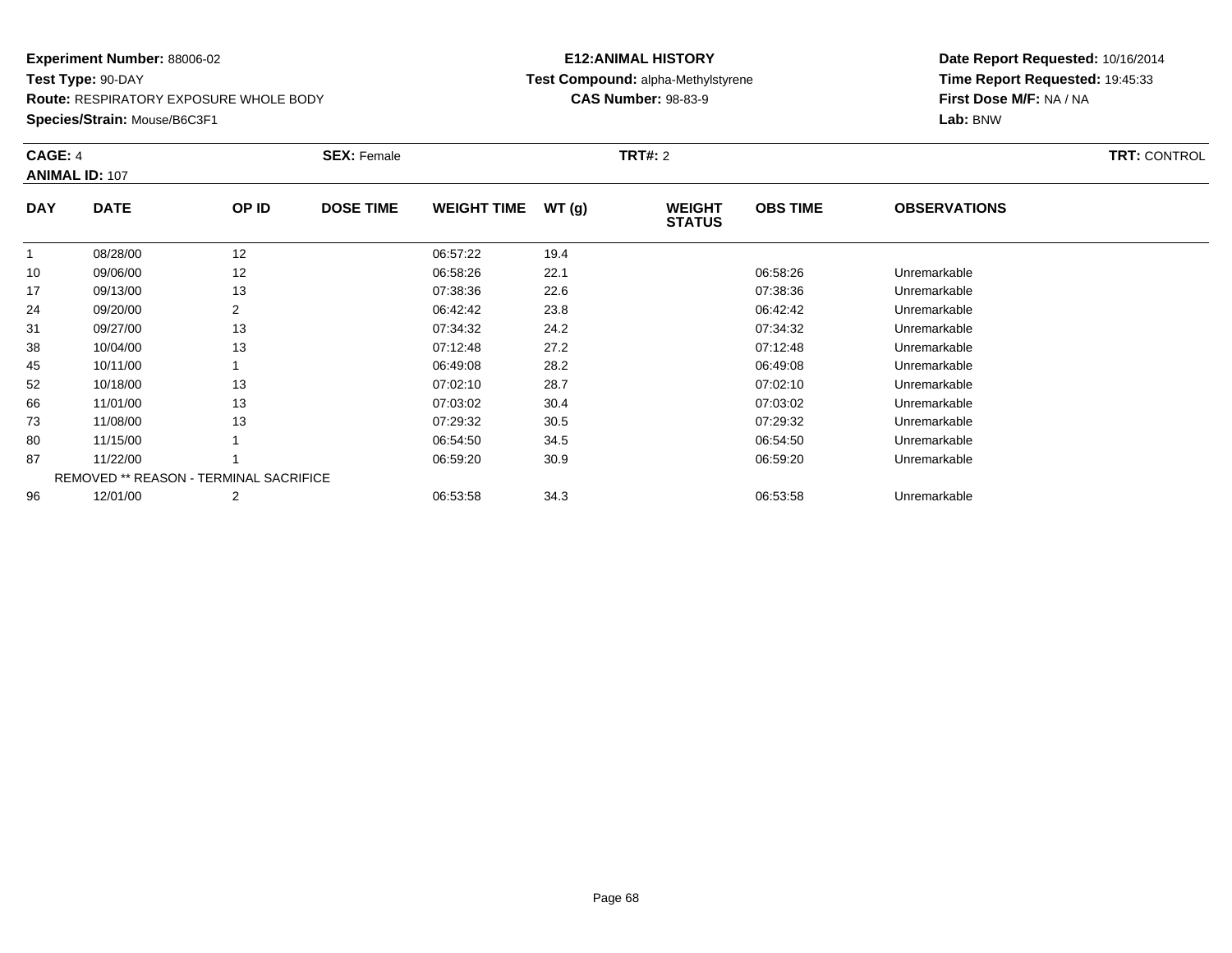**Route:** RESPIRATORY EXPOSURE WHOLE BODY

**Species/Strain:** Mouse/B6C3F1

# **E12:ANIMAL HISTORY Test Compound:** alpha-Methylstyrene**CAS Number:** 98-83-9

| CAGE: 4    | <b>ANIMAL ID: 107</b>                  |       | <b>SEX: Female</b> |                    |       | <b>TRT#: 2</b>                 |                 |                     | <b>TRT: CONTROL</b> |
|------------|----------------------------------------|-------|--------------------|--------------------|-------|--------------------------------|-----------------|---------------------|---------------------|
| <b>DAY</b> | <b>DATE</b>                            | OP ID | <b>DOSE TIME</b>   | <b>WEIGHT TIME</b> | WT(g) | <b>WEIGHT</b><br><b>STATUS</b> | <b>OBS TIME</b> | <b>OBSERVATIONS</b> |                     |
|            | 08/28/00                               | 12    |                    | 06:57:22           | 19.4  |                                |                 |                     |                     |
| 10         | 09/06/00                               | 12    |                    | 06:58:26           | 22.1  |                                | 06:58:26        | Unremarkable        |                     |
| 17         | 09/13/00                               | 13    |                    | 07:38:36           | 22.6  |                                | 07:38:36        | Unremarkable        |                     |
| 24         | 09/20/00                               | 2     |                    | 06:42:42           | 23.8  |                                | 06:42:42        | Unremarkable        |                     |
| 31         | 09/27/00                               | 13    |                    | 07:34:32           | 24.2  |                                | 07:34:32        | Unremarkable        |                     |
| 38         | 10/04/00                               | 13    |                    | 07:12:48           | 27.2  |                                | 07:12:48        | Unremarkable        |                     |
| 45         | 10/11/00                               |       |                    | 06:49:08           | 28.2  |                                | 06:49:08        | Unremarkable        |                     |
| 52         | 10/18/00                               | 13    |                    | 07:02:10           | 28.7  |                                | 07:02:10        | Unremarkable        |                     |
| 66         | 11/01/00                               | 13    |                    | 07:03:02           | 30.4  |                                | 07:03:02        | Unremarkable        |                     |
| 73         | 11/08/00                               | 13    |                    | 07:29:32           | 30.5  |                                | 07:29:32        | Unremarkable        |                     |
| 80         | 11/15/00                               |       |                    | 06:54:50           | 34.5  |                                | 06:54:50        | Unremarkable        |                     |
| 87         | 11/22/00                               |       |                    | 06:59:20           | 30.9  |                                | 06:59:20        | Unremarkable        |                     |
|            | REMOVED ** REASON - TERMINAL SACRIFICE |       |                    |                    |       |                                |                 |                     |                     |
| 96         | 12/01/00                               | 2     |                    | 06:53:58           | 34.3  |                                | 06:53:58        | Unremarkable        |                     |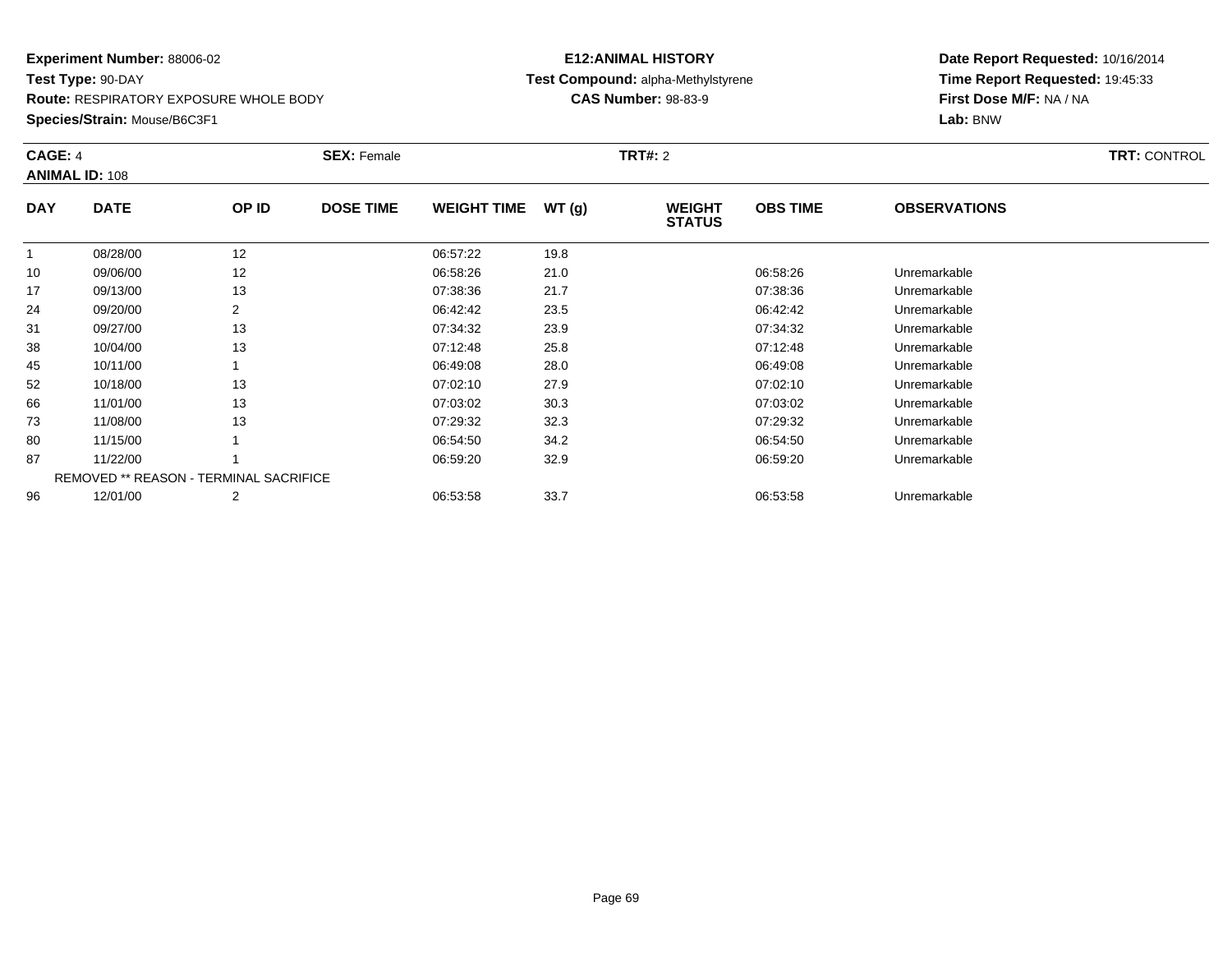#### **Experiment Number:** 88006-02**Test Type:** 90-DAY**Route:** RESPIRATORY EXPOSURE WHOLE BODY

**Species/Strain:** Mouse/B6C3F1

# **E12:ANIMAL HISTORYTest Compound:** alpha-Methylstyrene

**CAS Number:** 98-83-9

| CAGE: 4    | <b>ANIMAL ID: 108</b>                         |       | <b>SEX: Female</b> |                    |       | <b>TRT#:</b> 2                 | <b>TRT: CONTROL</b> |                     |  |
|------------|-----------------------------------------------|-------|--------------------|--------------------|-------|--------------------------------|---------------------|---------------------|--|
| <b>DAY</b> | <b>DATE</b>                                   | OP ID | <b>DOSE TIME</b>   | <b>WEIGHT TIME</b> | WT(g) | <b>WEIGHT</b><br><b>STATUS</b> | <b>OBS TIME</b>     | <b>OBSERVATIONS</b> |  |
|            | 08/28/00                                      | 12    |                    | 06:57:22           | 19.8  |                                |                     |                     |  |
| 10         | 09/06/00                                      | 12    |                    | 06:58:26           | 21.0  |                                | 06:58:26            | Unremarkable        |  |
| 17         | 09/13/00                                      | 13    |                    | 07:38:36           | 21.7  |                                | 07:38:36            | Unremarkable        |  |
| 24         | 09/20/00                                      |       |                    | 06:42:42           | 23.5  |                                | 06:42:42            | Unremarkable        |  |
| 31         | 09/27/00                                      | 13    |                    | 07:34:32           | 23.9  |                                | 07:34:32            | Unremarkable        |  |
| 38         | 10/04/00                                      | 13    |                    | 07:12:48           | 25.8  |                                | 07:12:48            | Unremarkable        |  |
| 45         | 10/11/00                                      |       |                    | 06:49:08           | 28.0  |                                | 06:49:08            | Unremarkable        |  |
| 52         | 10/18/00                                      | 13    |                    | 07:02:10           | 27.9  |                                | 07:02:10            | Unremarkable        |  |
| 66         | 11/01/00                                      | 13    |                    | 07:03:02           | 30.3  |                                | 07:03:02            | Unremarkable        |  |
| 73         | 11/08/00                                      | 13    |                    | 07:29:32           | 32.3  |                                | 07:29:32            | Unremarkable        |  |
| 80         | 11/15/00                                      |       |                    | 06:54:50           | 34.2  |                                | 06:54:50            | Unremarkable        |  |
| 87         | 11/22/00                                      |       |                    | 06:59:20           | 32.9  |                                | 06:59:20            | Unremarkable        |  |
|            | <b>REMOVED ** REASON - TERMINAL SACRIFICE</b> |       |                    |                    |       |                                |                     |                     |  |
| 96         | 12/01/00                                      | 2     |                    | 06:53:58           | 33.7  |                                | 06:53:58            | Unremarkable        |  |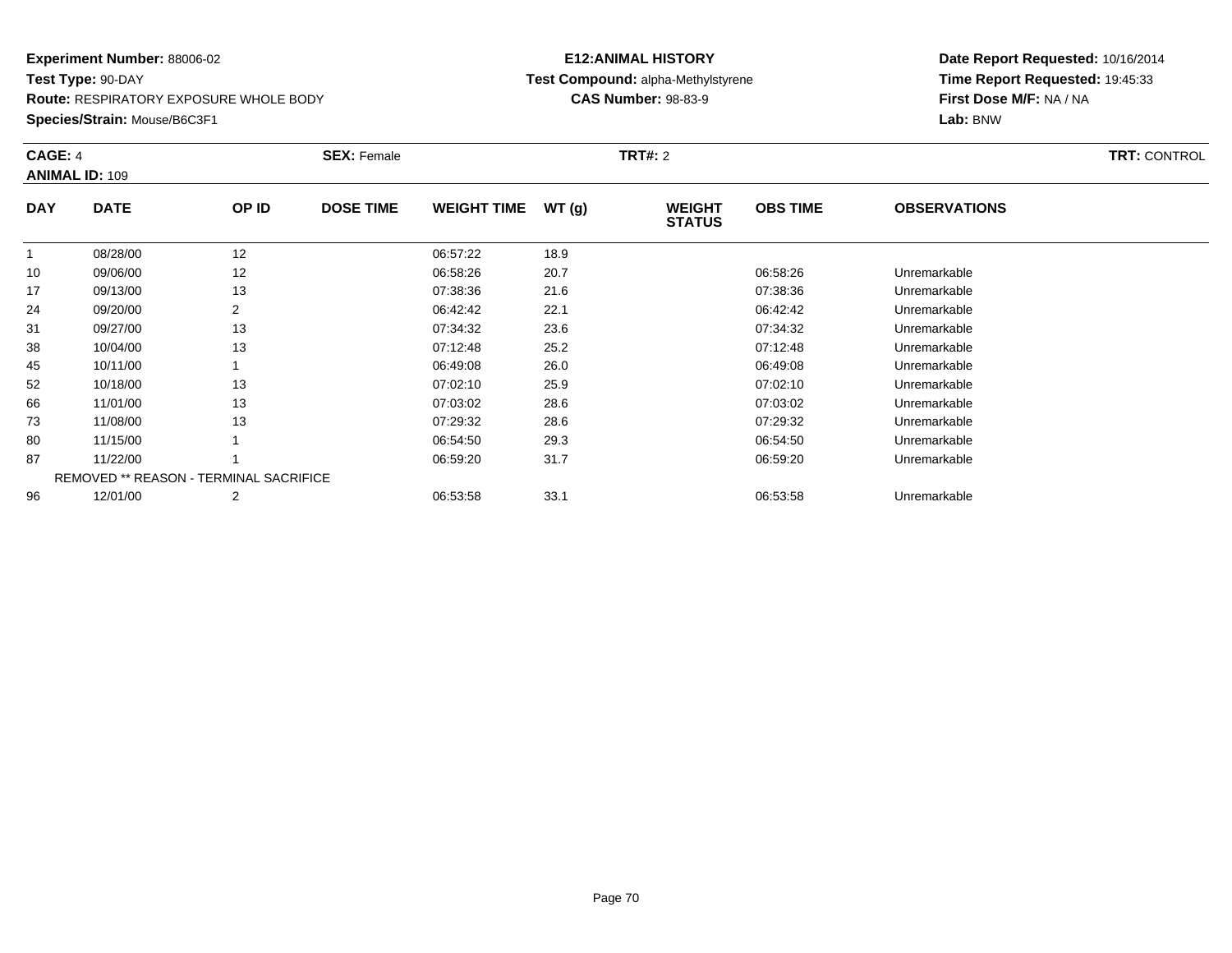#### **Experiment Number:** 88006-02**Test Type:** 90-DAY**Route:** RESPIRATORY EXPOSURE WHOLE BODY

**Species/Strain:** Mouse/B6C3F1

# **E12:ANIMAL HISTORYTest Compound:** alpha-Methylstyrene

**CAS Number:** 98-83-9

| CAGE: 4    | <b>ANIMAL ID: 109</b>                         |                | <b>SEX: Female</b> |                    |       | <b>TRT#:</b> 2                 | <b>TRT: CONTROL</b> |                     |  |
|------------|-----------------------------------------------|----------------|--------------------|--------------------|-------|--------------------------------|---------------------|---------------------|--|
| <b>DAY</b> | <b>DATE</b>                                   | OP ID          | <b>DOSE TIME</b>   | <b>WEIGHT TIME</b> | WT(g) | <b>WEIGHT</b><br><b>STATUS</b> | <b>OBS TIME</b>     | <b>OBSERVATIONS</b> |  |
|            | 08/28/00                                      | 12             |                    | 06:57:22           | 18.9  |                                |                     |                     |  |
| 10         | 09/06/00                                      | 12             |                    | 06:58:26           | 20.7  |                                | 06:58:26            | Unremarkable        |  |
| 17         | 09/13/00                                      | 13             |                    | 07:38:36           | 21.6  |                                | 07:38:36            | Unremarkable        |  |
| 24         | 09/20/00                                      | $\overline{2}$ |                    | 06:42:42           | 22.1  |                                | 06:42:42            | Unremarkable        |  |
| 31         | 09/27/00                                      | 13             |                    | 07:34:32           | 23.6  |                                | 07:34:32            | Unremarkable        |  |
| 38         | 10/04/00                                      | 13             |                    | 07:12:48           | 25.2  |                                | 07:12:48            | Unremarkable        |  |
| 45         | 10/11/00                                      |                |                    | 06:49:08           | 26.0  |                                | 06:49:08            | Unremarkable        |  |
| 52         | 10/18/00                                      | 13             |                    | 07:02:10           | 25.9  |                                | 07:02:10            | Unremarkable        |  |
| 66         | 11/01/00                                      | 13             |                    | 07:03:02           | 28.6  |                                | 07:03:02            | Unremarkable        |  |
| 73         | 11/08/00                                      | 13             |                    | 07:29:32           | 28.6  |                                | 07:29:32            | Unremarkable        |  |
| 80         | 11/15/00                                      |                |                    | 06:54:50           | 29.3  |                                | 06:54:50            | Unremarkable        |  |
| 87         | 11/22/00                                      |                |                    | 06:59:20           | 31.7  |                                | 06:59:20            | Unremarkable        |  |
|            | <b>REMOVED ** REASON - TERMINAL SACRIFICE</b> |                |                    |                    |       |                                |                     |                     |  |
| 96         | 12/01/00                                      | 2              |                    | 06:53:58           | 33.1  |                                | 06:53:58            | Unremarkable        |  |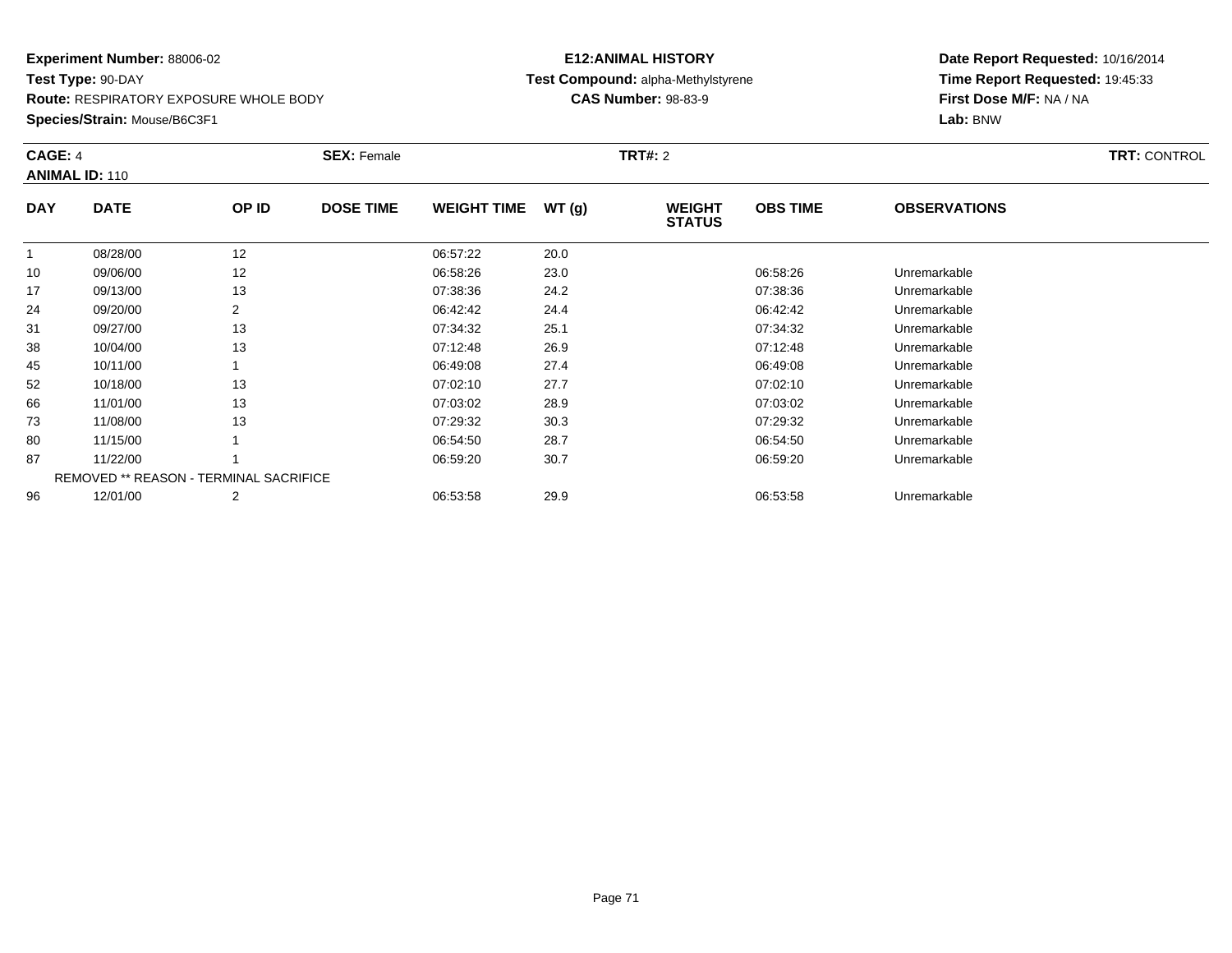**Route:** RESPIRATORY EXPOSURE WHOLE BODY

**Species/Strain:** Mouse/B6C3F1

# **E12:ANIMAL HISTORY Test Compound:** alpha-Methylstyrene**CAS Number:** 98-83-9

| CAGE: 4    | <b>ANIMAL ID: 110</b>                  |       | <b>SEX: Female</b> |                    |       | <b>TRT#: 2</b>                 |                 |                     | <b>TRT: CONTROL</b> |
|------------|----------------------------------------|-------|--------------------|--------------------|-------|--------------------------------|-----------------|---------------------|---------------------|
| <b>DAY</b> | <b>DATE</b>                            | OP ID | <b>DOSE TIME</b>   | <b>WEIGHT TIME</b> | WT(g) | <b>WEIGHT</b><br><b>STATUS</b> | <b>OBS TIME</b> | <b>OBSERVATIONS</b> |                     |
|            | 08/28/00                               | 12    |                    | 06:57:22           | 20.0  |                                |                 |                     |                     |
| 10         | 09/06/00                               | 12    |                    | 06:58:26           | 23.0  |                                | 06:58:26        | Unremarkable        |                     |
| 17         | 09/13/00                               | 13    |                    | 07:38:36           | 24.2  |                                | 07:38:36        | Unremarkable        |                     |
| 24         | 09/20/00                               | 2     |                    | 06:42:42           | 24.4  |                                | 06:42:42        | Unremarkable        |                     |
| 31         | 09/27/00                               | 13    |                    | 07:34:32           | 25.1  |                                | 07:34:32        | Unremarkable        |                     |
| 38         | 10/04/00                               | 13    |                    | 07:12:48           | 26.9  |                                | 07:12:48        | Unremarkable        |                     |
| 45         | 10/11/00                               |       |                    | 06:49:08           | 27.4  |                                | 06:49:08        | Unremarkable        |                     |
| 52         | 10/18/00                               | 13    |                    | 07:02:10           | 27.7  |                                | 07:02:10        | Unremarkable        |                     |
| 66         | 11/01/00                               | 13    |                    | 07:03:02           | 28.9  |                                | 07:03:02        | Unremarkable        |                     |
| 73         | 11/08/00                               | 13    |                    | 07:29:32           | 30.3  |                                | 07:29:32        | Unremarkable        |                     |
| 80         | 11/15/00                               |       |                    | 06:54:50           | 28.7  |                                | 06:54:50        | Unremarkable        |                     |
| 87         | 11/22/00                               |       |                    | 06:59:20           | 30.7  |                                | 06:59:20        | Unremarkable        |                     |
|            | REMOVED ** REASON - TERMINAL SACRIFICE |       |                    |                    |       |                                |                 |                     |                     |
| 96         | 12/01/00                               | 2     |                    | 06:53:58           | 29.9  |                                | 06:53:58        | Unremarkable        |                     |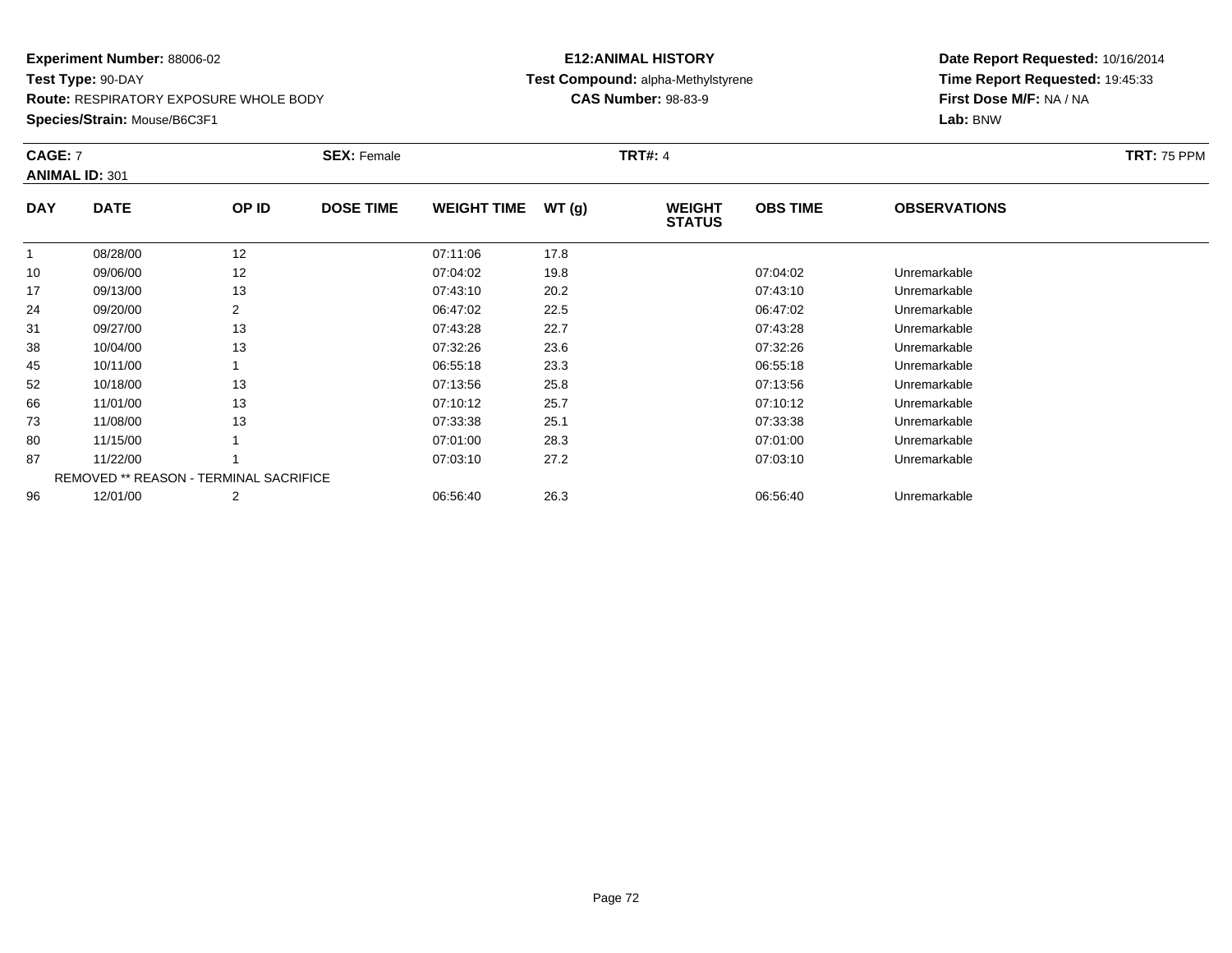**Route:** RESPIRATORY EXPOSURE WHOLE BODY

**Species/Strain:** Mouse/B6C3F1

# **E12:ANIMAL HISTORY Test Compound:** alpha-Methylstyrene**CAS Number:** 98-83-9

| <b>CAGE: 7</b> | <b>ANIMAL ID: 301</b>                         |       | <b>SEX: Female</b> |                    |       | <b>TRT#: 4</b>                 |                 |                     | <b>TRT: 75 PPM</b> |
|----------------|-----------------------------------------------|-------|--------------------|--------------------|-------|--------------------------------|-----------------|---------------------|--------------------|
| <b>DAY</b>     | <b>DATE</b>                                   | OP ID | <b>DOSE TIME</b>   | <b>WEIGHT TIME</b> | WT(g) | <b>WEIGHT</b><br><b>STATUS</b> | <b>OBS TIME</b> | <b>OBSERVATIONS</b> |                    |
|                | 08/28/00                                      | 12    |                    | 07:11:06           | 17.8  |                                |                 |                     |                    |
| 10             | 09/06/00                                      | 12    |                    | 07:04:02           | 19.8  |                                | 07:04:02        | Unremarkable        |                    |
| 17             | 09/13/00                                      | 13    |                    | 07:43:10           | 20.2  |                                | 07:43:10        | Unremarkable        |                    |
| 24             | 09/20/00                                      | 2     |                    | 06:47:02           | 22.5  |                                | 06:47:02        | Unremarkable        |                    |
| 31             | 09/27/00                                      | 13    |                    | 07:43:28           | 22.7  |                                | 07:43:28        | Unremarkable        |                    |
| 38             | 10/04/00                                      | 13    |                    | 07:32:26           | 23.6  |                                | 07:32:26        | Unremarkable        |                    |
| 45             | 10/11/00                                      |       |                    | 06:55:18           | 23.3  |                                | 06:55:18        | Unremarkable        |                    |
| 52             | 10/18/00                                      | 13    |                    | 07:13:56           | 25.8  |                                | 07:13:56        | Unremarkable        |                    |
| 66             | 11/01/00                                      | 13    |                    | 07:10:12           | 25.7  |                                | 07:10:12        | Unremarkable        |                    |
| 73             | 11/08/00                                      | 13    |                    | 07:33:38           | 25.1  |                                | 07:33:38        | Unremarkable        |                    |
| 80             | 11/15/00                                      |       |                    | 07:01:00           | 28.3  |                                | 07:01:00        | Unremarkable        |                    |
| 87             | 11/22/00                                      |       |                    | 07:03:10           | 27.2  |                                | 07:03:10        | Unremarkable        |                    |
|                | <b>REMOVED ** REASON - TERMINAL SACRIFICE</b> |       |                    |                    |       |                                |                 |                     |                    |
| 96             | 12/01/00                                      | 2     |                    | 06:56:40           | 26.3  |                                | 06:56:40        | Unremarkable        |                    |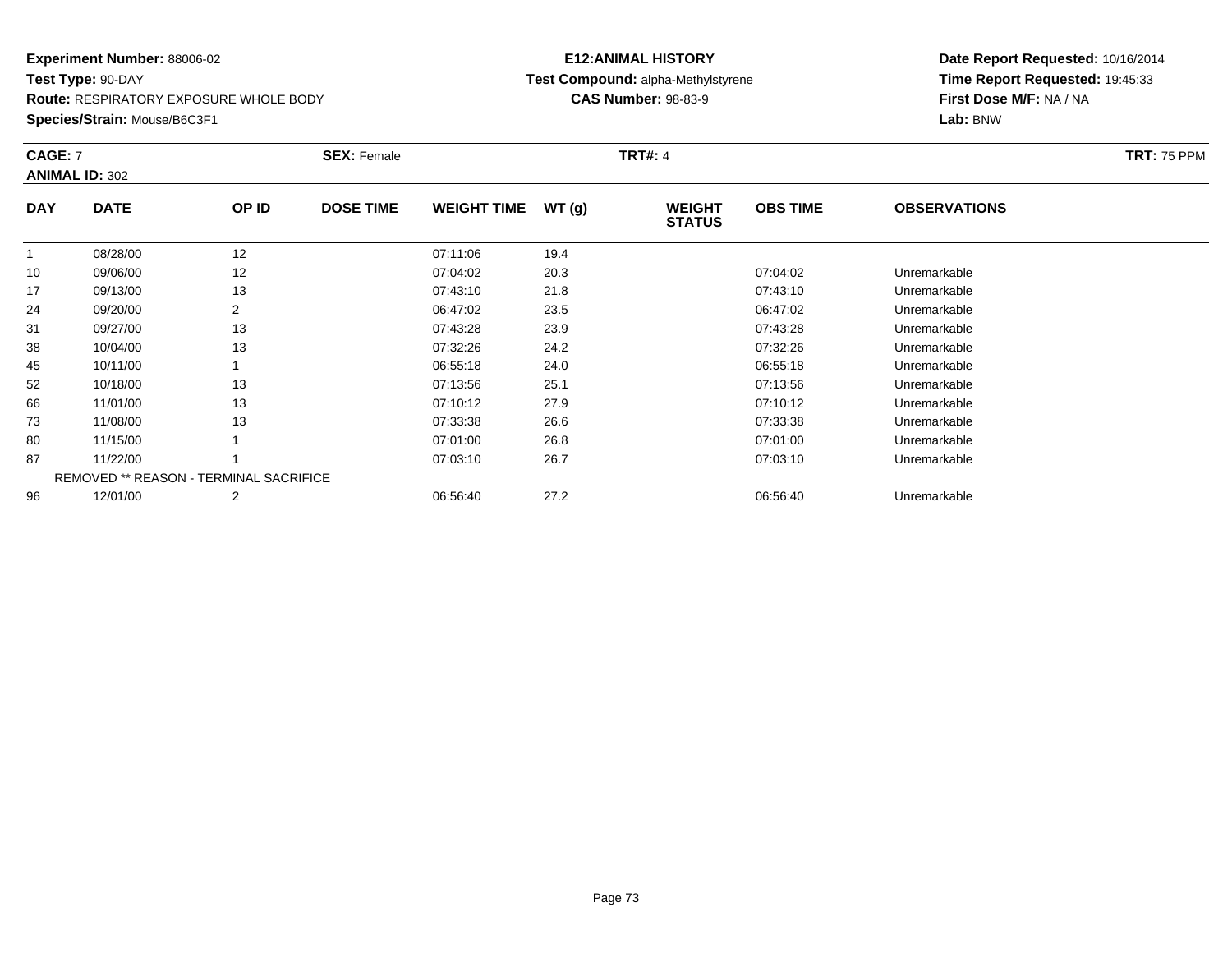**Route:** RESPIRATORY EXPOSURE WHOLE BODY

**Species/Strain:** Mouse/B6C3F1

## **E12:ANIMAL HISTORY Test Compound:** alpha-Methylstyrene**CAS Number:** 98-83-9

| <b>CAGE: 7</b> | <b>ANIMAL ID: 302</b>                         |       | <b>SEX: Female</b> |                    |       | <b>TRT#: 4</b>                 |                 |                     | <b>TRT: 75 PPM</b> |
|----------------|-----------------------------------------------|-------|--------------------|--------------------|-------|--------------------------------|-----------------|---------------------|--------------------|
| <b>DAY</b>     | <b>DATE</b>                                   | OP ID | <b>DOSE TIME</b>   | <b>WEIGHT TIME</b> | WT(g) | <b>WEIGHT</b><br><b>STATUS</b> | <b>OBS TIME</b> | <b>OBSERVATIONS</b> |                    |
| 1              | 08/28/00                                      | 12    |                    | 07:11:06           | 19.4  |                                |                 |                     |                    |
| 10             | 09/06/00                                      | 12    |                    | 07:04:02           | 20.3  |                                | 07:04:02        | Unremarkable        |                    |
| 17             | 09/13/00                                      | 13    |                    | 07:43:10           | 21.8  |                                | 07:43:10        | Unremarkable        |                    |
| 24             | 09/20/00                                      | 2     |                    | 06:47:02           | 23.5  |                                | 06:47:02        | Unremarkable        |                    |
| 31             | 09/27/00                                      | 13    |                    | 07:43:28           | 23.9  |                                | 07:43:28        | Unremarkable        |                    |
| 38             | 10/04/00                                      | 13    |                    | 07:32:26           | 24.2  |                                | 07:32:26        | Unremarkable        |                    |
| 45             | 10/11/00                                      |       |                    | 06:55:18           | 24.0  |                                | 06:55:18        | Unremarkable        |                    |
| 52             | 10/18/00                                      | 13    |                    | 07:13:56           | 25.1  |                                | 07:13:56        | Unremarkable        |                    |
| 66             | 11/01/00                                      | 13    |                    | 07:10:12           | 27.9  |                                | 07:10:12        | Unremarkable        |                    |
| 73             | 11/08/00                                      | 13    |                    | 07:33:38           | 26.6  |                                | 07:33:38        | Unremarkable        |                    |
| 80             | 11/15/00                                      |       |                    | 07:01:00           | 26.8  |                                | 07:01:00        | Unremarkable        |                    |
| 87             | 11/22/00                                      |       |                    | 07:03:10           | 26.7  |                                | 07:03:10        | Unremarkable        |                    |
|                | <b>REMOVED ** REASON - TERMINAL SACRIFICE</b> |       |                    |                    |       |                                |                 |                     |                    |
| 96             | 12/01/00                                      | 2     |                    | 06:56:40           | 27.2  |                                | 06:56:40        | Unremarkable        |                    |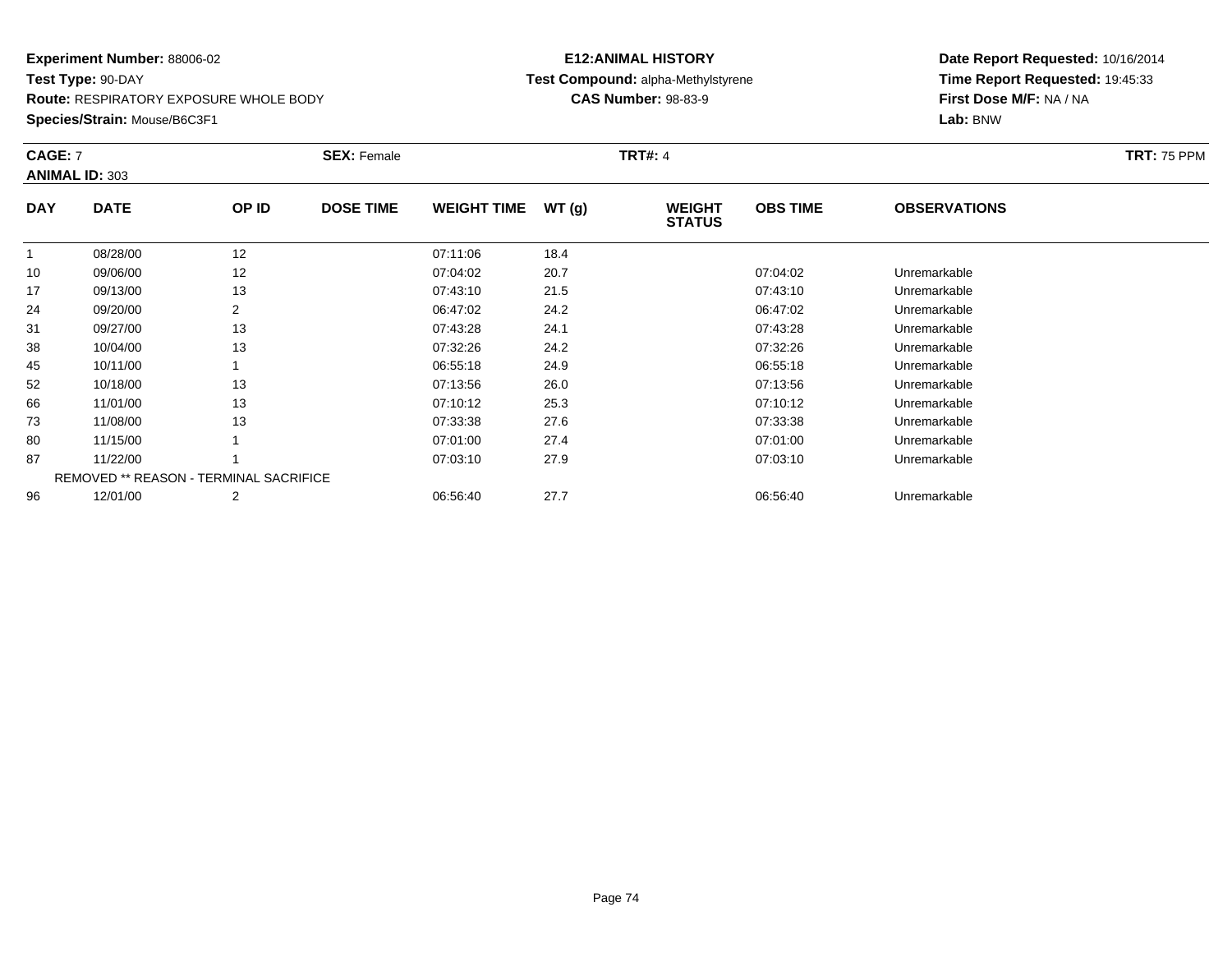**Species/Strain:** Mouse/B6C3F1

## **E12:ANIMAL HISTORY Test Compound:** alpha-Methylstyrene**CAS Number:** 98-83-9

| CAGE: 7    | <b>ANIMAL ID: 303</b>                         |       | <b>SEX: Female</b> |                    |       | <b>TRT#: 4</b>                 |                 |                     | <b>TRT: 75 PPM</b> |
|------------|-----------------------------------------------|-------|--------------------|--------------------|-------|--------------------------------|-----------------|---------------------|--------------------|
| <b>DAY</b> | <b>DATE</b>                                   | OP ID | <b>DOSE TIME</b>   | <b>WEIGHT TIME</b> | WT(g) | <b>WEIGHT</b><br><b>STATUS</b> | <b>OBS TIME</b> | <b>OBSERVATIONS</b> |                    |
| 1          | 08/28/00                                      | 12    |                    | 07:11:06           | 18.4  |                                |                 |                     |                    |
| 10         | 09/06/00                                      | 12    |                    | 07:04:02           | 20.7  |                                | 07:04:02        | Unremarkable        |                    |
| 17         | 09/13/00                                      | 13    |                    | 07:43:10           | 21.5  |                                | 07:43:10        | Unremarkable        |                    |
| 24         | 09/20/00                                      | 2     |                    | 06:47:02           | 24.2  |                                | 06:47:02        | Unremarkable        |                    |
| 31         | 09/27/00                                      | 13    |                    | 07:43:28           | 24.1  |                                | 07:43:28        | Unremarkable        |                    |
| 38         | 10/04/00                                      | 13    |                    | 07:32:26           | 24.2  |                                | 07:32:26        | Unremarkable        |                    |
| 45         | 10/11/00                                      |       |                    | 06:55:18           | 24.9  |                                | 06:55:18        | Unremarkable        |                    |
| 52         | 10/18/00                                      | 13    |                    | 07:13:56           | 26.0  |                                | 07:13:56        | Unremarkable        |                    |
| 66         | 11/01/00                                      | 13    |                    | 07:10:12           | 25.3  |                                | 07:10:12        | Unremarkable        |                    |
| 73         | 11/08/00                                      | 13    |                    | 07:33:38           | 27.6  |                                | 07:33:38        | Unremarkable        |                    |
| 80         | 11/15/00                                      |       |                    | 07:01:00           | 27.4  |                                | 07:01:00        | Unremarkable        |                    |
| 87         | 11/22/00                                      |       |                    | 07:03:10           | 27.9  |                                | 07:03:10        | Unremarkable        |                    |
|            | <b>REMOVED ** REASON - TERMINAL SACRIFICE</b> |       |                    |                    |       |                                |                 |                     |                    |
| 96         | 12/01/00                                      | 2     |                    | 06:56:40           | 27.7  |                                | 06:56:40        | Unremarkable        |                    |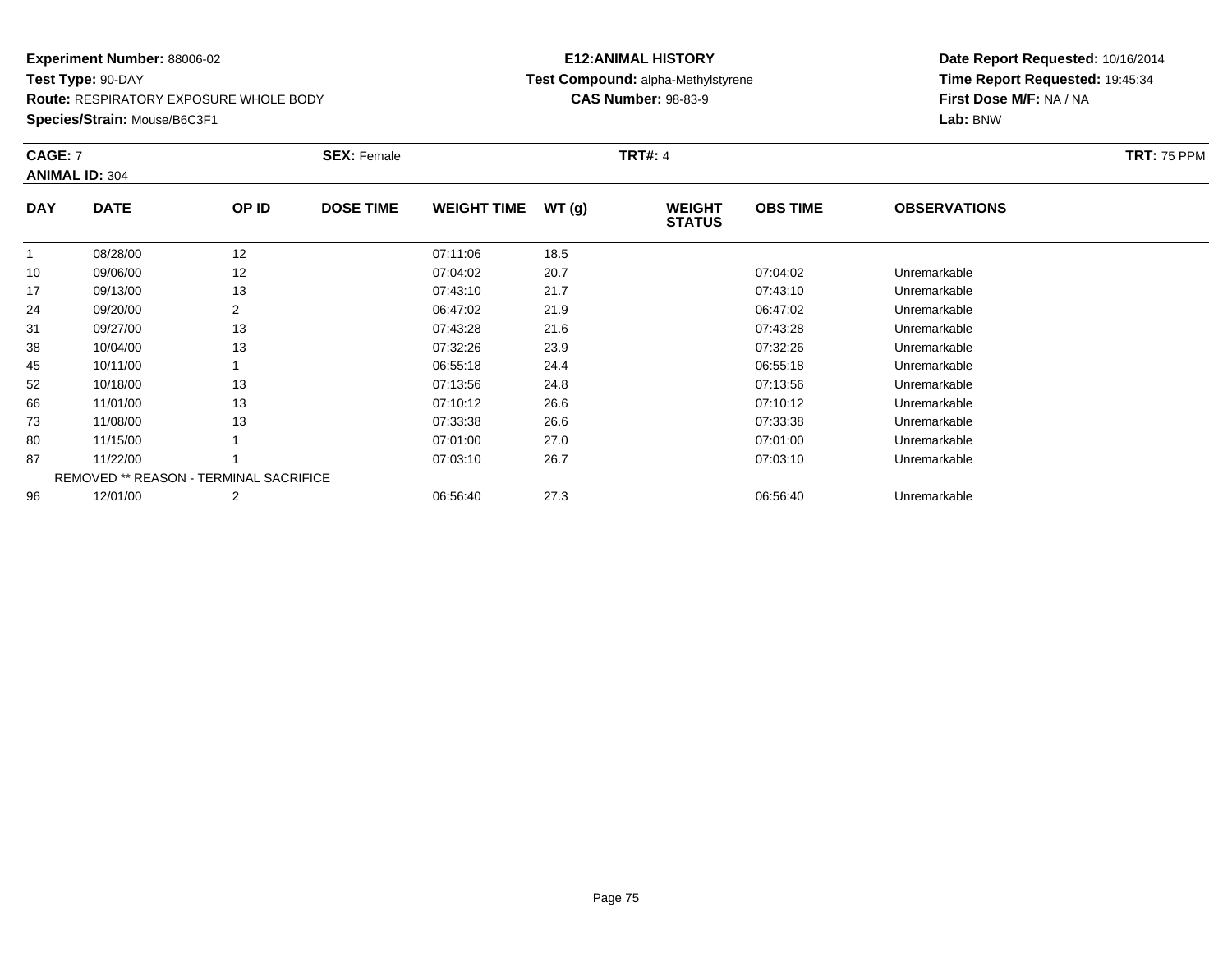**Species/Strain:** Mouse/B6C3F1

## **E12:ANIMAL HISTORY Test Compound:** alpha-Methylstyrene**CAS Number:** 98-83-9

| <b>CAGE: 7</b> | <b>ANIMAL ID: 304</b>                         |       | <b>SEX: Female</b> |                    |       | <b>TRT#: 4</b>                 |                 |                     | <b>TRT: 75 PPM</b> |
|----------------|-----------------------------------------------|-------|--------------------|--------------------|-------|--------------------------------|-----------------|---------------------|--------------------|
| <b>DAY</b>     | <b>DATE</b>                                   | OP ID | <b>DOSE TIME</b>   | <b>WEIGHT TIME</b> | WT(g) | <b>WEIGHT</b><br><b>STATUS</b> | <b>OBS TIME</b> | <b>OBSERVATIONS</b> |                    |
|                | 08/28/00                                      | 12    |                    | 07:11:06           | 18.5  |                                |                 |                     |                    |
| 10             | 09/06/00                                      | 12    |                    | 07:04:02           | 20.7  |                                | 07:04:02        | Unremarkable        |                    |
| 17             | 09/13/00                                      | 13    |                    | 07:43:10           | 21.7  |                                | 07:43:10        | Unremarkable        |                    |
| 24             | 09/20/00                                      | 2     |                    | 06:47:02           | 21.9  |                                | 06:47:02        | Unremarkable        |                    |
| 31             | 09/27/00                                      | 13    |                    | 07:43:28           | 21.6  |                                | 07:43:28        | Unremarkable        |                    |
| 38             | 10/04/00                                      | 13    |                    | 07:32:26           | 23.9  |                                | 07:32:26        | Unremarkable        |                    |
| 45             | 10/11/00                                      |       |                    | 06:55:18           | 24.4  |                                | 06:55:18        | Unremarkable        |                    |
| 52             | 10/18/00                                      | 13    |                    | 07:13:56           | 24.8  |                                | 07:13:56        | Unremarkable        |                    |
| 66             | 11/01/00                                      | 13    |                    | 07:10:12           | 26.6  |                                | 07:10:12        | Unremarkable        |                    |
| 73             | 11/08/00                                      | 13    |                    | 07:33:38           | 26.6  |                                | 07:33:38        | Unremarkable        |                    |
| 80             | 11/15/00                                      |       |                    | 07:01:00           | 27.0  |                                | 07:01:00        | Unremarkable        |                    |
| 87             | 11/22/00                                      |       |                    | 07:03:10           | 26.7  |                                | 07:03:10        | Unremarkable        |                    |
|                | <b>REMOVED ** REASON - TERMINAL SACRIFICE</b> |       |                    |                    |       |                                |                 |                     |                    |
| 96             | 12/01/00                                      | 2     |                    | 06:56:40           | 27.3  |                                | 06:56:40        | Unremarkable        |                    |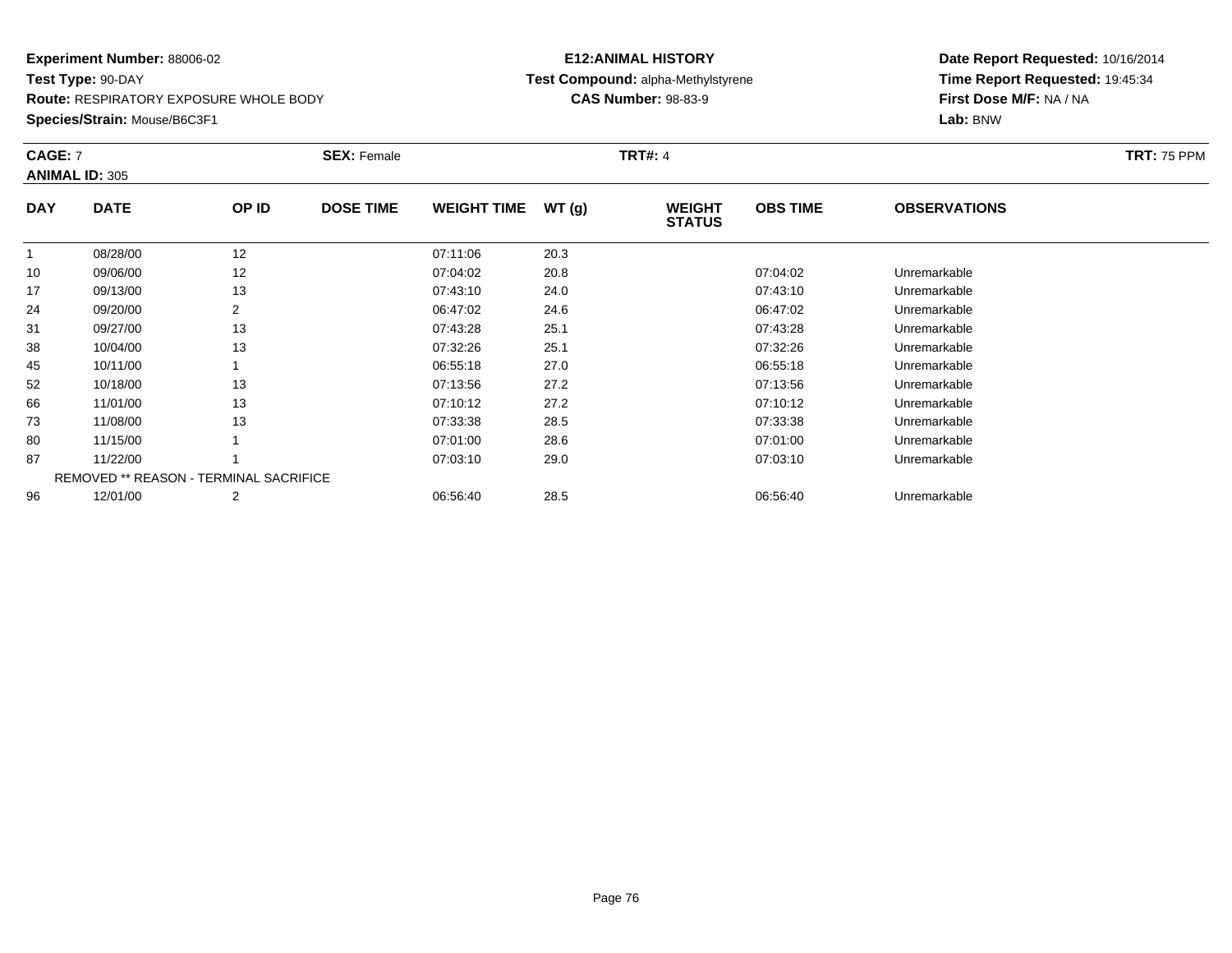**Route:** RESPIRATORY EXPOSURE WHOLE BODY

**Species/Strain:** Mouse/B6C3F1

## **E12:ANIMAL HISTORY Test Compound:** alpha-Methylstyrene**CAS Number:** 98-83-9

| <b>CAGE: 7</b> | <b>ANIMAL ID: 305</b>                         |       | <b>SEX: Female</b> |                    |       | <b>TRT#: 4</b>                 |                 |                     | <b>TRT: 75 PPM</b> |
|----------------|-----------------------------------------------|-------|--------------------|--------------------|-------|--------------------------------|-----------------|---------------------|--------------------|
| <b>DAY</b>     | <b>DATE</b>                                   | OP ID | <b>DOSE TIME</b>   | <b>WEIGHT TIME</b> | WT(g) | <b>WEIGHT</b><br><b>STATUS</b> | <b>OBS TIME</b> | <b>OBSERVATIONS</b> |                    |
|                | 08/28/00                                      | 12    |                    | 07:11:06           | 20.3  |                                |                 |                     |                    |
| 10             | 09/06/00                                      | 12    |                    | 07:04:02           | 20.8  |                                | 07:04:02        | Unremarkable        |                    |
| 17             | 09/13/00                                      | 13    |                    | 07:43:10           | 24.0  |                                | 07:43:10        | Unremarkable        |                    |
| 24             | 09/20/00                                      | 2     |                    | 06:47:02           | 24.6  |                                | 06:47:02        | Unremarkable        |                    |
| 31             | 09/27/00                                      | 13    |                    | 07:43:28           | 25.1  |                                | 07:43:28        | Unremarkable        |                    |
| 38             | 10/04/00                                      | 13    |                    | 07:32:26           | 25.1  |                                | 07:32:26        | Unremarkable        |                    |
| 45             | 10/11/00                                      |       |                    | 06:55:18           | 27.0  |                                | 06:55:18        | Unremarkable        |                    |
| 52             | 10/18/00                                      | 13    |                    | 07:13:56           | 27.2  |                                | 07:13:56        | Unremarkable        |                    |
| 66             | 11/01/00                                      | 13    |                    | 07:10:12           | 27.2  |                                | 07:10:12        | Unremarkable        |                    |
| 73             | 11/08/00                                      | 13    |                    | 07:33:38           | 28.5  |                                | 07:33:38        | Unremarkable        |                    |
| 80             | 11/15/00                                      |       |                    | 07:01:00           | 28.6  |                                | 07:01:00        | Unremarkable        |                    |
| 87             | 11/22/00                                      |       |                    | 07:03:10           | 29.0  |                                | 07:03:10        | Unremarkable        |                    |
|                | <b>REMOVED ** REASON - TERMINAL SACRIFICE</b> |       |                    |                    |       |                                |                 |                     |                    |
| 96             | 12/01/00                                      | 2     |                    | 06:56:40           | 28.5  |                                | 06:56:40        | Unremarkable        |                    |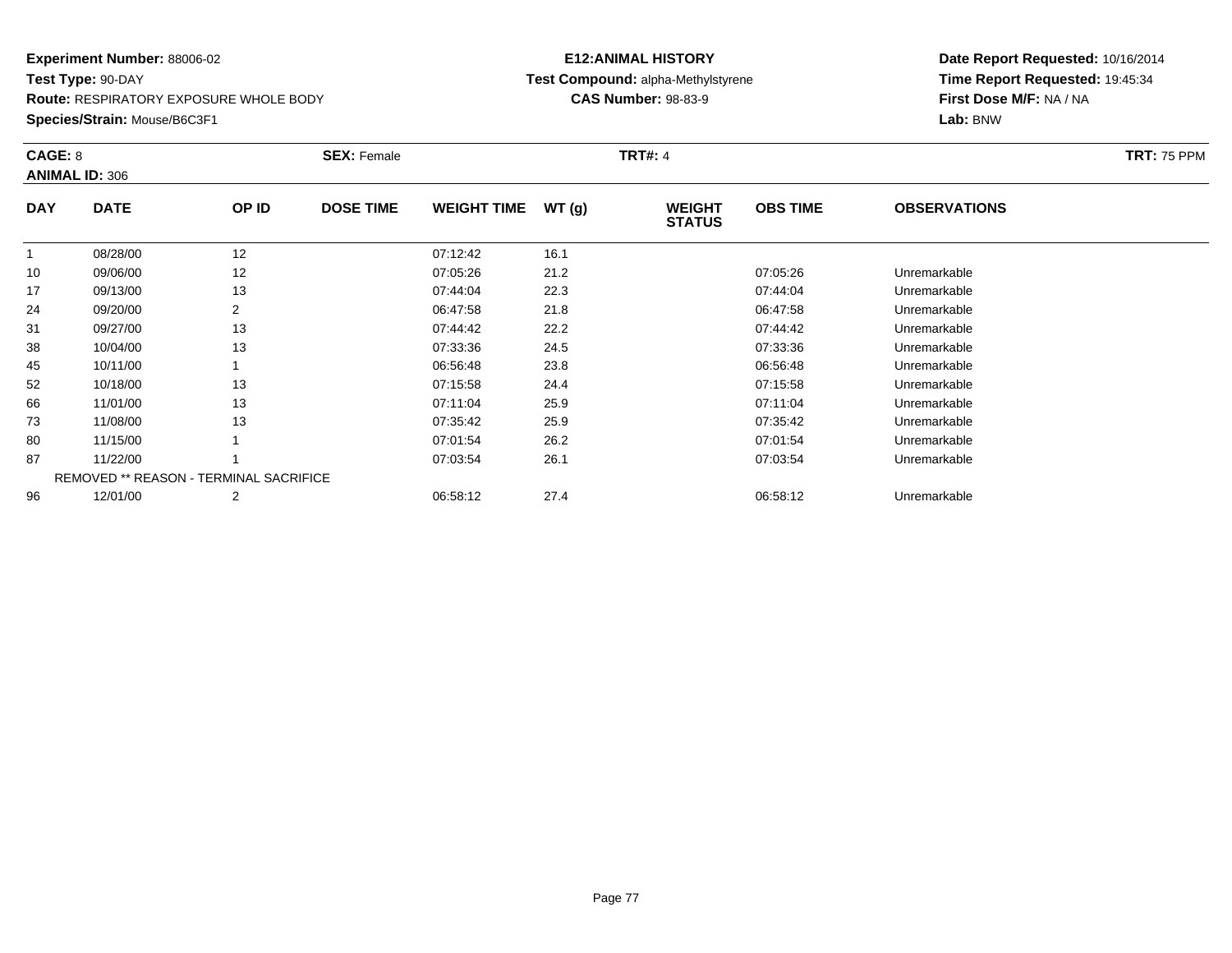**Species/Strain:** Mouse/B6C3F1

# **E12:ANIMAL HISTORYTest Compound:** alpha-Methylstyrene

**CAS Number:** 98-83-9

| CAGE: 8    |                                               |                | <b>SEX: Female</b> |                    |       | <b>TRT#: 4</b>                 |                 |                     | <b>TRT: 75 PPM</b> |
|------------|-----------------------------------------------|----------------|--------------------|--------------------|-------|--------------------------------|-----------------|---------------------|--------------------|
|            | <b>ANIMAL ID: 306</b>                         |                |                    |                    |       |                                |                 |                     |                    |
| <b>DAY</b> | <b>DATE</b>                                   | OP ID          | <b>DOSE TIME</b>   | <b>WEIGHT TIME</b> | WT(g) | <b>WEIGHT</b><br><b>STATUS</b> | <b>OBS TIME</b> | <b>OBSERVATIONS</b> |                    |
|            | 08/28/00                                      | 12             |                    | 07:12:42           | 16.1  |                                |                 |                     |                    |
| 10         | 09/06/00                                      | 12             |                    | 07:05:26           | 21.2  |                                | 07:05:26        | Unremarkable        |                    |
| 17         | 09/13/00                                      | 13             |                    | 07:44:04           | 22.3  |                                | 07:44:04        | Unremarkable        |                    |
| 24         | 09/20/00                                      | 2              |                    | 06:47:58           | 21.8  |                                | 06:47:58        | Unremarkable        |                    |
| 31         | 09/27/00                                      | 13             |                    | 07:44:42           | 22.2  |                                | 07:44:42        | Unremarkable        |                    |
| 38         | 10/04/00                                      | 13             |                    | 07:33:36           | 24.5  |                                | 07:33:36        | Unremarkable        |                    |
| 45         | 10/11/00                                      |                |                    | 06:56:48           | 23.8  |                                | 06:56:48        | Unremarkable        |                    |
| 52         | 10/18/00                                      | 13             |                    | 07:15:58           | 24.4  |                                | 07:15:58        | Unremarkable        |                    |
| 66         | 11/01/00                                      | 13             |                    | 07:11:04           | 25.9  |                                | 07:11:04        | Unremarkable        |                    |
| 73         | 11/08/00                                      | 13             |                    | 07:35:42           | 25.9  |                                | 07:35:42        | Unremarkable        |                    |
| 80         | 11/15/00                                      |                |                    | 07:01:54           | 26.2  |                                | 07:01:54        | Unremarkable        |                    |
| 87         | 11/22/00                                      |                |                    | 07:03:54           | 26.1  |                                | 07:03:54        | Unremarkable        |                    |
|            | <b>REMOVED ** REASON - TERMINAL SACRIFICE</b> |                |                    |                    |       |                                |                 |                     |                    |
| 96         | 12/01/00                                      | $\overline{2}$ |                    | 06:58:12           | 27.4  |                                | 06:58:12        | Unremarkable        |                    |
|            |                                               |                |                    |                    |       |                                |                 |                     |                    |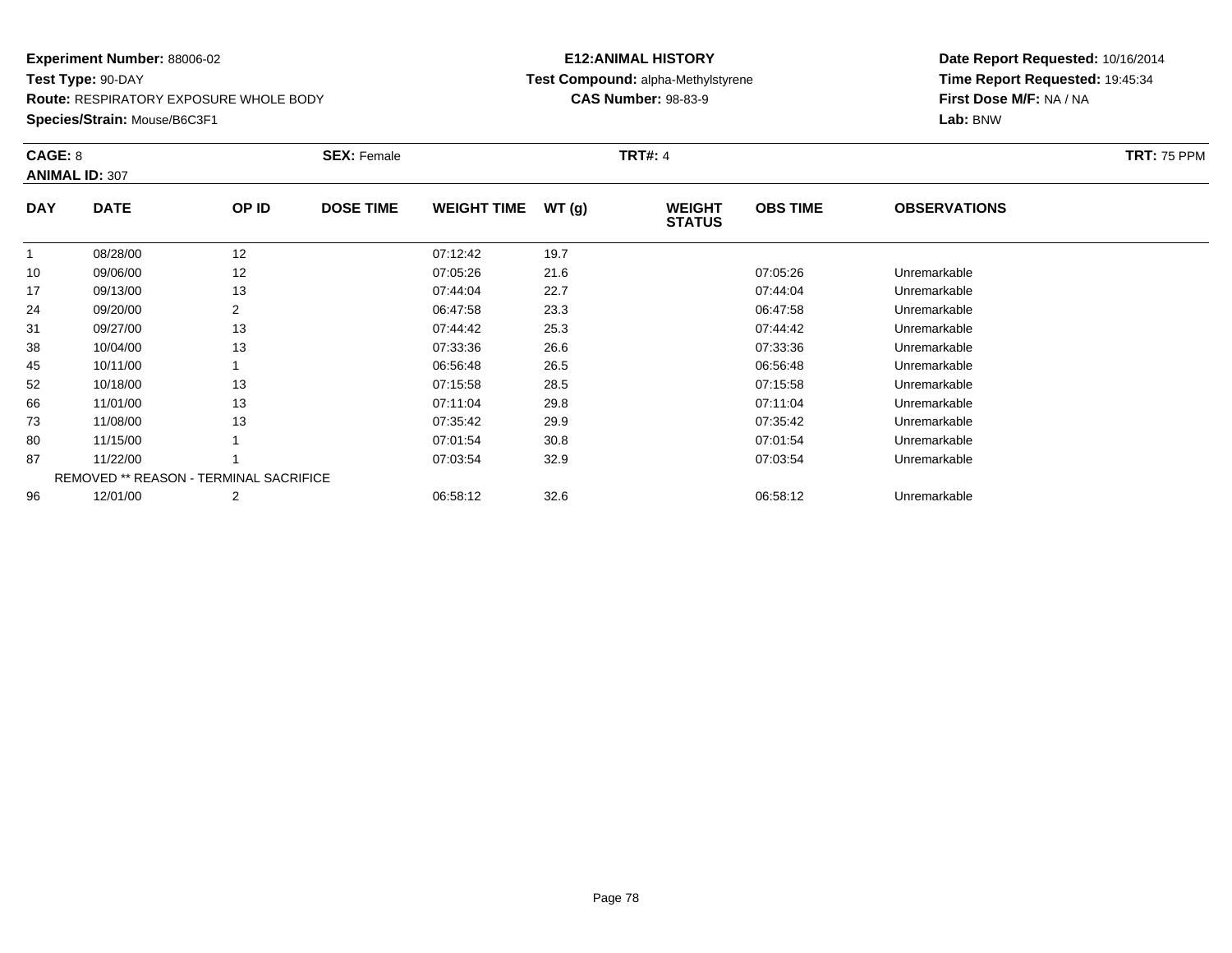**Species/Strain:** Mouse/B6C3F1

## **E12:ANIMAL HISTORY Test Compound:** alpha-Methylstyrene**CAS Number:** 98-83-9

| CAGE: 8    | <b>ANIMAL ID: 307</b>                         |       | <b>SEX: Female</b> |                    |       | <b>TRT#: 4</b>                 |                 |                     | <b>TRT: 75 PPM</b> |
|------------|-----------------------------------------------|-------|--------------------|--------------------|-------|--------------------------------|-----------------|---------------------|--------------------|
| <b>DAY</b> | <b>DATE</b>                                   | OP ID | <b>DOSE TIME</b>   | <b>WEIGHT TIME</b> | WT(g) | <b>WEIGHT</b><br><b>STATUS</b> | <b>OBS TIME</b> | <b>OBSERVATIONS</b> |                    |
| 1          | 08/28/00                                      | 12    |                    | 07:12:42           | 19.7  |                                |                 |                     |                    |
| 10         | 09/06/00                                      | 12    |                    | 07:05:26           | 21.6  |                                | 07:05:26        | Unremarkable        |                    |
| 17         | 09/13/00                                      | 13    |                    | 07:44:04           | 22.7  |                                | 07:44:04        | Unremarkable        |                    |
| 24         | 09/20/00                                      | 2     |                    | 06:47:58           | 23.3  |                                | 06:47:58        | Unremarkable        |                    |
| 31         | 09/27/00                                      | 13    |                    | 07:44:42           | 25.3  |                                | 07:44:42        | Unremarkable        |                    |
| 38         | 10/04/00                                      | 13    |                    | 07:33:36           | 26.6  |                                | 07:33:36        | Unremarkable        |                    |
| 45         | 10/11/00                                      |       |                    | 06:56:48           | 26.5  |                                | 06:56:48        | Unremarkable        |                    |
| 52         | 10/18/00                                      | 13    |                    | 07:15:58           | 28.5  |                                | 07:15:58        | Unremarkable        |                    |
| 66         | 11/01/00                                      | 13    |                    | 07:11:04           | 29.8  |                                | 07:11:04        | Unremarkable        |                    |
| 73         | 11/08/00                                      | 13    |                    | 07:35:42           | 29.9  |                                | 07:35:42        | Unremarkable        |                    |
| 80         | 11/15/00                                      |       |                    | 07:01:54           | 30.8  |                                | 07:01:54        | Unremarkable        |                    |
| 87         | 11/22/00                                      |       |                    | 07:03:54           | 32.9  |                                | 07:03:54        | Unremarkable        |                    |
|            | <b>REMOVED ** REASON - TERMINAL SACRIFICE</b> |       |                    |                    |       |                                |                 |                     |                    |
| 96         | 12/01/00                                      | 2     |                    | 06:58:12           | 32.6  |                                | 06:58:12        | Unremarkable        |                    |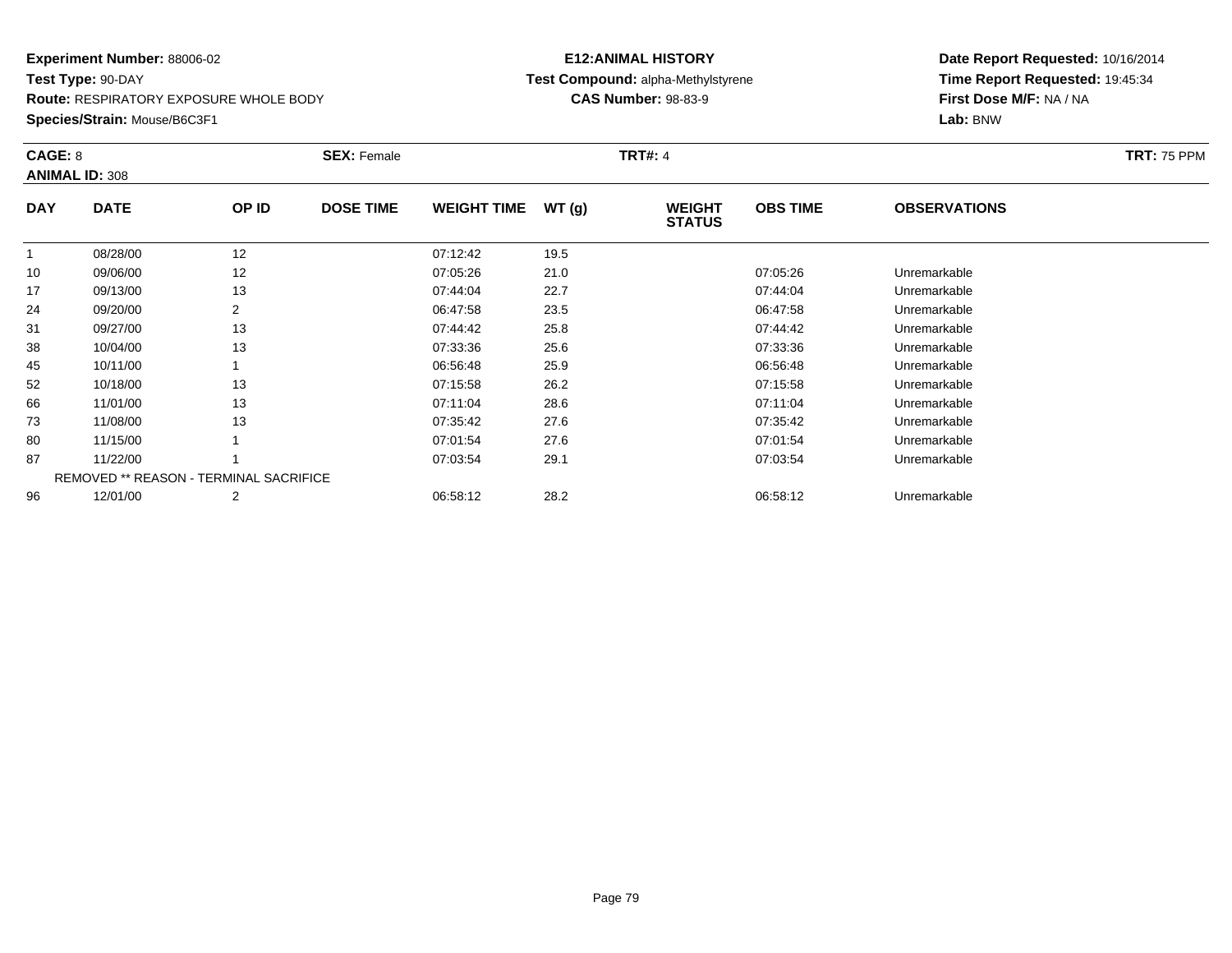**Species/Strain:** Mouse/B6C3F1

# **E12:ANIMAL HISTORYTest Compound:** alpha-Methylstyrene

**CAS Number:** 98-83-9

| CAGE: 8    |                                               |                | <b>SEX: Female</b> |                    |       | <b>TRT#: 4</b>                 |                 |                     | <b>TRT: 75 PPM</b> |
|------------|-----------------------------------------------|----------------|--------------------|--------------------|-------|--------------------------------|-----------------|---------------------|--------------------|
|            | <b>ANIMAL ID: 308</b>                         |                |                    |                    |       |                                |                 |                     |                    |
| <b>DAY</b> | <b>DATE</b>                                   | OP ID          | <b>DOSE TIME</b>   | <b>WEIGHT TIME</b> | WT(g) | <b>WEIGHT</b><br><b>STATUS</b> | <b>OBS TIME</b> | <b>OBSERVATIONS</b> |                    |
|            | 08/28/00                                      | 12             |                    | 07:12:42           | 19.5  |                                |                 |                     |                    |
| 10         | 09/06/00                                      | 12             |                    | 07:05:26           | 21.0  |                                | 07:05:26        | Unremarkable        |                    |
| 17         | 09/13/00                                      | 13             |                    | 07:44:04           | 22.7  |                                | 07:44:04        | Unremarkable        |                    |
| 24         | 09/20/00                                      | 2              |                    | 06:47:58           | 23.5  |                                | 06:47:58        | Unremarkable        |                    |
| 31         | 09/27/00                                      | 13             |                    | 07:44:42           | 25.8  |                                | 07:44:42        | Unremarkable        |                    |
| 38         | 10/04/00                                      | 13             |                    | 07:33:36           | 25.6  |                                | 07:33:36        | Unremarkable        |                    |
| 45         | 10/11/00                                      |                |                    | 06:56:48           | 25.9  |                                | 06:56:48        | Unremarkable        |                    |
| 52         | 10/18/00                                      | 13             |                    | 07:15:58           | 26.2  |                                | 07:15:58        | Unremarkable        |                    |
| 66         | 11/01/00                                      | 13             |                    | 07:11:04           | 28.6  |                                | 07:11:04        | Unremarkable        |                    |
| 73         | 11/08/00                                      | 13             |                    | 07:35:42           | 27.6  |                                | 07:35:42        | Unremarkable        |                    |
| 80         | 11/15/00                                      |                |                    | 07:01:54           | 27.6  |                                | 07:01:54        | Unremarkable        |                    |
| 87         | 11/22/00                                      |                |                    | 07:03:54           | 29.1  |                                | 07:03:54        | Unremarkable        |                    |
|            | <b>REMOVED ** REASON - TERMINAL SACRIFICE</b> |                |                    |                    |       |                                |                 |                     |                    |
| 96         | 12/01/00                                      | $\overline{2}$ |                    | 06:58:12           | 28.2  |                                | 06:58:12        | Unremarkable        |                    |
|            |                                               |                |                    |                    |       |                                |                 |                     |                    |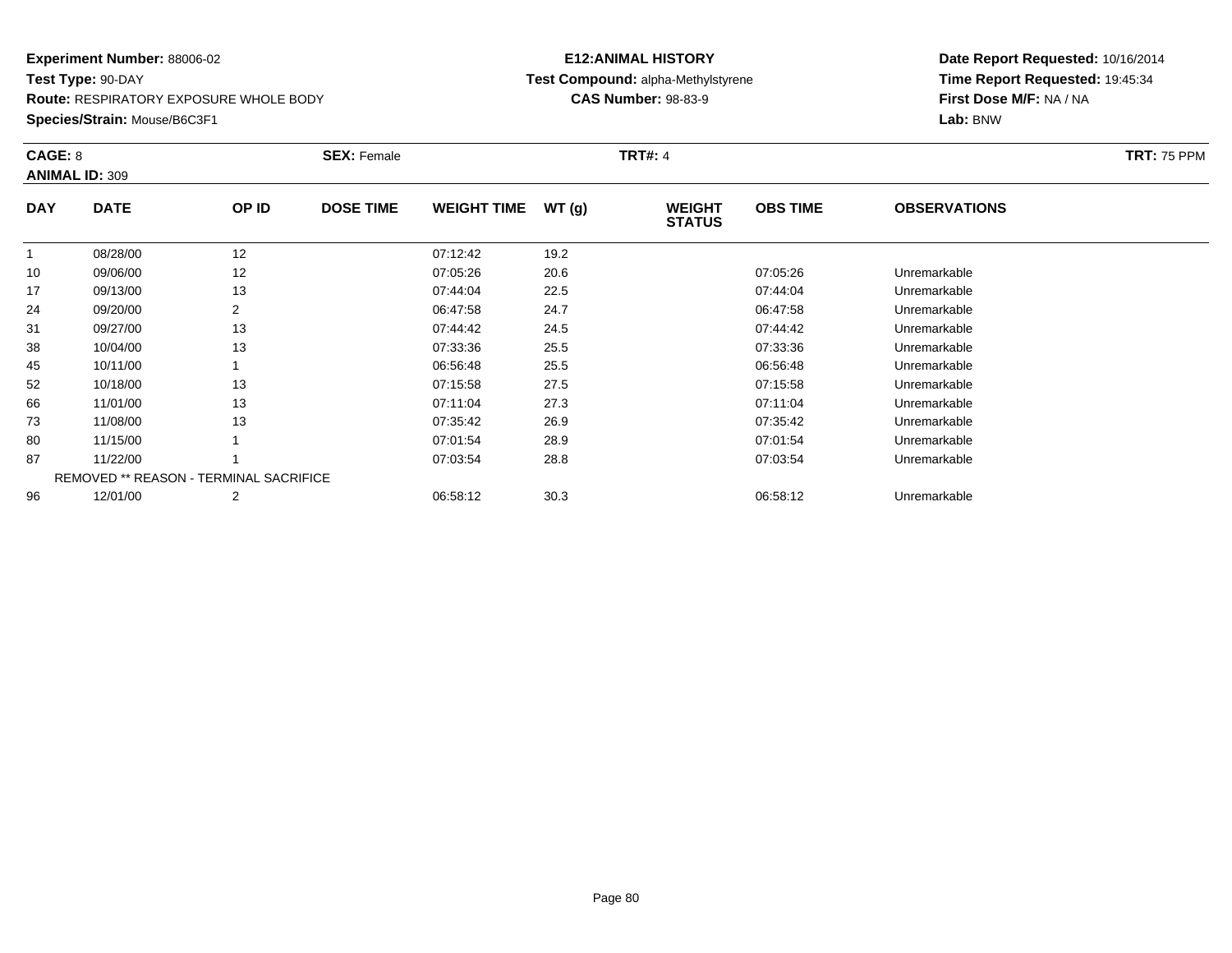**Species/Strain:** Mouse/B6C3F1

# **E12:ANIMAL HISTORYTest Compound:** alpha-Methylstyrene

**CAS Number:** 98-83-9

| CAGE: 8      | <b>ANIMAL ID: 309</b>                         |       | <b>SEX: Female</b> |                    |       | <b>TRT#: 4</b>                 |                 |                     | <b>TRT: 75 PPM</b> |
|--------------|-----------------------------------------------|-------|--------------------|--------------------|-------|--------------------------------|-----------------|---------------------|--------------------|
| <b>DAY</b>   | <b>DATE</b>                                   | OP ID | <b>DOSE TIME</b>   | <b>WEIGHT TIME</b> | WT(g) | <b>WEIGHT</b><br><b>STATUS</b> | <b>OBS TIME</b> | <b>OBSERVATIONS</b> |                    |
| $\mathbf{1}$ | 08/28/00                                      | 12    |                    | 07:12:42           | 19.2  |                                |                 |                     |                    |
| 10           | 09/06/00                                      | 12    |                    | 07:05:26           | 20.6  |                                | 07:05:26        | Unremarkable        |                    |
| 17           | 09/13/00                                      | 13    |                    | 07:44:04           | 22.5  |                                | 07:44:04        | Unremarkable        |                    |
| 24           | 09/20/00                                      | 2     |                    | 06:47:58           | 24.7  |                                | 06:47:58        | Unremarkable        |                    |
| 31           | 09/27/00                                      | 13    |                    | 07:44:42           | 24.5  |                                | 07:44:42        | Unremarkable        |                    |
| 38           | 10/04/00                                      | 13    |                    | 07:33:36           | 25.5  |                                | 07:33:36        | Unremarkable        |                    |
| 45           | 10/11/00                                      |       |                    | 06:56:48           | 25.5  |                                | 06:56:48        | Unremarkable        |                    |
| 52           | 10/18/00                                      | 13    |                    | 07:15:58           | 27.5  |                                | 07:15:58        | Unremarkable        |                    |
| 66           | 11/01/00                                      | 13    |                    | 07:11:04           | 27.3  |                                | 07:11:04        | Unremarkable        |                    |
| 73           | 11/08/00                                      | 13    |                    | 07:35:42           | 26.9  |                                | 07:35:42        | Unremarkable        |                    |
| 80           | 11/15/00                                      |       |                    | 07:01:54           | 28.9  |                                | 07:01:54        | Unremarkable        |                    |
| 87           | 11/22/00                                      |       |                    | 07:03:54           | 28.8  |                                | 07:03:54        | Unremarkable        |                    |
|              | <b>REMOVED ** REASON - TERMINAL SACRIFICE</b> |       |                    |                    |       |                                |                 |                     |                    |
| 96           | 12/01/00                                      | 2     |                    | 06:58:12           | 30.3  |                                | 06:58:12        | Unremarkable        |                    |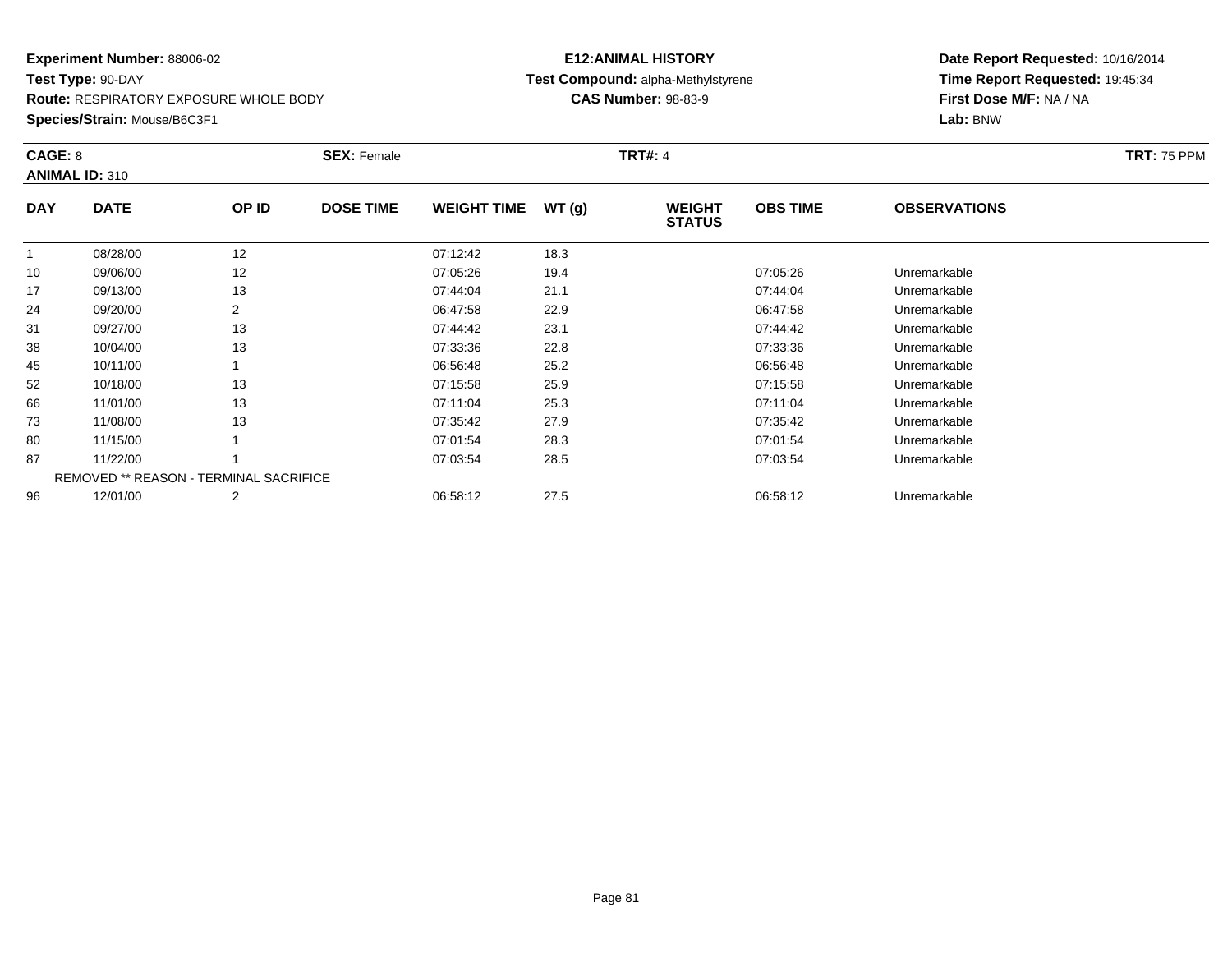**Species/Strain:** Mouse/B6C3F1

## **E12:ANIMAL HISTORY Test Compound:** alpha-Methylstyrene**CAS Number:** 98-83-9

| CAGE: 8    | <b>ANIMAL ID: 310</b>                         |       | <b>SEX: Female</b> |                    |       | <b>TRT#: 4</b>                 |                 |                     | <b>TRT: 75 PPM</b> |
|------------|-----------------------------------------------|-------|--------------------|--------------------|-------|--------------------------------|-----------------|---------------------|--------------------|
| <b>DAY</b> | <b>DATE</b>                                   | OP ID | <b>DOSE TIME</b>   | <b>WEIGHT TIME</b> | WT(g) | <b>WEIGHT</b><br><b>STATUS</b> | <b>OBS TIME</b> | <b>OBSERVATIONS</b> |                    |
| 1          | 08/28/00                                      | 12    |                    | 07:12:42           | 18.3  |                                |                 |                     |                    |
| 10         | 09/06/00                                      | 12    |                    | 07:05:26           | 19.4  |                                | 07:05:26        | Unremarkable        |                    |
| 17         | 09/13/00                                      | 13    |                    | 07:44:04           | 21.1  |                                | 07:44:04        | Unremarkable        |                    |
| 24         | 09/20/00                                      | 2     |                    | 06:47:58           | 22.9  |                                | 06:47:58        | Unremarkable        |                    |
| 31         | 09/27/00                                      | 13    |                    | 07:44:42           | 23.1  |                                | 07:44:42        | Unremarkable        |                    |
| 38         | 10/04/00                                      | 13    |                    | 07:33:36           | 22.8  |                                | 07:33:36        | Unremarkable        |                    |
| 45         | 10/11/00                                      |       |                    | 06:56:48           | 25.2  |                                | 06:56:48        | Unremarkable        |                    |
| 52         | 10/18/00                                      | 13    |                    | 07:15:58           | 25.9  |                                | 07:15:58        | Unremarkable        |                    |
| 66         | 11/01/00                                      | 13    |                    | 07:11:04           | 25.3  |                                | 07:11:04        | Unremarkable        |                    |
| 73         | 11/08/00                                      | 13    |                    | 07:35:42           | 27.9  |                                | 07:35:42        | Unremarkable        |                    |
| 80         | 11/15/00                                      |       |                    | 07:01:54           | 28.3  |                                | 07:01:54        | Unremarkable        |                    |
| 87         | 11/22/00                                      |       |                    | 07:03:54           | 28.5  |                                | 07:03:54        | Unremarkable        |                    |
|            | <b>REMOVED ** REASON - TERMINAL SACRIFICE</b> |       |                    |                    |       |                                |                 |                     |                    |
| 96         | 12/01/00                                      | 2     |                    | 06:58:12           | 27.5  |                                | 06:58:12        | Unremarkable        |                    |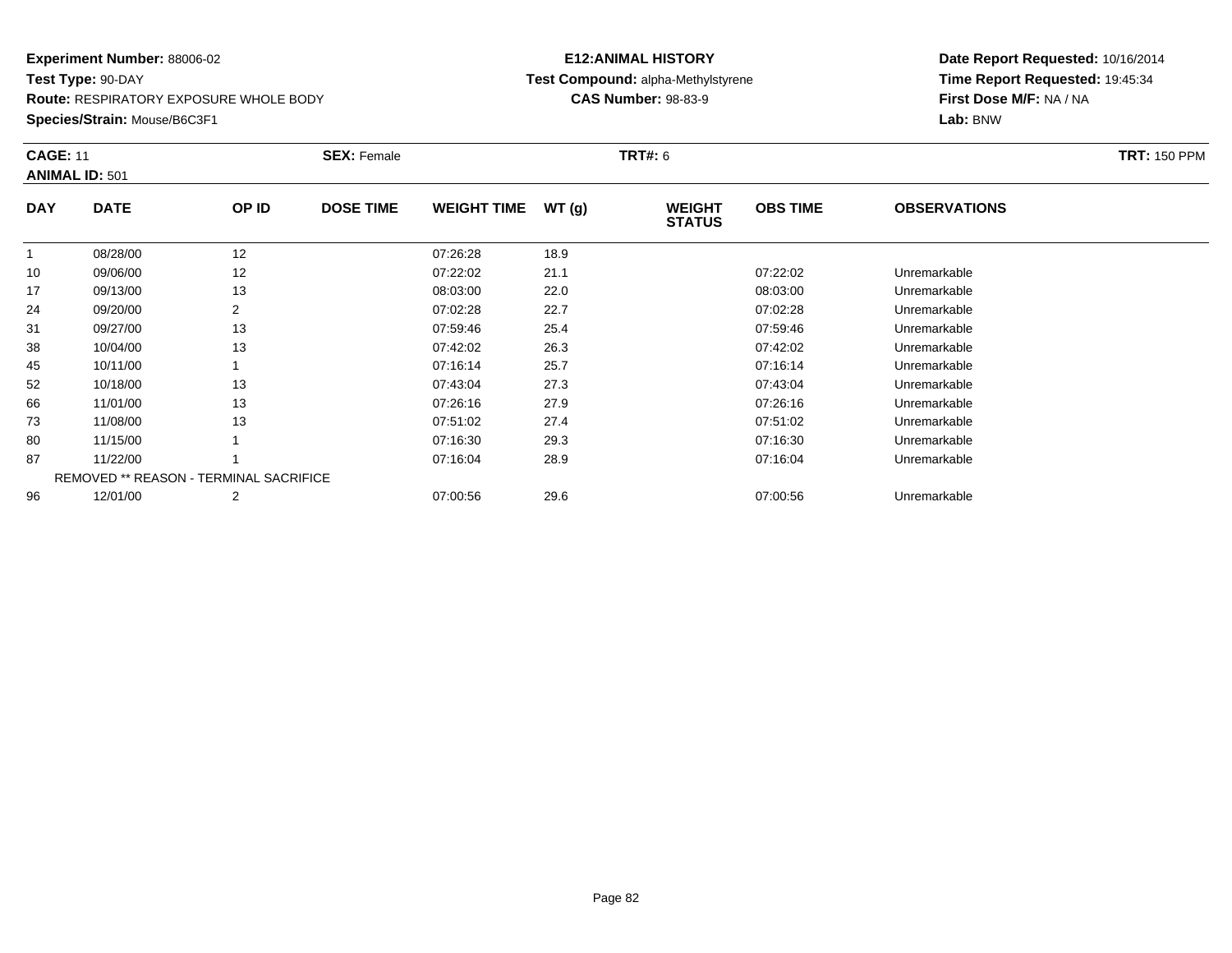**Route:** RESPIRATORY EXPOSURE WHOLE BODY

**Species/Strain:** Mouse/B6C3F1

## **E12:ANIMAL HISTORY Test Compound:** alpha-Methylstyrene**CAS Number:** 98-83-9

| <b>CAGE: 11</b> | <b>ANIMAL ID: 501</b> |                                               | <b>SEX: Female</b> |                    |       | <b>TRT#: 6</b>                 |                 |                     | <b>TRT: 150 PPM</b> |
|-----------------|-----------------------|-----------------------------------------------|--------------------|--------------------|-------|--------------------------------|-----------------|---------------------|---------------------|
| <b>DAY</b>      | <b>DATE</b>           | OP ID                                         | <b>DOSE TIME</b>   | <b>WEIGHT TIME</b> | WT(g) | <b>WEIGHT</b><br><b>STATUS</b> | <b>OBS TIME</b> | <b>OBSERVATIONS</b> |                     |
|                 | 08/28/00              | 12                                            |                    | 07:26:28           | 18.9  |                                |                 |                     |                     |
| 10              | 09/06/00              | 12                                            |                    | 07:22:02           | 21.1  |                                | 07:22:02        | Unremarkable        |                     |
| 17              | 09/13/00              | 13                                            |                    | 08:03:00           | 22.0  |                                | 08:03:00        | Unremarkable        |                     |
| 24              | 09/20/00              | 2                                             |                    | 07:02:28           | 22.7  |                                | 07:02:28        | Unremarkable        |                     |
| 31              | 09/27/00              | 13                                            |                    | 07:59:46           | 25.4  |                                | 07:59:46        | Unremarkable        |                     |
| 38              | 10/04/00              | 13                                            |                    | 07:42:02           | 26.3  |                                | 07:42:02        | Unremarkable        |                     |
| 45              | 10/11/00              |                                               |                    | 07:16:14           | 25.7  |                                | 07:16:14        | Unremarkable        |                     |
| 52              | 10/18/00              | 13                                            |                    | 07:43:04           | 27.3  |                                | 07:43:04        | Unremarkable        |                     |
| 66              | 11/01/00              | 13                                            |                    | 07:26:16           | 27.9  |                                | 07:26:16        | Unremarkable        |                     |
| 73              | 11/08/00              | 13                                            |                    | 07:51:02           | 27.4  |                                | 07:51:02        | Unremarkable        |                     |
| 80              | 11/15/00              |                                               |                    | 07:16:30           | 29.3  |                                | 07:16:30        | Unremarkable        |                     |
| 87              | 11/22/00              |                                               |                    | 07:16:04           | 28.9  |                                | 07:16:04        | Unremarkable        |                     |
|                 |                       | <b>REMOVED ** REASON - TERMINAL SACRIFICE</b> |                    |                    |       |                                |                 |                     |                     |
| 96              | 12/01/00              | 2                                             |                    | 07:00:56           | 29.6  |                                | 07:00:56        | Unremarkable        |                     |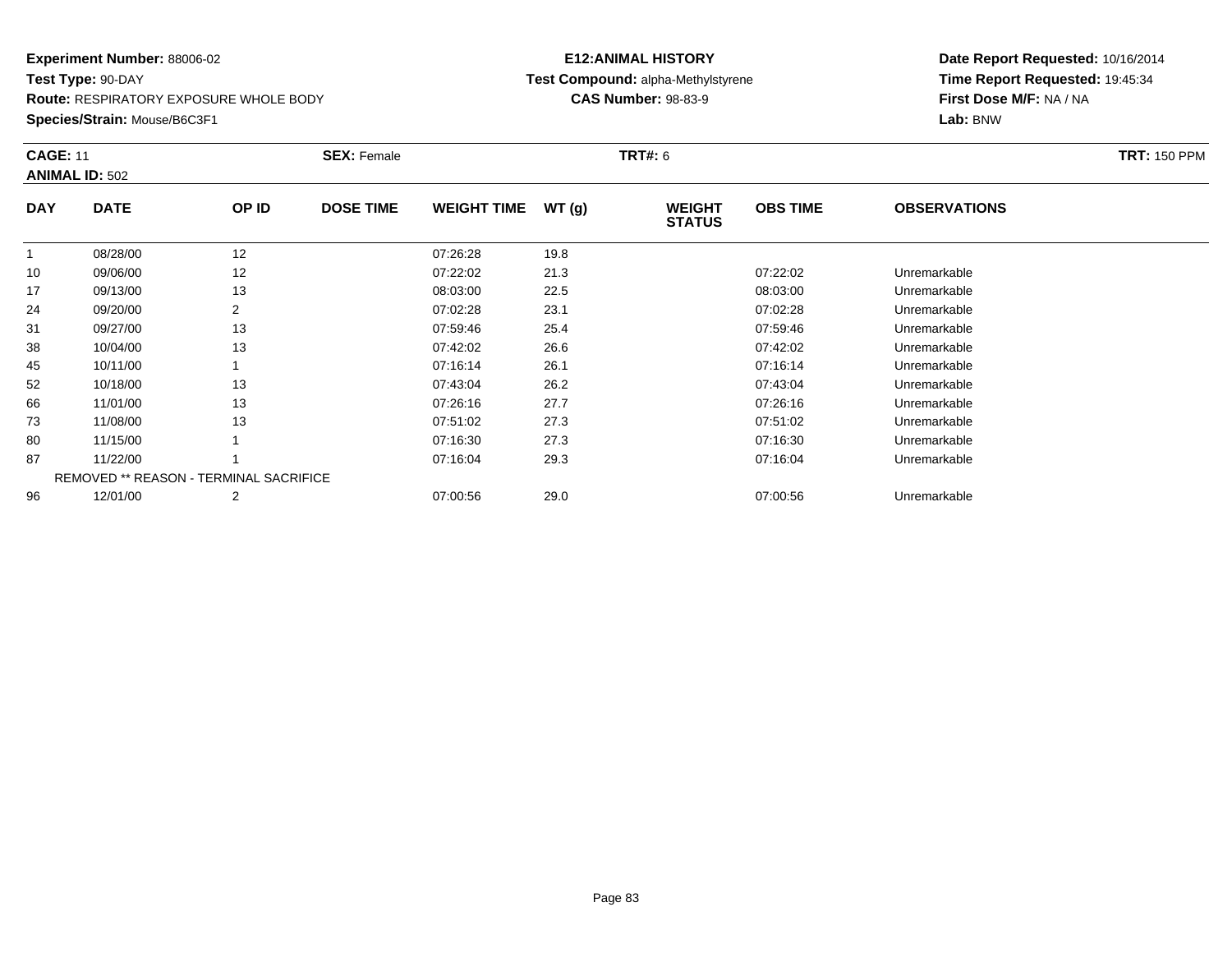**Route:** RESPIRATORY EXPOSURE WHOLE BODY

**Species/Strain:** Mouse/B6C3F1

## **E12:ANIMAL HISTORY Test Compound:** alpha-Methylstyrene**CAS Number:** 98-83-9

| <b>CAGE: 11</b> | <b>ANIMAL ID: 502</b>                         |                | <b>SEX: Female</b> |                    |       | <b>TRT#: 6</b>                 |                 |                     | <b>TRT: 150 PPM</b> |
|-----------------|-----------------------------------------------|----------------|--------------------|--------------------|-------|--------------------------------|-----------------|---------------------|---------------------|
| <b>DAY</b>      | <b>DATE</b>                                   | OP ID          | <b>DOSE TIME</b>   | <b>WEIGHT TIME</b> | WT(g) | <b>WEIGHT</b><br><b>STATUS</b> | <b>OBS TIME</b> | <b>OBSERVATIONS</b> |                     |
|                 | 08/28/00                                      | 12             |                    | 07:26:28           | 19.8  |                                |                 |                     |                     |
| 10              | 09/06/00                                      | 12             |                    | 07:22:02           | 21.3  |                                | 07:22:02        | Unremarkable        |                     |
| 17              | 09/13/00                                      | 13             |                    | 08:03:00           | 22.5  |                                | 08:03:00        | Unremarkable        |                     |
| 24              | 09/20/00                                      |                |                    | 07:02:28           | 23.1  |                                | 07:02:28        | Unremarkable        |                     |
| 31              | 09/27/00                                      | 13             |                    | 07:59:46           | 25.4  |                                | 07:59:46        | Unremarkable        |                     |
| 38              | 10/04/00                                      | 13             |                    | 07:42:02           | 26.6  |                                | 07:42:02        | Unremarkable        |                     |
| 45              | 10/11/00                                      |                |                    | 07:16:14           | 26.1  |                                | 07:16:14        | Unremarkable        |                     |
| 52              | 10/18/00                                      | 13             |                    | 07:43:04           | 26.2  |                                | 07:43:04        | Unremarkable        |                     |
| 66              | 11/01/00                                      | 13             |                    | 07:26:16           | 27.7  |                                | 07:26:16        | Unremarkable        |                     |
| 73              | 11/08/00                                      | 13             |                    | 07:51:02           | 27.3  |                                | 07:51:02        | Unremarkable        |                     |
| 80              | 11/15/00                                      |                |                    | 07:16:30           | 27.3  |                                | 07:16:30        | Unremarkable        |                     |
| 87              | 11/22/00                                      |                |                    | 07:16:04           | 29.3  |                                | 07:16:04        | Unremarkable        |                     |
|                 | <b>REMOVED ** REASON - TERMINAL SACRIFICE</b> |                |                    |                    |       |                                |                 |                     |                     |
| 96              | 12/01/00                                      | $\overline{2}$ |                    | 07:00:56           | 29.0  |                                | 07:00:56        | Unremarkable        |                     |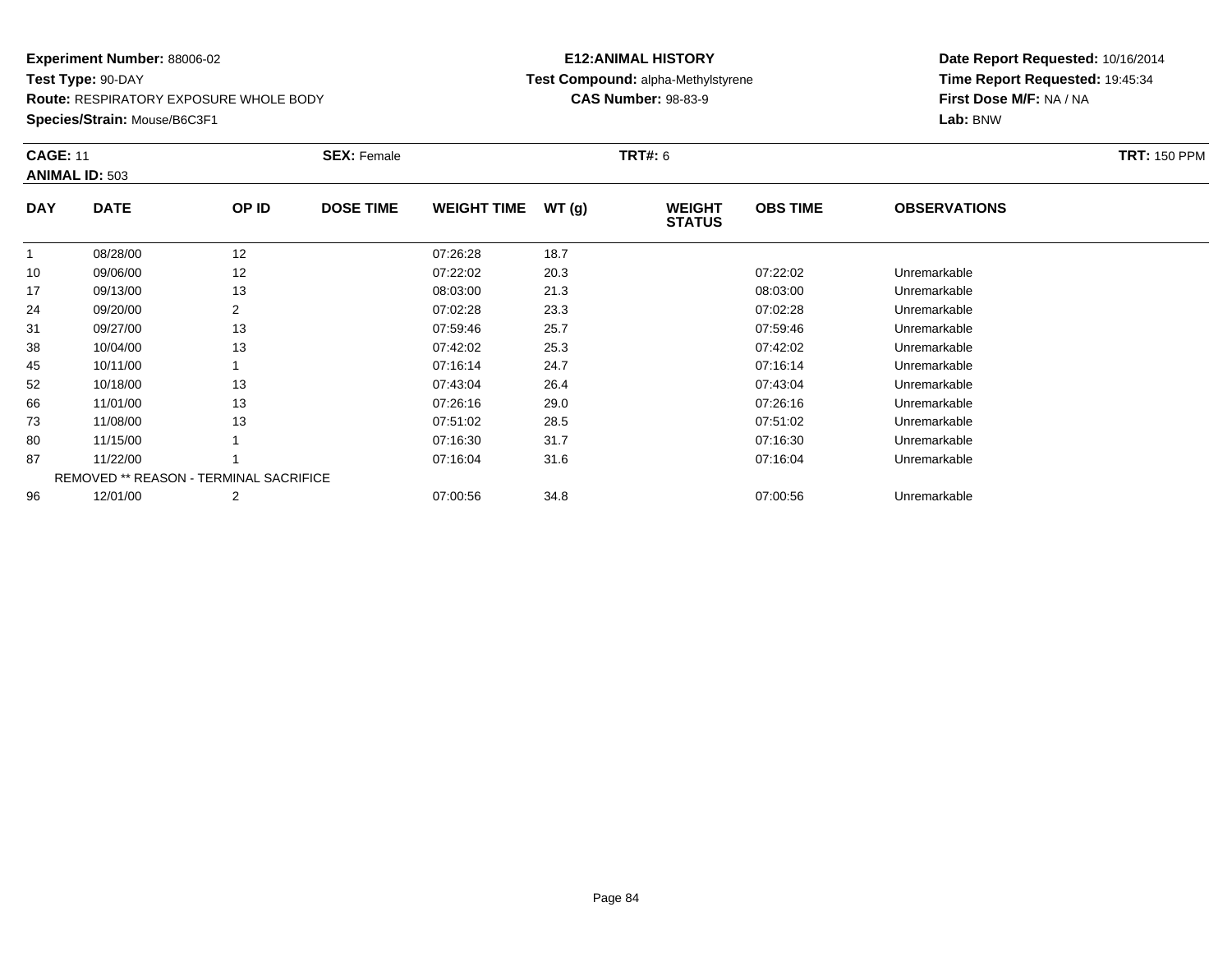**Route:** RESPIRATORY EXPOSURE WHOLE BODY

**Species/Strain:** Mouse/B6C3F1

## **E12:ANIMAL HISTORY Test Compound:** alpha-Methylstyrene**CAS Number:** 98-83-9

| <b>CAGE: 11</b> | <b>ANIMAL ID: 503</b>                         |       | <b>SEX: Female</b> |                    |       | <b>TRT#: 6</b>                 |                 |                     | <b>TRT: 150 PPM</b> |
|-----------------|-----------------------------------------------|-------|--------------------|--------------------|-------|--------------------------------|-----------------|---------------------|---------------------|
| <b>DAY</b>      | <b>DATE</b>                                   | OP ID | <b>DOSE TIME</b>   | <b>WEIGHT TIME</b> | WT(g) | <b>WEIGHT</b><br><b>STATUS</b> | <b>OBS TIME</b> | <b>OBSERVATIONS</b> |                     |
|                 | 08/28/00                                      | 12    |                    | 07:26:28           | 18.7  |                                |                 |                     |                     |
| 10              | 09/06/00                                      | 12    |                    | 07:22:02           | 20.3  |                                | 07:22:02        | Unremarkable        |                     |
| 17              | 09/13/00                                      | 13    |                    | 08:03:00           | 21.3  |                                | 08:03:00        | Unremarkable        |                     |
| 24              | 09/20/00                                      | 2     |                    | 07:02:28           | 23.3  |                                | 07:02:28        | Unremarkable        |                     |
| 31              | 09/27/00                                      | 13    |                    | 07:59:46           | 25.7  |                                | 07:59:46        | Unremarkable        |                     |
| 38              | 10/04/00                                      | 13    |                    | 07:42:02           | 25.3  |                                | 07:42:02        | Unremarkable        |                     |
| 45              | 10/11/00                                      |       |                    | 07:16:14           | 24.7  |                                | 07:16:14        | Unremarkable        |                     |
| 52              | 10/18/00                                      | 13    |                    | 07:43:04           | 26.4  |                                | 07:43:04        | Unremarkable        |                     |
| 66              | 11/01/00                                      | 13    |                    | 07:26:16           | 29.0  |                                | 07:26:16        | Unremarkable        |                     |
| 73              | 11/08/00                                      | 13    |                    | 07:51:02           | 28.5  |                                | 07:51:02        | Unremarkable        |                     |
| 80              | 11/15/00                                      |       |                    | 07:16:30           | 31.7  |                                | 07:16:30        | Unremarkable        |                     |
| 87              | 11/22/00                                      |       |                    | 07:16:04           | 31.6  |                                | 07:16:04        | Unremarkable        |                     |
|                 | <b>REMOVED ** REASON - TERMINAL SACRIFICE</b> |       |                    |                    |       |                                |                 |                     |                     |
| 96              | 12/01/00                                      | 2     |                    | 07:00:56           | 34.8  |                                | 07:00:56        | Unremarkable        |                     |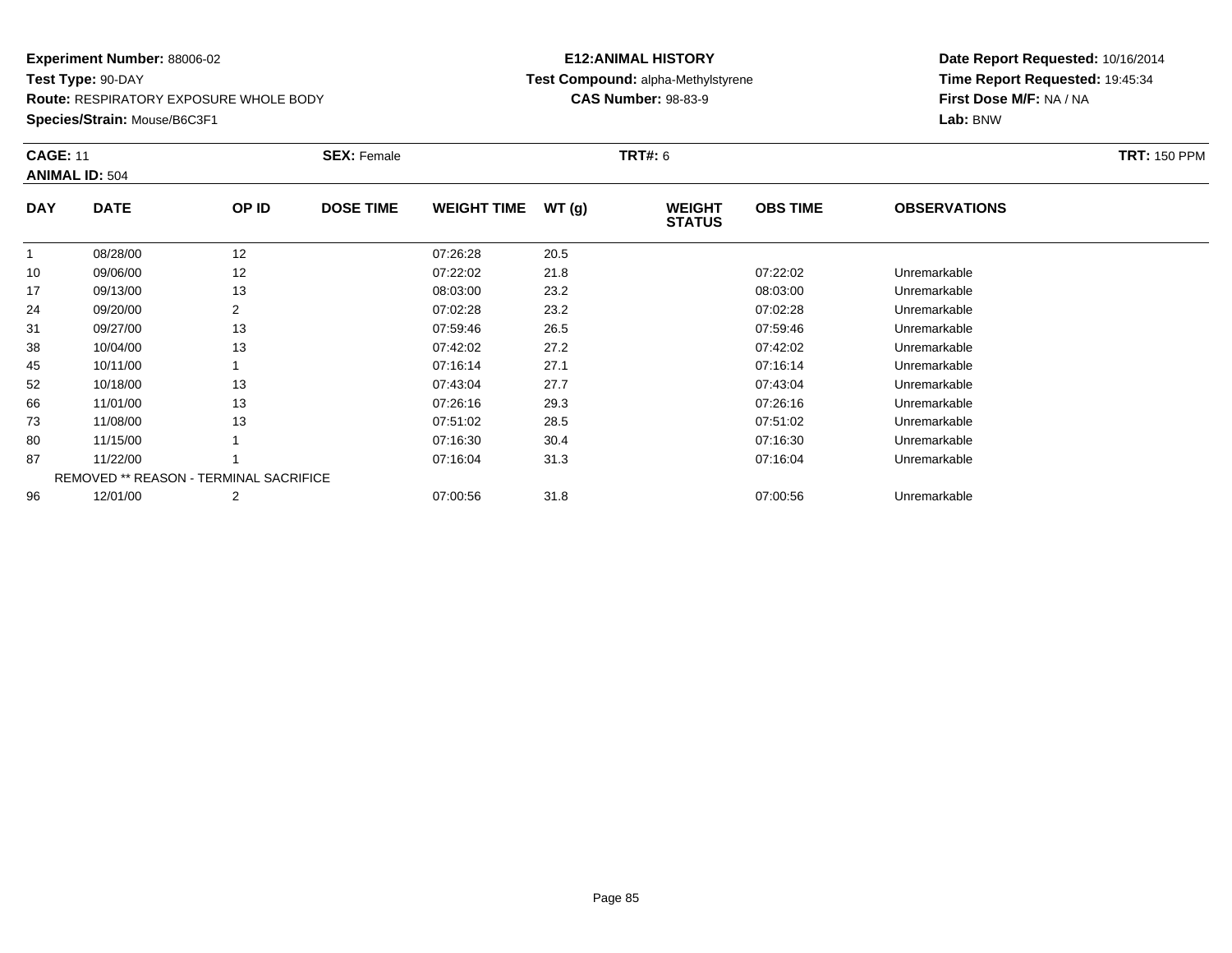**Route:** RESPIRATORY EXPOSURE WHOLE BODY

**Species/Strain:** Mouse/B6C3F1

## **E12:ANIMAL HISTORY Test Compound:** alpha-Methylstyrene**CAS Number:** 98-83-9

| <b>CAGE: 11</b> | <b>ANIMAL ID: 504</b>                         |                | <b>SEX: Female</b> |                    |       | <b>TRT#: 6</b>                 |                 |                     | <b>TRT: 150 PPM</b> |
|-----------------|-----------------------------------------------|----------------|--------------------|--------------------|-------|--------------------------------|-----------------|---------------------|---------------------|
| <b>DAY</b>      | <b>DATE</b>                                   | OP ID          | <b>DOSE TIME</b>   | <b>WEIGHT TIME</b> | WT(g) | <b>WEIGHT</b><br><b>STATUS</b> | <b>OBS TIME</b> | <b>OBSERVATIONS</b> |                     |
|                 | 08/28/00                                      | 12             |                    | 07:26:28           | 20.5  |                                |                 |                     |                     |
| 10              | 09/06/00                                      | 12             |                    | 07:22:02           | 21.8  |                                | 07:22:02        | Unremarkable        |                     |
| 17              | 09/13/00                                      | 13             |                    | 08:03:00           | 23.2  |                                | 08:03:00        | Unremarkable        |                     |
| 24              | 09/20/00                                      |                |                    | 07:02:28           | 23.2  |                                | 07:02:28        | Unremarkable        |                     |
| 31              | 09/27/00                                      | 13             |                    | 07:59:46           | 26.5  |                                | 07:59:46        | Unremarkable        |                     |
| 38              | 10/04/00                                      | 13             |                    | 07:42:02           | 27.2  |                                | 07:42:02        | Unremarkable        |                     |
| 45              | 10/11/00                                      |                |                    | 07:16:14           | 27.1  |                                | 07:16:14        | Unremarkable        |                     |
| 52              | 10/18/00                                      | 13             |                    | 07:43:04           | 27.7  |                                | 07:43:04        | Unremarkable        |                     |
| 66              | 11/01/00                                      | 13             |                    | 07:26:16           | 29.3  |                                | 07:26:16        | Unremarkable        |                     |
| 73              | 11/08/00                                      | 13             |                    | 07:51:02           | 28.5  |                                | 07:51:02        | Unremarkable        |                     |
| 80              | 11/15/00                                      |                |                    | 07:16:30           | 30.4  |                                | 07:16:30        | Unremarkable        |                     |
| 87              | 11/22/00                                      |                |                    | 07:16:04           | 31.3  |                                | 07:16:04        | Unremarkable        |                     |
|                 | <b>REMOVED ** REASON - TERMINAL SACRIFICE</b> |                |                    |                    |       |                                |                 |                     |                     |
| 96              | 12/01/00                                      | $\overline{2}$ |                    | 07:00:56           | 31.8  |                                | 07:00:56        | Unremarkable        |                     |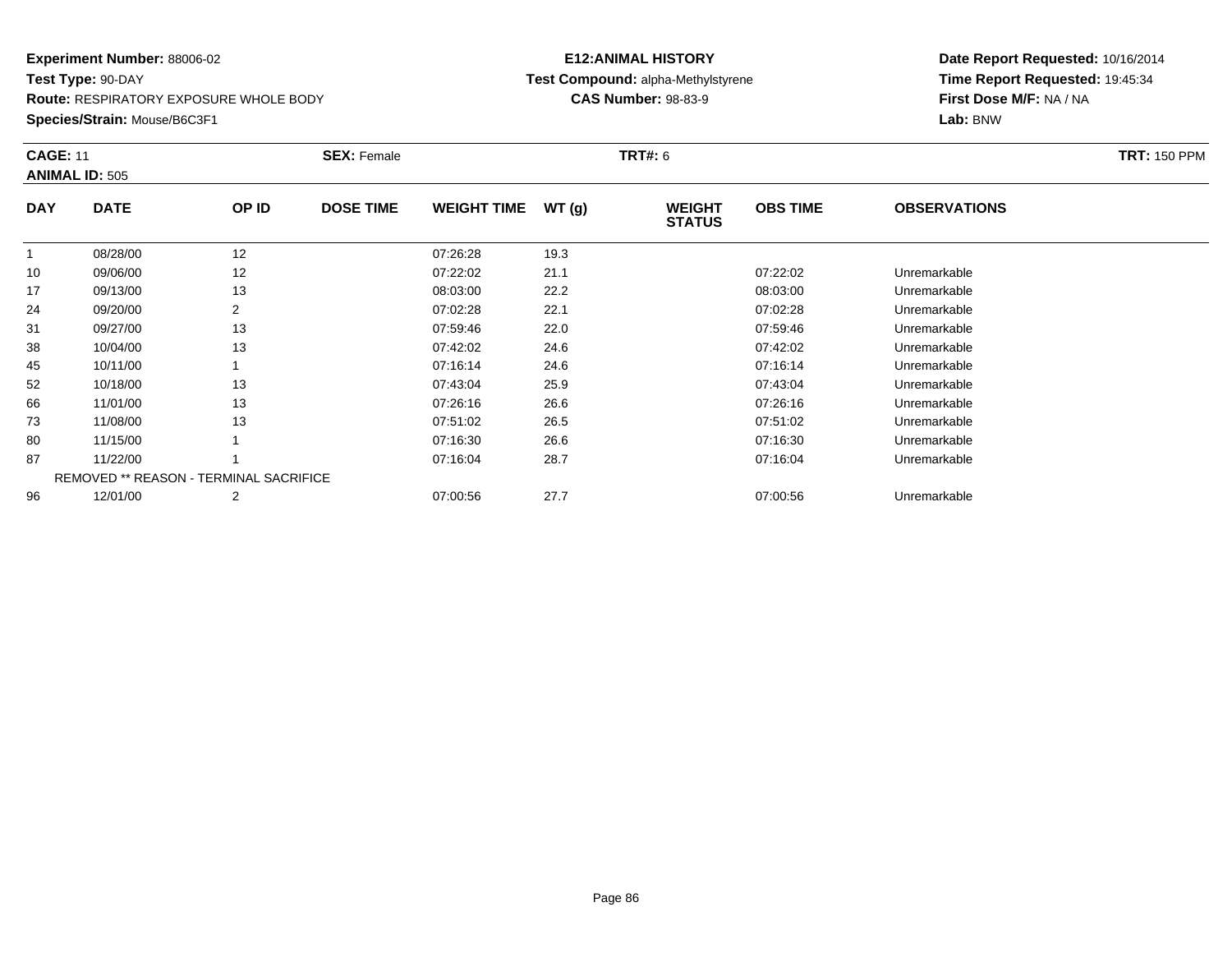**Route:** RESPIRATORY EXPOSURE WHOLE BODY

**Species/Strain:** Mouse/B6C3F1

## **E12:ANIMAL HISTORY Test Compound:** alpha-Methylstyrene**CAS Number:** 98-83-9

| <b>CAGE: 11</b> | <b>ANIMAL ID: 505</b>                         |       | <b>SEX: Female</b> |                    |       | <b>TRT#: 6</b>                 |                 |                     | <b>TRT: 150 PPM</b> |
|-----------------|-----------------------------------------------|-------|--------------------|--------------------|-------|--------------------------------|-----------------|---------------------|---------------------|
| <b>DAY</b>      | <b>DATE</b>                                   | OP ID | <b>DOSE TIME</b>   | <b>WEIGHT TIME</b> | WT(g) | <b>WEIGHT</b><br><b>STATUS</b> | <b>OBS TIME</b> | <b>OBSERVATIONS</b> |                     |
|                 | 08/28/00                                      | 12    |                    | 07:26:28           | 19.3  |                                |                 |                     |                     |
| 10              | 09/06/00                                      | 12    |                    | 07:22:02           | 21.1  |                                | 07:22:02        | Unremarkable        |                     |
| 17              | 09/13/00                                      | 13    |                    | 08:03:00           | 22.2  |                                | 08:03:00        | Unremarkable        |                     |
| 24              | 09/20/00                                      | 2     |                    | 07:02:28           | 22.1  |                                | 07:02:28        | Unremarkable        |                     |
| 31              | 09/27/00                                      | 13    |                    | 07:59:46           | 22.0  |                                | 07:59:46        | Unremarkable        |                     |
| 38              | 10/04/00                                      | 13    |                    | 07:42:02           | 24.6  |                                | 07:42:02        | Unremarkable        |                     |
| 45              | 10/11/00                                      |       |                    | 07:16:14           | 24.6  |                                | 07:16:14        | Unremarkable        |                     |
| 52              | 10/18/00                                      | 13    |                    | 07:43:04           | 25.9  |                                | 07:43:04        | Unremarkable        |                     |
| 66              | 11/01/00                                      | 13    |                    | 07:26:16           | 26.6  |                                | 07:26:16        | Unremarkable        |                     |
| 73              | 11/08/00                                      | 13    |                    | 07:51:02           | 26.5  |                                | 07:51:02        | Unremarkable        |                     |
| 80              | 11/15/00                                      |       |                    | 07:16:30           | 26.6  |                                | 07:16:30        | Unremarkable        |                     |
| 87              | 11/22/00                                      |       |                    | 07:16:04           | 28.7  |                                | 07:16:04        | Unremarkable        |                     |
|                 | <b>REMOVED ** REASON - TERMINAL SACRIFICE</b> |       |                    |                    |       |                                |                 |                     |                     |
| 96              | 12/01/00                                      | 2     |                    | 07:00:56           | 27.7  |                                | 07:00:56        | Unremarkable        |                     |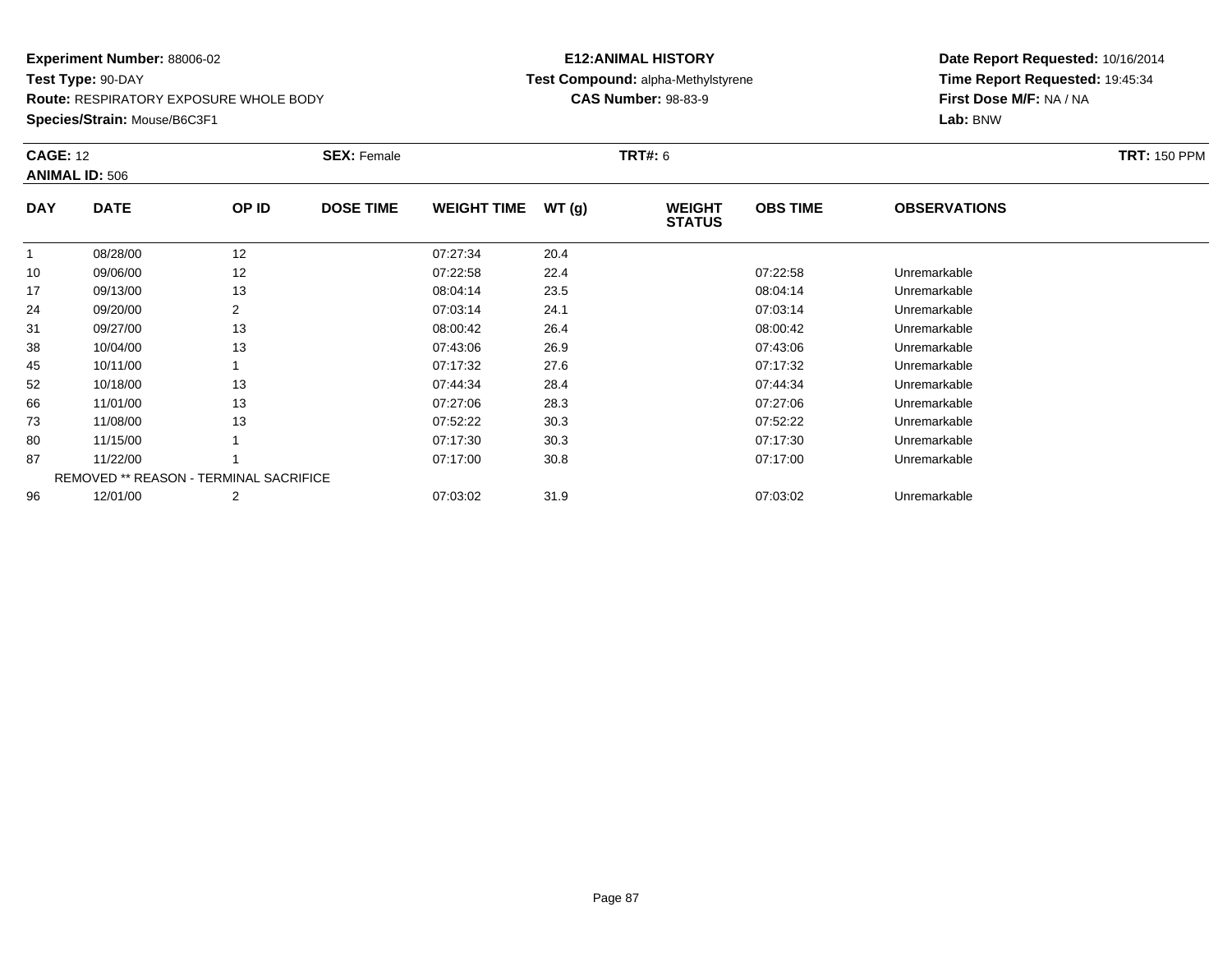**Route:** RESPIRATORY EXPOSURE WHOLE BODY

**Species/Strain:** Mouse/B6C3F1

## **E12:ANIMAL HISTORY Test Compound:** alpha-Methylstyrene**CAS Number:** 98-83-9

| <b>CAGE: 12</b> | <b>ANIMAL ID: 506</b> |                                               | <b>SEX: Female</b> |                    |       | <b>TRT#: 6</b>                 |                 |                     | <b>TRT: 150 PPM</b> |
|-----------------|-----------------------|-----------------------------------------------|--------------------|--------------------|-------|--------------------------------|-----------------|---------------------|---------------------|
| <b>DAY</b>      | <b>DATE</b>           | OP ID                                         | <b>DOSE TIME</b>   | <b>WEIGHT TIME</b> | WT(g) | <b>WEIGHT</b><br><b>STATUS</b> | <b>OBS TIME</b> | <b>OBSERVATIONS</b> |                     |
| $\mathbf{1}$    | 08/28/00              | 12                                            |                    | 07:27:34           | 20.4  |                                |                 |                     |                     |
| 10              | 09/06/00              | 12                                            |                    | 07:22:58           | 22.4  |                                | 07:22:58        | Unremarkable        |                     |
| 17              | 09/13/00              | 13                                            |                    | 08:04:14           | 23.5  |                                | 08:04:14        | Unremarkable        |                     |
| 24              | 09/20/00              | 2                                             |                    | 07:03:14           | 24.1  |                                | 07:03:14        | Unremarkable        |                     |
| 31              | 09/27/00              | 13                                            |                    | 08:00:42           | 26.4  |                                | 08:00:42        | Unremarkable        |                     |
| 38              | 10/04/00              | 13                                            |                    | 07:43:06           | 26.9  |                                | 07:43:06        | Unremarkable        |                     |
| 45              | 10/11/00              |                                               |                    | 07:17:32           | 27.6  |                                | 07:17:32        | Unremarkable        |                     |
| 52              | 10/18/00              | 13                                            |                    | 07:44:34           | 28.4  |                                | 07:44:34        | Unremarkable        |                     |
| 66              | 11/01/00              | 13                                            |                    | 07:27:06           | 28.3  |                                | 07:27:06        | Unremarkable        |                     |
| 73              | 11/08/00              | 13                                            |                    | 07:52:22           | 30.3  |                                | 07:52:22        | Unremarkable        |                     |
| 80              | 11/15/00              |                                               |                    | 07:17:30           | 30.3  |                                | 07:17:30        | Unremarkable        |                     |
| 87              | 11/22/00              |                                               |                    | 07:17:00           | 30.8  |                                | 07:17:00        | Unremarkable        |                     |
|                 |                       | <b>REMOVED ** REASON - TERMINAL SACRIFICE</b> |                    |                    |       |                                |                 |                     |                     |
| 96              | 12/01/00              | 2                                             |                    | 07:03:02           | 31.9  |                                | 07:03:02        | Unremarkable        |                     |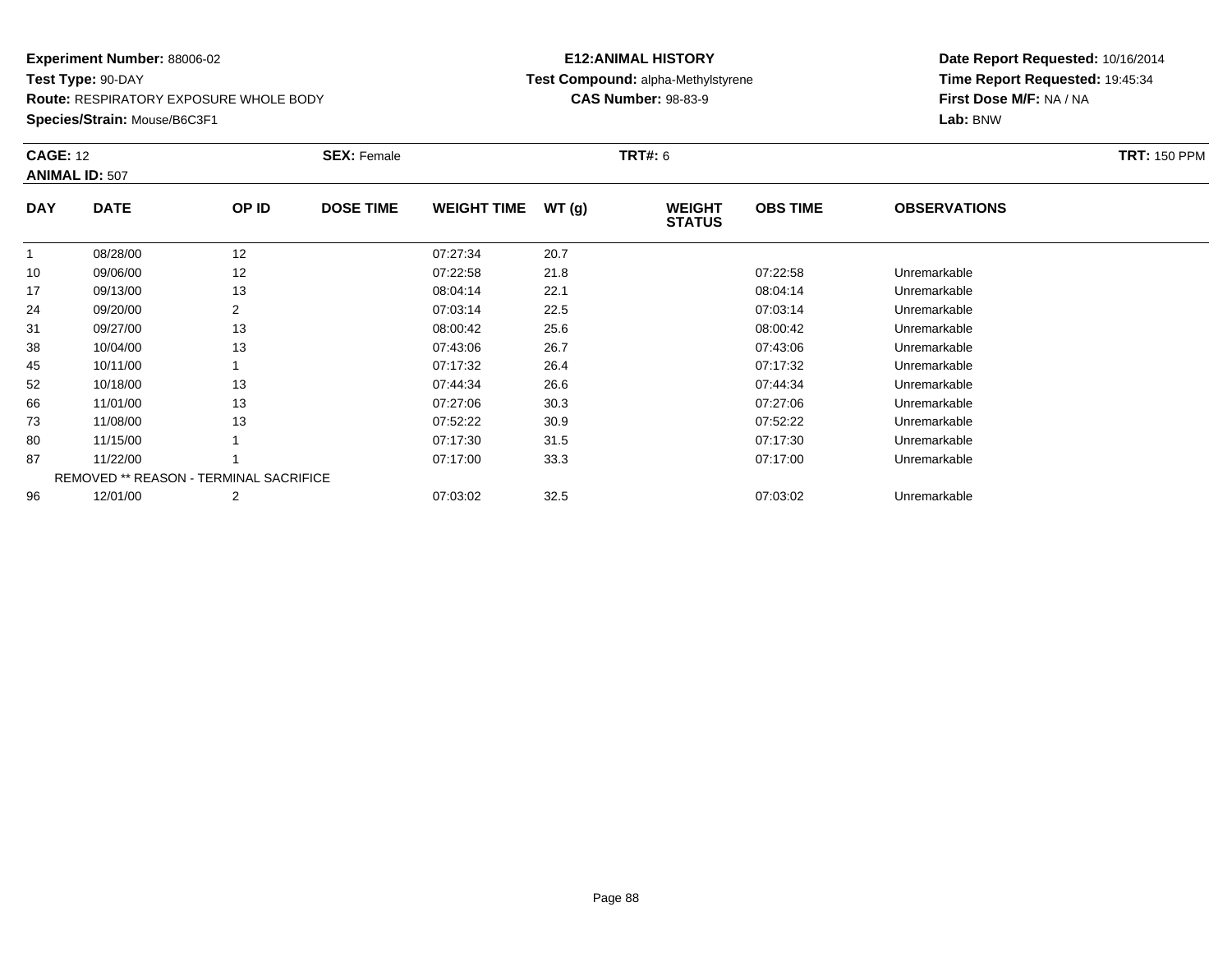**Route:** RESPIRATORY EXPOSURE WHOLE BODY

**Species/Strain:** Mouse/B6C3F1

## **E12:ANIMAL HISTORY Test Compound:** alpha-Methylstyrene**CAS Number:** 98-83-9

| <b>CAGE: 12</b> | <b>ANIMAL ID: 507</b> |                                               | <b>SEX: Female</b> |                    |       | <b>TRT#: 6</b>                 |                 |                     | <b>TRT: 150 PPM</b> |
|-----------------|-----------------------|-----------------------------------------------|--------------------|--------------------|-------|--------------------------------|-----------------|---------------------|---------------------|
| <b>DAY</b>      | <b>DATE</b>           | OP ID                                         | <b>DOSE TIME</b>   | <b>WEIGHT TIME</b> | WT(g) | <b>WEIGHT</b><br><b>STATUS</b> | <b>OBS TIME</b> | <b>OBSERVATIONS</b> |                     |
| $\mathbf{1}$    | 08/28/00              | 12                                            |                    | 07:27:34           | 20.7  |                                |                 |                     |                     |
| 10              | 09/06/00              | 12                                            |                    | 07:22:58           | 21.8  |                                | 07:22:58        | Unremarkable        |                     |
| 17              | 09/13/00              | 13                                            |                    | 08:04:14           | 22.1  |                                | 08:04:14        | Unremarkable        |                     |
| 24              | 09/20/00              |                                               |                    | 07:03:14           | 22.5  |                                | 07:03:14        | Unremarkable        |                     |
| 31              | 09/27/00              | 13                                            |                    | 08:00:42           | 25.6  |                                | 08:00:42        | Unremarkable        |                     |
| 38              | 10/04/00              | 13                                            |                    | 07:43:06           | 26.7  |                                | 07:43:06        | Unremarkable        |                     |
| 45              | 10/11/00              |                                               |                    | 07:17:32           | 26.4  |                                | 07:17:32        | Unremarkable        |                     |
| 52              | 10/18/00              | 13                                            |                    | 07:44:34           | 26.6  |                                | 07:44:34        | Unremarkable        |                     |
| 66              | 11/01/00              | 13                                            |                    | 07:27:06           | 30.3  |                                | 07:27:06        | Unremarkable        |                     |
| 73              | 11/08/00              | 13                                            |                    | 07:52:22           | 30.9  |                                | 07:52:22        | Unremarkable        |                     |
| 80              | 11/15/00              |                                               |                    | 07:17:30           | 31.5  |                                | 07:17:30        | Unremarkable        |                     |
| 87              | 11/22/00              |                                               |                    | 07:17:00           | 33.3  |                                | 07:17:00        | Unremarkable        |                     |
|                 |                       | <b>REMOVED ** REASON - TERMINAL SACRIFICE</b> |                    |                    |       |                                |                 |                     |                     |
| 96              | 12/01/00              | 2                                             |                    | 07:03:02           | 32.5  |                                | 07:03:02        | Unremarkable        |                     |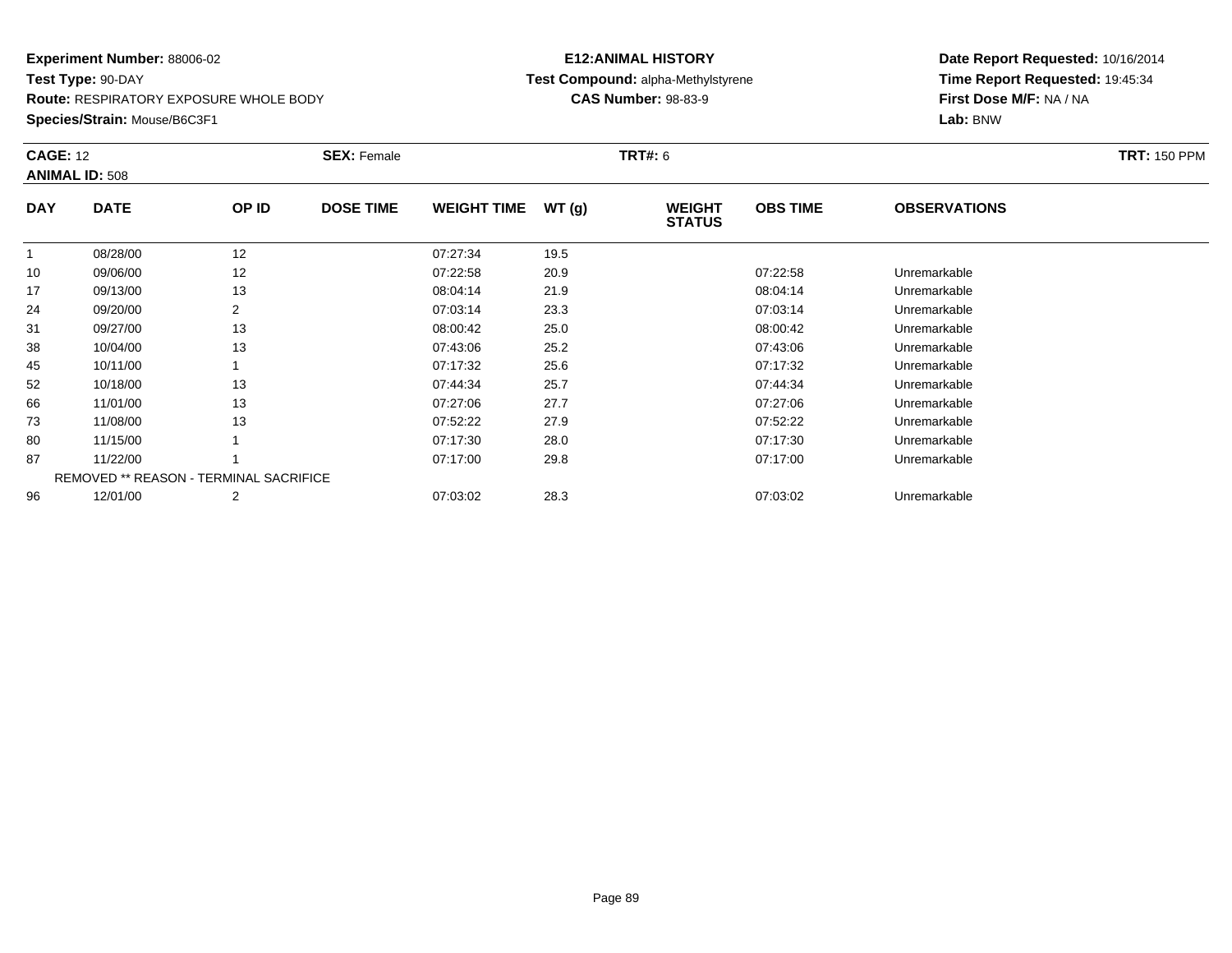**Route:** RESPIRATORY EXPOSURE WHOLE BODY

**Species/Strain:** Mouse/B6C3F1

## **E12:ANIMAL HISTORY Test Compound:** alpha-Methylstyrene**CAS Number:** 98-83-9

| <b>CAGE: 12</b> | <b>ANIMAL ID: 508</b>                         |                | <b>SEX: Female</b> |                    |       | <b>TRT#: 6</b>                 |                 |                     | <b>TRT: 150 PPM</b> |
|-----------------|-----------------------------------------------|----------------|--------------------|--------------------|-------|--------------------------------|-----------------|---------------------|---------------------|
| <b>DAY</b>      | <b>DATE</b>                                   | OP ID          | <b>DOSE TIME</b>   | <b>WEIGHT TIME</b> | WT(g) | <b>WEIGHT</b><br><b>STATUS</b> | <b>OBS TIME</b> | <b>OBSERVATIONS</b> |                     |
|                 | 08/28/00                                      | 12             |                    | 07:27:34           | 19.5  |                                |                 |                     |                     |
| 10              | 09/06/00                                      | 12             |                    | 07:22:58           | 20.9  |                                | 07:22:58        | Unremarkable        |                     |
| 17              | 09/13/00                                      | 13             |                    | 08:04:14           | 21.9  |                                | 08:04:14        | Unremarkable        |                     |
| 24              | 09/20/00                                      | $\overline{2}$ |                    | 07:03:14           | 23.3  |                                | 07:03:14        | Unremarkable        |                     |
| 31              | 09/27/00                                      | 13             |                    | 08:00:42           | 25.0  |                                | 08:00:42        | Unremarkable        |                     |
| 38              | 10/04/00                                      | 13             |                    | 07:43:06           | 25.2  |                                | 07:43:06        | Unremarkable        |                     |
| 45              | 10/11/00                                      |                |                    | 07:17:32           | 25.6  |                                | 07:17:32        | Unremarkable        |                     |
| 52              | 10/18/00                                      | 13             |                    | 07:44:34           | 25.7  |                                | 07:44:34        | Unremarkable        |                     |
| 66              | 11/01/00                                      | 13             |                    | 07:27:06           | 27.7  |                                | 07:27:06        | Unremarkable        |                     |
| 73              | 11/08/00                                      | 13             |                    | 07:52:22           | 27.9  |                                | 07:52:22        | Unremarkable        |                     |
| 80              | 11/15/00                                      |                |                    | 07:17:30           | 28.0  |                                | 07:17:30        | Unremarkable        |                     |
| 87              | 11/22/00                                      |                |                    | 07:17:00           | 29.8  |                                | 07:17:00        | Unremarkable        |                     |
|                 | <b>REMOVED ** REASON - TERMINAL SACRIFICE</b> |                |                    |                    |       |                                |                 |                     |                     |
| 96              | 12/01/00                                      | 2              |                    | 07:03:02           | 28.3  |                                | 07:03:02        | Unremarkable        |                     |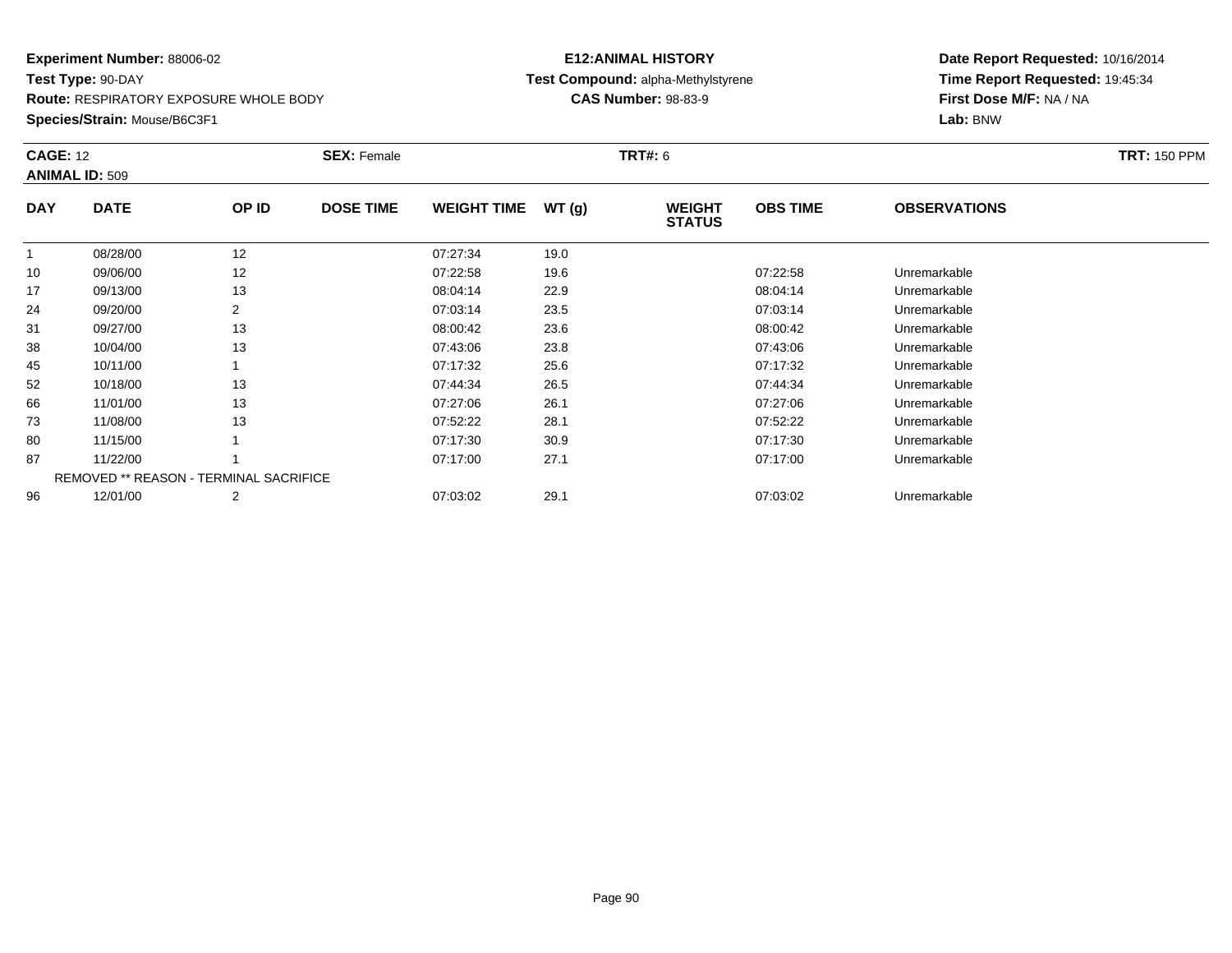**Route:** RESPIRATORY EXPOSURE WHOLE BODY

**Species/Strain:** Mouse/B6C3F1

## **E12:ANIMAL HISTORY Test Compound:** alpha-Methylstyrene**CAS Number:** 98-83-9

| <b>CAGE: 12</b> | <b>ANIMAL ID: 509</b>                         |                | <b>SEX: Female</b> |                    |       | <b>TRT#: 6</b>                 |                 |                     | <b>TRT: 150 PPM</b> |
|-----------------|-----------------------------------------------|----------------|--------------------|--------------------|-------|--------------------------------|-----------------|---------------------|---------------------|
| <b>DAY</b>      | <b>DATE</b>                                   | OP ID          | <b>DOSE TIME</b>   | <b>WEIGHT TIME</b> | WT(g) | <b>WEIGHT</b><br><b>STATUS</b> | <b>OBS TIME</b> | <b>OBSERVATIONS</b> |                     |
| $\mathbf{1}$    | 08/28/00                                      | 12             |                    | 07:27:34           | 19.0  |                                |                 |                     |                     |
| 10              | 09/06/00                                      | 12             |                    | 07:22:58           | 19.6  |                                | 07:22:58        | Unremarkable        |                     |
| 17              | 09/13/00                                      | 13             |                    | 08:04:14           | 22.9  |                                | 08:04:14        | Unremarkable        |                     |
| 24              | 09/20/00                                      | $\overline{2}$ |                    | 07:03:14           | 23.5  |                                | 07:03:14        | Unremarkable        |                     |
| 31              | 09/27/00                                      | 13             |                    | 08:00:42           | 23.6  |                                | 08:00:42        | Unremarkable        |                     |
| 38              | 10/04/00                                      | 13             |                    | 07:43:06           | 23.8  |                                | 07:43:06        | Unremarkable        |                     |
| 45              | 10/11/00                                      |                |                    | 07:17:32           | 25.6  |                                | 07:17:32        | Unremarkable        |                     |
| 52              | 10/18/00                                      | 13             |                    | 07:44:34           | 26.5  |                                | 07:44:34        | Unremarkable        |                     |
| 66              | 11/01/00                                      | 13             |                    | 07:27:06           | 26.1  |                                | 07:27:06        | Unremarkable        |                     |
| 73              | 11/08/00                                      | 13             |                    | 07:52:22           | 28.1  |                                | 07:52:22        | Unremarkable        |                     |
| 80              | 11/15/00                                      |                |                    | 07:17:30           | 30.9  |                                | 07:17:30        | Unremarkable        |                     |
| 87              | 11/22/00                                      |                |                    | 07:17:00           | 27.1  |                                | 07:17:00        | Unremarkable        |                     |
|                 | <b>REMOVED ** REASON - TERMINAL SACRIFICE</b> |                |                    |                    |       |                                |                 |                     |                     |
| 96              | 12/01/00                                      | 2              |                    | 07:03:02           | 29.1  |                                | 07:03:02        | Unremarkable        |                     |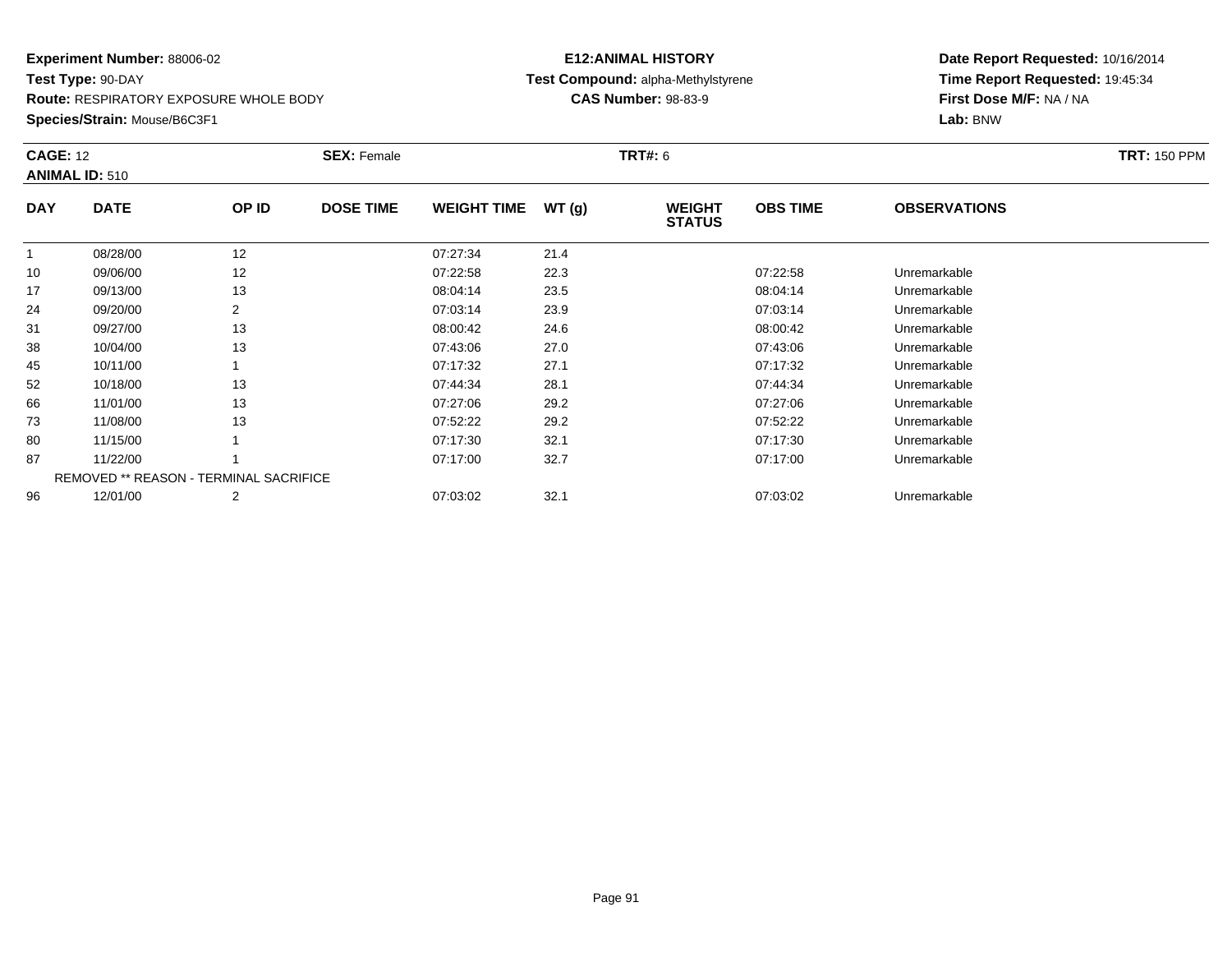**Route:** RESPIRATORY EXPOSURE WHOLE BODY

**Species/Strain:** Mouse/B6C3F1

## **E12:ANIMAL HISTORY Test Compound:** alpha-Methylstyrene**CAS Number:** 98-83-9

| <b>CAGE: 12</b> | <b>ANIMAL ID: 510</b>                         |                | <b>SEX: Female</b> |                    |       | <b>TRT#: 6</b>                 |                 |                     | <b>TRT: 150 PPM</b> |
|-----------------|-----------------------------------------------|----------------|--------------------|--------------------|-------|--------------------------------|-----------------|---------------------|---------------------|
| <b>DAY</b>      | <b>DATE</b>                                   | OP ID          | <b>DOSE TIME</b>   | <b>WEIGHT TIME</b> | WT(g) | <b>WEIGHT</b><br><b>STATUS</b> | <b>OBS TIME</b> | <b>OBSERVATIONS</b> |                     |
| $\mathbf{1}$    | 08/28/00                                      | 12             |                    | 07:27:34           | 21.4  |                                |                 |                     |                     |
| 10              | 09/06/00                                      | 12             |                    | 07:22:58           | 22.3  |                                | 07:22:58        | Unremarkable        |                     |
| 17              | 09/13/00                                      | 13             |                    | 08:04:14           | 23.5  |                                | 08:04:14        | Unremarkable        |                     |
| 24              | 09/20/00                                      | $\overline{2}$ |                    | 07:03:14           | 23.9  |                                | 07:03:14        | Unremarkable        |                     |
| 31              | 09/27/00                                      | 13             |                    | 08:00:42           | 24.6  |                                | 08:00:42        | Unremarkable        |                     |
| 38              | 10/04/00                                      | 13             |                    | 07:43:06           | 27.0  |                                | 07:43:06        | Unremarkable        |                     |
| 45              | 10/11/00                                      |                |                    | 07:17:32           | 27.1  |                                | 07:17:32        | Unremarkable        |                     |
| 52              | 10/18/00                                      | 13             |                    | 07:44:34           | 28.1  |                                | 07:44:34        | Unremarkable        |                     |
| 66              | 11/01/00                                      | 13             |                    | 07:27:06           | 29.2  |                                | 07:27:06        | Unremarkable        |                     |
| 73              | 11/08/00                                      | 13             |                    | 07:52:22           | 29.2  |                                | 07:52:22        | Unremarkable        |                     |
| 80              | 11/15/00                                      |                |                    | 07:17:30           | 32.1  |                                | 07:17:30        | Unremarkable        |                     |
| 87              | 11/22/00                                      |                |                    | 07:17:00           | 32.7  |                                | 07:17:00        | Unremarkable        |                     |
|                 | <b>REMOVED ** REASON - TERMINAL SACRIFICE</b> |                |                    |                    |       |                                |                 |                     |                     |
| 96              | 12/01/00                                      | 2              |                    | 07:03:02           | 32.1  |                                | 07:03:02        | Unremarkable        |                     |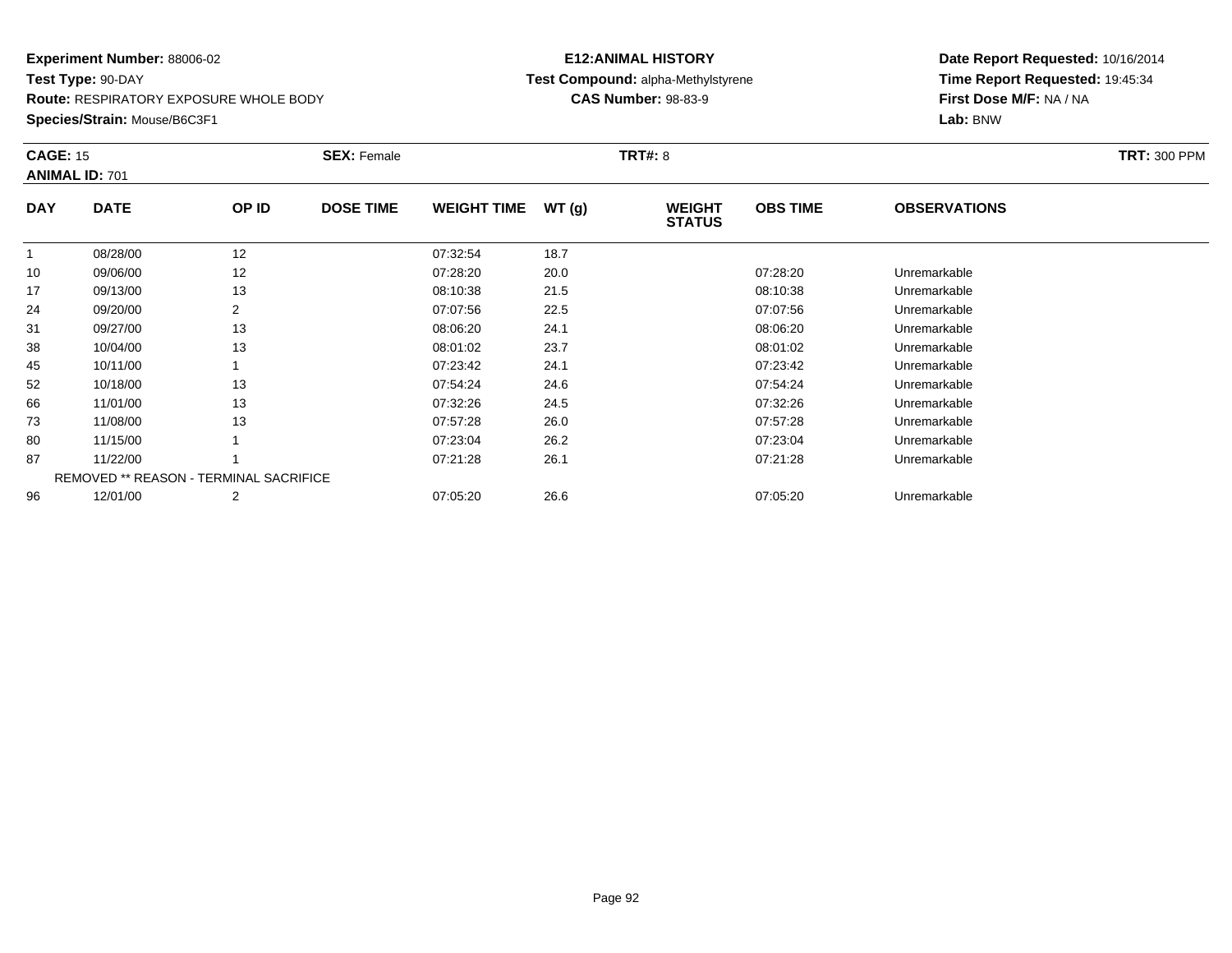**Route:** RESPIRATORY EXPOSURE WHOLE BODY

**Species/Strain:** Mouse/B6C3F1

## **E12:ANIMAL HISTORY Test Compound:** alpha-Methylstyrene**CAS Number:** 98-83-9

| <b>CAGE: 15</b> | <b>ANIMAL ID: 701</b>                         |                | <b>SEX: Female</b> |                    |       | <b>TRT#: 8</b>                 |                 |                     | <b>TRT: 300 PPM</b> |
|-----------------|-----------------------------------------------|----------------|--------------------|--------------------|-------|--------------------------------|-----------------|---------------------|---------------------|
| <b>DAY</b>      | <b>DATE</b>                                   | OP ID          | <b>DOSE TIME</b>   | <b>WEIGHT TIME</b> | WT(g) | <b>WEIGHT</b><br><b>STATUS</b> | <b>OBS TIME</b> | <b>OBSERVATIONS</b> |                     |
|                 | 08/28/00                                      | 12             |                    | 07:32:54           | 18.7  |                                |                 |                     |                     |
| 10              | 09/06/00                                      | 12             |                    | 07:28:20           | 20.0  |                                | 07:28:20        | Unremarkable        |                     |
| 17              | 09/13/00                                      | 13             |                    | 08:10:38           | 21.5  |                                | 08:10:38        | Unremarkable        |                     |
| 24              | 09/20/00                                      | 2              |                    | 07:07:56           | 22.5  |                                | 07:07:56        | Unremarkable        |                     |
| 31              | 09/27/00                                      | 13             |                    | 08:06:20           | 24.1  |                                | 08:06:20        | Unremarkable        |                     |
| 38              | 10/04/00                                      | 13             |                    | 08:01:02           | 23.7  |                                | 08:01:02        | Unremarkable        |                     |
| 45              | 10/11/00                                      |                |                    | 07:23:42           | 24.1  |                                | 07:23:42        | Unremarkable        |                     |
| 52              | 10/18/00                                      | 13             |                    | 07:54:24           | 24.6  |                                | 07:54:24        | Unremarkable        |                     |
| 66              | 11/01/00                                      | 13             |                    | 07:32:26           | 24.5  |                                | 07:32:26        | Unremarkable        |                     |
| 73              | 11/08/00                                      | 13             |                    | 07:57:28           | 26.0  |                                | 07:57:28        | Unremarkable        |                     |
| 80              | 11/15/00                                      |                |                    | 07:23:04           | 26.2  |                                | 07:23:04        | Unremarkable        |                     |
| 87              | 11/22/00                                      |                |                    | 07:21:28           | 26.1  |                                | 07:21:28        | Unremarkable        |                     |
|                 | <b>REMOVED ** REASON - TERMINAL SACRIFICE</b> |                |                    |                    |       |                                |                 |                     |                     |
| 96              | 12/01/00                                      | $\overline{2}$ |                    | 07:05:20           | 26.6  |                                | 07:05:20        | Unremarkable        |                     |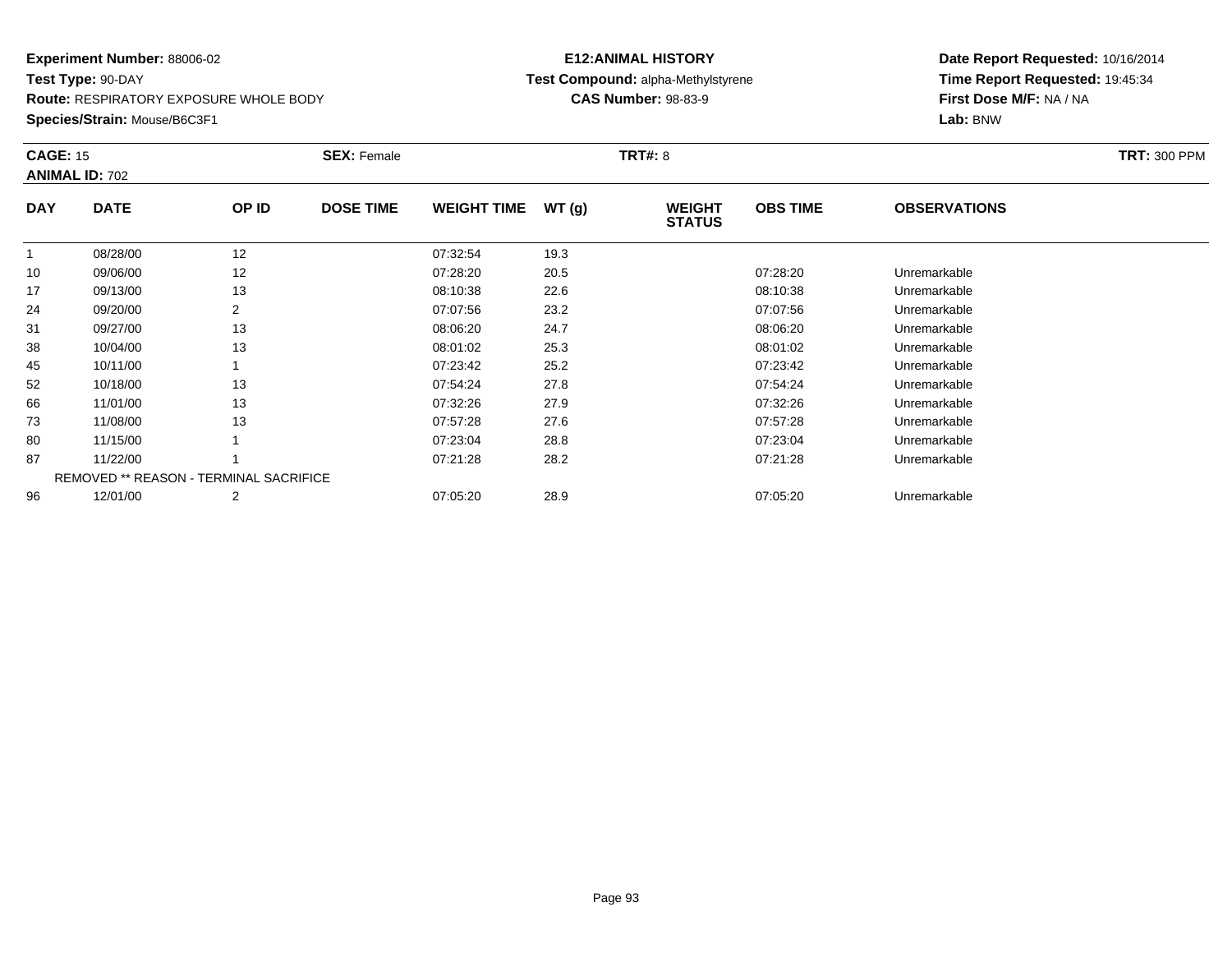**Route:** RESPIRATORY EXPOSURE WHOLE BODY

**Species/Strain:** Mouse/B6C3F1

## **E12:ANIMAL HISTORY Test Compound:** alpha-Methylstyrene**CAS Number:** 98-83-9

| <b>CAGE: 15</b> | <b>ANIMAL ID: 702</b>                         |       | <b>SEX: Female</b> |                    |       | <b>TRT#: 8</b>                 |                 |                     | <b>TRT: 300 PPM</b> |
|-----------------|-----------------------------------------------|-------|--------------------|--------------------|-------|--------------------------------|-----------------|---------------------|---------------------|
| <b>DAY</b>      | <b>DATE</b>                                   | OP ID | <b>DOSE TIME</b>   | <b>WEIGHT TIME</b> | WT(g) | <b>WEIGHT</b><br><b>STATUS</b> | <b>OBS TIME</b> | <b>OBSERVATIONS</b> |                     |
|                 | 08/28/00                                      | 12    |                    | 07:32:54           | 19.3  |                                |                 |                     |                     |
| 10              | 09/06/00                                      | 12    |                    | 07:28:20           | 20.5  |                                | 07:28:20        | Unremarkable        |                     |
| 17              | 09/13/00                                      | 13    |                    | 08:10:38           | 22.6  |                                | 08:10:38        | Unremarkable        |                     |
| 24              | 09/20/00                                      | 2     |                    | 07:07:56           | 23.2  |                                | 07:07:56        | Unremarkable        |                     |
| 31              | 09/27/00                                      | 13    |                    | 08:06:20           | 24.7  |                                | 08:06:20        | Unremarkable        |                     |
| 38              | 10/04/00                                      | 13    |                    | 08:01:02           | 25.3  |                                | 08:01:02        | Unremarkable        |                     |
| 45              | 10/11/00                                      |       |                    | 07:23:42           | 25.2  |                                | 07:23:42        | Unremarkable        |                     |
| 52              | 10/18/00                                      | 13    |                    | 07:54:24           | 27.8  |                                | 07:54:24        | Unremarkable        |                     |
| 66              | 11/01/00                                      | 13    |                    | 07:32:26           | 27.9  |                                | 07:32:26        | Unremarkable        |                     |
| 73              | 11/08/00                                      | 13    |                    | 07:57:28           | 27.6  |                                | 07:57:28        | Unremarkable        |                     |
| 80              | 11/15/00                                      |       |                    | 07:23:04           | 28.8  |                                | 07:23:04        | Unremarkable        |                     |
| 87              | 11/22/00                                      |       |                    | 07:21:28           | 28.2  |                                | 07:21:28        | Unremarkable        |                     |
|                 | <b>REMOVED ** REASON - TERMINAL SACRIFICE</b> |       |                    |                    |       |                                |                 |                     |                     |
| 96              | 12/01/00                                      | 2     |                    | 07:05:20           | 28.9  |                                | 07:05:20        | Unremarkable        |                     |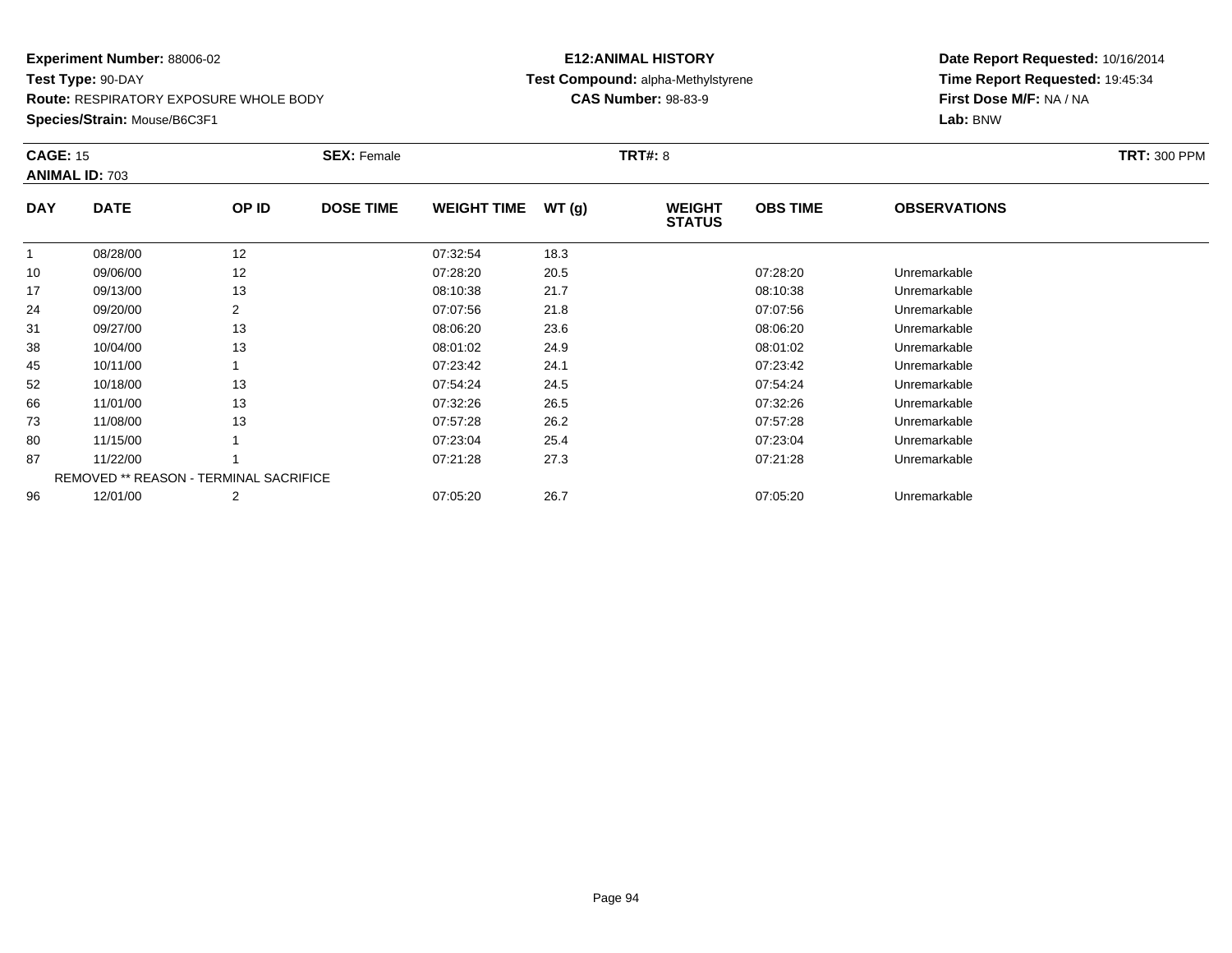**Route:** RESPIRATORY EXPOSURE WHOLE BODY

**Species/Strain:** Mouse/B6C3F1

## **E12:ANIMAL HISTORY Test Compound:** alpha-Methylstyrene**CAS Number:** 98-83-9

| <b>CAGE: 15</b> | <b>ANIMAL ID: 703</b>                  |       | <b>SEX: Female</b> |                    |       | <b>TRT#: 8</b>                 |                 |                     | <b>TRT: 300 PPM</b> |
|-----------------|----------------------------------------|-------|--------------------|--------------------|-------|--------------------------------|-----------------|---------------------|---------------------|
| <b>DAY</b>      | <b>DATE</b>                            | OP ID | <b>DOSE TIME</b>   | <b>WEIGHT TIME</b> | WT(g) | <b>WEIGHT</b><br><b>STATUS</b> | <b>OBS TIME</b> | <b>OBSERVATIONS</b> |                     |
|                 | 08/28/00                               | 12    |                    | 07:32:54           | 18.3  |                                |                 |                     |                     |
| 10              | 09/06/00                               | 12    |                    | 07:28:20           | 20.5  |                                | 07:28:20        | Unremarkable        |                     |
| 17              | 09/13/00                               | 13    |                    | 08:10:38           | 21.7  |                                | 08:10:38        | Unremarkable        |                     |
| 24              | 09/20/00                               | 2     |                    | 07:07:56           | 21.8  |                                | 07:07:56        | Unremarkable        |                     |
| 31              | 09/27/00                               | 13    |                    | 08:06:20           | 23.6  |                                | 08:06:20        | Unremarkable        |                     |
| 38              | 10/04/00                               | 13    |                    | 08:01:02           | 24.9  |                                | 08:01:02        | Unremarkable        |                     |
| 45              | 10/11/00                               |       |                    | 07:23:42           | 24.1  |                                | 07:23:42        | Unremarkable        |                     |
| 52              | 10/18/00                               | 13    |                    | 07:54:24           | 24.5  |                                | 07:54:24        | Unremarkable        |                     |
| 66              | 11/01/00                               | 13    |                    | 07:32:26           | 26.5  |                                | 07:32:26        | Unremarkable        |                     |
| 73              | 11/08/00                               | 13    |                    | 07:57:28           | 26.2  |                                | 07:57:28        | Unremarkable        |                     |
| 80              | 11/15/00                               |       |                    | 07:23:04           | 25.4  |                                | 07:23:04        | Unremarkable        |                     |
| 87              | 11/22/00                               |       |                    | 07:21:28           | 27.3  |                                | 07:21:28        | Unremarkable        |                     |
|                 | REMOVED ** REASON - TERMINAL SACRIFICE |       |                    |                    |       |                                |                 |                     |                     |
| 96              | 12/01/00                               | 2     |                    | 07:05:20           | 26.7  |                                | 07:05:20        | Unremarkable        |                     |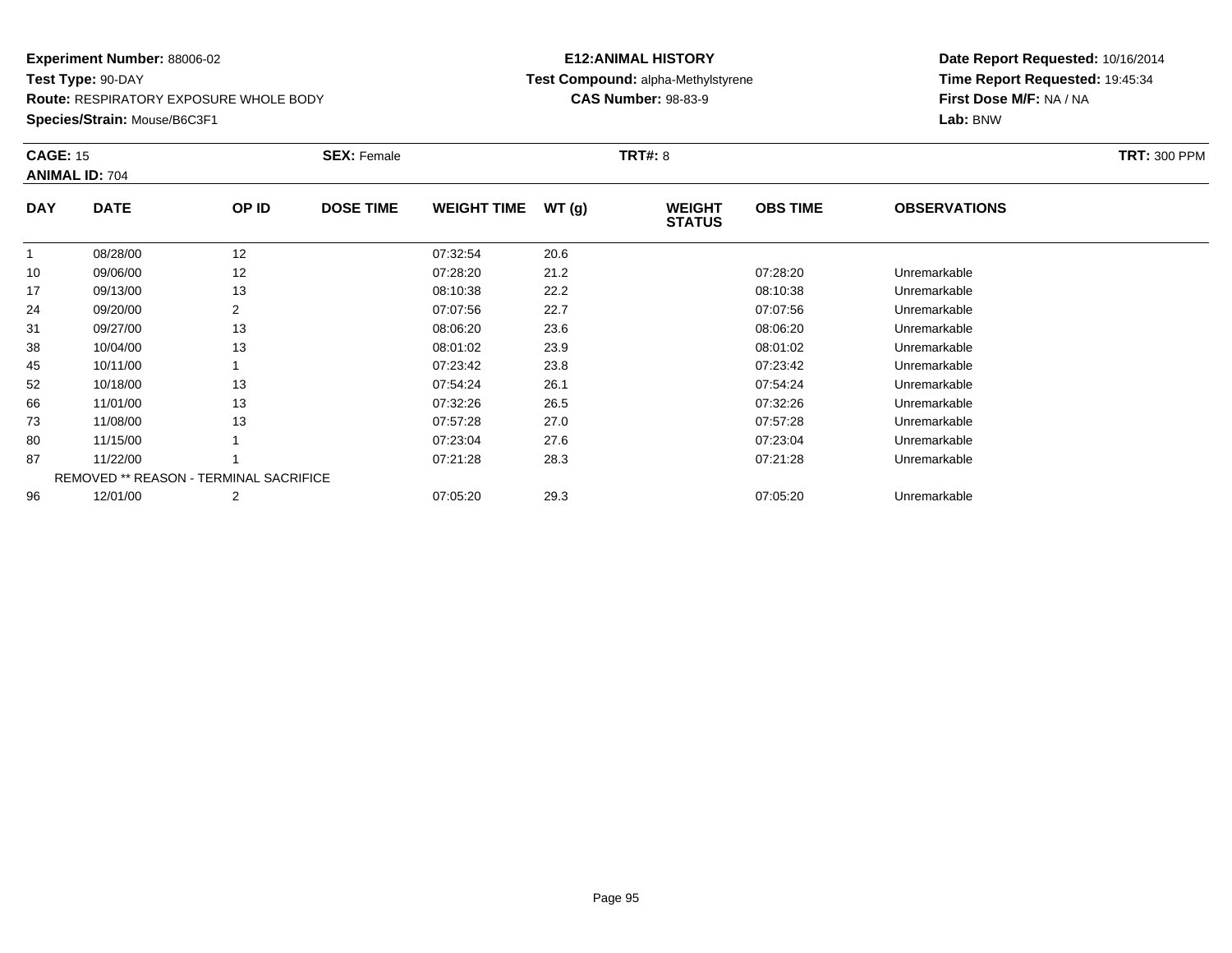**Route:** RESPIRATORY EXPOSURE WHOLE BODY

**Species/Strain:** Mouse/B6C3F1

## **E12:ANIMAL HISTORY Test Compound:** alpha-Methylstyrene**CAS Number:** 98-83-9

| <b>CAGE: 15</b> | <b>ANIMAL ID: 704</b> |                                               | <b>SEX: Female</b> |                    |       | <b>TRT#: 8</b>                 |                 |                     | <b>TRT: 300 PPM</b> |
|-----------------|-----------------------|-----------------------------------------------|--------------------|--------------------|-------|--------------------------------|-----------------|---------------------|---------------------|
| <b>DAY</b>      | <b>DATE</b>           | OP ID                                         | <b>DOSE TIME</b>   | <b>WEIGHT TIME</b> | WT(g) | <b>WEIGHT</b><br><b>STATUS</b> | <b>OBS TIME</b> | <b>OBSERVATIONS</b> |                     |
|                 | 08/28/00              | 12                                            |                    | 07:32:54           | 20.6  |                                |                 |                     |                     |
| 10              | 09/06/00              | 12                                            |                    | 07:28:20           | 21.2  |                                | 07:28:20        | Unremarkable        |                     |
| 17              | 09/13/00              | 13                                            |                    | 08:10:38           | 22.2  |                                | 08:10:38        | Unremarkable        |                     |
| 24              | 09/20/00              | 2                                             |                    | 07:07:56           | 22.7  |                                | 07:07:56        | Unremarkable        |                     |
| 31              | 09/27/00              | 13                                            |                    | 08:06:20           | 23.6  |                                | 08:06:20        | Unremarkable        |                     |
| 38              | 10/04/00              | 13                                            |                    | 08:01:02           | 23.9  |                                | 08:01:02        | Unremarkable        |                     |
| 45              | 10/11/00              |                                               |                    | 07:23:42           | 23.8  |                                | 07:23:42        | Unremarkable        |                     |
| 52              | 10/18/00              | 13                                            |                    | 07:54:24           | 26.1  |                                | 07:54:24        | Unremarkable        |                     |
| 66              | 11/01/00              | 13                                            |                    | 07:32:26           | 26.5  |                                | 07:32:26        | Unremarkable        |                     |
| 73              | 11/08/00              | 13                                            |                    | 07:57:28           | 27.0  |                                | 07:57:28        | Unremarkable        |                     |
| 80              | 11/15/00              |                                               |                    | 07:23:04           | 27.6  |                                | 07:23:04        | Unremarkable        |                     |
| 87              | 11/22/00              |                                               |                    | 07:21:28           | 28.3  |                                | 07:21:28        | Unremarkable        |                     |
|                 |                       | <b>REMOVED ** REASON - TERMINAL SACRIFICE</b> |                    |                    |       |                                |                 |                     |                     |
| 96              | 12/01/00              | 2                                             |                    | 07:05:20           | 29.3  |                                | 07:05:20        | Unremarkable        |                     |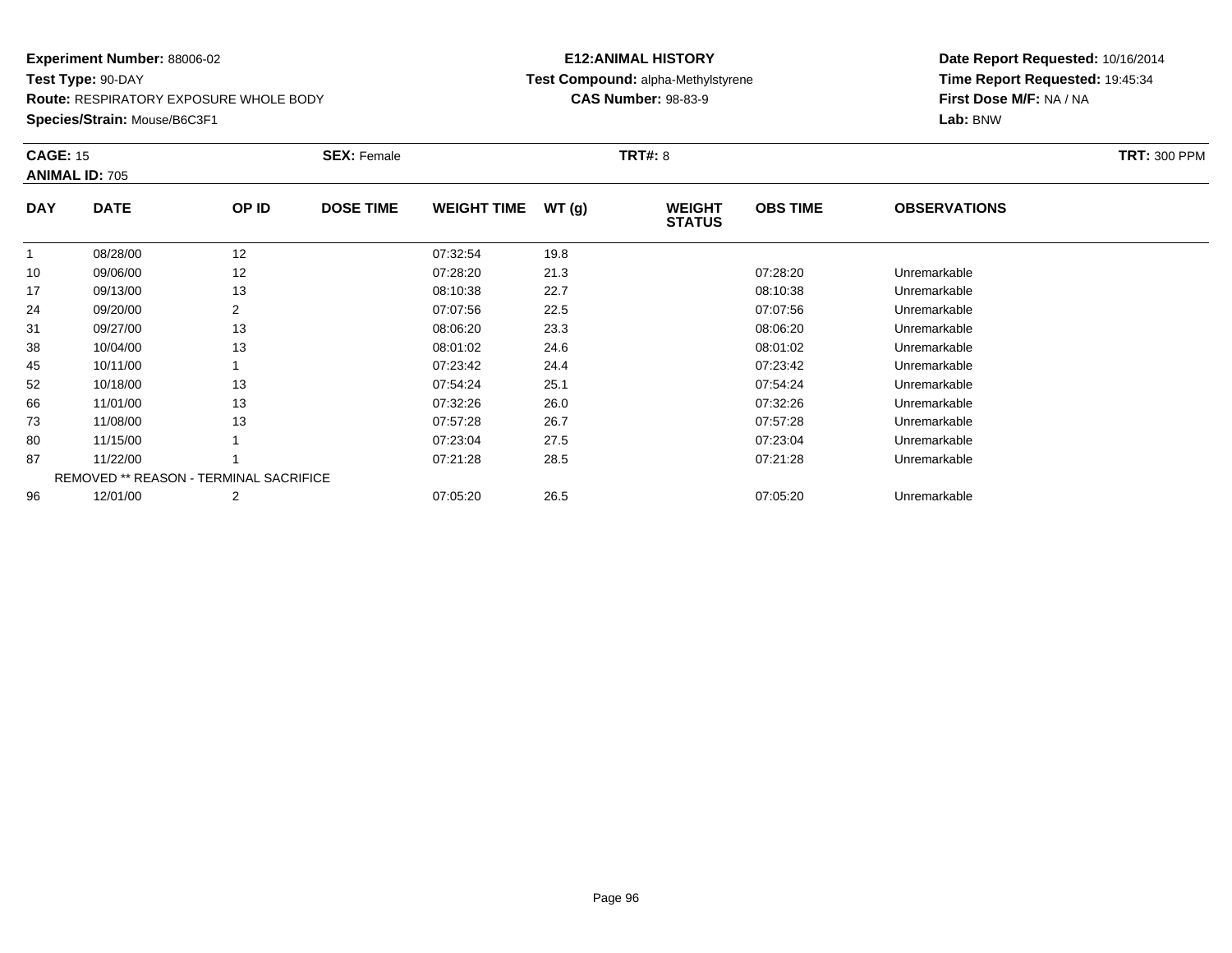**Route:** RESPIRATORY EXPOSURE WHOLE BODY

**Species/Strain:** Mouse/B6C3F1

## **E12:ANIMAL HISTORY Test Compound:** alpha-Methylstyrene**CAS Number:** 98-83-9

| <b>CAGE: 15</b> | <b>ANIMAL ID: 705</b> |                                        | <b>SEX: Female</b> |                    |       | <b>TRT#: 8</b>                 |                 |                     | <b>TRT: 300 PPM</b> |
|-----------------|-----------------------|----------------------------------------|--------------------|--------------------|-------|--------------------------------|-----------------|---------------------|---------------------|
| <b>DAY</b>      | <b>DATE</b>           | OP ID                                  | <b>DOSE TIME</b>   | <b>WEIGHT TIME</b> | WT(g) | <b>WEIGHT</b><br><b>STATUS</b> | <b>OBS TIME</b> | <b>OBSERVATIONS</b> |                     |
|                 | 08/28/00              | 12                                     |                    | 07:32:54           | 19.8  |                                |                 |                     |                     |
| 10              | 09/06/00              | 12                                     |                    | 07:28:20           | 21.3  |                                | 07:28:20        | Unremarkable        |                     |
| 17              | 09/13/00              | 13                                     |                    | 08:10:38           | 22.7  |                                | 08:10:38        | Unremarkable        |                     |
| 24              | 09/20/00              | 2                                      |                    | 07:07:56           | 22.5  |                                | 07:07:56        | Unremarkable        |                     |
| 31              | 09/27/00              | 13                                     |                    | 08:06:20           | 23.3  |                                | 08:06:20        | Unremarkable        |                     |
| 38              | 10/04/00              | 13                                     |                    | 08:01:02           | 24.6  |                                | 08:01:02        | Unremarkable        |                     |
| 45              | 10/11/00              |                                        |                    | 07:23:42           | 24.4  |                                | 07:23:42        | Unremarkable        |                     |
| 52              | 10/18/00              | 13                                     |                    | 07:54:24           | 25.1  |                                | 07:54:24        | Unremarkable        |                     |
| 66              | 11/01/00              | 13                                     |                    | 07:32:26           | 26.0  |                                | 07:32:26        | Unremarkable        |                     |
| 73              | 11/08/00              | 13                                     |                    | 07:57:28           | 26.7  |                                | 07:57:28        | Unremarkable        |                     |
| 80              | 11/15/00              |                                        |                    | 07:23:04           | 27.5  |                                | 07:23:04        | Unremarkable        |                     |
| 87              | 11/22/00              |                                        |                    | 07:21:28           | 28.5  |                                | 07:21:28        | Unremarkable        |                     |
|                 |                       | REMOVED ** REASON - TERMINAL SACRIFICE |                    |                    |       |                                |                 |                     |                     |
| 96              | 12/01/00              | 2                                      |                    | 07:05:20           | 26.5  |                                | 07:05:20        | Unremarkable        |                     |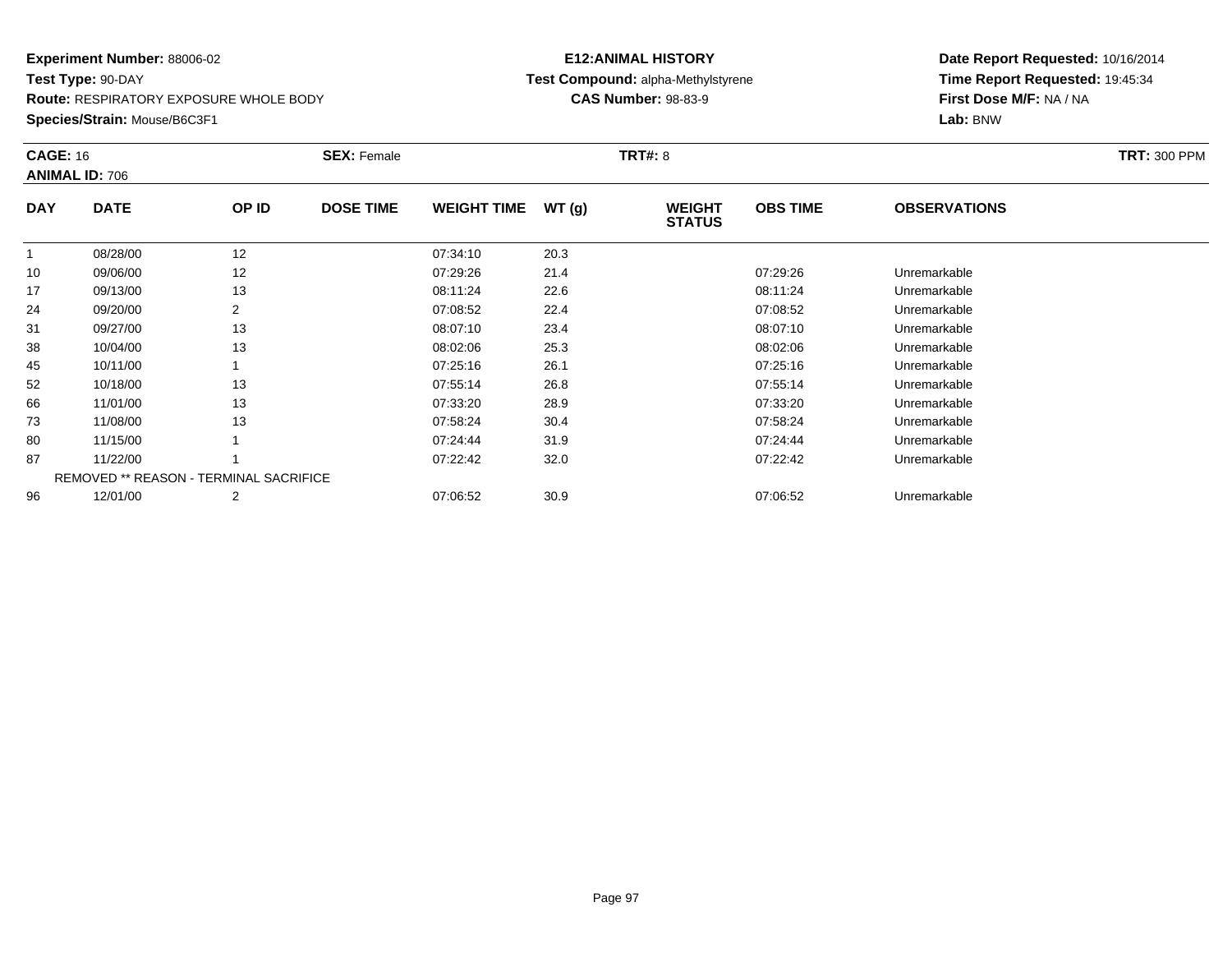**Route:** RESPIRATORY EXPOSURE WHOLE BODY

**Species/Strain:** Mouse/B6C3F1

## **E12:ANIMAL HISTORY Test Compound:** alpha-Methylstyrene**CAS Number:** 98-83-9

| <b>CAGE: 16</b> | <b>ANIMAL ID: 706</b>                  |                | <b>SEX: Female</b> |                    |       | <b>TRT#: 8</b>                 |                 |                     | <b>TRT: 300 PPM</b> |
|-----------------|----------------------------------------|----------------|--------------------|--------------------|-------|--------------------------------|-----------------|---------------------|---------------------|
| <b>DAY</b>      | <b>DATE</b>                            | OP ID          | <b>DOSE TIME</b>   | <b>WEIGHT TIME</b> | WT(g) | <b>WEIGHT</b><br><b>STATUS</b> | <b>OBS TIME</b> | <b>OBSERVATIONS</b> |                     |
|                 | 08/28/00                               | 12             |                    | 07:34:10           | 20.3  |                                |                 |                     |                     |
| 10              | 09/06/00                               | 12             |                    | 07:29:26           | 21.4  |                                | 07:29:26        | Unremarkable        |                     |
| 17              | 09/13/00                               | 13             |                    | 08:11:24           | 22.6  |                                | 08:11:24        | Unremarkable        |                     |
| 24              | 09/20/00                               | 2              |                    | 07:08:52           | 22.4  |                                | 07:08:52        | Unremarkable        |                     |
| 31              | 09/27/00                               | 13             |                    | 08:07:10           | 23.4  |                                | 08:07:10        | Unremarkable        |                     |
| 38              | 10/04/00                               | 13             |                    | 08:02:06           | 25.3  |                                | 08:02:06        | Unremarkable        |                     |
| 45              | 10/11/00                               |                |                    | 07:25:16           | 26.1  |                                | 07:25:16        | Unremarkable        |                     |
| 52              | 10/18/00                               | 13             |                    | 07:55:14           | 26.8  |                                | 07:55:14        | Unremarkable        |                     |
| 66              | 11/01/00                               | 13             |                    | 07:33:20           | 28.9  |                                | 07:33:20        | Unremarkable        |                     |
| 73              | 11/08/00                               | 13             |                    | 07:58:24           | 30.4  |                                | 07:58:24        | Unremarkable        |                     |
| 80              | 11/15/00                               |                |                    | 07:24:44           | 31.9  |                                | 07:24:44        | Unremarkable        |                     |
| 87              | 11/22/00                               |                |                    | 07:22:42           | 32.0  |                                | 07:22:42        | Unremarkable        |                     |
|                 | REMOVED ** REASON - TERMINAL SACRIFICE |                |                    |                    |       |                                |                 |                     |                     |
| 96              | 12/01/00                               | $\overline{2}$ |                    | 07:06:52           | 30.9  |                                | 07:06:52        | Unremarkable        |                     |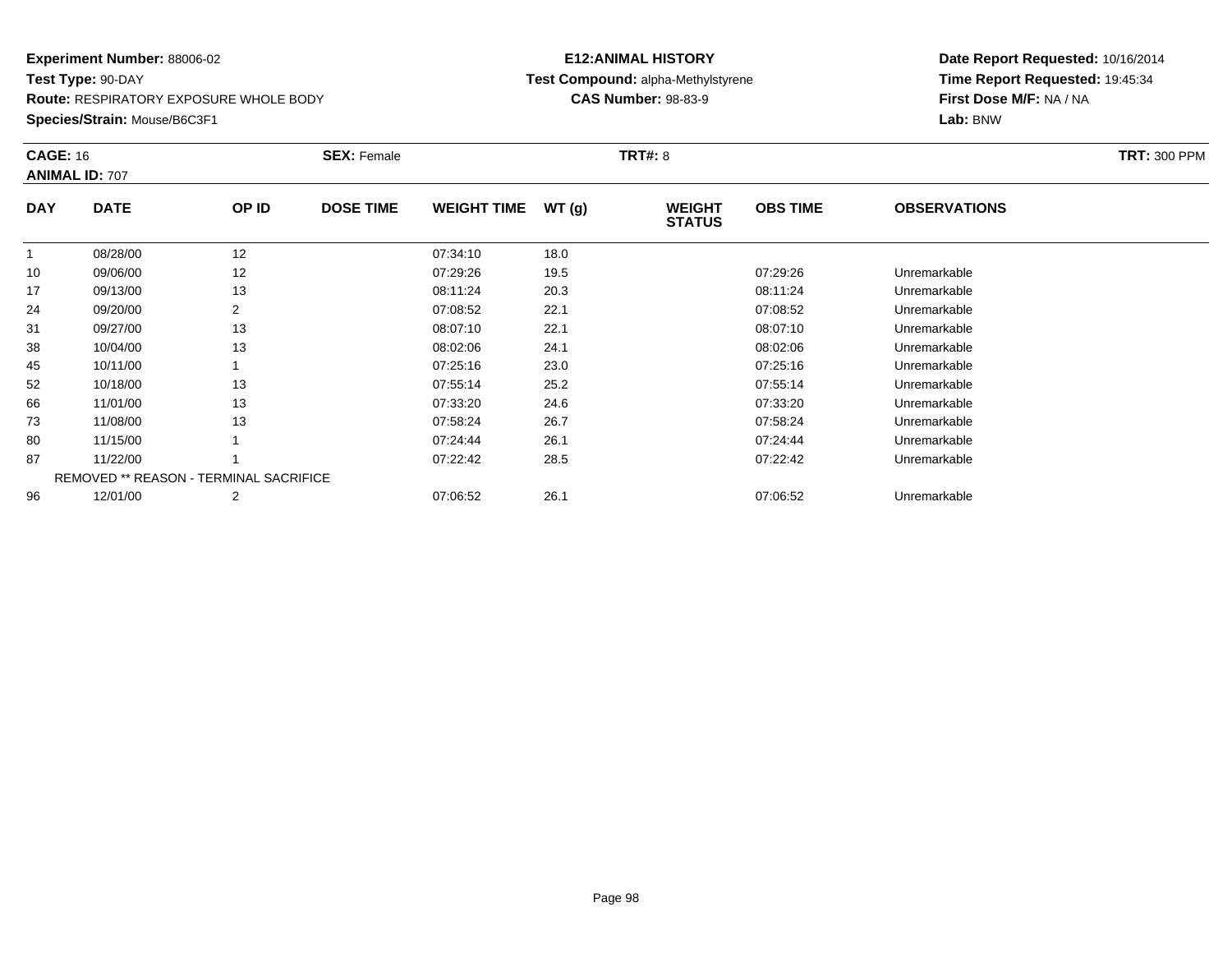**Route:** RESPIRATORY EXPOSURE WHOLE BODY

**Species/Strain:** Mouse/B6C3F1

## **E12:ANIMAL HISTORY Test Compound:** alpha-Methylstyrene**CAS Number:** 98-83-9

| <b>CAGE: 16</b> | <b>ANIMAL ID: 707</b>                         |                | <b>SEX: Female</b> |                    |       | <b>TRT#: 8</b>                 |                 |                     | <b>TRT: 300 PPM</b> |
|-----------------|-----------------------------------------------|----------------|--------------------|--------------------|-------|--------------------------------|-----------------|---------------------|---------------------|
| <b>DAY</b>      | <b>DATE</b>                                   | OP ID          | <b>DOSE TIME</b>   | <b>WEIGHT TIME</b> | WT(g) | <b>WEIGHT</b><br><b>STATUS</b> | <b>OBS TIME</b> | <b>OBSERVATIONS</b> |                     |
| $\mathbf{1}$    | 08/28/00                                      | 12             |                    | 07:34:10           | 18.0  |                                |                 |                     |                     |
| 10              | 09/06/00                                      | 12             |                    | 07:29:26           | 19.5  |                                | 07:29:26        | Unremarkable        |                     |
| 17              | 09/13/00                                      | 13             |                    | 08:11:24           | 20.3  |                                | 08:11:24        | Unremarkable        |                     |
| 24              | 09/20/00                                      | $\overline{2}$ |                    | 07:08:52           | 22.1  |                                | 07:08:52        | Unremarkable        |                     |
| 31              | 09/27/00                                      | 13             |                    | 08:07:10           | 22.1  |                                | 08:07:10        | Unremarkable        |                     |
| 38              | 10/04/00                                      | 13             |                    | 08:02:06           | 24.1  |                                | 08:02:06        | Unremarkable        |                     |
| 45              | 10/11/00                                      |                |                    | 07:25:16           | 23.0  |                                | 07:25:16        | Unremarkable        |                     |
| 52              | 10/18/00                                      | 13             |                    | 07:55:14           | 25.2  |                                | 07:55:14        | Unremarkable        |                     |
| 66              | 11/01/00                                      | 13             |                    | 07:33:20           | 24.6  |                                | 07:33:20        | Unremarkable        |                     |
| 73              | 11/08/00                                      | 13             |                    | 07:58:24           | 26.7  |                                | 07:58:24        | Unremarkable        |                     |
| 80              | 11/15/00                                      |                |                    | 07:24:44           | 26.1  |                                | 07:24:44        | Unremarkable        |                     |
| 87              | 11/22/00                                      |                |                    | 07:22:42           | 28.5  |                                | 07:22:42        | Unremarkable        |                     |
|                 | <b>REMOVED ** REASON - TERMINAL SACRIFICE</b> |                |                    |                    |       |                                |                 |                     |                     |
| 96              | 12/01/00                                      | 2              |                    | 07:06:52           | 26.1  |                                | 07:06:52        | Unremarkable        |                     |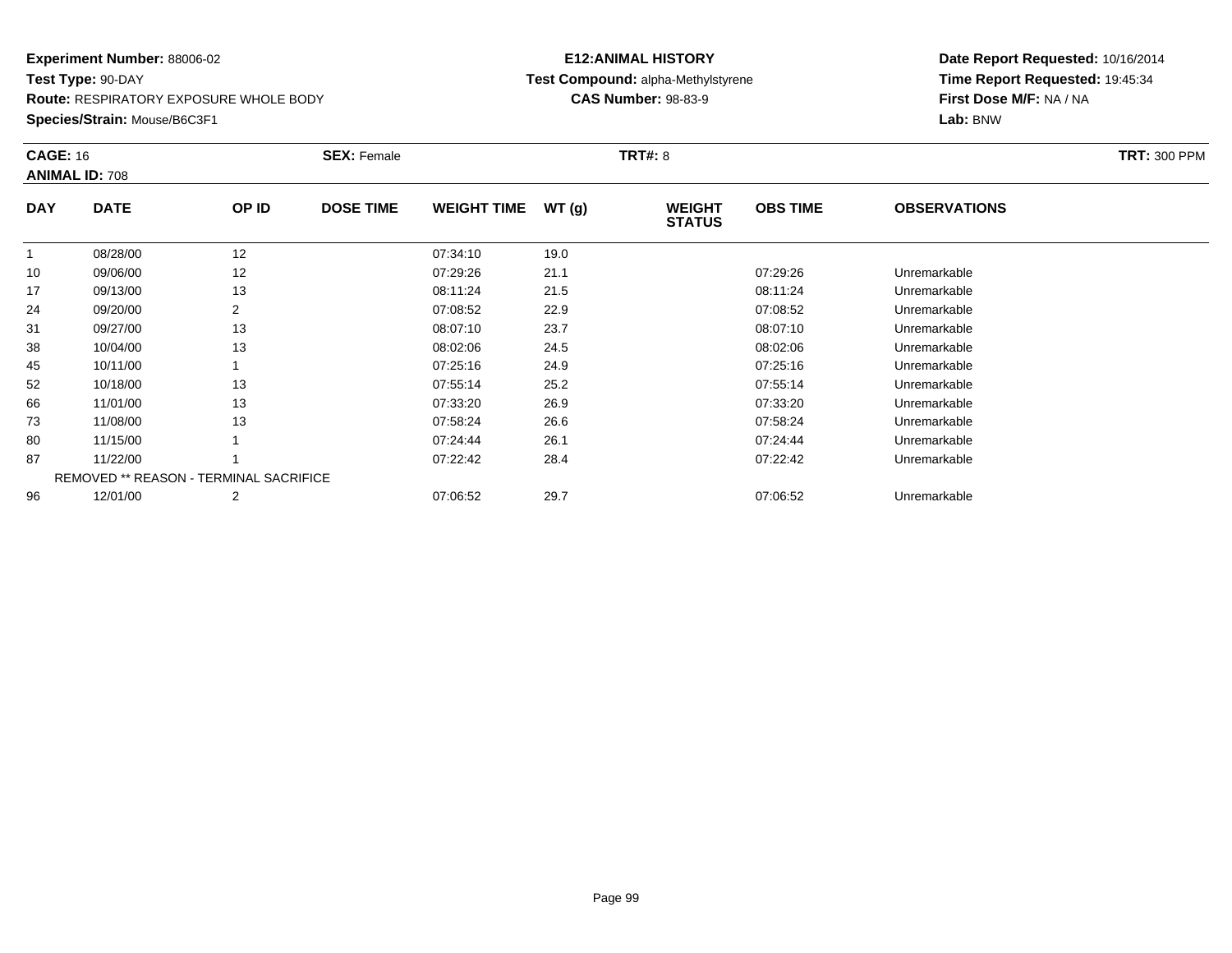**Route:** RESPIRATORY EXPOSURE WHOLE BODY

**Species/Strain:** Mouse/B6C3F1

## **E12:ANIMAL HISTORY Test Compound:** alpha-Methylstyrene**CAS Number:** 98-83-9

| <b>CAGE: 16</b> | <b>ANIMAL ID: 708</b>                         |                | <b>SEX: Female</b> |                    |       | <b>TRT#: 8</b>                 |                 |                     | <b>TRT: 300 PPM</b> |
|-----------------|-----------------------------------------------|----------------|--------------------|--------------------|-------|--------------------------------|-----------------|---------------------|---------------------|
| <b>DAY</b>      | <b>DATE</b>                                   | OP ID          | <b>DOSE TIME</b>   | <b>WEIGHT TIME</b> | WT(g) | <b>WEIGHT</b><br><b>STATUS</b> | <b>OBS TIME</b> | <b>OBSERVATIONS</b> |                     |
|                 | 08/28/00                                      | 12             |                    | 07:34:10           | 19.0  |                                |                 |                     |                     |
| 10              | 09/06/00                                      | 12             |                    | 07:29:26           | 21.1  |                                | 07:29:26        | Unremarkable        |                     |
| 17              | 09/13/00                                      | 13             |                    | 08:11:24           | 21.5  |                                | 08:11:24        | Unremarkable        |                     |
| 24              | 09/20/00                                      | 2              |                    | 07:08:52           | 22.9  |                                | 07:08:52        | Unremarkable        |                     |
| 31              | 09/27/00                                      | 13             |                    | 08:07:10           | 23.7  |                                | 08:07:10        | Unremarkable        |                     |
| 38              | 10/04/00                                      | 13             |                    | 08:02:06           | 24.5  |                                | 08:02:06        | Unremarkable        |                     |
| 45              | 10/11/00                                      |                |                    | 07:25:16           | 24.9  |                                | 07:25:16        | Unremarkable        |                     |
| 52              | 10/18/00                                      | 13             |                    | 07:55:14           | 25.2  |                                | 07:55:14        | Unremarkable        |                     |
| 66              | 11/01/00                                      | 13             |                    | 07:33:20           | 26.9  |                                | 07:33:20        | Unremarkable        |                     |
| 73              | 11/08/00                                      | 13             |                    | 07:58:24           | 26.6  |                                | 07:58:24        | Unremarkable        |                     |
| 80              | 11/15/00                                      |                |                    | 07:24:44           | 26.1  |                                | 07:24:44        | Unremarkable        |                     |
| 87              | 11/22/00                                      |                |                    | 07:22:42           | 28.4  |                                | 07:22:42        | Unremarkable        |                     |
|                 | <b>REMOVED ** REASON - TERMINAL SACRIFICE</b> |                |                    |                    |       |                                |                 |                     |                     |
| 96              | 12/01/00                                      | $\overline{2}$ |                    | 07:06:52           | 29.7  |                                | 07:06:52        | Unremarkable        |                     |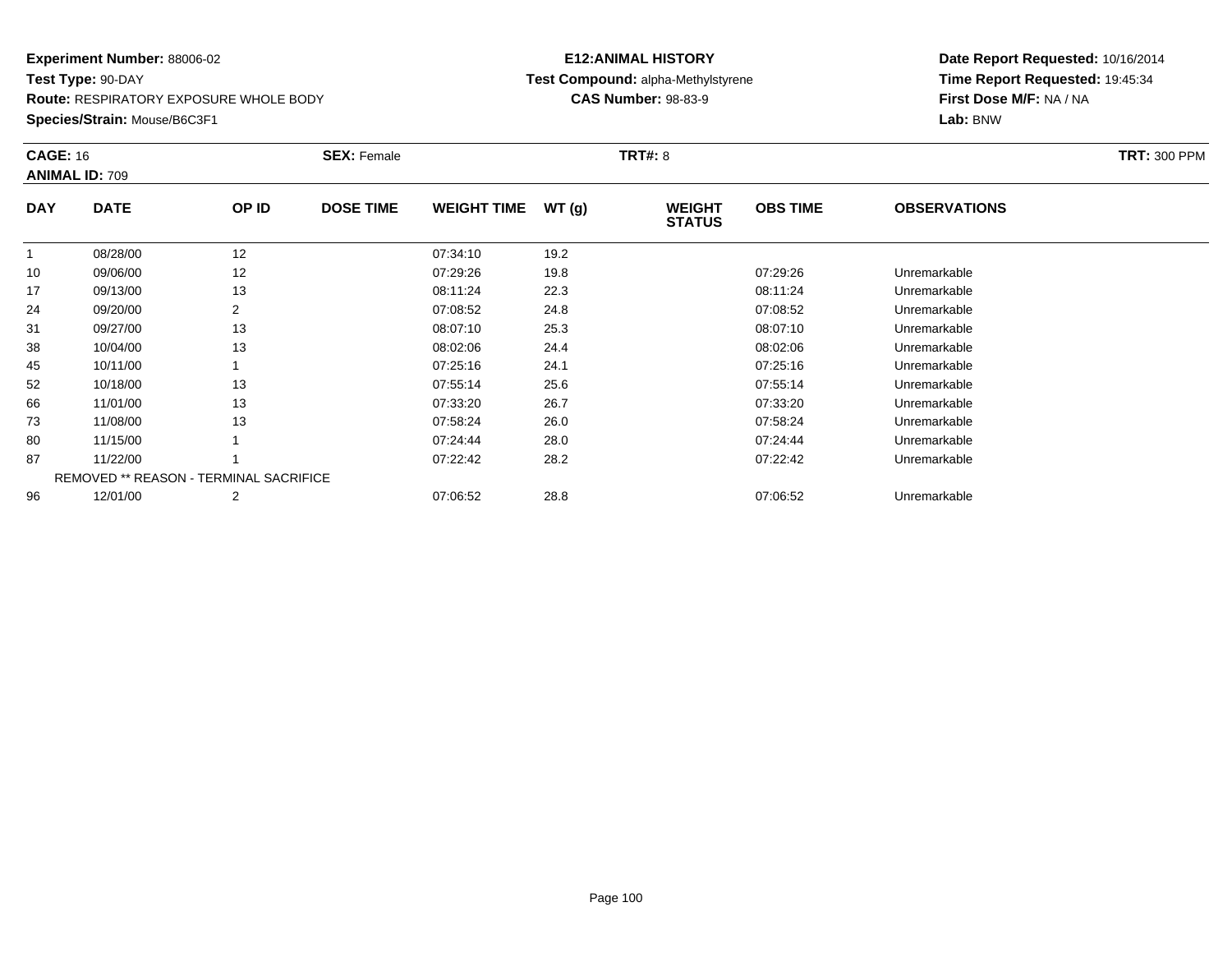**Route:** RESPIRATORY EXPOSURE WHOLE BODY

**Species/Strain:** Mouse/B6C3F1

## **E12:ANIMAL HISTORY Test Compound:** alpha-Methylstyrene**CAS Number:** 98-83-9

| <b>CAGE: 16</b> | <b>ANIMAL ID: 709</b>                         |                | <b>SEX: Female</b> |                    |       | <b>TRT#: 8</b>                 |                 |                     | <b>TRT: 300 PPM</b> |
|-----------------|-----------------------------------------------|----------------|--------------------|--------------------|-------|--------------------------------|-----------------|---------------------|---------------------|
| <b>DAY</b>      | <b>DATE</b>                                   | OP ID          | <b>DOSE TIME</b>   | <b>WEIGHT TIME</b> | WT(g) | <b>WEIGHT</b><br><b>STATUS</b> | <b>OBS TIME</b> | <b>OBSERVATIONS</b> |                     |
|                 | 08/28/00                                      | 12             |                    | 07:34:10           | 19.2  |                                |                 |                     |                     |
| 10              | 09/06/00                                      | 12             |                    | 07:29:26           | 19.8  |                                | 07:29:26        | Unremarkable        |                     |
| 17              | 09/13/00                                      | 13             |                    | 08:11:24           | 22.3  |                                | 08:11:24        | Unremarkable        |                     |
| 24              | 09/20/00                                      | 2              |                    | 07:08:52           | 24.8  |                                | 07:08:52        | Unremarkable        |                     |
| 31              | 09/27/00                                      | 13             |                    | 08:07:10           | 25.3  |                                | 08:07:10        | Unremarkable        |                     |
| 38              | 10/04/00                                      | 13             |                    | 08:02:06           | 24.4  |                                | 08:02:06        | Unremarkable        |                     |
| 45              | 10/11/00                                      |                |                    | 07:25:16           | 24.1  |                                | 07:25:16        | Unremarkable        |                     |
| 52              | 10/18/00                                      | 13             |                    | 07:55:14           | 25.6  |                                | 07:55:14        | Unremarkable        |                     |
| 66              | 11/01/00                                      | 13             |                    | 07:33:20           | 26.7  |                                | 07:33:20        | Unremarkable        |                     |
| 73              | 11/08/00                                      | 13             |                    | 07:58:24           | 26.0  |                                | 07:58:24        | Unremarkable        |                     |
| 80              | 11/15/00                                      |                |                    | 07:24:44           | 28.0  |                                | 07:24:44        | Unremarkable        |                     |
| 87              | 11/22/00                                      |                |                    | 07:22:42           | 28.2  |                                | 07:22:42        | Unremarkable        |                     |
|                 | <b>REMOVED ** REASON - TERMINAL SACRIFICE</b> |                |                    |                    |       |                                |                 |                     |                     |
| 96              | 12/01/00                                      | $\overline{2}$ |                    | 07:06:52           | 28.8  |                                | 07:06:52        | Unremarkable        |                     |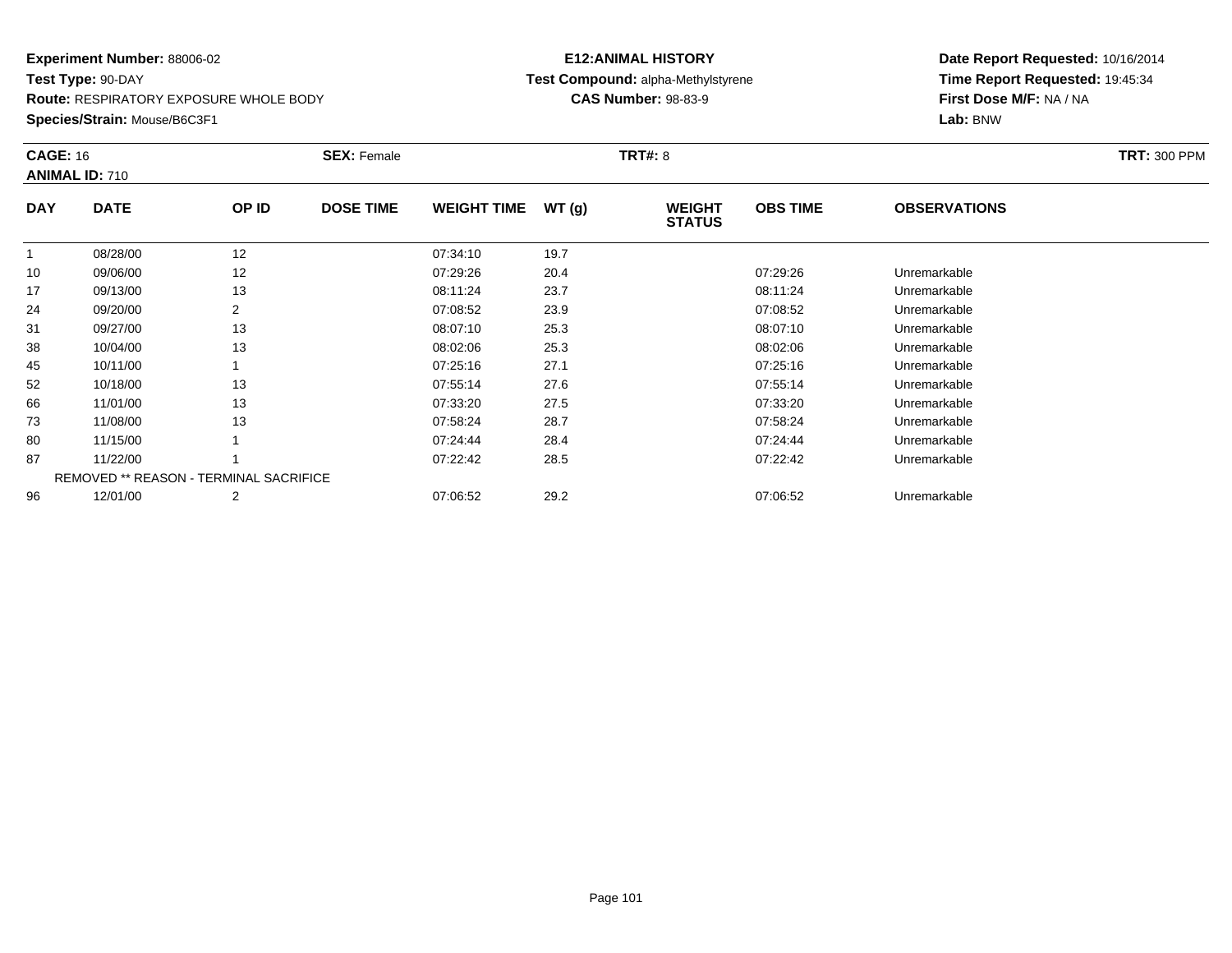**Route:** RESPIRATORY EXPOSURE WHOLE BODY

**Species/Strain:** Mouse/B6C3F1

## **E12:ANIMAL HISTORY Test Compound:** alpha-Methylstyrene**CAS Number:** 98-83-9

| <b>CAGE: 16</b> | <b>ANIMAL ID: 710</b> |                                               | <b>SEX: Female</b> |                    |       | <b>TRT#: 8</b>                 |                 |                     | <b>TRT: 300 PPM</b> |
|-----------------|-----------------------|-----------------------------------------------|--------------------|--------------------|-------|--------------------------------|-----------------|---------------------|---------------------|
| <b>DAY</b>      | <b>DATE</b>           | OP ID                                         | <b>DOSE TIME</b>   | <b>WEIGHT TIME</b> | WT(g) | <b>WEIGHT</b><br><b>STATUS</b> | <b>OBS TIME</b> | <b>OBSERVATIONS</b> |                     |
|                 | 08/28/00              | 12                                            |                    | 07:34:10           | 19.7  |                                |                 |                     |                     |
| 10              | 09/06/00              | 12                                            |                    | 07:29:26           | 20.4  |                                | 07:29:26        | Unremarkable        |                     |
| 17              | 09/13/00              | 13                                            |                    | 08:11:24           | 23.7  |                                | 08:11:24        | Unremarkable        |                     |
| 24              | 09/20/00              | $\overline{2}$                                |                    | 07:08:52           | 23.9  |                                | 07:08:52        | Unremarkable        |                     |
| 31              | 09/27/00              | 13                                            |                    | 08:07:10           | 25.3  |                                | 08:07:10        | Unremarkable        |                     |
| 38              | 10/04/00              | 13                                            |                    | 08:02:06           | 25.3  |                                | 08:02:06        | Unremarkable        |                     |
| 45              | 10/11/00              |                                               |                    | 07:25:16           | 27.1  |                                | 07:25:16        | Unremarkable        |                     |
| 52              | 10/18/00              | 13                                            |                    | 07:55:14           | 27.6  |                                | 07:55:14        | Unremarkable        |                     |
| 66              | 11/01/00              | 13                                            |                    | 07:33:20           | 27.5  |                                | 07:33:20        | Unremarkable        |                     |
| 73              | 11/08/00              | 13                                            |                    | 07:58:24           | 28.7  |                                | 07:58:24        | Unremarkable        |                     |
| 80              | 11/15/00              |                                               |                    | 07:24:44           | 28.4  |                                | 07:24:44        | Unremarkable        |                     |
| 87              | 11/22/00              |                                               |                    | 07:22:42           | 28.5  |                                | 07:22:42        | Unremarkable        |                     |
|                 |                       | <b>REMOVED ** REASON - TERMINAL SACRIFICE</b> |                    |                    |       |                                |                 |                     |                     |
| 96              | 12/01/00              | 2                                             |                    | 07:06:52           | 29.2  |                                | 07:06:52        | Unremarkable        |                     |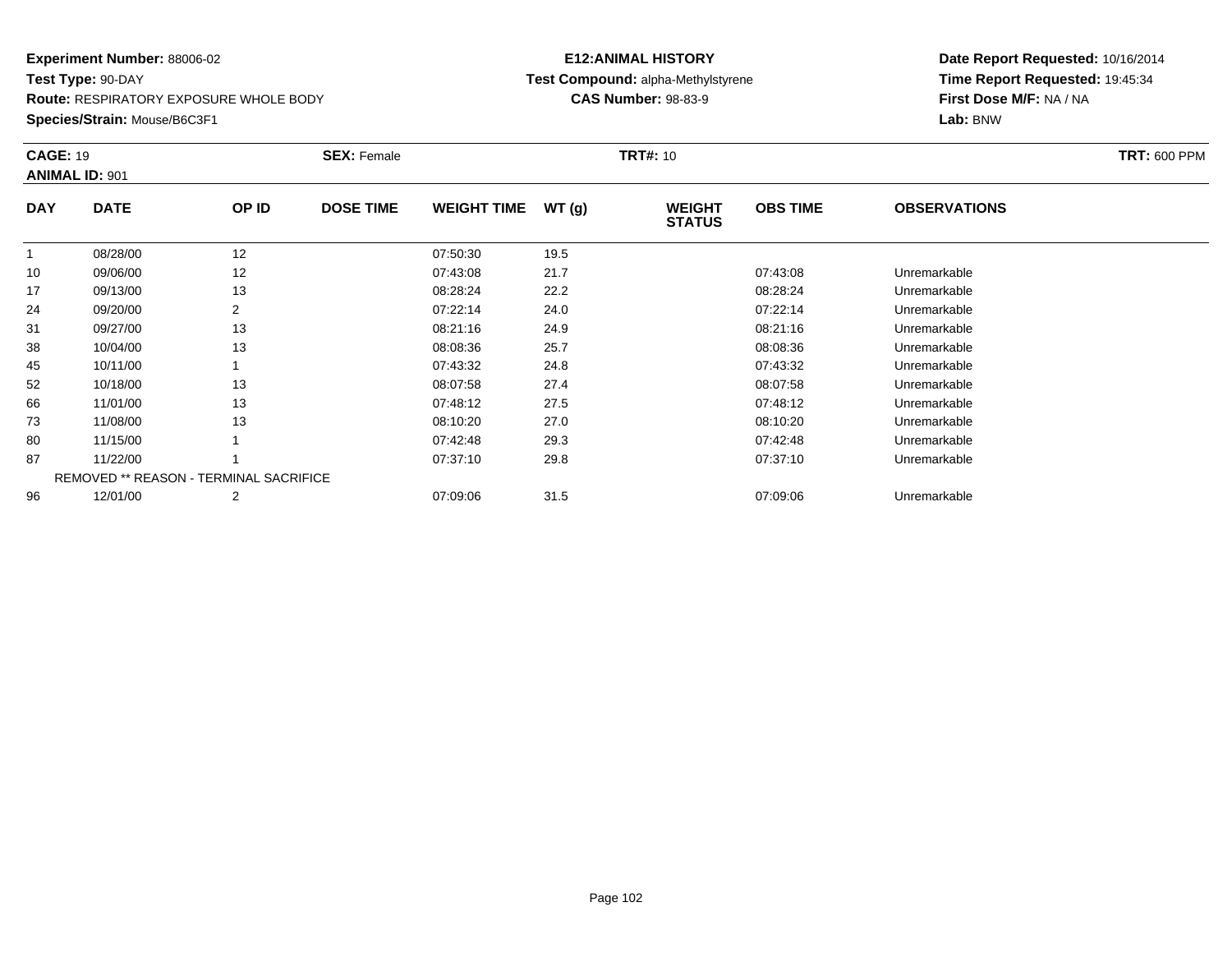**Route:** RESPIRATORY EXPOSURE WHOLE BODY

**Species/Strain:** Mouse/B6C3F1

## **E12:ANIMAL HISTORY Test Compound:** alpha-Methylstyrene**CAS Number:** 98-83-9

| <b>CAGE: 19</b> | <b>ANIMAL ID: 901</b>                         |       | <b>SEX: Female</b> |                    |       | <b>TRT#: 10</b>                |                 |                     | <b>TRT: 600 PPM</b> |
|-----------------|-----------------------------------------------|-------|--------------------|--------------------|-------|--------------------------------|-----------------|---------------------|---------------------|
| <b>DAY</b>      | <b>DATE</b>                                   | OP ID | <b>DOSE TIME</b>   | <b>WEIGHT TIME</b> | WT(g) | <b>WEIGHT</b><br><b>STATUS</b> | <b>OBS TIME</b> | <b>OBSERVATIONS</b> |                     |
|                 | 08/28/00                                      | 12    |                    | 07:50:30           | 19.5  |                                |                 |                     |                     |
| 10              | 09/06/00                                      | 12    |                    | 07:43:08           | 21.7  |                                | 07:43:08        | Unremarkable        |                     |
| 17              | 09/13/00                                      | 13    |                    | 08:28:24           | 22.2  |                                | 08:28:24        | Unremarkable        |                     |
| 24              | 09/20/00                                      | 2     |                    | 07:22:14           | 24.0  |                                | 07:22:14        | Unremarkable        |                     |
| 31              | 09/27/00                                      | 13    |                    | 08:21:16           | 24.9  |                                | 08:21:16        | Unremarkable        |                     |
| 38              | 10/04/00                                      | 13    |                    | 08:08:36           | 25.7  |                                | 08:08:36        | Unremarkable        |                     |
| 45              | 10/11/00                                      |       |                    | 07:43:32           | 24.8  |                                | 07:43:32        | Unremarkable        |                     |
| 52              | 10/18/00                                      | 13    |                    | 08:07:58           | 27.4  |                                | 08:07:58        | Unremarkable        |                     |
| 66              | 11/01/00                                      | 13    |                    | 07:48:12           | 27.5  |                                | 07:48:12        | Unremarkable        |                     |
| 73              | 11/08/00                                      | 13    |                    | 08:10:20           | 27.0  |                                | 08:10:20        | Unremarkable        |                     |
| 80              | 11/15/00                                      |       |                    | 07:42:48           | 29.3  |                                | 07:42:48        | Unremarkable        |                     |
| 87              | 11/22/00                                      |       |                    | 07:37:10           | 29.8  |                                | 07:37:10        | Unremarkable        |                     |
|                 | <b>REMOVED ** REASON - TERMINAL SACRIFICE</b> |       |                    |                    |       |                                |                 |                     |                     |
| 96              | 12/01/00                                      | 2     |                    | 07:09:06           | 31.5  |                                | 07:09:06        | Unremarkable        |                     |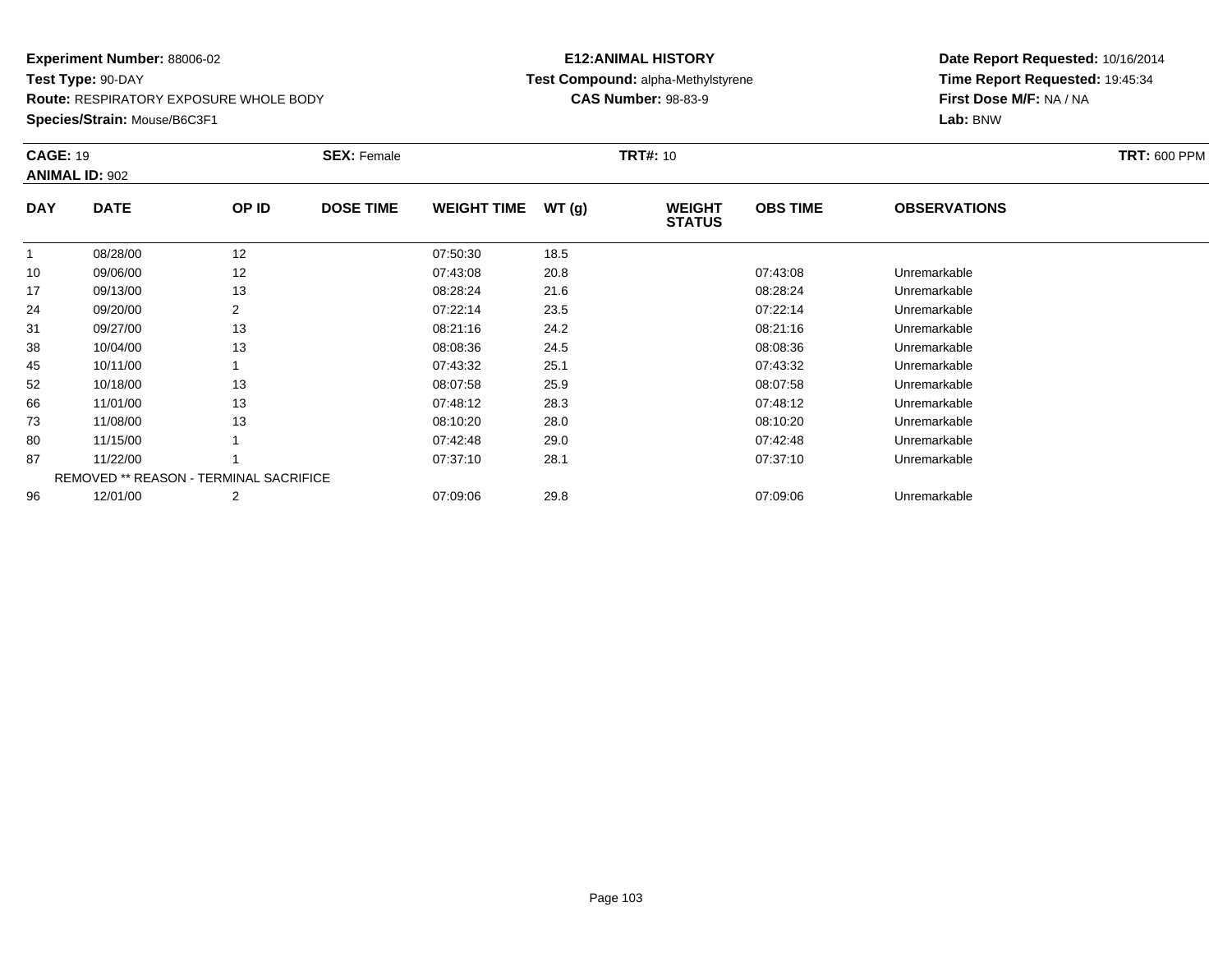**Route:** RESPIRATORY EXPOSURE WHOLE BODY

**Species/Strain:** Mouse/B6C3F1

## **E12:ANIMAL HISTORY Test Compound:** alpha-Methylstyrene**CAS Number:** 98-83-9

| <b>CAGE: 19</b> | <b>ANIMAL ID: 902</b> |                                               | <b>SEX: Female</b> |                    |       | <b>TRT#: 10</b>                |                 |                     | <b>TRT: 600 PPM</b> |
|-----------------|-----------------------|-----------------------------------------------|--------------------|--------------------|-------|--------------------------------|-----------------|---------------------|---------------------|
| <b>DAY</b>      | <b>DATE</b>           | OP ID                                         | <b>DOSE TIME</b>   | <b>WEIGHT TIME</b> | WT(g) | <b>WEIGHT</b><br><b>STATUS</b> | <b>OBS TIME</b> | <b>OBSERVATIONS</b> |                     |
| $\mathbf{1}$    | 08/28/00              | 12                                            |                    | 07:50:30           | 18.5  |                                |                 |                     |                     |
| 10              | 09/06/00              | 12                                            |                    | 07:43:08           | 20.8  |                                | 07:43:08        | Unremarkable        |                     |
| 17              | 09/13/00              | 13                                            |                    | 08:28:24           | 21.6  |                                | 08:28:24        | Unremarkable        |                     |
| 24              | 09/20/00              | $\overline{2}$                                |                    | 07:22:14           | 23.5  |                                | 07:22:14        | Unremarkable        |                     |
| 31              | 09/27/00              | 13                                            |                    | 08:21:16           | 24.2  |                                | 08:21:16        | Unremarkable        |                     |
| 38              | 10/04/00              | 13                                            |                    | 08:08:36           | 24.5  |                                | 08:08:36        | Unremarkable        |                     |
| 45              | 10/11/00              |                                               |                    | 07:43:32           | 25.1  |                                | 07:43:32        | Unremarkable        |                     |
| 52              | 10/18/00              | 13                                            |                    | 08:07:58           | 25.9  |                                | 08:07:58        | Unremarkable        |                     |
| 66              | 11/01/00              | 13                                            |                    | 07:48:12           | 28.3  |                                | 07:48:12        | Unremarkable        |                     |
| 73              | 11/08/00              | 13                                            |                    | 08:10:20           | 28.0  |                                | 08:10:20        | Unremarkable        |                     |
| 80              | 11/15/00              |                                               |                    | 07:42:48           | 29.0  |                                | 07:42:48        | Unremarkable        |                     |
| 87              | 11/22/00              |                                               |                    | 07:37:10           | 28.1  |                                | 07:37:10        | Unremarkable        |                     |
|                 |                       | <b>REMOVED ** REASON - TERMINAL SACRIFICE</b> |                    |                    |       |                                |                 |                     |                     |
| 96              | 12/01/00              | 2                                             |                    | 07:09:06           | 29.8  |                                | 07:09:06        | Unremarkable        |                     |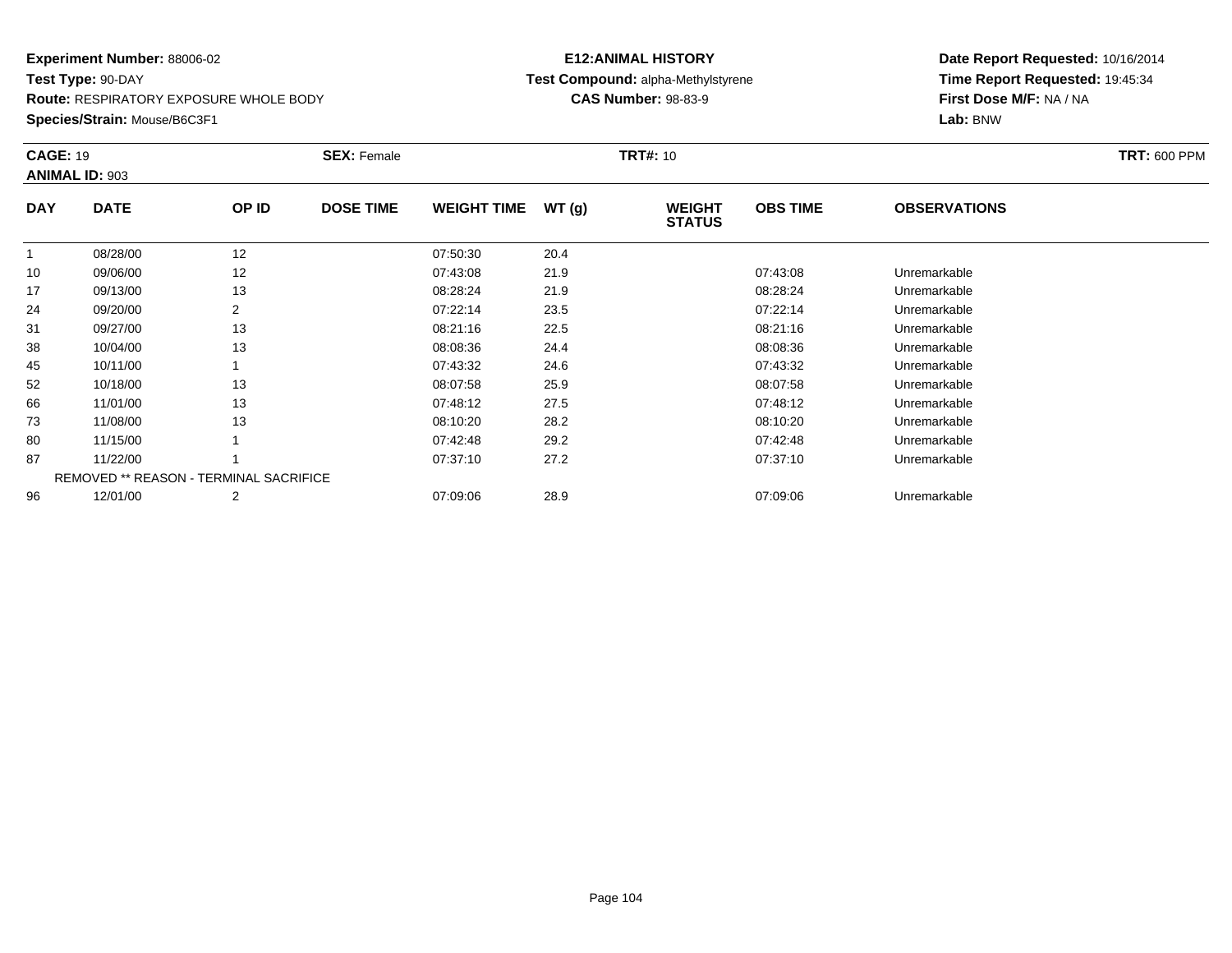**Route:** RESPIRATORY EXPOSURE WHOLE BODY

**Species/Strain:** Mouse/B6C3F1

## **E12:ANIMAL HISTORY Test Compound:** alpha-Methylstyrene**CAS Number:** 98-83-9

| <b>CAGE: 19</b> | <b>ANIMAL ID: 903</b>                         |       | <b>SEX: Female</b> |                    |       | <b>TRT#:</b> 10                |                 |                     | <b>TRT: 600 PPM</b> |
|-----------------|-----------------------------------------------|-------|--------------------|--------------------|-------|--------------------------------|-----------------|---------------------|---------------------|
| <b>DAY</b>      | <b>DATE</b>                                   | OP ID | <b>DOSE TIME</b>   | <b>WEIGHT TIME</b> | WT(g) | <b>WEIGHT</b><br><b>STATUS</b> | <b>OBS TIME</b> | <b>OBSERVATIONS</b> |                     |
|                 | 08/28/00                                      | 12    |                    | 07:50:30           | 20.4  |                                |                 |                     |                     |
| 10              | 09/06/00                                      | 12    |                    | 07:43:08           | 21.9  |                                | 07:43:08        | Unremarkable        |                     |
| 17              | 09/13/00                                      | 13    |                    | 08:28:24           | 21.9  |                                | 08:28:24        | Unremarkable        |                     |
| 24              | 09/20/00                                      | 2     |                    | 07:22:14           | 23.5  |                                | 07:22:14        | Unremarkable        |                     |
| 31              | 09/27/00                                      | 13    |                    | 08:21:16           | 22.5  |                                | 08:21:16        | Unremarkable        |                     |
| 38              | 10/04/00                                      | 13    |                    | 08:08:36           | 24.4  |                                | 08:08:36        | Unremarkable        |                     |
| 45              | 10/11/00                                      |       |                    | 07:43:32           | 24.6  |                                | 07:43:32        | Unremarkable        |                     |
| 52              | 10/18/00                                      | 13    |                    | 08:07:58           | 25.9  |                                | 08:07:58        | Unremarkable        |                     |
| 66              | 11/01/00                                      | 13    |                    | 07:48:12           | 27.5  |                                | 07:48:12        | Unremarkable        |                     |
| 73              | 11/08/00                                      | 13    |                    | 08:10:20           | 28.2  |                                | 08:10:20        | Unremarkable        |                     |
| 80              | 11/15/00                                      |       |                    | 07:42:48           | 29.2  |                                | 07:42:48        | Unremarkable        |                     |
| 87              | 11/22/00                                      |       |                    | 07:37:10           | 27.2  |                                | 07:37:10        | Unremarkable        |                     |
|                 | <b>REMOVED ** REASON - TERMINAL SACRIFICE</b> |       |                    |                    |       |                                |                 |                     |                     |
| 96              | 12/01/00                                      | 2     |                    | 07:09:06           | 28.9  |                                | 07:09:06        | Unremarkable        |                     |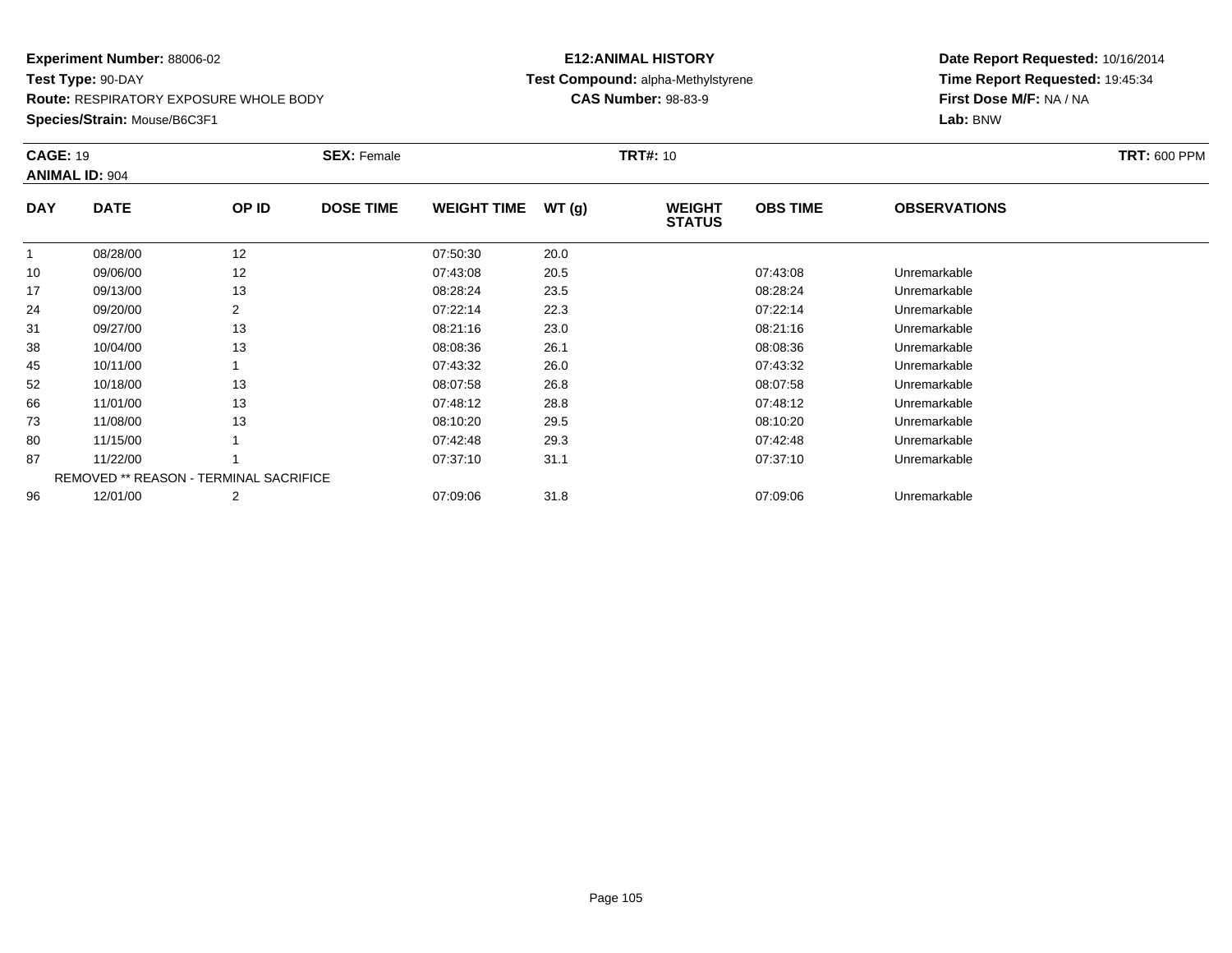**Route:** RESPIRATORY EXPOSURE WHOLE BODY

**Species/Strain:** Mouse/B6C3F1

## **E12:ANIMAL HISTORY Test Compound:** alpha-Methylstyrene**CAS Number:** 98-83-9

| <b>CAGE: 19</b> | <b>ANIMAL ID: 904</b>                         |       | <b>SEX: Female</b> |                    |       | <b>TRT#: 10</b>                |                 |                     | <b>TRT: 600 PPM</b> |
|-----------------|-----------------------------------------------|-------|--------------------|--------------------|-------|--------------------------------|-----------------|---------------------|---------------------|
| <b>DAY</b>      | <b>DATE</b>                                   | OP ID | <b>DOSE TIME</b>   | <b>WEIGHT TIME</b> | WT(g) | <b>WEIGHT</b><br><b>STATUS</b> | <b>OBS TIME</b> | <b>OBSERVATIONS</b> |                     |
|                 | 08/28/00                                      | 12    |                    | 07:50:30           | 20.0  |                                |                 |                     |                     |
| 10              | 09/06/00                                      | 12    |                    | 07:43:08           | 20.5  |                                | 07:43:08        | Unremarkable        |                     |
| 17              | 09/13/00                                      | 13    |                    | 08:28:24           | 23.5  |                                | 08:28:24        | Unremarkable        |                     |
| 24              | 09/20/00                                      | 2     |                    | 07:22:14           | 22.3  |                                | 07:22:14        | Unremarkable        |                     |
| 31              | 09/27/00                                      | 13    |                    | 08:21:16           | 23.0  |                                | 08:21:16        | Unremarkable        |                     |
| 38              | 10/04/00                                      | 13    |                    | 08:08:36           | 26.1  |                                | 08:08:36        | Unremarkable        |                     |
| 45              | 10/11/00                                      |       |                    | 07:43:32           | 26.0  |                                | 07:43:32        | Unremarkable        |                     |
| 52              | 10/18/00                                      | 13    |                    | 08:07:58           | 26.8  |                                | 08:07:58        | Unremarkable        |                     |
| 66              | 11/01/00                                      | 13    |                    | 07:48:12           | 28.8  |                                | 07:48:12        | Unremarkable        |                     |
| 73              | 11/08/00                                      | 13    |                    | 08:10:20           | 29.5  |                                | 08:10:20        | Unremarkable        |                     |
| 80              | 11/15/00                                      |       |                    | 07:42:48           | 29.3  |                                | 07:42:48        | Unremarkable        |                     |
| 87              | 11/22/00                                      |       |                    | 07:37:10           | 31.1  |                                | 07:37:10        | Unremarkable        |                     |
|                 | <b>REMOVED ** REASON - TERMINAL SACRIFICE</b> |       |                    |                    |       |                                |                 |                     |                     |
| 96              | 12/01/00                                      | 2     |                    | 07:09:06           | 31.8  |                                | 07:09:06        | Unremarkable        |                     |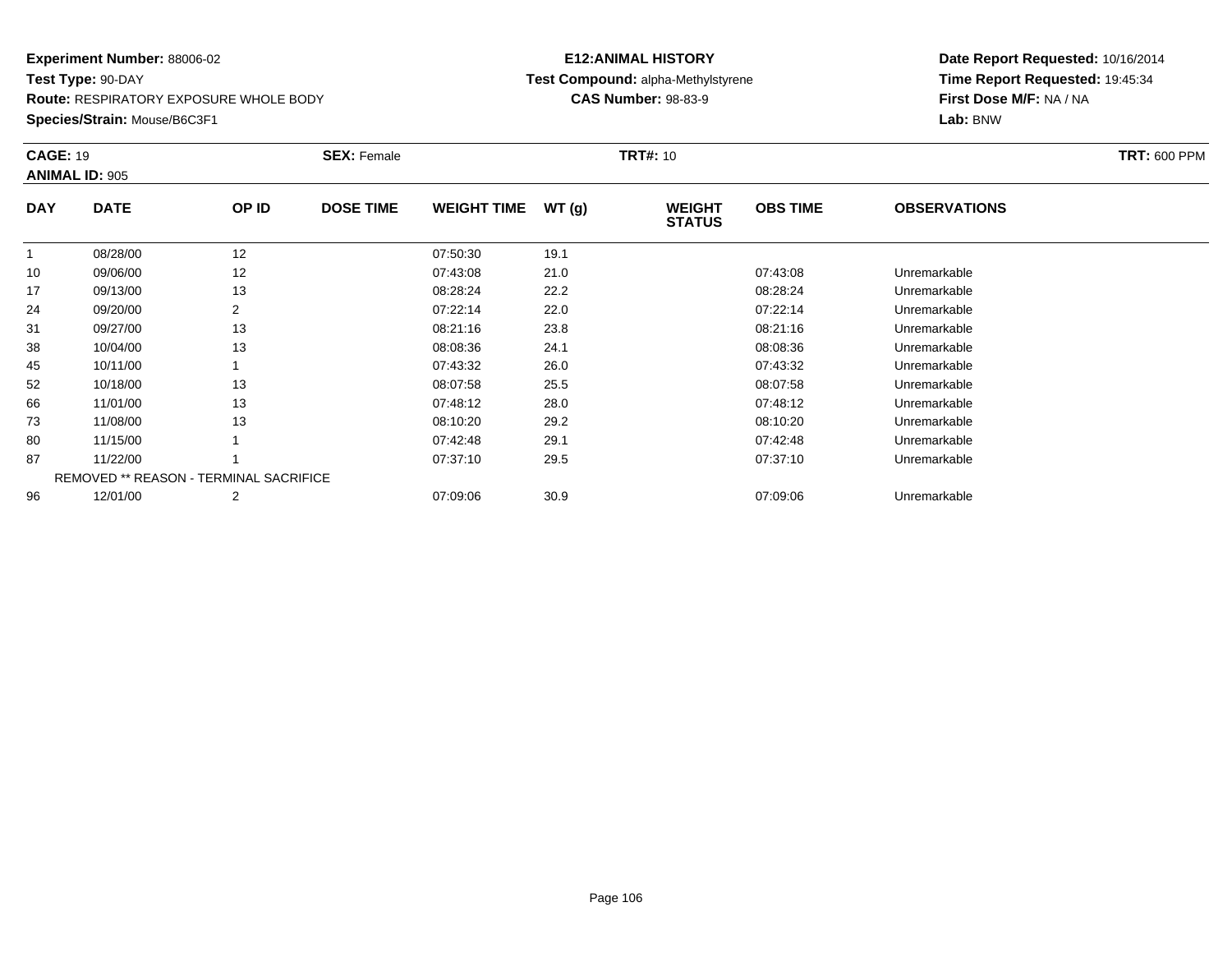**Route:** RESPIRATORY EXPOSURE WHOLE BODY

**Species/Strain:** Mouse/B6C3F1

## **E12:ANIMAL HISTORY Test Compound:** alpha-Methylstyrene**CAS Number:** 98-83-9

| <b>CAGE: 19</b> | <b>ANIMAL ID: 905</b>                         |       | <b>SEX: Female</b> |                    |       | <b>TRT#:</b> 10                |                 |                     | <b>TRT: 600 PPM</b> |
|-----------------|-----------------------------------------------|-------|--------------------|--------------------|-------|--------------------------------|-----------------|---------------------|---------------------|
| <b>DAY</b>      | <b>DATE</b>                                   | OP ID | <b>DOSE TIME</b>   | <b>WEIGHT TIME</b> | WT(g) | <b>WEIGHT</b><br><b>STATUS</b> | <b>OBS TIME</b> | <b>OBSERVATIONS</b> |                     |
|                 | 08/28/00                                      | 12    |                    | 07:50:30           | 19.1  |                                |                 |                     |                     |
| 10              | 09/06/00                                      | 12    |                    | 07:43:08           | 21.0  |                                | 07:43:08        | Unremarkable        |                     |
| 17              | 09/13/00                                      | 13    |                    | 08:28:24           | 22.2  |                                | 08:28:24        | Unremarkable        |                     |
| 24              | 09/20/00                                      | 2     |                    | 07:22:14           | 22.0  |                                | 07:22:14        | Unremarkable        |                     |
| 31              | 09/27/00                                      | 13    |                    | 08:21:16           | 23.8  |                                | 08:21:16        | Unremarkable        |                     |
| 38              | 10/04/00                                      | 13    |                    | 08:08:36           | 24.1  |                                | 08:08:36        | Unremarkable        |                     |
| 45              | 10/11/00                                      |       |                    | 07:43:32           | 26.0  |                                | 07:43:32        | Unremarkable        |                     |
| 52              | 10/18/00                                      | 13    |                    | 08:07:58           | 25.5  |                                | 08:07:58        | Unremarkable        |                     |
| 66              | 11/01/00                                      | 13    |                    | 07:48:12           | 28.0  |                                | 07:48:12        | Unremarkable        |                     |
| 73              | 11/08/00                                      | 13    |                    | 08:10:20           | 29.2  |                                | 08:10:20        | Unremarkable        |                     |
| 80              | 11/15/00                                      |       |                    | 07:42:48           | 29.1  |                                | 07:42:48        | Unremarkable        |                     |
| 87              | 11/22/00                                      |       |                    | 07:37:10           | 29.5  |                                | 07:37:10        | Unremarkable        |                     |
|                 | <b>REMOVED ** REASON - TERMINAL SACRIFICE</b> |       |                    |                    |       |                                |                 |                     |                     |
| 96              | 12/01/00                                      | 2     |                    | 07:09:06           | 30.9  |                                | 07:09:06        | Unremarkable        |                     |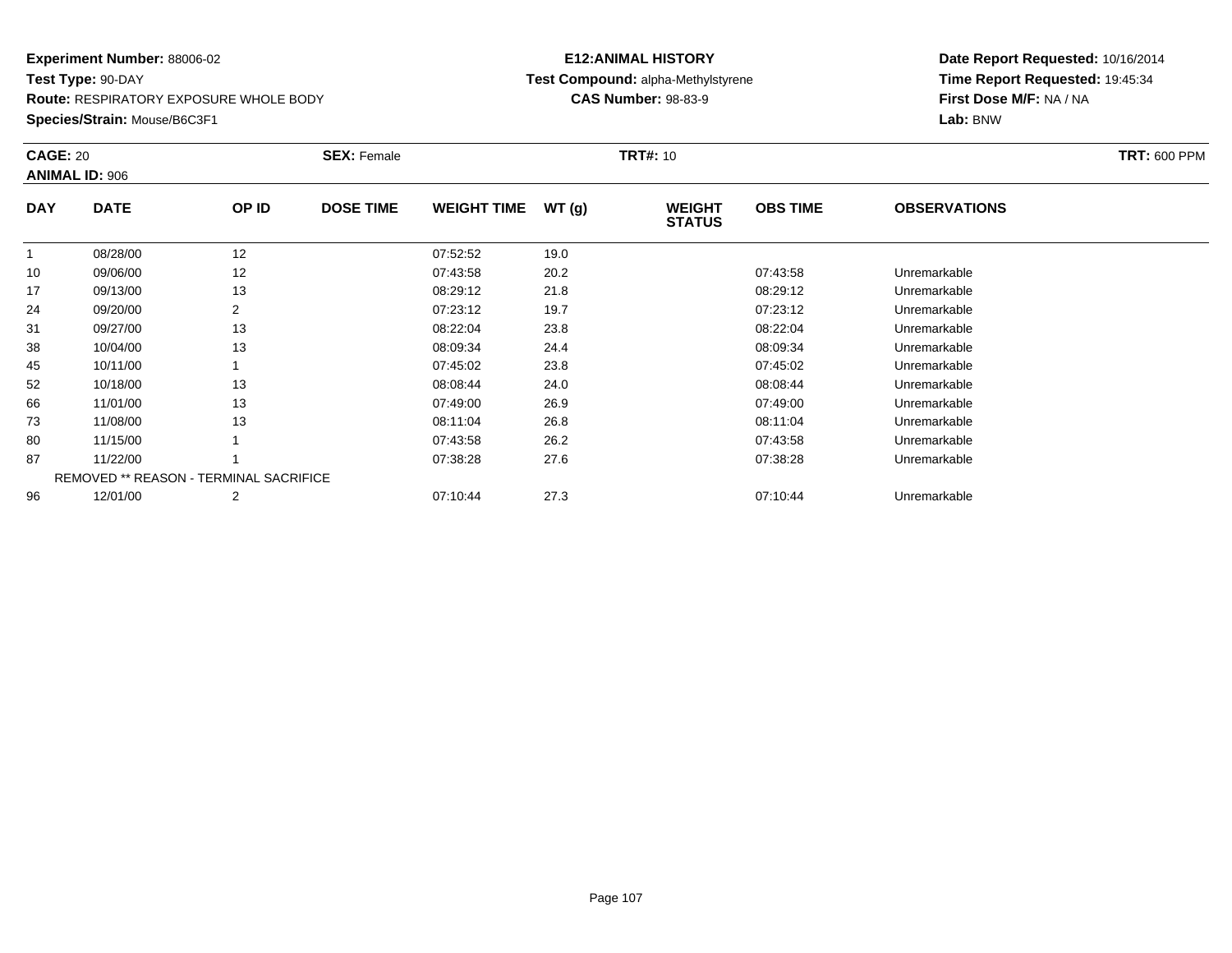**Route:** RESPIRATORY EXPOSURE WHOLE BODY

**Species/Strain:** Mouse/B6C3F1

## **E12:ANIMAL HISTORY Test Compound:** alpha-Methylstyrene**CAS Number:** 98-83-9

| <b>CAGE: 20</b> | <b>ANIMAL ID: 906</b> |                                               | <b>SEX: Female</b> |                    |       | <b>TRT#: 10</b>                |                 |                     | <b>TRT: 600 PPM</b> |
|-----------------|-----------------------|-----------------------------------------------|--------------------|--------------------|-------|--------------------------------|-----------------|---------------------|---------------------|
| <b>DAY</b>      | <b>DATE</b>           | OP ID                                         | <b>DOSE TIME</b>   | <b>WEIGHT TIME</b> | WT(g) | <b>WEIGHT</b><br><b>STATUS</b> | <b>OBS TIME</b> | <b>OBSERVATIONS</b> |                     |
|                 | 08/28/00              | 12                                            |                    | 07:52:52           | 19.0  |                                |                 |                     |                     |
| 10              | 09/06/00              | 12                                            |                    | 07:43:58           | 20.2  |                                | 07:43:58        | Unremarkable        |                     |
| 17              | 09/13/00              | 13                                            |                    | 08:29:12           | 21.8  |                                | 08:29:12        | Unremarkable        |                     |
| 24              | 09/20/00              | 2                                             |                    | 07:23:12           | 19.7  |                                | 07:23:12        | Unremarkable        |                     |
| 31              | 09/27/00              | 13                                            |                    | 08:22:04           | 23.8  |                                | 08:22:04        | Unremarkable        |                     |
| 38              | 10/04/00              | 13                                            |                    | 08:09:34           | 24.4  |                                | 08:09:34        | Unremarkable        |                     |
| 45              | 10/11/00              |                                               |                    | 07:45:02           | 23.8  |                                | 07:45:02        | Unremarkable        |                     |
| 52              | 10/18/00              | 13                                            |                    | 08:08:44           | 24.0  |                                | 08:08:44        | Unremarkable        |                     |
| 66              | 11/01/00              | 13                                            |                    | 07:49:00           | 26.9  |                                | 07:49:00        | Unremarkable        |                     |
| 73              | 11/08/00              | 13                                            |                    | 08:11:04           | 26.8  |                                | 08:11:04        | Unremarkable        |                     |
| 80              | 11/15/00              |                                               |                    | 07:43:58           | 26.2  |                                | 07:43:58        | Unremarkable        |                     |
| 87              | 11/22/00              |                                               |                    | 07:38:28           | 27.6  |                                | 07:38:28        | Unremarkable        |                     |
|                 |                       | <b>REMOVED ** REASON - TERMINAL SACRIFICE</b> |                    |                    |       |                                |                 |                     |                     |
| 96              | 12/01/00              | $\overline{2}$                                |                    | 07:10:44           | 27.3  |                                | 07:10:44        | Unremarkable        |                     |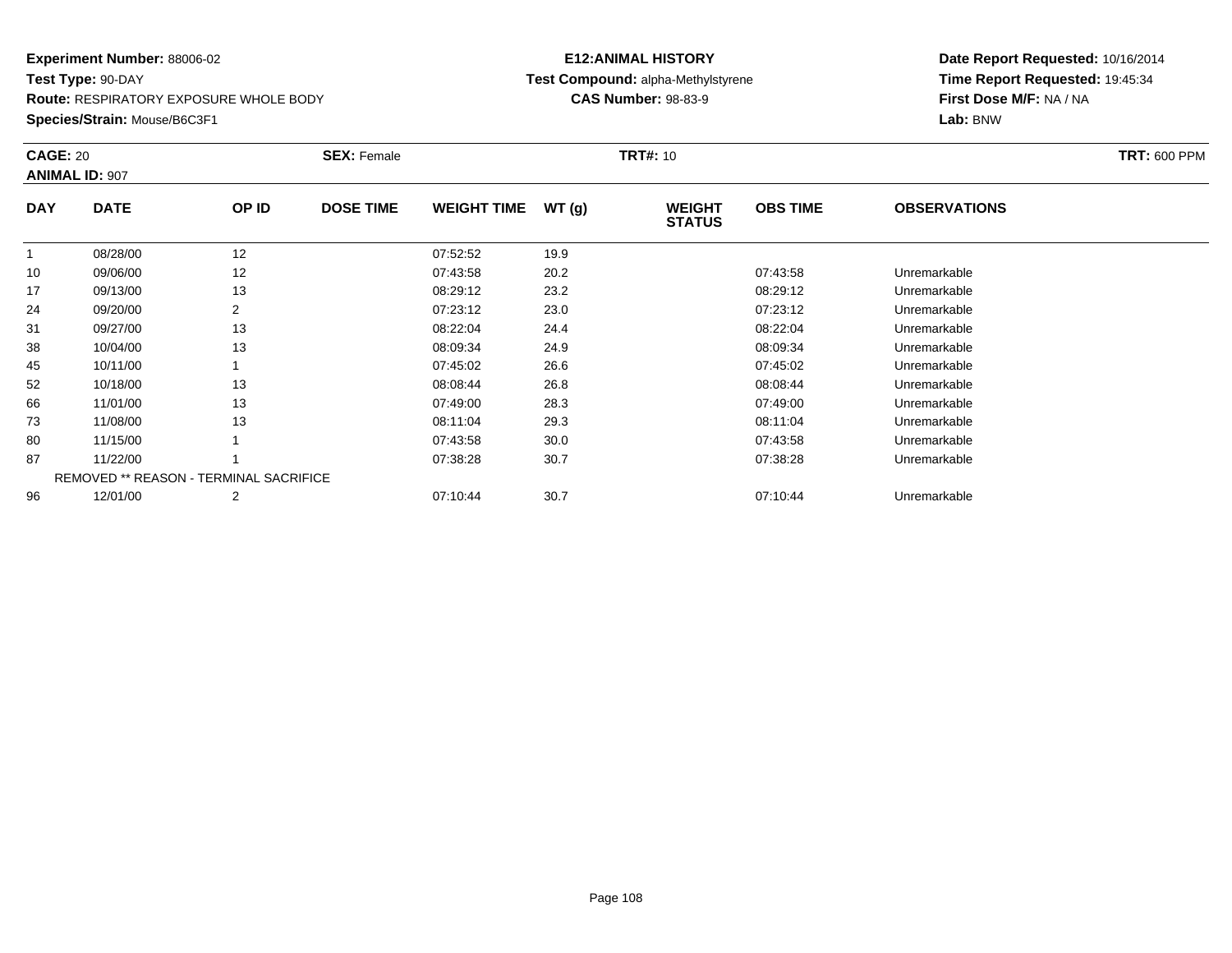**Route:** RESPIRATORY EXPOSURE WHOLE BODY

**Species/Strain:** Mouse/B6C3F1

## **E12:ANIMAL HISTORY Test Compound:** alpha-Methylstyrene**CAS Number:** 98-83-9

| <b>CAGE: 20</b> | <b>ANIMAL ID: 907</b>                         |       | <b>SEX: Female</b> |                    |       | <b>TRT#: 10</b>                |                 |                     | <b>TRT: 600 PPM</b> |
|-----------------|-----------------------------------------------|-------|--------------------|--------------------|-------|--------------------------------|-----------------|---------------------|---------------------|
| <b>DAY</b>      | <b>DATE</b>                                   | OP ID | <b>DOSE TIME</b>   | <b>WEIGHT TIME</b> | WT(g) | <b>WEIGHT</b><br><b>STATUS</b> | <b>OBS TIME</b> | <b>OBSERVATIONS</b> |                     |
| $\mathbf{1}$    | 08/28/00                                      | 12    |                    | 07:52:52           | 19.9  |                                |                 |                     |                     |
| 10              | 09/06/00                                      | 12    |                    | 07:43:58           | 20.2  |                                | 07:43:58        | Unremarkable        |                     |
| 17              | 09/13/00                                      | 13    |                    | 08:29:12           | 23.2  |                                | 08:29:12        | Unremarkable        |                     |
| 24              | 09/20/00                                      | 2     |                    | 07:23:12           | 23.0  |                                | 07:23:12        | Unremarkable        |                     |
| 31              | 09/27/00                                      | 13    |                    | 08:22:04           | 24.4  |                                | 08:22:04        | Unremarkable        |                     |
| 38              | 10/04/00                                      | 13    |                    | 08:09:34           | 24.9  |                                | 08:09:34        | Unremarkable        |                     |
| 45              | 10/11/00                                      |       |                    | 07:45:02           | 26.6  |                                | 07:45:02        | Unremarkable        |                     |
| 52              | 10/18/00                                      | 13    |                    | 08:08:44           | 26.8  |                                | 08:08:44        | Unremarkable        |                     |
| 66              | 11/01/00                                      | 13    |                    | 07:49:00           | 28.3  |                                | 07:49:00        | Unremarkable        |                     |
| 73              | 11/08/00                                      | 13    |                    | 08:11:04           | 29.3  |                                | 08:11:04        | Unremarkable        |                     |
| 80              | 11/15/00                                      |       |                    | 07:43:58           | 30.0  |                                | 07:43:58        | Unremarkable        |                     |
| 87              | 11/22/00                                      |       |                    | 07:38:28           | 30.7  |                                | 07:38:28        | Unremarkable        |                     |
|                 | <b>REMOVED ** REASON - TERMINAL SACRIFICE</b> |       |                    |                    |       |                                |                 |                     |                     |
| 96              | 12/01/00                                      | 2     |                    | 07:10:44           | 30.7  |                                | 07:10:44        | Unremarkable        |                     |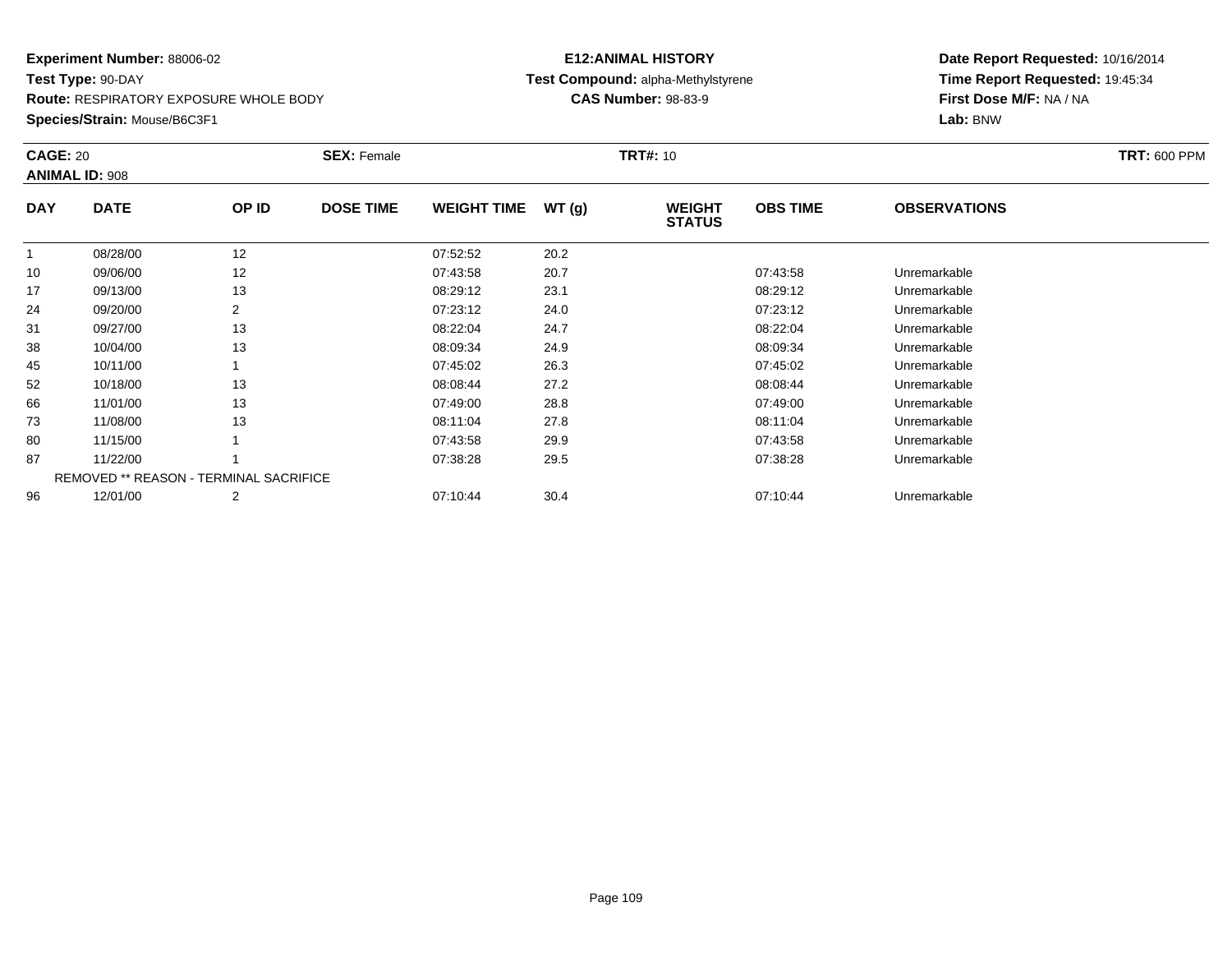**Route:** RESPIRATORY EXPOSURE WHOLE BODY

**Species/Strain:** Mouse/B6C3F1

#### **E12:ANIMAL HISTORY Test Compound:** alpha-Methylstyrene**CAS Number:** 98-83-9

|              | <b>CAGE: 20</b><br><b>ANIMAL ID: 908</b>      |       | <b>SEX: Female</b> |                    |       | <b>TRT#: 10</b>                | <b>TRT: 600 PPM</b> |                     |  |
|--------------|-----------------------------------------------|-------|--------------------|--------------------|-------|--------------------------------|---------------------|---------------------|--|
| <b>DAY</b>   | <b>DATE</b>                                   | OP ID | <b>DOSE TIME</b>   | <b>WEIGHT TIME</b> | WT(g) | <b>WEIGHT</b><br><b>STATUS</b> | <b>OBS TIME</b>     | <b>OBSERVATIONS</b> |  |
| $\mathbf{1}$ | 08/28/00                                      | 12    |                    | 07:52:52           | 20.2  |                                |                     |                     |  |
| 10           | 09/06/00                                      | 12    |                    | 07:43:58           | 20.7  |                                | 07:43:58            | Unremarkable        |  |
| 17           | 09/13/00                                      | 13    |                    | 08:29:12           | 23.1  |                                | 08:29:12            | Unremarkable        |  |
| 24           | 09/20/00                                      | 2     |                    | 07:23:12           | 24.0  |                                | 07:23:12            | Unremarkable        |  |
| 31           | 09/27/00                                      | 13    |                    | 08:22:04           | 24.7  |                                | 08:22:04            | Unremarkable        |  |
| 38           | 10/04/00                                      | 13    |                    | 08:09:34           | 24.9  |                                | 08:09:34            | Unremarkable        |  |
| 45           | 10/11/00                                      |       |                    | 07:45:02           | 26.3  |                                | 07:45:02            | Unremarkable        |  |
| 52           | 10/18/00                                      | 13    |                    | 08:08:44           | 27.2  |                                | 08:08:44            | Unremarkable        |  |
| 66           | 11/01/00                                      | 13    |                    | 07:49:00           | 28.8  |                                | 07:49:00            | Unremarkable        |  |
| 73           | 11/08/00                                      | 13    |                    | 08:11:04           | 27.8  |                                | 08:11:04            | Unremarkable        |  |
| 80           | 11/15/00                                      |       |                    | 07:43:58           | 29.9  |                                | 07:43:58            | Unremarkable        |  |
| 87           | 11/22/00                                      |       |                    | 07:38:28           | 29.5  |                                | 07:38:28            | Unremarkable        |  |
|              | <b>REMOVED ** REASON - TERMINAL SACRIFICE</b> |       |                    |                    |       |                                |                     |                     |  |
| 96           | 12/01/00                                      | 2     |                    | 07:10:44           | 30.4  |                                | 07:10:44            | Unremarkable        |  |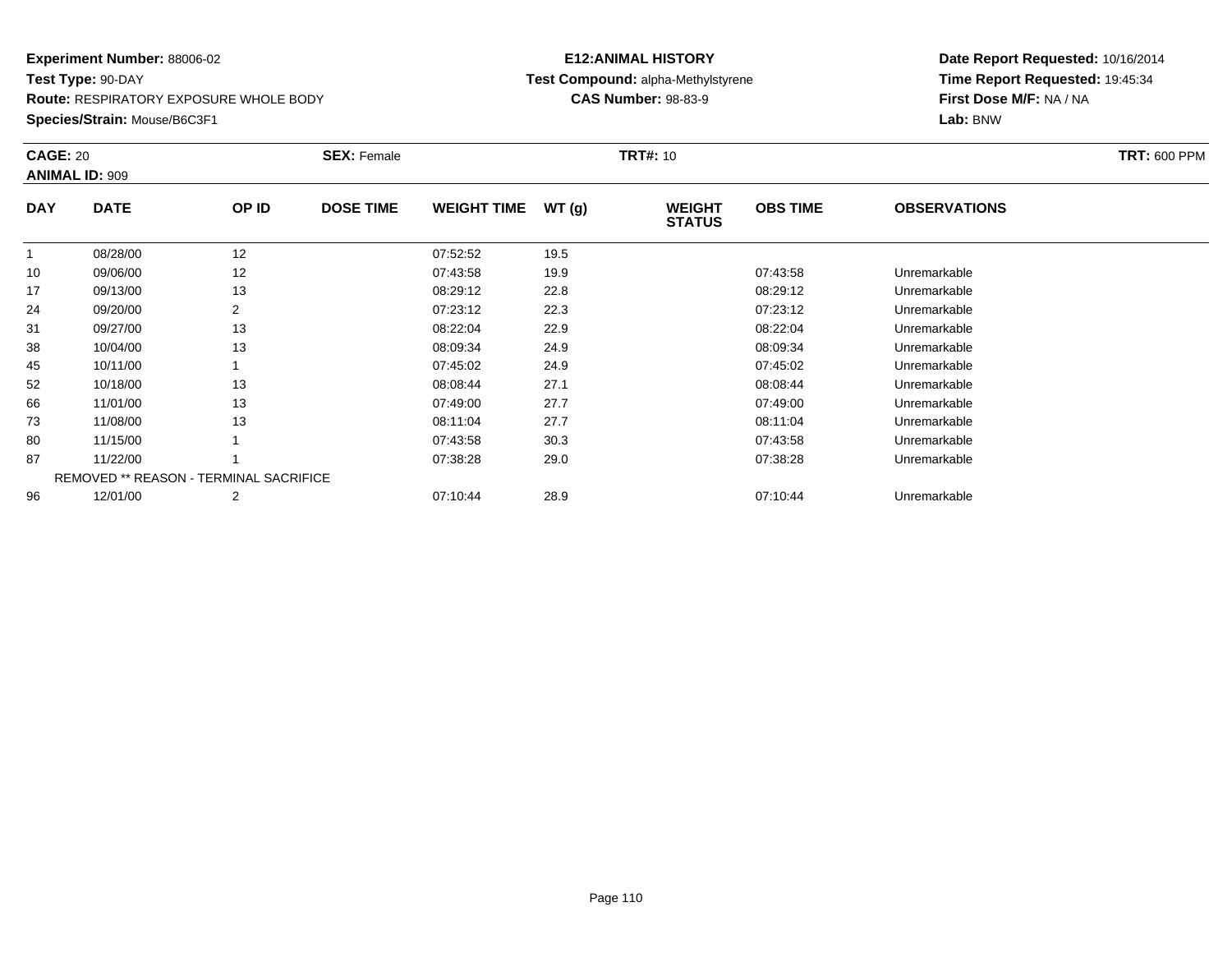**Route:** RESPIRATORY EXPOSURE WHOLE BODY

**Species/Strain:** Mouse/B6C3F1

# **E12:ANIMAL HISTORYTest Compound:** alpha-Methylstyrene

**CAS Number:** 98-83-9

|            | <b>CAGE: 20</b><br><b>ANIMAL ID: 909</b>      |       | <b>SEX: Female</b> |                    |       | <b>TRT#: 10</b>                | <b>TRT: 600 PPM</b> |                     |  |
|------------|-----------------------------------------------|-------|--------------------|--------------------|-------|--------------------------------|---------------------|---------------------|--|
| <b>DAY</b> | <b>DATE</b>                                   | OP ID | <b>DOSE TIME</b>   | <b>WEIGHT TIME</b> | WT(g) | <b>WEIGHT</b><br><b>STATUS</b> | <b>OBS TIME</b>     | <b>OBSERVATIONS</b> |  |
|            | 08/28/00                                      | 12    |                    | 07:52:52           | 19.5  |                                |                     |                     |  |
| 10         | 09/06/00                                      | 12    |                    | 07:43:58           | 19.9  |                                | 07:43:58            | Unremarkable        |  |
| 17         | 09/13/00                                      | 13    |                    | 08:29:12           | 22.8  |                                | 08:29:12            | Unremarkable        |  |
| 24         | 09/20/00                                      | 2     |                    | 07:23:12           | 22.3  |                                | 07:23:12            | Unremarkable        |  |
| 31         | 09/27/00                                      | 13    |                    | 08:22:04           | 22.9  |                                | 08:22:04            | Unremarkable        |  |
| 38         | 10/04/00                                      | 13    |                    | 08:09:34           | 24.9  |                                | 08:09:34            | Unremarkable        |  |
| 45         | 10/11/00                                      |       |                    | 07:45:02           | 24.9  |                                | 07:45:02            | Unremarkable        |  |
| 52         | 10/18/00                                      | 13    |                    | 08:08:44           | 27.1  |                                | 08:08:44            | Unremarkable        |  |
| 66         | 11/01/00                                      | 13    |                    | 07:49:00           | 27.7  |                                | 07:49:00            | Unremarkable        |  |
| 73         | 11/08/00                                      | 13    |                    | 08:11:04           | 27.7  |                                | 08:11:04            | Unremarkable        |  |
| 80         | 11/15/00                                      |       |                    | 07:43:58           | 30.3  |                                | 07:43:58            | Unremarkable        |  |
| 87         | 11/22/00                                      |       |                    | 07:38:28           | 29.0  |                                | 07:38:28            | Unremarkable        |  |
|            | <b>REMOVED ** REASON - TERMINAL SACRIFICE</b> |       |                    |                    |       |                                |                     |                     |  |
| 96         | 12/01/00                                      | 2     |                    | 07:10:44           | 28.9  |                                | 07:10:44            | Unremarkable        |  |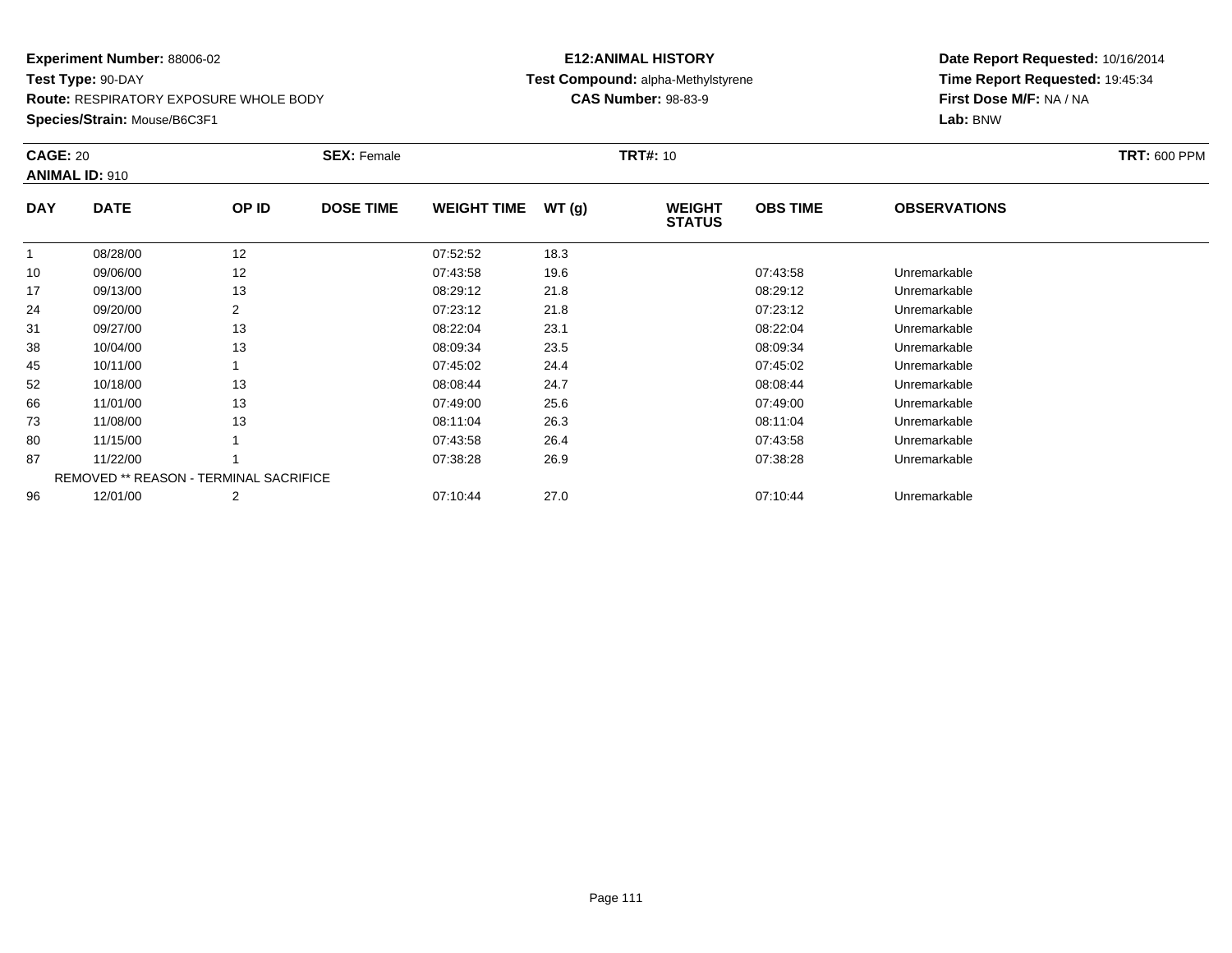**Route:** RESPIRATORY EXPOSURE WHOLE BODY

**Species/Strain:** Mouse/B6C3F1

#### **E12:ANIMAL HISTORY Test Compound:** alpha-Methylstyrene**CAS Number:** 98-83-9

|            | <b>CAGE: 20</b><br><b>ANIMAL ID: 910</b>      |       | <b>SEX: Female</b> |                    |       | <b>TRT#: 10</b>                | <b>TRT: 600 PPM</b> |                     |  |
|------------|-----------------------------------------------|-------|--------------------|--------------------|-------|--------------------------------|---------------------|---------------------|--|
| <b>DAY</b> | <b>DATE</b>                                   | OP ID | <b>DOSE TIME</b>   | <b>WEIGHT TIME</b> | WT(g) | <b>WEIGHT</b><br><b>STATUS</b> | <b>OBS TIME</b>     | <b>OBSERVATIONS</b> |  |
|            | 08/28/00                                      | 12    |                    | 07:52:52           | 18.3  |                                |                     |                     |  |
| 10         | 09/06/00                                      | 12    |                    | 07:43:58           | 19.6  |                                | 07:43:58            | Unremarkable        |  |
| 17         | 09/13/00                                      | 13    |                    | 08:29:12           | 21.8  |                                | 08:29:12            | Unremarkable        |  |
| 24         | 09/20/00                                      | 2     |                    | 07:23:12           | 21.8  |                                | 07:23:12            | Unremarkable        |  |
| 31         | 09/27/00                                      | 13    |                    | 08:22:04           | 23.1  |                                | 08:22:04            | Unremarkable        |  |
| 38         | 10/04/00                                      | 13    |                    | 08:09:34           | 23.5  |                                | 08:09:34            | Unremarkable        |  |
| 45         | 10/11/00                                      |       |                    | 07:45:02           | 24.4  |                                | 07:45:02            | Unremarkable        |  |
| 52         | 10/18/00                                      | 13    |                    | 08:08:44           | 24.7  |                                | 08:08:44            | Unremarkable        |  |
| 66         | 11/01/00                                      | 13    |                    | 07:49:00           | 25.6  |                                | 07:49:00            | Unremarkable        |  |
| 73         | 11/08/00                                      | 13    |                    | 08:11:04           | 26.3  |                                | 08:11:04            | Unremarkable        |  |
| 80         | 11/15/00                                      |       |                    | 07:43:58           | 26.4  |                                | 07:43:58            | Unremarkable        |  |
| 87         | 11/22/00                                      |       |                    | 07:38:28           | 26.9  |                                | 07:38:28            | Unremarkable        |  |
|            | <b>REMOVED ** REASON - TERMINAL SACRIFICE</b> |       |                    |                    |       |                                |                     |                     |  |
| 96         | 12/01/00                                      | 2     |                    | 07:10:44           | 27.0  |                                | 07:10:44            | Unremarkable        |  |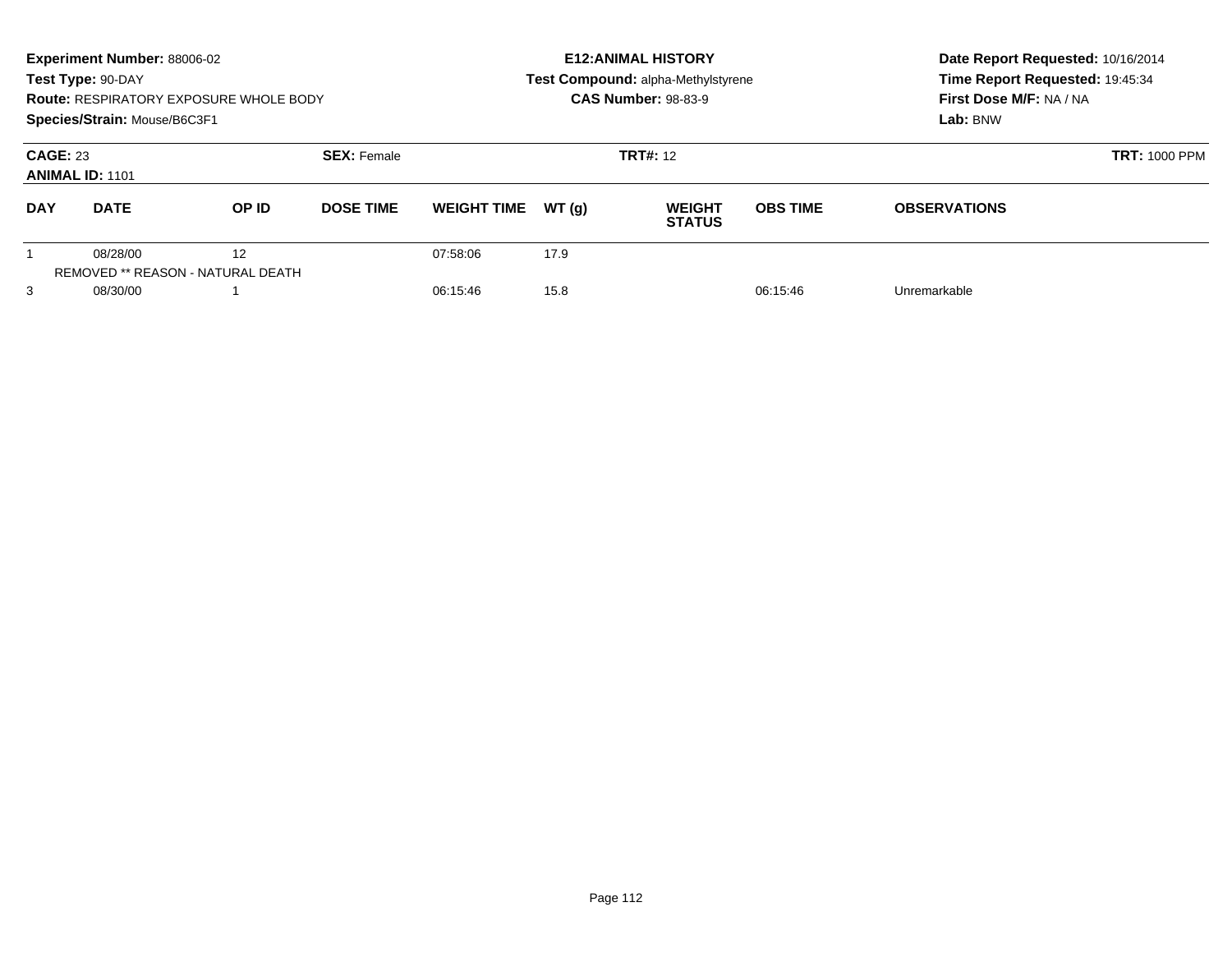|                                                                 | Experiment Number: 88006-02<br>Test Type: 90-DAY<br>Species/Strain: Mouse/B6C3F1 | <b>Route: RESPIRATORY EXPOSURE WHOLE BODY</b>  |                              |                    |                 | <b>E12: ANIMAL HISTORY</b><br><b>Test Compound: alpha-Methylstyrene</b><br><b>CAS Number: 98-83-9</b> | Date Report Requested: 10/16/2014<br>Time Report Requested: 19:45:34<br>First Dose M/F: NA / NA<br>Lab: BNW |                     |
|-----------------------------------------------------------------|----------------------------------------------------------------------------------|------------------------------------------------|------------------------------|--------------------|-----------------|-------------------------------------------------------------------------------------------------------|-------------------------------------------------------------------------------------------------------------|---------------------|
| <b>CAGE: 23</b><br><b>SEX: Female</b><br><b>ANIMAL ID: 1101</b> |                                                                                  |                                                |                              |                    | <b>TRT#: 12</b> | <b>TRT: 1000 PPM</b>                                                                                  |                                                                                                             |                     |
| <b>DAY</b>                                                      | <b>DATE</b>                                                                      | OP ID                                          | <b>DOSE TIME</b>             | <b>WEIGHT TIME</b> | WT(q)           | <b>WEIGHT</b><br><b>STATUS</b>                                                                        | <b>OBS TIME</b>                                                                                             | <b>OBSERVATIONS</b> |
|                                                                 | 08/28/00                                                                         | 12<br><b>REMOVED ** REASON - NATURAL DEATH</b> |                              | 07:58:06           | 17.9            |                                                                                                       |                                                                                                             |                     |
| 3                                                               | 08/30/00                                                                         |                                                | 15.8<br>06:15:46<br>06:15:46 |                    |                 |                                                                                                       | Unremarkable                                                                                                |                     |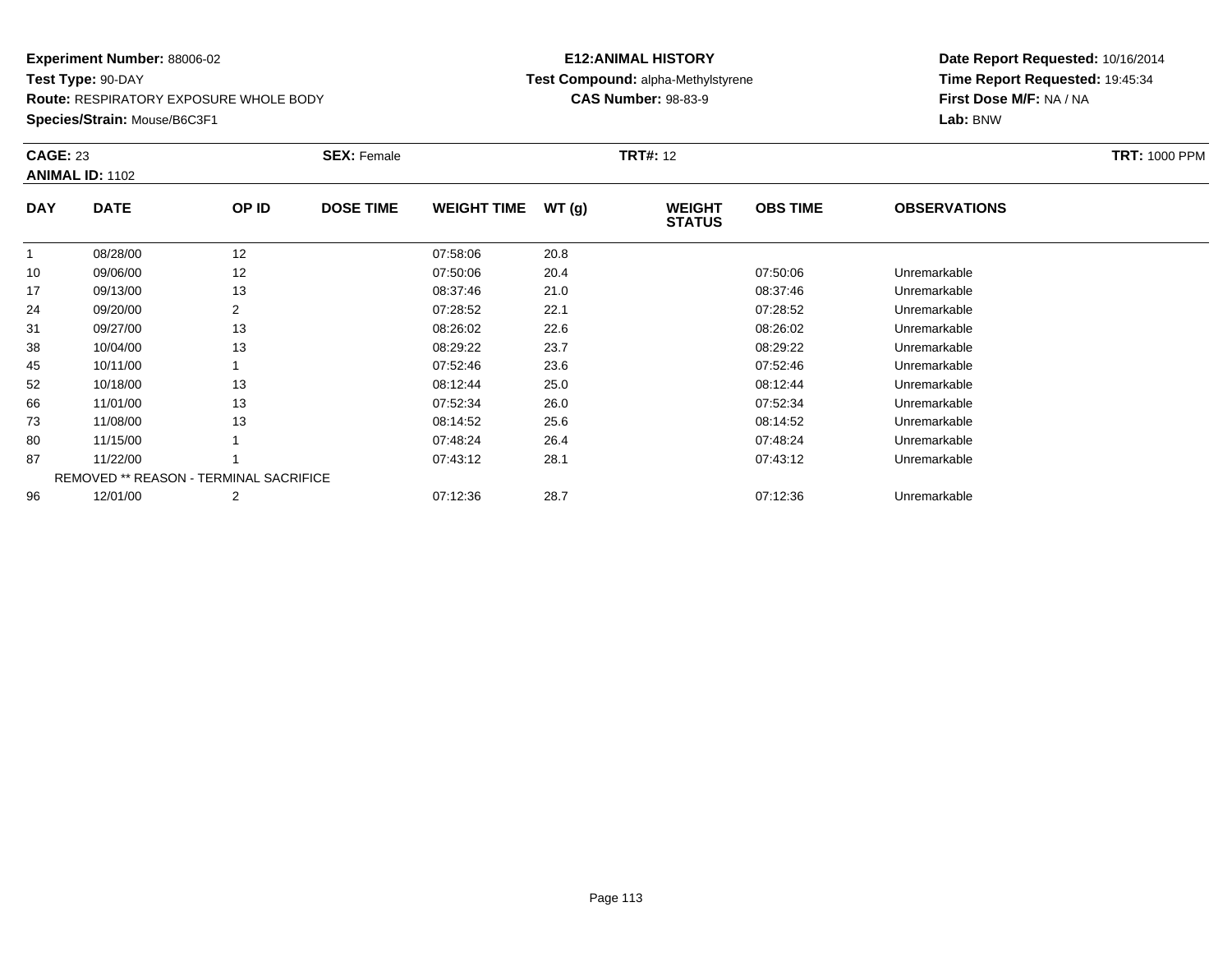**Route:** RESPIRATORY EXPOSURE WHOLE BODY

**Species/Strain:** Mouse/B6C3F1

# **E12:ANIMAL HISTORYTest Compound:** alpha-Methylstyrene

**CAS Number:** 98-83-9

|            | <b>CAGE: 23</b><br><b>ANIMAL ID: 1102</b>     |       | <b>SEX: Female</b> |                    |       | <b>TRT#: 12</b>                |                 | <b>TRT: 1000 PPM</b> |  |
|------------|-----------------------------------------------|-------|--------------------|--------------------|-------|--------------------------------|-----------------|----------------------|--|
| <b>DAY</b> | <b>DATE</b>                                   | OP ID | <b>DOSE TIME</b>   | <b>WEIGHT TIME</b> | WT(g) | <b>WEIGHT</b><br><b>STATUS</b> | <b>OBS TIME</b> | <b>OBSERVATIONS</b>  |  |
|            | 08/28/00                                      | 12    |                    | 07:58:06           | 20.8  |                                |                 |                      |  |
| 10         | 09/06/00                                      | 12    |                    | 07:50:06           | 20.4  |                                | 07:50:06        | Unremarkable         |  |
| 17         | 09/13/00                                      | 13    |                    | 08:37:46           | 21.0  |                                | 08:37:46        | Unremarkable         |  |
| 24         | 09/20/00                                      |       |                    | 07:28:52           | 22.1  |                                | 07:28:52        | Unremarkable         |  |
| 31         | 09/27/00                                      | 13    |                    | 08:26:02           | 22.6  |                                | 08:26:02        | Unremarkable         |  |
| 38         | 10/04/00                                      | 13    |                    | 08:29:22           | 23.7  |                                | 08:29:22        | Unremarkable         |  |
| 45         | 10/11/00                                      |       |                    | 07:52:46           | 23.6  |                                | 07:52:46        | Unremarkable         |  |
| 52         | 10/18/00                                      | 13    |                    | 08:12:44           | 25.0  |                                | 08:12:44        | Unremarkable         |  |
| 66         | 11/01/00                                      | 13    |                    | 07:52:34           | 26.0  |                                | 07:52:34        | Unremarkable         |  |
| 73         | 11/08/00                                      | 13    |                    | 08:14:52           | 25.6  |                                | 08:14:52        | Unremarkable         |  |
| 80         | 11/15/00                                      |       |                    | 07:48:24           | 26.4  |                                | 07:48:24        | Unremarkable         |  |
| 87         | 11/22/00                                      |       |                    | 07:43:12           | 28.1  |                                | 07:43:12        | Unremarkable         |  |
|            | <b>REMOVED ** REASON - TERMINAL SACRIFICE</b> |       |                    |                    |       |                                |                 |                      |  |
| 96         | 12/01/00                                      | 2     |                    | 07:12:36           | 28.7  |                                | 07:12:36        | Unremarkable         |  |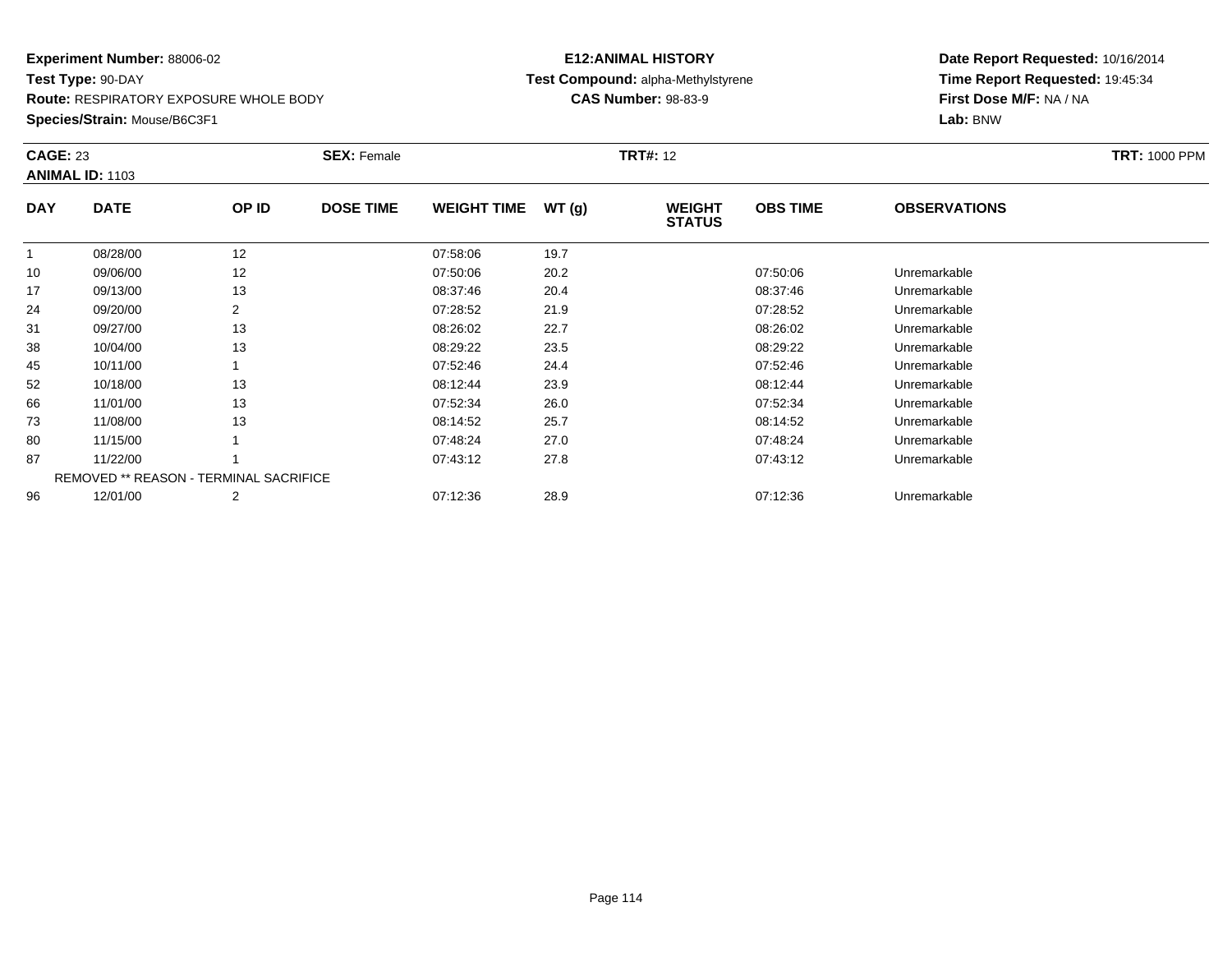**Route:** RESPIRATORY EXPOSURE WHOLE BODY

**Species/Strain:** Mouse/B6C3F1

# **E12:ANIMAL HISTORYTest Compound:** alpha-Methylstyrene

**CAS Number:** 98-83-9

|            | <b>CAGE: 23</b><br><b>ANIMAL ID: 1103</b>     |                | <b>SEX: Female</b> |                    |       | <b>TRT#: 12</b>                |                 | <b>TRT: 1000 PPM</b> |  |
|------------|-----------------------------------------------|----------------|--------------------|--------------------|-------|--------------------------------|-----------------|----------------------|--|
| <b>DAY</b> | <b>DATE</b>                                   | OP ID          | <b>DOSE TIME</b>   | <b>WEIGHT TIME</b> | WT(g) | <b>WEIGHT</b><br><b>STATUS</b> | <b>OBS TIME</b> | <b>OBSERVATIONS</b>  |  |
|            | 08/28/00                                      | 12             |                    | 07:58:06           | 19.7  |                                |                 |                      |  |
| 10         | 09/06/00                                      | 12             |                    | 07:50:06           | 20.2  |                                | 07:50:06        | Unremarkable         |  |
| 17         | 09/13/00                                      | 13             |                    | 08:37:46           | 20.4  |                                | 08:37:46        | Unremarkable         |  |
| 24         | 09/20/00                                      | 2              |                    | 07:28:52           | 21.9  |                                | 07:28:52        | Unremarkable         |  |
| 31         | 09/27/00                                      | 13             |                    | 08:26:02           | 22.7  |                                | 08:26:02        | Unremarkable         |  |
| 38         | 10/04/00                                      | 13             |                    | 08:29:22           | 23.5  |                                | 08:29:22        | Unremarkable         |  |
| 45         | 10/11/00                                      |                |                    | 07:52:46           | 24.4  |                                | 07:52:46        | Unremarkable         |  |
| 52         | 10/18/00                                      | 13             |                    | 08:12:44           | 23.9  |                                | 08:12:44        | Unremarkable         |  |
| 66         | 11/01/00                                      | 13             |                    | 07:52:34           | 26.0  |                                | 07:52:34        | Unremarkable         |  |
| 73         | 11/08/00                                      | 13             |                    | 08:14:52           | 25.7  |                                | 08:14:52        | Unremarkable         |  |
| 80         | 11/15/00                                      |                |                    | 07:48:24           | 27.0  |                                | 07:48:24        | Unremarkable         |  |
| 87         | 11/22/00                                      |                |                    | 07:43:12           | 27.8  |                                | 07:43:12        | Unremarkable         |  |
|            | <b>REMOVED ** REASON - TERMINAL SACRIFICE</b> |                |                    |                    |       |                                |                 |                      |  |
| 96         | 12/01/00                                      | $\overline{2}$ |                    | 07:12:36           | 28.9  |                                | 07:12:36        | Unremarkable         |  |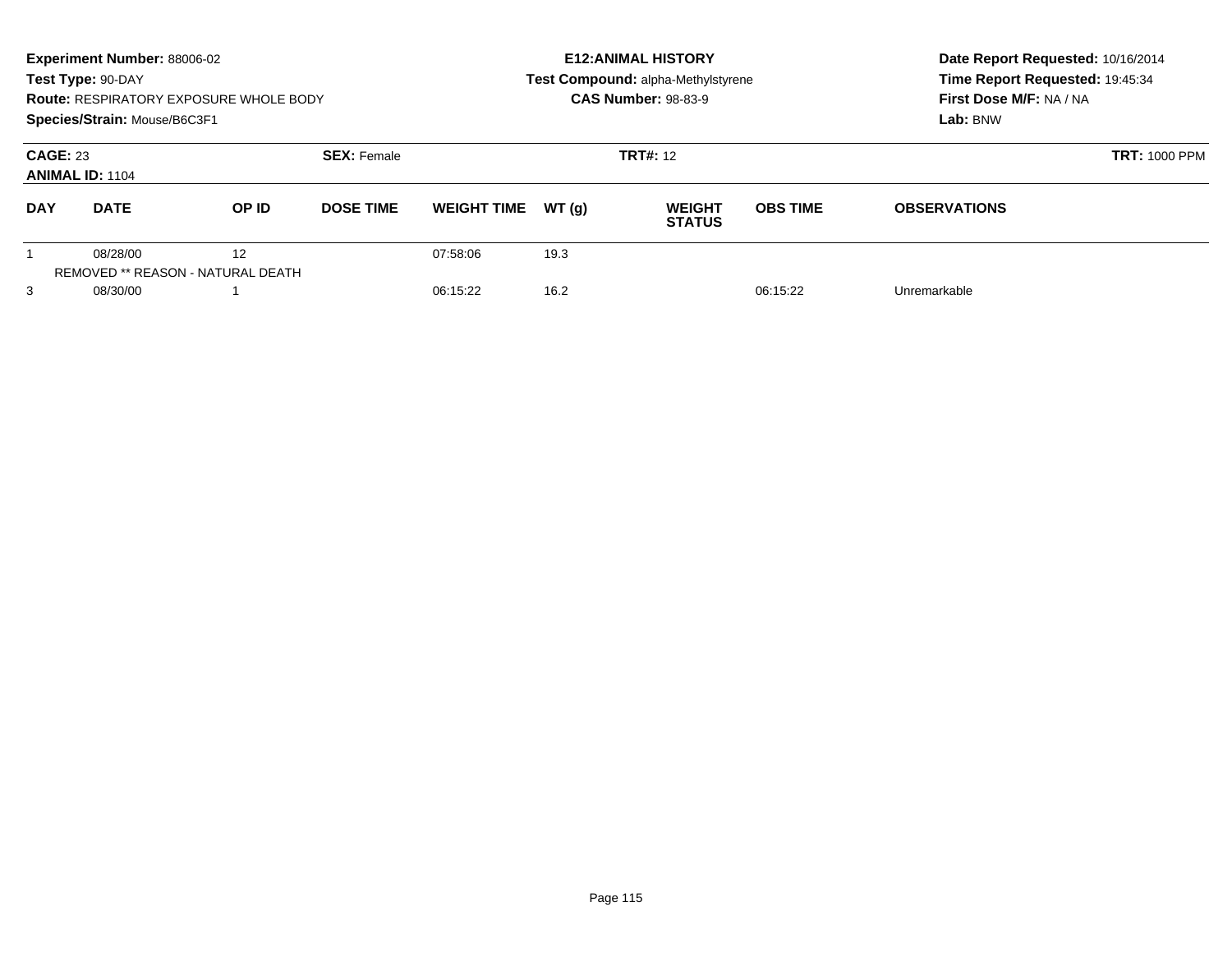|                                                                 | <b>Experiment Number: 88006-02</b><br>Test Type: 90-DAY<br><b>Route: RESPIRATORY EXPOSURE WHOLE BODY</b><br>Species/Strain: Mouse/B6C3F1 |       |                  |                      |                 | <b>E12: ANIMAL HISTORY</b><br>Test Compound: alpha-Methylstyrene<br><b>CAS Number: 98-83-9</b> | Date Report Requested: 10/16/2014<br>Time Report Requested: 19:45:34<br>First Dose M/F: NA / NA<br>Lab: BNW |                     |
|-----------------------------------------------------------------|------------------------------------------------------------------------------------------------------------------------------------------|-------|------------------|----------------------|-----------------|------------------------------------------------------------------------------------------------|-------------------------------------------------------------------------------------------------------------|---------------------|
| <b>CAGE: 23</b><br><b>SEX: Female</b><br><b>ANIMAL ID: 1104</b> |                                                                                                                                          |       |                  |                      | <b>TRT#: 12</b> | <b>TRT: 1000 PPM</b>                                                                           |                                                                                                             |                     |
| <b>DAY</b>                                                      | <b>DATE</b>                                                                                                                              | OP ID | <b>DOSE TIME</b> | <b>WEIGHT TIME</b>   | WT(q)           | <b>WEIGHT</b><br><b>STATUS</b>                                                                 | <b>OBS TIME</b>                                                                                             | <b>OBSERVATIONS</b> |
| 3                                                               | 08/28/00<br>REMOVED ** REASON - NATURAL DEATH<br>08/30/00                                                                                | 12    |                  | 07:58:06<br>06:15:22 | 19.3<br>16.2    |                                                                                                | 06:15:22                                                                                                    | Unremarkable        |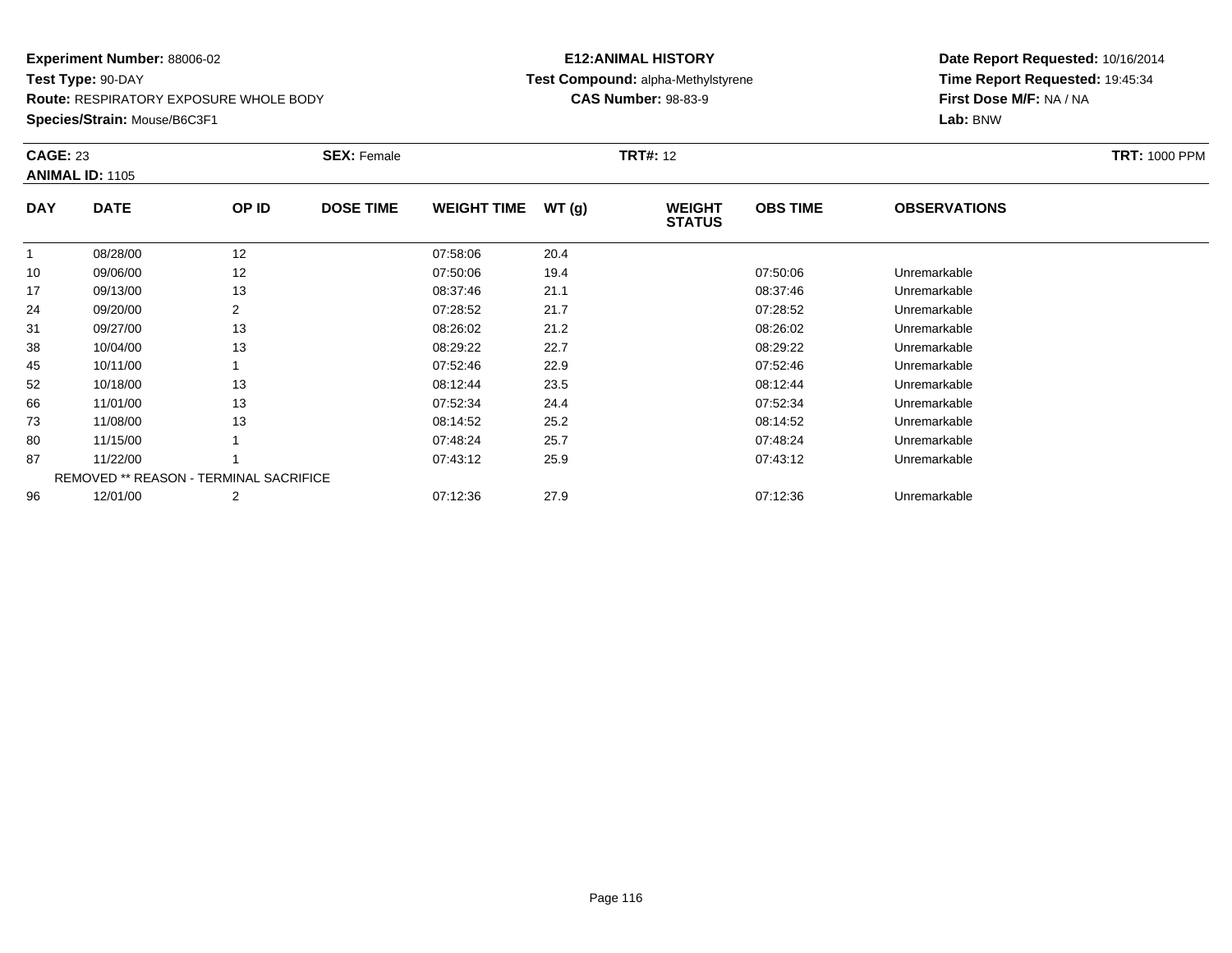**Route:** RESPIRATORY EXPOSURE WHOLE BODY

**Species/Strain:** Mouse/B6C3F1

# **E12:ANIMAL HISTORYTest Compound:** alpha-Methylstyrene

**CAS Number:** 98-83-9

|            | <b>CAGE: 23</b><br><b>ANIMAL ID: 1105</b>     |       | <b>SEX: Female</b> |                    |       | <b>TRT#: 12</b>                | <b>TRT: 1000 PPM</b> |                     |  |
|------------|-----------------------------------------------|-------|--------------------|--------------------|-------|--------------------------------|----------------------|---------------------|--|
| <b>DAY</b> | <b>DATE</b>                                   | OP ID | <b>DOSE TIME</b>   | <b>WEIGHT TIME</b> | WT(g) | <b>WEIGHT</b><br><b>STATUS</b> | <b>OBS TIME</b>      | <b>OBSERVATIONS</b> |  |
|            | 08/28/00                                      | 12    |                    | 07:58:06           | 20.4  |                                |                      |                     |  |
| 10         | 09/06/00                                      | 12    |                    | 07:50:06           | 19.4  |                                | 07:50:06             | Unremarkable        |  |
| 17         | 09/13/00                                      | 13    |                    | 08:37:46           | 21.1  |                                | 08:37:46             | Unremarkable        |  |
| 24         | 09/20/00                                      | 2     |                    | 07:28:52           | 21.7  |                                | 07:28:52             | Unremarkable        |  |
| 31         | 09/27/00                                      | 13    |                    | 08:26:02           | 21.2  |                                | 08:26:02             | Unremarkable        |  |
| 38         | 10/04/00                                      | 13    |                    | 08:29:22           | 22.7  |                                | 08:29:22             | Unremarkable        |  |
| 45         | 10/11/00                                      |       |                    | 07:52:46           | 22.9  |                                | 07:52:46             | Unremarkable        |  |
| 52         | 10/18/00                                      | 13    |                    | 08:12:44           | 23.5  |                                | 08:12:44             | Unremarkable        |  |
| 66         | 11/01/00                                      | 13    |                    | 07:52:34           | 24.4  |                                | 07:52:34             | Unremarkable        |  |
| 73         | 11/08/00                                      | 13    |                    | 08:14:52           | 25.2  |                                | 08:14:52             | Unremarkable        |  |
| 80         | 11/15/00                                      |       |                    | 07:48:24           | 25.7  |                                | 07:48:24             | Unremarkable        |  |
| 87         | 11/22/00                                      |       |                    | 07:43:12           | 25.9  |                                | 07:43:12             | Unremarkable        |  |
|            | <b>REMOVED ** REASON - TERMINAL SACRIFICE</b> |       |                    |                    |       |                                |                      |                     |  |
| 96         | 12/01/00                                      | 2     |                    | 07:12:36           | 27.9  |                                | 07:12:36             | Unremarkable        |  |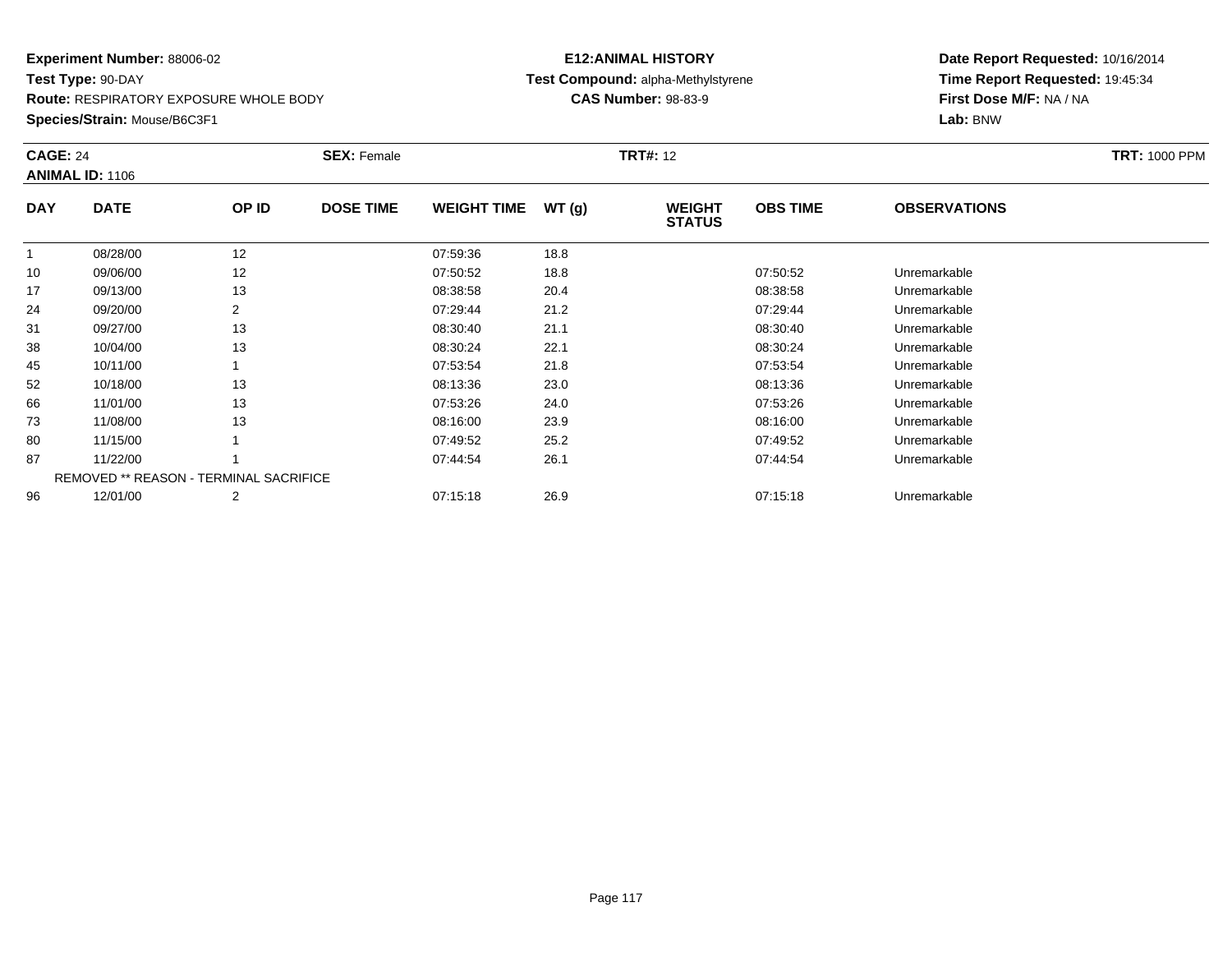**Route:** RESPIRATORY EXPOSURE WHOLE BODY

**Species/Strain:** Mouse/B6C3F1

#### **E12:ANIMAL HISTORY Test Compound:** alpha-Methylstyrene**CAS Number:** 98-83-9

|            | <b>CAGE: 24</b><br><b>ANIMAL ID: 1106</b> |       | <b>SEX: Female</b> |                    |       | <b>TRT#: 12</b>                | <b>TRT: 1000 PPM</b> |                     |  |
|------------|-------------------------------------------|-------|--------------------|--------------------|-------|--------------------------------|----------------------|---------------------|--|
| <b>DAY</b> | <b>DATE</b>                               | OP ID | <b>DOSE TIME</b>   | <b>WEIGHT TIME</b> | WT(g) | <b>WEIGHT</b><br><b>STATUS</b> | <b>OBS TIME</b>      | <b>OBSERVATIONS</b> |  |
|            | 08/28/00                                  | 12    |                    | 07:59:36           | 18.8  |                                |                      |                     |  |
| 10         | 09/06/00                                  | 12    |                    | 07:50:52           | 18.8  |                                | 07:50:52             | Unremarkable        |  |
| 17         | 09/13/00                                  | 13    |                    | 08:38:58           | 20.4  |                                | 08:38:58             | Unremarkable        |  |
| 24         | 09/20/00                                  | 2     |                    | 07:29:44           | 21.2  |                                | 07:29:44             | Unremarkable        |  |
| 31         | 09/27/00                                  | 13    |                    | 08:30:40           | 21.1  |                                | 08:30:40             | Unremarkable        |  |
| 38         | 10/04/00                                  | 13    |                    | 08:30:24           | 22.1  |                                | 08:30:24             | Unremarkable        |  |
| 45         | 10/11/00                                  |       |                    | 07:53:54           | 21.8  |                                | 07:53:54             | Unremarkable        |  |
| 52         | 10/18/00                                  | 13    |                    | 08:13:36           | 23.0  |                                | 08:13:36             | Unremarkable        |  |
| 66         | 11/01/00                                  | 13    |                    | 07:53:26           | 24.0  |                                | 07:53:26             | Unremarkable        |  |
| 73         | 11/08/00                                  | 13    |                    | 08:16:00           | 23.9  |                                | 08:16:00             | Unremarkable        |  |
| 80         | 11/15/00                                  |       |                    | 07:49:52           | 25.2  |                                | 07:49:52             | Unremarkable        |  |
| 87         | 11/22/00                                  |       |                    | 07:44:54           | 26.1  |                                | 07:44:54             | Unremarkable        |  |
|            | REMOVED ** REASON - TERMINAL SACRIFICE    |       |                    |                    |       |                                |                      |                     |  |
| 96         | 12/01/00                                  | 2     |                    | 07:15:18           | 26.9  |                                | 07:15:18             | Unremarkable        |  |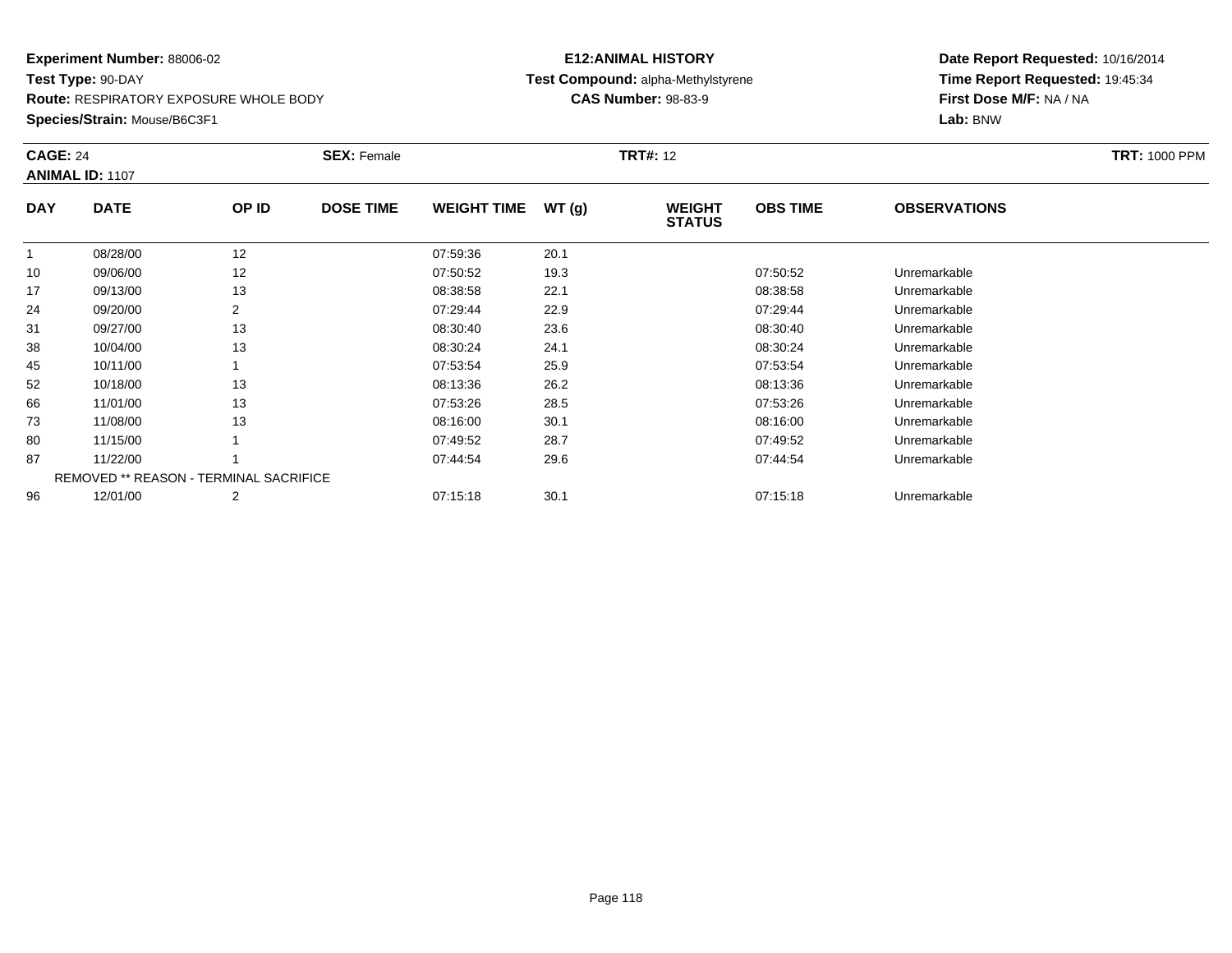**Route:** RESPIRATORY EXPOSURE WHOLE BODY

**Species/Strain:** Mouse/B6C3F1

#### **E12:ANIMAL HISTORY Test Compound:** alpha-Methylstyrene**CAS Number:** 98-83-9

|            | <b>CAGE: 24</b><br><b>ANIMAL ID: 1107</b> |                                               | <b>SEX: Female</b> |                    |       | <b>TRT#: 12</b>                |                 | <b>TRT: 1000 PPM</b> |  |
|------------|-------------------------------------------|-----------------------------------------------|--------------------|--------------------|-------|--------------------------------|-----------------|----------------------|--|
| <b>DAY</b> | <b>DATE</b>                               | OP ID                                         | <b>DOSE TIME</b>   | <b>WEIGHT TIME</b> | WT(g) | <b>WEIGHT</b><br><b>STATUS</b> | <b>OBS TIME</b> | <b>OBSERVATIONS</b>  |  |
|            | 08/28/00                                  | 12                                            |                    | 07:59:36           | 20.1  |                                |                 |                      |  |
| 10         | 09/06/00                                  | 12                                            |                    | 07:50:52           | 19.3  |                                | 07:50:52        | Unremarkable         |  |
| 17         | 09/13/00                                  | 13                                            |                    | 08:38:58           | 22.1  |                                | 08:38:58        | Unremarkable         |  |
| 24         | 09/20/00                                  | 2                                             |                    | 07:29:44           | 22.9  |                                | 07:29:44        | Unremarkable         |  |
| 31         | 09/27/00                                  | 13                                            |                    | 08:30:40           | 23.6  |                                | 08:30:40        | Unremarkable         |  |
| 38         | 10/04/00                                  | 13                                            |                    | 08:30:24           | 24.1  |                                | 08:30:24        | Unremarkable         |  |
| 45         | 10/11/00                                  |                                               |                    | 07:53:54           | 25.9  |                                | 07:53:54        | Unremarkable         |  |
| 52         | 10/18/00                                  | 13                                            |                    | 08:13:36           | 26.2  |                                | 08:13:36        | Unremarkable         |  |
| 66         | 11/01/00                                  | 13                                            |                    | 07:53:26           | 28.5  |                                | 07:53:26        | Unremarkable         |  |
| 73         | 11/08/00                                  | 13                                            |                    | 08:16:00           | 30.1  |                                | 08:16:00        | Unremarkable         |  |
| 80         | 11/15/00                                  |                                               |                    | 07:49:52           | 28.7  |                                | 07:49:52        | Unremarkable         |  |
| 87         | 11/22/00                                  |                                               |                    | 07:44:54           | 29.6  |                                | 07:44:54        | Unremarkable         |  |
|            |                                           | <b>REMOVED ** REASON - TERMINAL SACRIFICE</b> |                    |                    |       |                                |                 |                      |  |
| 96         | 12/01/00                                  | $\overline{2}$                                |                    | 07:15:18           | 30.1  |                                | 07:15:18        | Unremarkable         |  |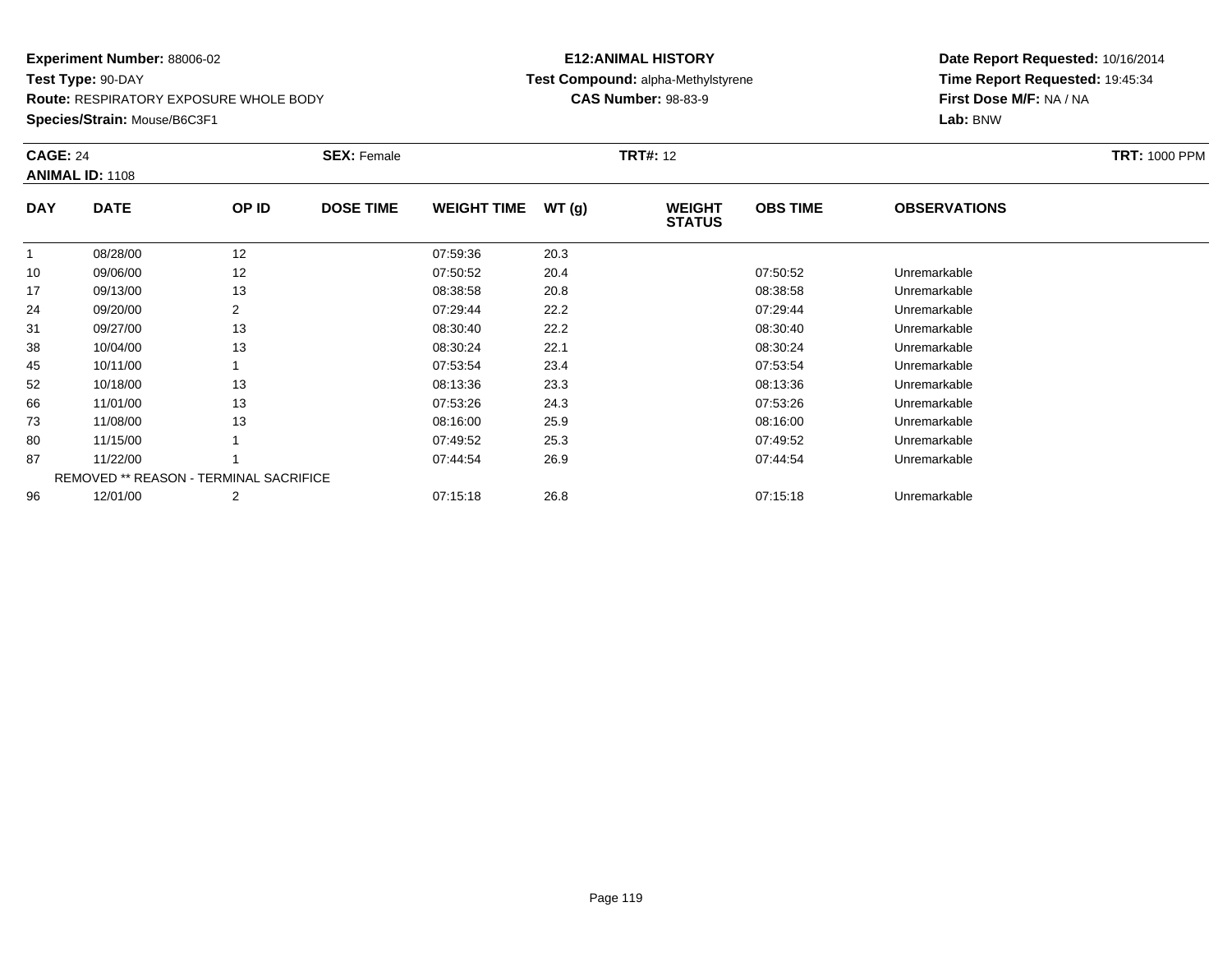**Route:** RESPIRATORY EXPOSURE WHOLE BODY

**Species/Strain:** Mouse/B6C3F1

#### **E12:ANIMAL HISTORY Test Compound:** alpha-Methylstyrene**CAS Number:** 98-83-9

|            | <b>CAGE: 24</b><br><b>ANIMAL ID: 1108</b>     |       | <b>SEX: Female</b> |                    |       | <b>TRT#: 12</b>                | <b>TRT: 1000 PPM</b> |                     |  |
|------------|-----------------------------------------------|-------|--------------------|--------------------|-------|--------------------------------|----------------------|---------------------|--|
| <b>DAY</b> | <b>DATE</b>                                   | OP ID | <b>DOSE TIME</b>   | <b>WEIGHT TIME</b> | WT(g) | <b>WEIGHT</b><br><b>STATUS</b> | <b>OBS TIME</b>      | <b>OBSERVATIONS</b> |  |
|            | 08/28/00                                      | 12    |                    | 07:59:36           | 20.3  |                                |                      |                     |  |
| 10         | 09/06/00                                      | 12    |                    | 07:50:52           | 20.4  |                                | 07:50:52             | Unremarkable        |  |
| 17         | 09/13/00                                      | 13    |                    | 08:38:58           | 20.8  |                                | 08:38:58             | Unremarkable        |  |
| 24         | 09/20/00                                      | 2     |                    | 07:29:44           | 22.2  |                                | 07:29:44             | Unremarkable        |  |
| 31         | 09/27/00                                      | 13    |                    | 08:30:40           | 22.2  |                                | 08:30:40             | Unremarkable        |  |
| 38         | 10/04/00                                      | 13    |                    | 08:30:24           | 22.1  |                                | 08:30:24             | Unremarkable        |  |
| 45         | 10/11/00                                      |       |                    | 07:53:54           | 23.4  |                                | 07:53:54             | Unremarkable        |  |
| 52         | 10/18/00                                      | 13    |                    | 08:13:36           | 23.3  |                                | 08:13:36             | Unremarkable        |  |
| 66         | 11/01/00                                      | 13    |                    | 07:53:26           | 24.3  |                                | 07:53:26             | Unremarkable        |  |
| 73         | 11/08/00                                      | 13    |                    | 08:16:00           | 25.9  |                                | 08:16:00             | Unremarkable        |  |
| 80         | 11/15/00                                      |       |                    | 07:49:52           | 25.3  |                                | 07:49:52             | Unremarkable        |  |
| 87         | 11/22/00                                      |       |                    | 07:44:54           | 26.9  |                                | 07:44:54             | Unremarkable        |  |
|            | <b>REMOVED ** REASON - TERMINAL SACRIFICE</b> |       |                    |                    |       |                                |                      |                     |  |
| 96         | 12/01/00                                      | 2     |                    | 07:15:18           | 26.8  |                                | 07:15:18             | Unremarkable        |  |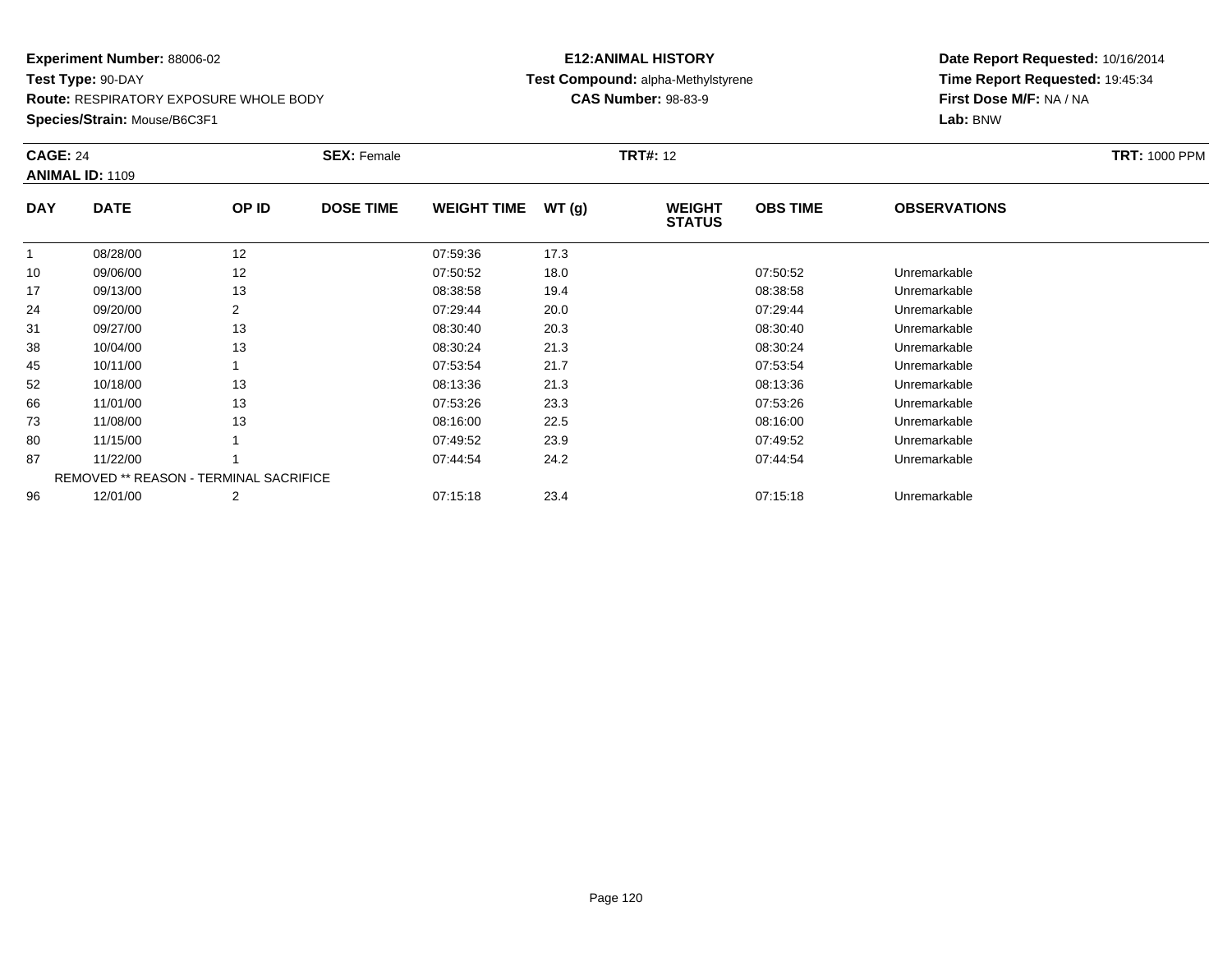**Route:** RESPIRATORY EXPOSURE WHOLE BODY

**Species/Strain:** Mouse/B6C3F1

# **E12:ANIMAL HISTORYTest Compound:** alpha-Methylstyrene

**CAS Number:** 98-83-9

|            | <b>CAGE: 24</b><br><b>ANIMAL ID: 1109</b>     |       | <b>SEX: Female</b> |                    |       | <b>TRT#: 12</b>                | <b>TRT: 1000 PPM</b> |                     |  |
|------------|-----------------------------------------------|-------|--------------------|--------------------|-------|--------------------------------|----------------------|---------------------|--|
| <b>DAY</b> | <b>DATE</b>                                   | OP ID | <b>DOSE TIME</b>   | <b>WEIGHT TIME</b> | WT(g) | <b>WEIGHT</b><br><b>STATUS</b> | <b>OBS TIME</b>      | <b>OBSERVATIONS</b> |  |
|            | 08/28/00                                      | 12    |                    | 07:59:36           | 17.3  |                                |                      |                     |  |
| 10         | 09/06/00                                      | 12    |                    | 07:50:52           | 18.0  |                                | 07:50:52             | Unremarkable        |  |
| 17         | 09/13/00                                      | 13    |                    | 08:38:58           | 19.4  |                                | 08:38:58             | Unremarkable        |  |
| 24         | 09/20/00                                      |       |                    | 07:29:44           | 20.0  |                                | 07:29:44             | Unremarkable        |  |
| 31         | 09/27/00                                      | 13    |                    | 08:30:40           | 20.3  |                                | 08:30:40             | Unremarkable        |  |
| 38         | 10/04/00                                      | 13    |                    | 08:30:24           | 21.3  |                                | 08:30:24             | Unremarkable        |  |
| 45         | 10/11/00                                      |       |                    | 07:53:54           | 21.7  |                                | 07:53:54             | Unremarkable        |  |
| 52         | 10/18/00                                      | 13    |                    | 08:13:36           | 21.3  |                                | 08:13:36             | Unremarkable        |  |
| 66         | 11/01/00                                      | 13    |                    | 07:53:26           | 23.3  |                                | 07:53:26             | Unremarkable        |  |
| 73         | 11/08/00                                      | 13    |                    | 08:16:00           | 22.5  |                                | 08:16:00             | Unremarkable        |  |
| 80         | 11/15/00                                      |       |                    | 07:49:52           | 23.9  |                                | 07:49:52             | Unremarkable        |  |
| 87         | 11/22/00                                      |       |                    | 07:44:54           | 24.2  |                                | 07:44:54             | Unremarkable        |  |
|            | <b>REMOVED ** REASON - TERMINAL SACRIFICE</b> |       |                    |                    |       |                                |                      |                     |  |
| 96         | 12/01/00                                      | 2     |                    | 07:15:18           | 23.4  |                                | 07:15:18             | Unremarkable        |  |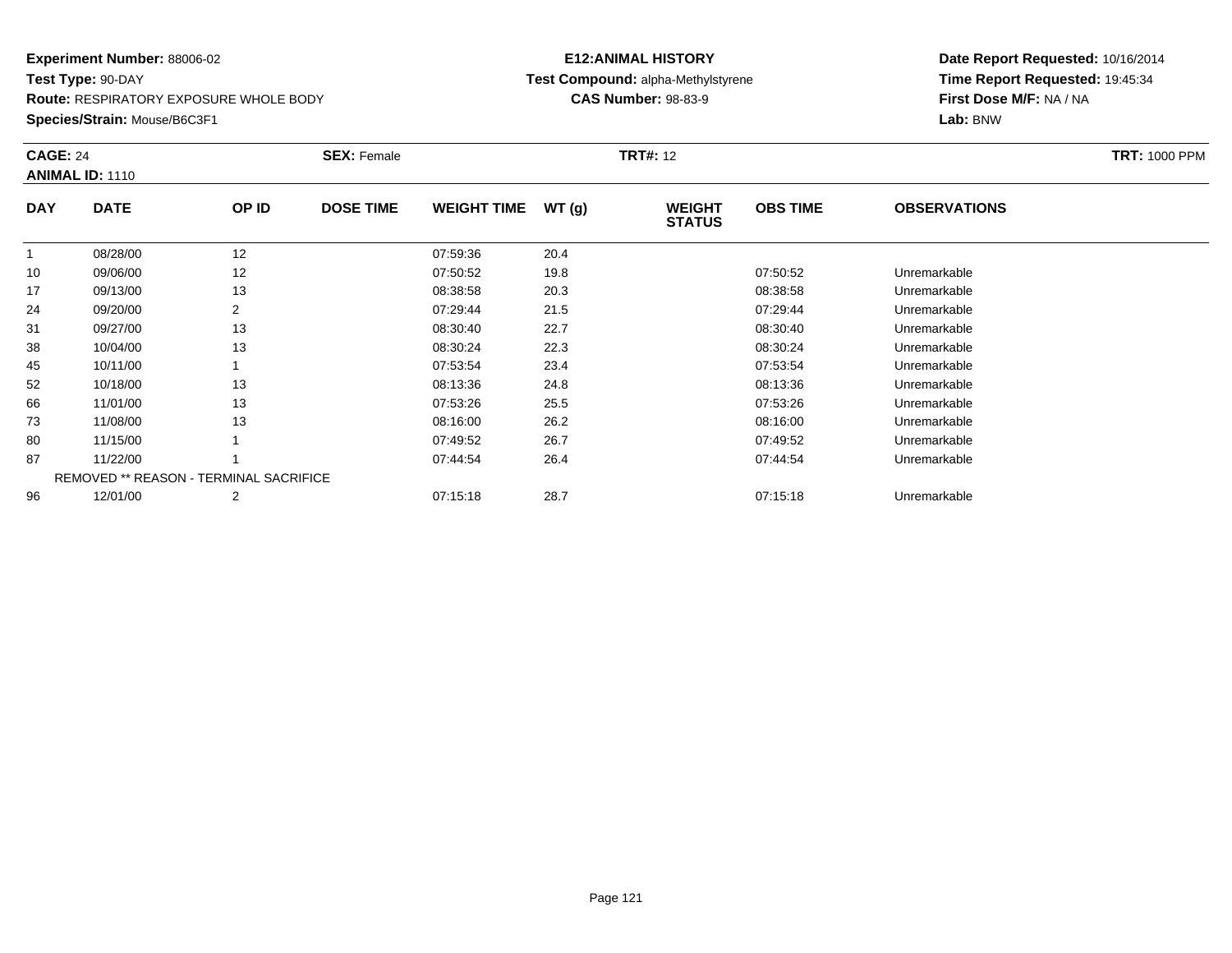**Route:** RESPIRATORY EXPOSURE WHOLE BODY

**Species/Strain:** Mouse/B6C3F1

# **E12:ANIMAL HISTORYTest Compound:** alpha-Methylstyrene

**CAS Number:** 98-83-9

| <b>CAGE: 24</b><br><b>ANIMAL ID: 1110</b> |                                               |       | <b>SEX: Female</b> | <b>TRT#: 12</b>    |       |                                |                 |                     | <b>TRT: 1000 PPM</b> |
|-------------------------------------------|-----------------------------------------------|-------|--------------------|--------------------|-------|--------------------------------|-----------------|---------------------|----------------------|
| <b>DAY</b>                                | <b>DATE</b>                                   | OP ID | <b>DOSE TIME</b>   | <b>WEIGHT TIME</b> | WT(g) | <b>WEIGHT</b><br><b>STATUS</b> | <b>OBS TIME</b> | <b>OBSERVATIONS</b> |                      |
|                                           | 08/28/00                                      | 12    |                    | 07:59:36           | 20.4  |                                |                 |                     |                      |
| 10                                        | 09/06/00                                      | 12    |                    | 07:50:52           | 19.8  |                                | 07:50:52        | Unremarkable        |                      |
| 17                                        | 09/13/00                                      | 13    |                    | 08:38:58           | 20.3  |                                | 08:38:58        | Unremarkable        |                      |
| 24                                        | 09/20/00                                      | 2     |                    | 07:29:44           | 21.5  |                                | 07:29:44        | Unremarkable        |                      |
| 31                                        | 09/27/00                                      | 13    |                    | 08:30:40           | 22.7  |                                | 08:30:40        | Unremarkable        |                      |
| 38                                        | 10/04/00                                      | 13    |                    | 08:30:24           | 22.3  |                                | 08:30:24        | Unremarkable        |                      |
| 45                                        | 10/11/00                                      |       |                    | 07:53:54           | 23.4  |                                | 07:53:54        | Unremarkable        |                      |
| 52                                        | 10/18/00                                      | 13    |                    | 08:13:36           | 24.8  |                                | 08:13:36        | Unremarkable        |                      |
| 66                                        | 11/01/00                                      | 13    |                    | 07:53:26           | 25.5  |                                | 07:53:26        | Unremarkable        |                      |
| 73                                        | 11/08/00                                      | 13    |                    | 08:16:00           | 26.2  |                                | 08:16:00        | Unremarkable        |                      |
| 80                                        | 11/15/00                                      |       |                    | 07:49:52           | 26.7  |                                | 07:49:52        | Unremarkable        |                      |
| 87                                        | 11/22/00                                      |       |                    | 07:44:54           | 26.4  |                                | 07:44:54        | Unremarkable        |                      |
|                                           | <b>REMOVED ** REASON - TERMINAL SACRIFICE</b> |       |                    |                    |       |                                |                 |                     |                      |
| 96                                        | 12/01/00                                      | 2     |                    | 07:15:18           | 28.7  |                                | 07:15:18        | Unremarkable        |                      |